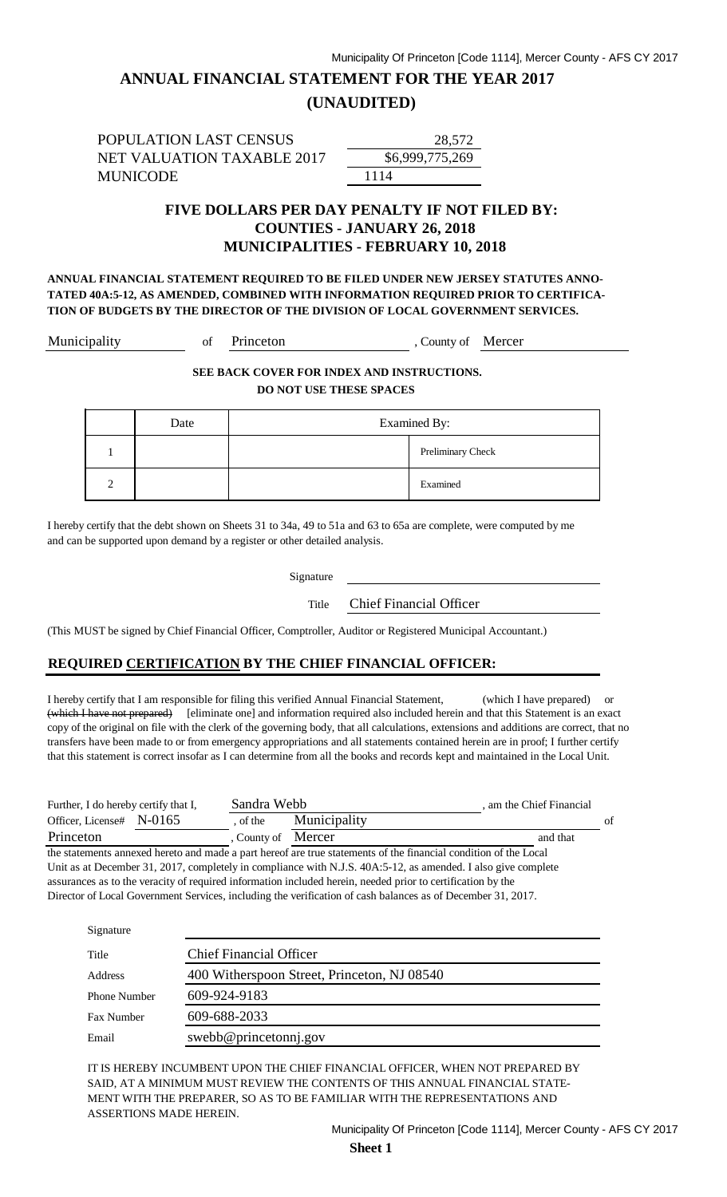# **ANNUAL FINANCIAL STATEMENT FOR THE YEAR 2017**

### **(UNAUDITED)**

POPULATION LAST CENSUS NET VALUATION TAXABLE 2017 MUNICODE 1114

\$6,999 28,572

### **FIVE DOLLARS PER DAY PENALTY IF NOT FILED BY: COUNTIES - JANUARY 26, 2018 MUNICIPALITIES - FEBRUARY 10, 2018**

**ANNUAL FINANCIAL STATEMENT REQUIRED TO BE FILED UNDER NEW JERSEY STATUTES ANNO-TATED 40A:5-12, AS AMENDED, COMBINED WITH INFORMATION REQUIRED PRIOR TO CERTIFICA-TION OF BUDGETS BY THE DIRECTOR OF THE DIVISION OF LOCAL GOVERNMENT SERVICES.**

Municipality of Princeton , County of Mercer

**SEE BACK COVER FOR INDEX AND INSTRUCTIONS. DO NOT USE THESE SPACES** 

|               | Date | <b>Examined By:</b> |                   |
|---------------|------|---------------------|-------------------|
|               |      |                     | Preliminary Check |
| $\mathcal{L}$ |      |                     | Examined          |

I hereby certify that the debt shown on Sheets 31 to 34a, 49 to 51a and 63 to 65a are complete, were computed by me and can be supported upon demand by a register or other detailed analysis.

Signature

Title Chief Financial Officer

(This MUST be signed by Chief Financial Officer, Comptroller, Auditor or Registered Municipal Accountant.)

### **REQUIRED CERTIFICATION BY THE CHIEF FINANCIAL OFFICER:**

I hereby certify that I am responsible for filing this verified Annual Financial Statement, (which I have prepared) or (which I have not prepared) [eliminate one] and information required also included herein and that this Statement is an exact copy of the original on file with the clerk of the governing body, that all calculations, extensions and additions are correct, that no transfers have been made to or from emergency appropriations and all statements contained herein are in proof; I further certify that this statement is correct insofar as I can determine from all the books and records kept and maintained in the Local Unit.

| Further, I do hereby certify that I, | Sandra Webb      |              | am the Chief Financial |    |
|--------------------------------------|------------------|--------------|------------------------|----|
| Officer. License# $N-0165$           | of the           | Municipality |                        | of |
| Princeton                            | County of Mercer |              | and that               |    |

the statements annexed hereto and made a part hereof are true statements of the financial condition of the Local Unit as at December 31, 2017, completely in compliance with N.J.S. 40A:5-12, as amended. I also give complete assurances as to the veracity of required information included herein, needed prior to certification by the Director of Local Government Services, including the verification of cash balances as of December 31, 2017.

| Signature           |                                             |
|---------------------|---------------------------------------------|
| Title               | <b>Chief Financial Officer</b>              |
| Address             | 400 Witherspoon Street, Princeton, NJ 08540 |
| <b>Phone Number</b> | 609-924-9183                                |
| <b>Fax Number</b>   | 609-688-2033                                |
| Email               | swebb@princetonnj.gov                       |

IT IS HEREBY INCUMBENT UPON THE CHIEF FINANCIAL OFFICER, WHEN NOT PREPARED BY SAID, AT A MINIMUM MUST REVIEW THE CONTENTS OF THIS ANNUAL FINANCIAL STATE-MENT WITH THE PREPARER, SO AS TO BE FAMILIAR WITH THE REPRESENTATIONS AND ASSERTIONS MADE HEREIN.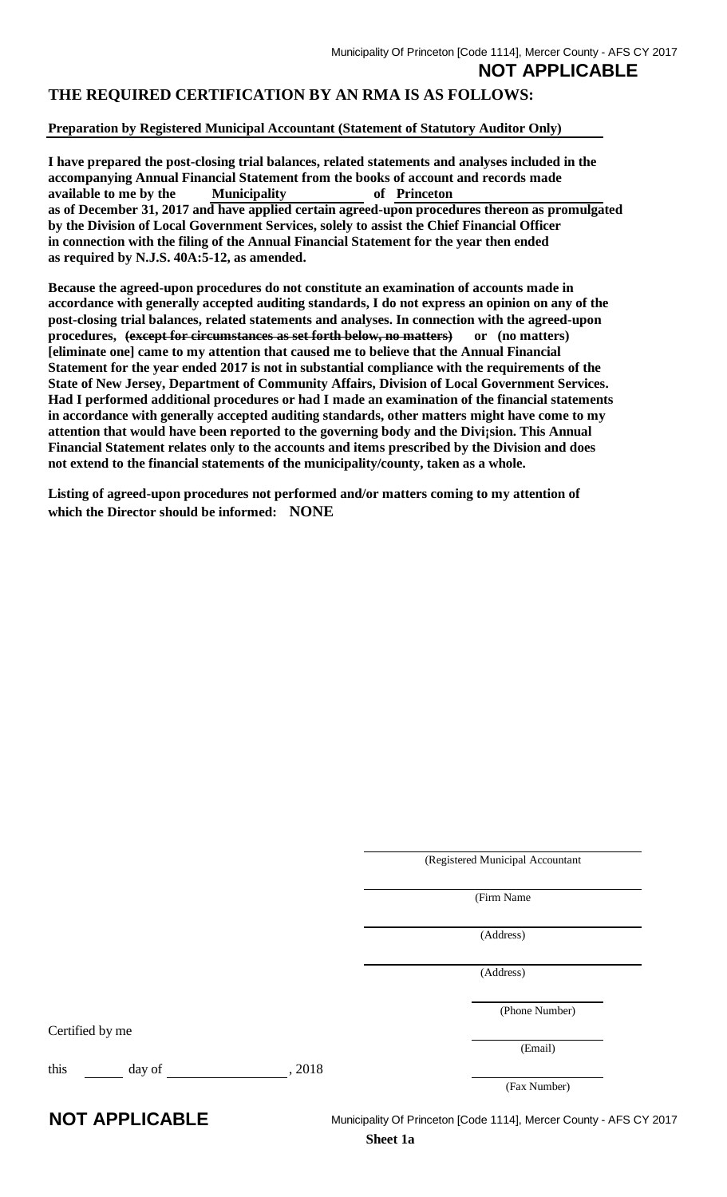**NOT APPLICABLE**

### **THE REQUIRED CERTIFICATION BY AN RMA IS AS FOLLOWS:**

### **Preparation by Registered Municipal Accountant (Statement of Statutory Auditor Only)**

**I have prepared the post-closing trial balances, related statements and analyses included in the accompanying Annual Financial Statement from the books of account and records made available to me by the Municipality of Princeton as of December 31, 2017 and have applied certain agreed-upon procedures thereon as promulgated by the Division of Local Government Services, solely to assist the Chief Financial Officer in connection with the filing of the Annual Financial Statement for the year then ended as required by N.J.S. 40A:5-12, as amended.** 

**Because the agreed-upon procedures do not constitute an examination of accounts made in accordance with generally accepted auditing standards, I do not express an opinion on any of the post-closing trial balances, related statements and analyses. In connection with the agreed-upon procedures, (except for circumstances as set forth below, no matters) or (no matters) [eliminate one] came to my attention that caused me to believe that the Annual Financial Statement for the year ended 2017 is not in substantial compliance with the requirements of the State of New Jersey, Department of Community Affairs, Division of Local Government Services. Had I performed additional procedures or had I made an examination of the financial statements in accordance with generally accepted auditing standards, other matters might have come to my attention that would have been reported to the governing body and the Divi¡sion. This Annual Financial Statement relates only to the accounts and items prescribed by the Division and does not extend to the financial statements of the municipality/county, taken as a whole.** 

**Listing of agreed-upon procedures not performed and/or matters coming to my attention of which the Director should be informed: NONE**

(Registered Municipal Accountant (Firm Name (Address) (Address) (Phone Number) Certified by me (Email) this day of , 2018 (Fax Number) **NOT APPLICABLE** Municipality Of Princeton [Code 1114], Mercer County - AFS CY 2017

**Sheet 1a**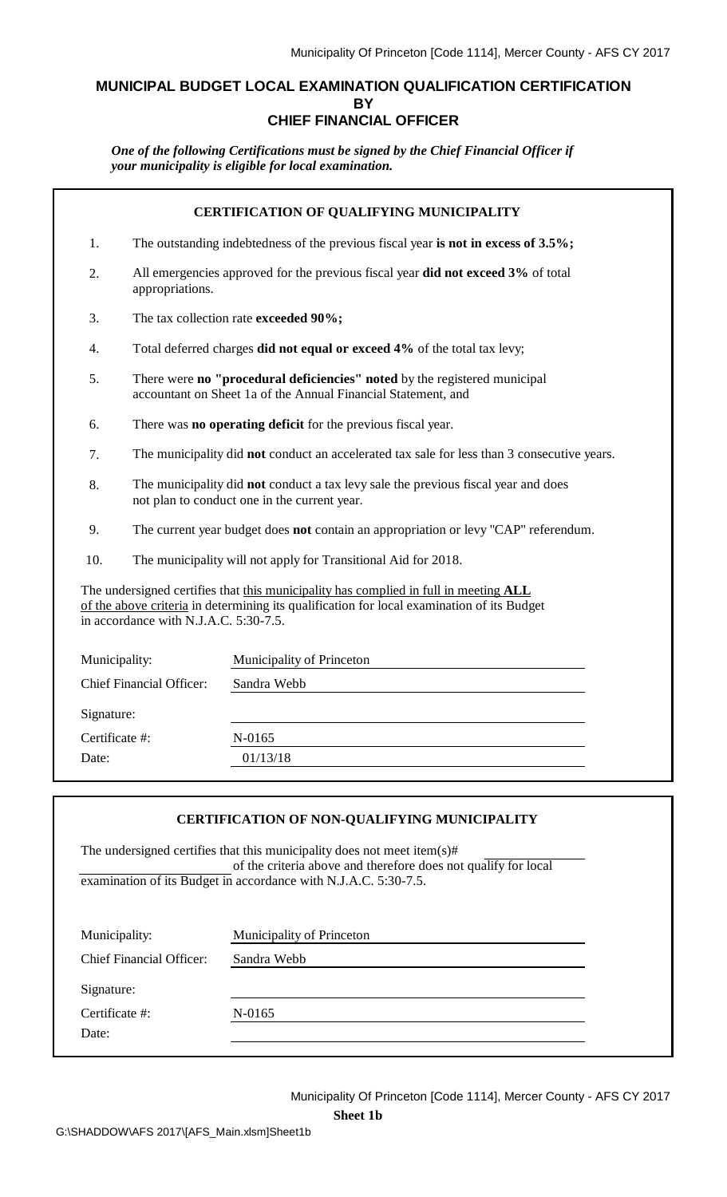### **MUNICIPAL BUDGET LOCAL EXAMINATION QUALIFICATION CERTIFICATION BY CHIEF FINANCIAL OFFICER**

*One of the following Certifications must be signed by the Chief Financial Officer if your municipality is eligible for local examination.*

| <b>CERTIFICATION OF QUALIFYING MUNICIPALITY</b> |                                                                                                                                    |                                                                                                                                                                                    |  |  |  |
|-------------------------------------------------|------------------------------------------------------------------------------------------------------------------------------------|------------------------------------------------------------------------------------------------------------------------------------------------------------------------------------|--|--|--|
| 1.                                              | The outstanding indebtedness of the previous fiscal year is not in excess of 3.5%;                                                 |                                                                                                                                                                                    |  |  |  |
| 2.                                              | appropriations.                                                                                                                    | All emergencies approved for the previous fiscal year did not exceed 3% of total                                                                                                   |  |  |  |
| 3.                                              |                                                                                                                                    | The tax collection rate exceeded 90%;                                                                                                                                              |  |  |  |
| 4.                                              |                                                                                                                                    | Total deferred charges did not equal or exceed 4% of the total tax levy;                                                                                                           |  |  |  |
| 5.                                              |                                                                                                                                    | There were no "procedural deficiencies" noted by the registered municipal<br>accountant on Sheet 1a of the Annual Financial Statement, and                                         |  |  |  |
| 6.                                              |                                                                                                                                    | There was no operating deficit for the previous fiscal year.                                                                                                                       |  |  |  |
| 7.                                              | The municipality did not conduct an accelerated tax sale for less than 3 consecutive years.                                        |                                                                                                                                                                                    |  |  |  |
| 8.                                              | The municipality did not conduct a tax levy sale the previous fiscal year and does<br>not plan to conduct one in the current year. |                                                                                                                                                                                    |  |  |  |
| 9.                                              | The current year budget does not contain an appropriation or levy "CAP" referendum.                                                |                                                                                                                                                                                    |  |  |  |
| 10.                                             |                                                                                                                                    | The municipality will not apply for Transitional Aid for 2018.                                                                                                                     |  |  |  |
|                                                 | in accordance with N.J.A.C. 5:30-7.5.                                                                                              | The undersigned certifies that this municipality has complied in full in meeting ALL<br>of the above criteria in determining its qualification for local examination of its Budget |  |  |  |
|                                                 | Municipality of Princeton<br>Municipality:                                                                                         |                                                                                                                                                                                    |  |  |  |
|                                                 | <b>Chief Financial Officer:</b>                                                                                                    | Sandra Webb                                                                                                                                                                        |  |  |  |
|                                                 | Signature:                                                                                                                         |                                                                                                                                                                                    |  |  |  |
| Certificate #:                                  |                                                                                                                                    | N-0165                                                                                                                                                                             |  |  |  |
| Date:                                           | 01/13/18                                                                                                                           |                                                                                                                                                                                    |  |  |  |
|                                                 |                                                                                                                                    |                                                                                                                                                                                    |  |  |  |
|                                                 |                                                                                                                                    |                                                                                                                                                                                    |  |  |  |

### **CERTIFICATION OF NON-QUALIFYING MUNICIPALITY**

The undersigned certifies that this municipality does not meet item(s)# of the criteria above and therefore does not qualify for local examination of its Budget in accordance with N.J.A.C. 5:30-7.5.

| Municipality:                   | Municipality of Princeton |  |
|---------------------------------|---------------------------|--|
| <b>Chief Financial Officer:</b> | Sandra Webb               |  |
| Signature:                      |                           |  |
| Certificate #:                  | N-0165                    |  |
| Date:                           |                           |  |
|                                 |                           |  |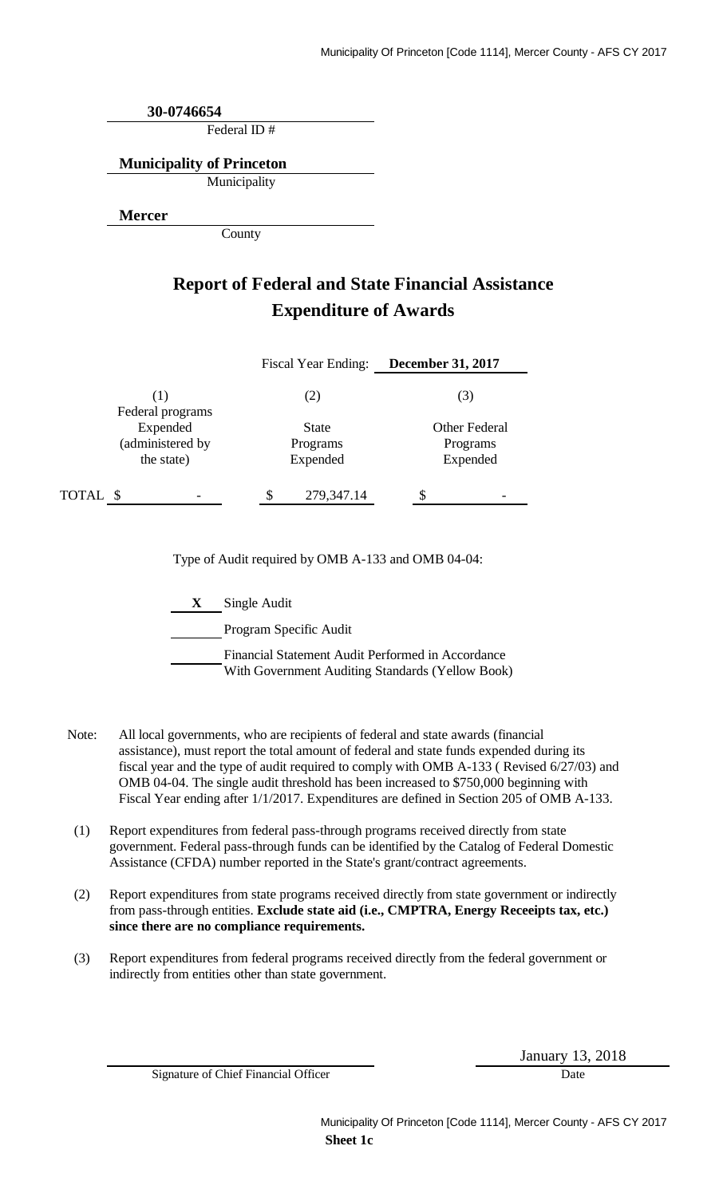Federal ID # **30-0746654 Municipality of Princeton**

Municipality

**Mercer**

County

## **Report of Federal and State Financial Assistance Expenditure of Awards**

|                                            | <b>Fiscal Year Ending:</b>           | <b>December 31, 2017</b>                     |
|--------------------------------------------|--------------------------------------|----------------------------------------------|
| (1)<br>Federal programs                    | (2)                                  | (3)                                          |
| Expended<br>(administered by<br>the state) | <b>State</b><br>Programs<br>Expended | <b>Other Federal</b><br>Programs<br>Expended |
| TOTAL \$                                   | 279,347.14                           |                                              |

Type of Audit required by OMB A-133 and OMB 04-04:

**X** Single Audit

Program Specific Audit

Financial Statement Audit Performed in Accordance With Government Auditing Standards (Yellow Book)

- Note: All local governments, who are recipients of federal and state awards (financial assistance), must report the total amount of federal and state funds expended during its fiscal year and the type of audit required to comply with OMB A-133 ( Revised 6/27/03) and OMB 04-04. The single audit threshold has been increased to \$750,000 beginning with Fiscal Year ending after 1/1/2017. Expenditures are defined in Section 205 of OMB A-133.
- (1) Report expenditures from federal pass-through programs received directly from state government. Federal pass-through funds can be identified by the Catalog of Federal Domestic Assistance (CFDA) number reported in the State's grant/contract agreements.
- (2) Report expenditures from state programs received directly from state government or indirectly from pass-through entities. **Exclude state aid (i.e., CMPTRA, Energy Receeipts tax, etc.) since there are no compliance requirements.**
- (3) Report expenditures from federal programs received directly from the federal government or indirectly from entities other than state government.

Signature of Chief Financial Officer Date

January 13, 2018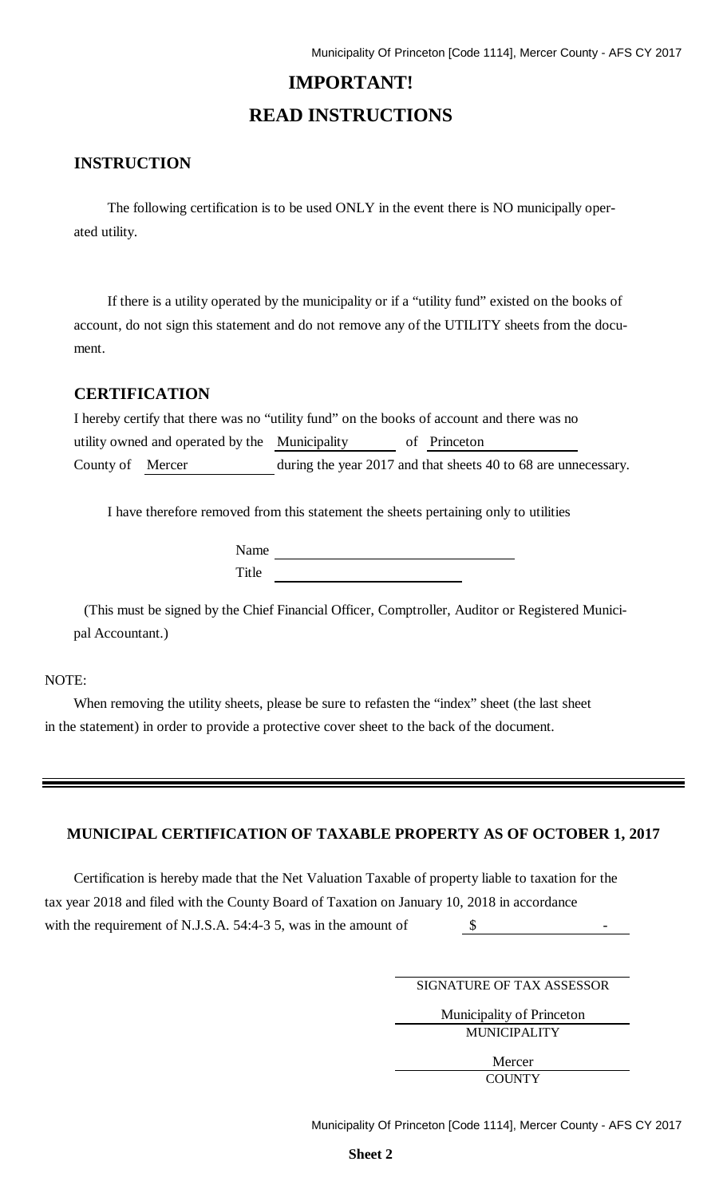# **IMPORTANT! READ INSTRUCTIONS**

### **INSTRUCTION**

The following certification is to be used ONLY in the event there is NO municipally operated utility.

If there is a utility operated by the municipality or if a "utility fund" existed on the books of account, do not sign this statement and do not remove any of the UTILITY sheets from the document.

### **CERTIFICATION**

| I hereby certify that there was no "utility fund" on the books of account and there was no |  |                                                                |
|--------------------------------------------------------------------------------------------|--|----------------------------------------------------------------|
| utility owned and operated by the Municipality                                             |  | of Princeton                                                   |
| County of Mercer                                                                           |  | during the year 2017 and that sheets 40 to 68 are unnecessary. |

I have therefore removed from this statement the sheets pertaining only to utilities

Name Title <u>the series of the series of the series of the series of the series of the series of the series of the series of the series of the series of the series of the series of the series of the series of the series of the s</u>

(This must be signed by the Chief Financial Officer, Comptroller, Auditor or Registered Municipal Accountant.)

#### NOTE:

When removing the utility sheets, please be sure to refasten the "index" sheet (the last sheet in the statement) in order to provide a protective cover sheet to the back of the document.

### **MUNICIPAL CERTIFICATION OF TAXABLE PROPERTY AS OF OCTOBER 1, 2017**

Certification is hereby made that the Net Valuation Taxable of property liable to taxation for the tax year 2018 and filed with the County Board of Taxation on January 10, 2018 in accordance with the requirement of N.J.S.A. 54:4-3 5, was in the amount of  $\sim$  5 -

SIGNATURE OF TAX ASSESSOR

Municipality of Princeton MUNICIPALITY

> Mercer **COUNTY**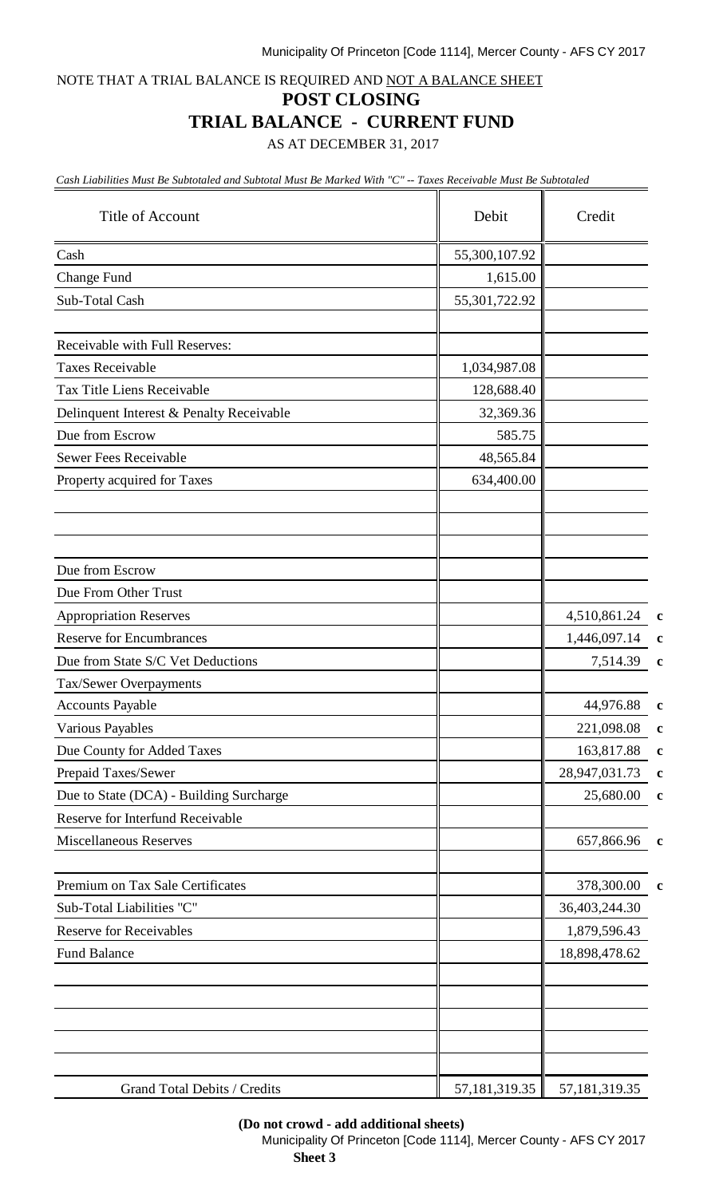#### Municipality Of Princeton [Code 1114], Mercer County - AFS CY 2017

NOTE THAT A TRIAL BALANCE IS REQUIRED AND NOT A BALANCE SHEET

#### **POST CLOSING**

### **TRIAL BALANCE - CURRENT FUND**

AS AT DECEMBER 31, 2017

*Cash Liabilities Must Be Subtotaled and Subtotal Must Be Marked With "C" -- Taxes Receivable Must Be Subtotaled*

| Title of Account                         | Debit         | Credit        |             |
|------------------------------------------|---------------|---------------|-------------|
| Cash                                     | 55,300,107.92 |               |             |
| Change Fund                              | 1,615.00      |               |             |
| Sub-Total Cash                           | 55,301,722.92 |               |             |
|                                          |               |               |             |
| Receivable with Full Reserves:           |               |               |             |
| <b>Taxes Receivable</b>                  | 1,034,987.08  |               |             |
| Tax Title Liens Receivable               | 128,688.40    |               |             |
| Delinquent Interest & Penalty Receivable | 32,369.36     |               |             |
| Due from Escrow                          | 585.75        |               |             |
| <b>Sewer Fees Receivable</b>             | 48,565.84     |               |             |
| Property acquired for Taxes              | 634,400.00    |               |             |
|                                          |               |               |             |
| Due from Escrow                          |               |               |             |
| Due From Other Trust                     |               |               |             |
| <b>Appropriation Reserves</b>            |               | 4,510,861.24  | $\mathbf c$ |
| <b>Reserve for Encumbrances</b>          |               | 1,446,097.14  | $\mathbf c$ |
| Due from State S/C Vet Deductions        |               | 7,514.39      | $\mathbf c$ |
| Tax/Sewer Overpayments                   |               |               |             |
| <b>Accounts Payable</b>                  |               | 44,976.88     | $\mathbf c$ |
| Various Payables                         |               | 221,098.08    | $\mathbf c$ |
| Due County for Added Taxes               |               | 163,817.88    | $\mathbf c$ |
| Prepaid Taxes/Sewer                      |               | 28,947,031.73 | $\mathbf c$ |
| Due to State (DCA) - Building Surcharge  |               | 25,680.00     | $\mathbf c$ |
| Reserve for Interfund Receivable         |               |               |             |
| <b>Miscellaneous Reserves</b>            |               | 657,866.96    | $\mathbf c$ |
| Premium on Tax Sale Certificates         |               | 378,300.00    | c           |
| Sub-Total Liabilities "C"                |               | 36,403,244.30 |             |
| <b>Reserve for Receivables</b>           |               | 1,879,596.43  |             |
| <b>Fund Balance</b>                      |               | 18,898,478.62 |             |
|                                          |               |               |             |
| Grand Total Debits / Credits             | 57,181,319.35 | 57,181,319.35 |             |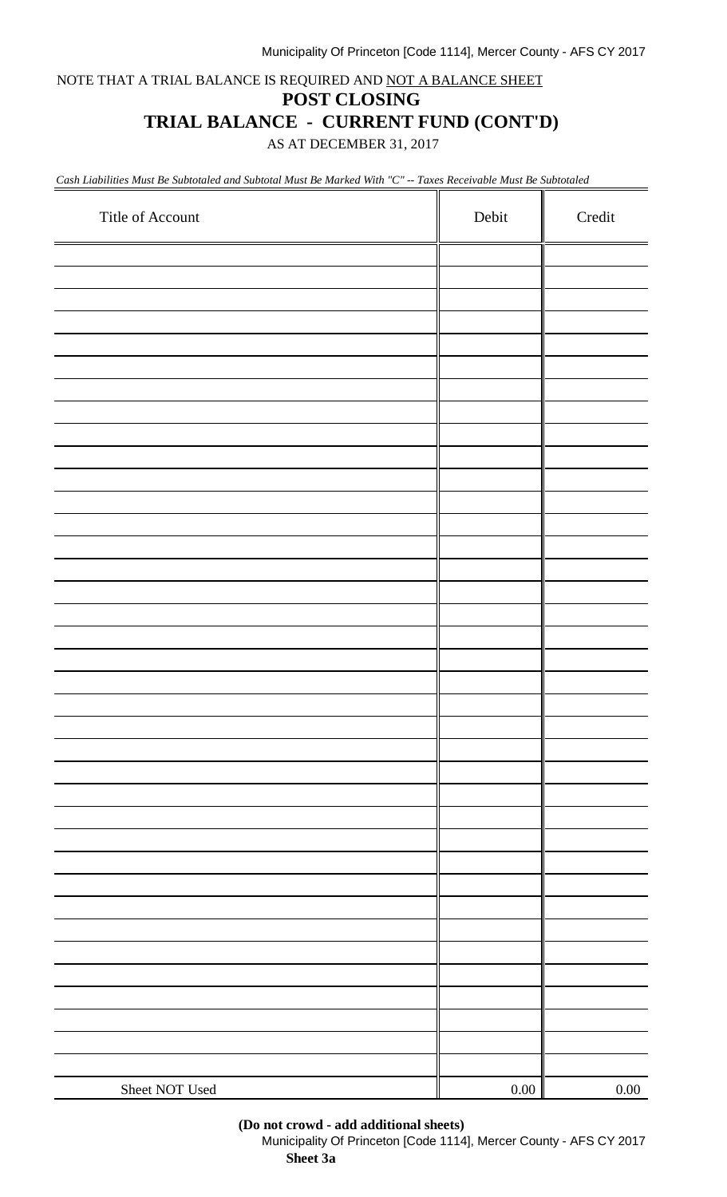#### Municipality Of Princeton [Code 1114], Mercer County - AFS CY 2017

NOTE THAT A TRIAL BALANCE IS REQUIRED AND NOT A BALANCE SHEET

### **POST CLOSING**

## **TRIAL BALANCE - CURRENT FUND (CONT'D)**

AS AT DECEMBER 31, 2017

*Cash Liabilities Must Be Subtotaled and Subtotal Must Be Marked With "C" -- Taxes Receivable Must Be Subtotaled*

| Title of Account | Debit    | Credit   |
|------------------|----------|----------|
|                  |          |          |
|                  |          |          |
|                  |          |          |
|                  |          |          |
|                  |          |          |
|                  |          |          |
|                  |          |          |
|                  |          |          |
|                  |          |          |
|                  |          |          |
|                  |          |          |
|                  |          |          |
|                  |          |          |
|                  |          |          |
|                  |          |          |
|                  |          |          |
|                  |          |          |
|                  |          |          |
|                  |          |          |
|                  |          |          |
|                  |          |          |
|                  |          |          |
|                  |          |          |
|                  |          |          |
|                  |          |          |
|                  |          |          |
|                  |          |          |
|                  |          |          |
|                  |          |          |
|                  |          |          |
|                  |          |          |
|                  |          |          |
|                  |          |          |
|                  |          |          |
|                  |          |          |
|                  |          |          |
|                  |          |          |
| Sheet NOT Used   | $0.00\,$ | $0.00\,$ |

#### **(Do not crowd - add additional sheets)**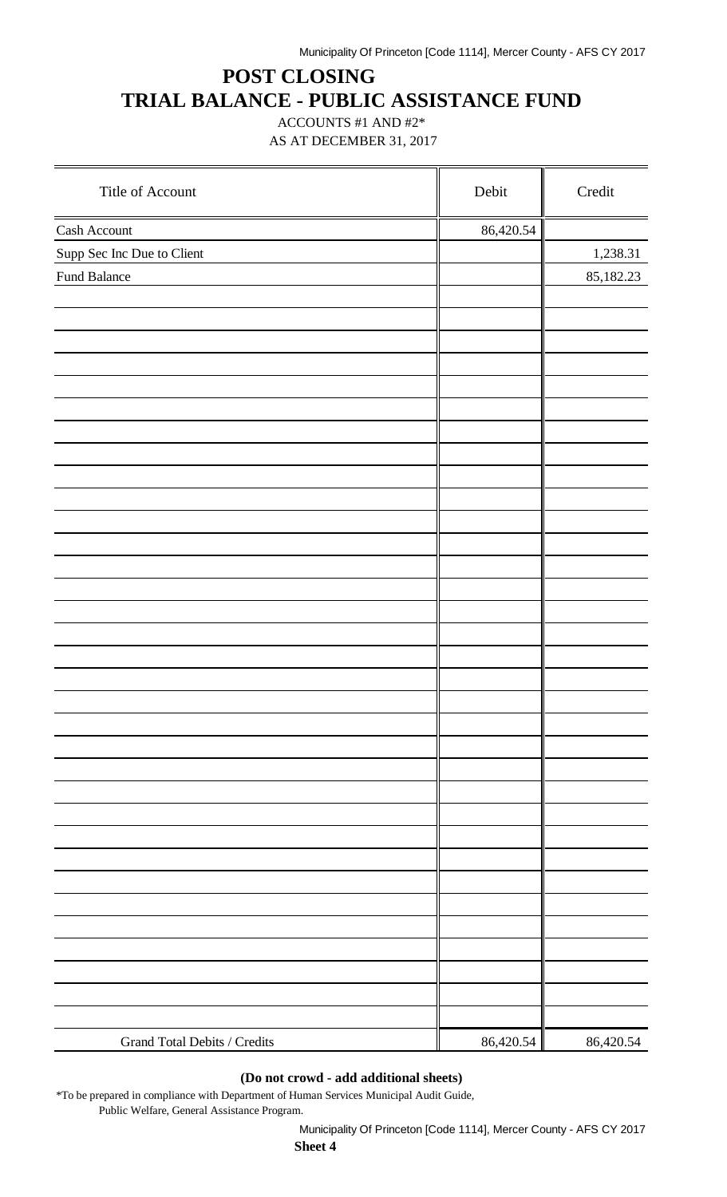# **POST CLOSING TRIAL BALANCE - PUBLIC ASSISTANCE FUND**

ACCOUNTS #1 AND #2\* AS AT DECEMBER 31, 2017

| Title of Account             | Debit     | Credit    |
|------------------------------|-----------|-----------|
| Cash Account                 | 86,420.54 |           |
| Supp Sec Inc Due to Client   |           | 1,238.31  |
| Fund Balance                 |           | 85,182.23 |
|                              |           |           |
|                              |           |           |
|                              |           |           |
|                              |           |           |
|                              |           |           |
|                              |           |           |
|                              |           |           |
|                              |           |           |
|                              |           |           |
|                              |           |           |
|                              |           |           |
|                              |           |           |
|                              |           |           |
|                              |           |           |
|                              |           |           |
|                              |           |           |
|                              |           |           |
|                              |           |           |
|                              |           |           |
|                              |           |           |
|                              |           |           |
|                              |           |           |
|                              |           |           |
|                              |           |           |
|                              |           |           |
|                              |           |           |
|                              |           |           |
|                              |           |           |
|                              |           |           |
|                              |           |           |
|                              |           |           |
|                              |           |           |
| Grand Total Debits / Credits | 86,420.54 | 86,420.54 |

### **(Do not crowd - add additional sheets)**

\*To be prepared in compliance with Department of Human Services Municipal Audit Guide, Public Welfare, General Assistance Program.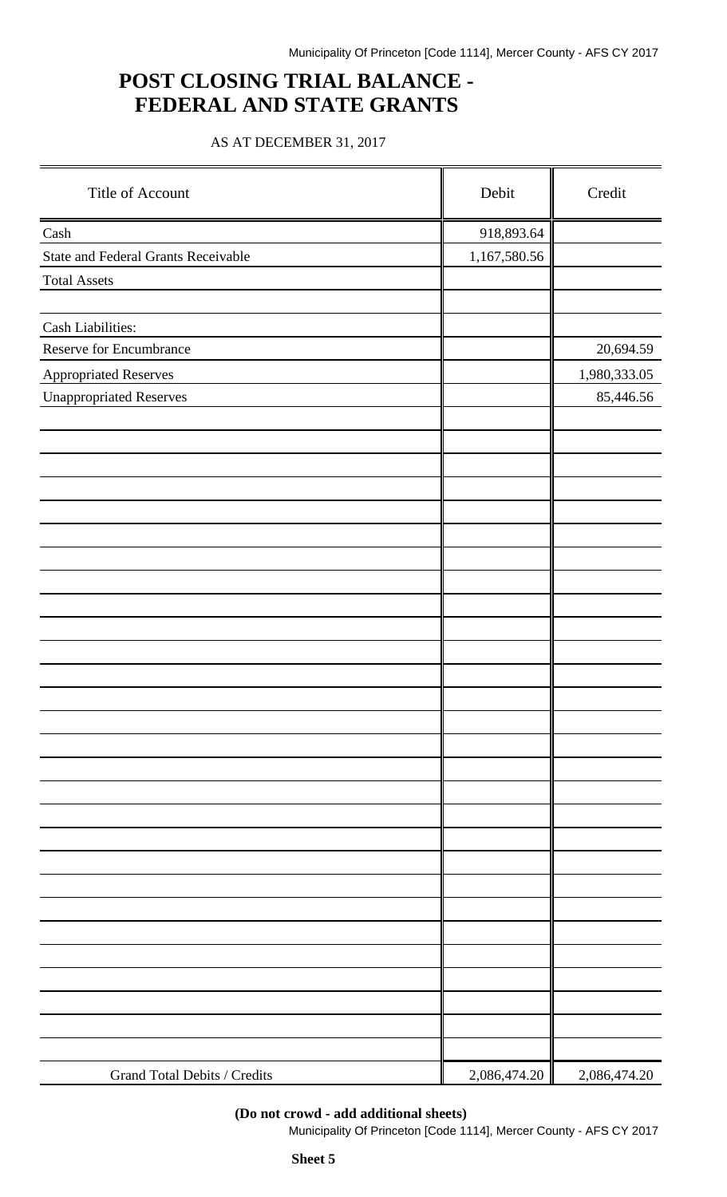## **POST CLOSING TRIAL BALANCE - FEDERAL AND STATE GRANTS**

### AS AT DECEMBER 31, 2017

| Title of Account                           | Debit        | Credit       |
|--------------------------------------------|--------------|--------------|
| Cash                                       | 918,893.64   |              |
| <b>State and Federal Grants Receivable</b> | 1,167,580.56 |              |
| <b>Total Assets</b>                        |              |              |
|                                            |              |              |
| Cash Liabilities:                          |              |              |
| Reserve for Encumbrance                    |              | 20,694.59    |
| <b>Appropriated Reserves</b>               |              | 1,980,333.05 |
| <b>Unappropriated Reserves</b>             |              | 85,446.56    |
|                                            |              |              |
|                                            |              |              |
|                                            |              |              |
|                                            |              |              |
|                                            |              |              |
|                                            |              |              |
|                                            |              |              |
|                                            |              |              |
|                                            |              |              |
|                                            |              |              |
|                                            |              |              |
|                                            |              |              |
|                                            |              |              |
|                                            |              |              |
|                                            |              |              |
|                                            |              |              |
|                                            |              |              |
|                                            |              |              |
|                                            |              |              |
|                                            |              |              |
|                                            |              |              |
|                                            |              |              |
|                                            |              |              |
|                                            |              |              |
|                                            |              |              |
|                                            |              |              |
|                                            |              |              |
|                                            |              |              |
| Grand Total Debits / Credits               | 2,086,474.20 | 2,086,474.20 |

#### **(Do not crowd - add additional sheets)**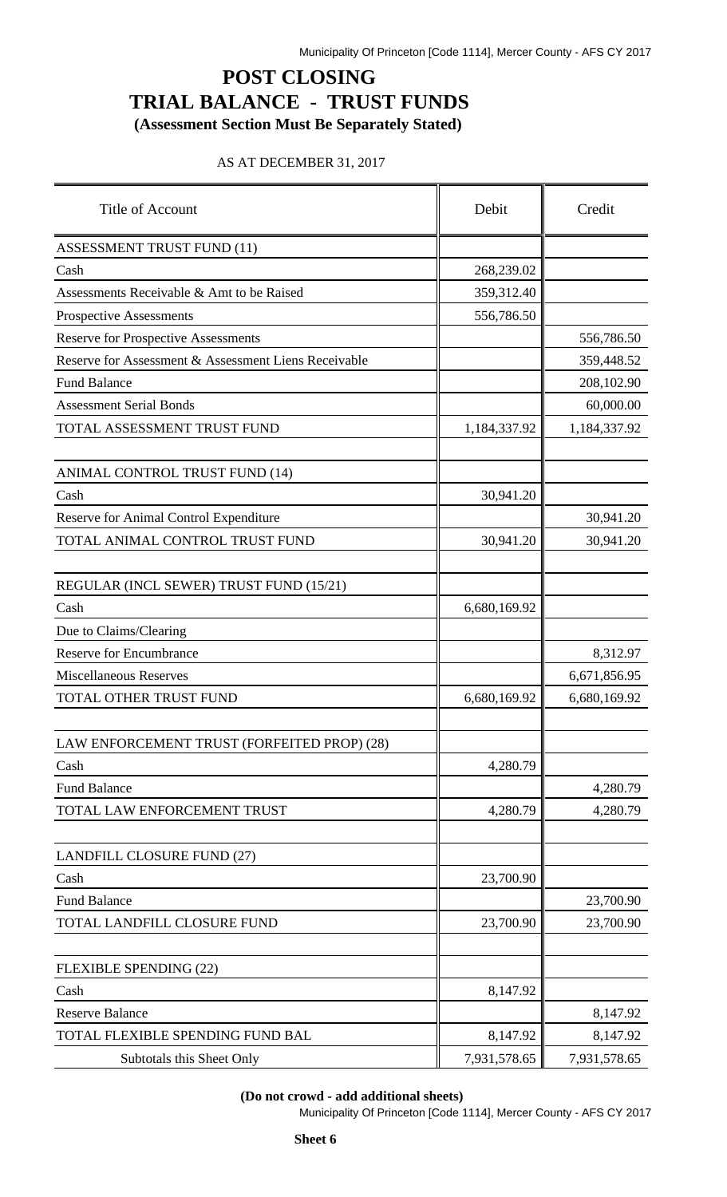# **POST CLOSING TRIAL BALANCE - TRUST FUNDS**

**(Assessment Section Must Be Separately Stated)**

### AS AT DECEMBER 31, 2017

| Title of Account                                     | Debit        | Credit       |
|------------------------------------------------------|--------------|--------------|
| <b>ASSESSMENT TRUST FUND (11)</b>                    |              |              |
| Cash                                                 | 268,239.02   |              |
| Assessments Receivable & Amt to be Raised            | 359,312.40   |              |
| <b>Prospective Assessments</b>                       | 556,786.50   |              |
| <b>Reserve for Prospective Assessments</b>           |              | 556,786.50   |
| Reserve for Assessment & Assessment Liens Receivable |              | 359,448.52   |
| <b>Fund Balance</b>                                  |              | 208,102.90   |
| <b>Assessment Serial Bonds</b>                       |              | 60,000.00    |
| TOTAL ASSESSMENT TRUST FUND                          | 1,184,337.92 | 1,184,337.92 |
| ANIMAL CONTROL TRUST FUND (14)                       |              |              |
| Cash                                                 | 30,941.20    |              |
| Reserve for Animal Control Expenditure               |              | 30,941.20    |
| TOTAL ANIMAL CONTROL TRUST FUND                      | 30,941.20    | 30,941.20    |
| REGULAR (INCL SEWER) TRUST FUND (15/21)              |              |              |
| Cash                                                 | 6,680,169.92 |              |
| Due to Claims/Clearing                               |              |              |
| <b>Reserve for Encumbrance</b>                       |              | 8,312.97     |
| <b>Miscellaneous Reserves</b>                        |              | 6,671,856.95 |
| TOTAL OTHER TRUST FUND                               | 6,680,169.92 | 6,680,169.92 |
| LAW ENFORCEMENT TRUST (FORFEITED PROP) (28)          |              |              |
| Cash                                                 | 4,280.79     |              |
| <b>Fund Balance</b>                                  |              | 4,280.79     |
| TOTAL LAW ENFORCEMENT TRUST                          | 4,280.79     | 4,280.79     |
| LANDFILL CLOSURE FUND (27)                           |              |              |
| Cash                                                 | 23,700.90    |              |
| <b>Fund Balance</b>                                  |              | 23,700.90    |
| TOTAL LANDFILL CLOSURE FUND                          | 23,700.90    | 23,700.90    |
| <b>FLEXIBLE SPENDING (22)</b>                        |              |              |
| Cash                                                 | 8,147.92     |              |
| <b>Reserve Balance</b>                               |              | 8,147.92     |
| TOTAL FLEXIBLE SPENDING FUND BAL                     | 8,147.92     | 8,147.92     |
| Subtotals this Sheet Only                            | 7,931,578.65 | 7,931,578.65 |

**(Do not crowd - add additional sheets)**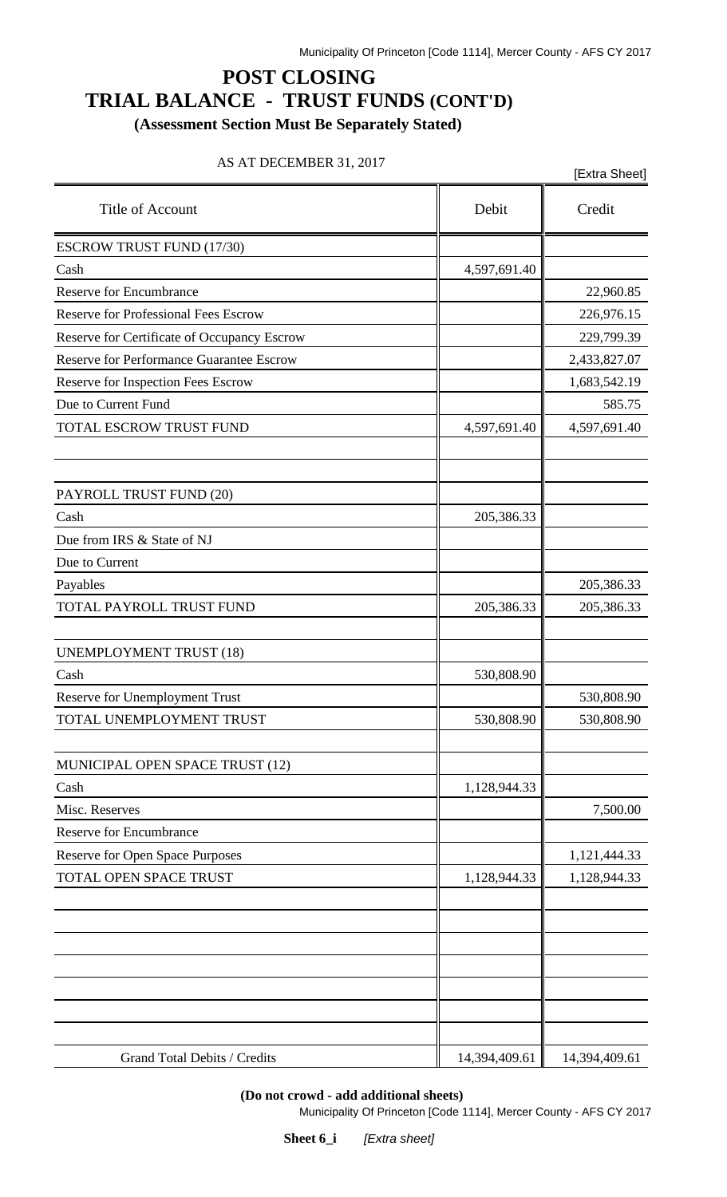# **POST CLOSING TRIAL BALANCE - TRUST FUNDS (CONT'D)**

**(Assessment Section Must Be Separately Stated)**

### AS AT DECEMBER 31, 2017

| $\Delta \beta$ $\Delta 1$ DECENIDER 31, 2017    |               | [Extra Sheet] |
|-------------------------------------------------|---------------|---------------|
| Title of Account                                | Debit         | Credit        |
| <b>ESCROW TRUST FUND (17/30)</b>                |               |               |
| Cash                                            | 4,597,691.40  |               |
| <b>Reserve for Encumbrance</b>                  |               | 22,960.85     |
| <b>Reserve for Professional Fees Escrow</b>     |               | 226,976.15    |
| Reserve for Certificate of Occupancy Escrow     |               | 229,799.39    |
| <b>Reserve for Performance Guarantee Escrow</b> |               | 2,433,827.07  |
| Reserve for Inspection Fees Escrow              |               | 1,683,542.19  |
| Due to Current Fund                             |               | 585.75        |
| TOTAL ESCROW TRUST FUND                         | 4,597,691.40  | 4,597,691.40  |
| PAYROLL TRUST FUND (20)                         |               |               |
| Cash                                            | 205,386.33    |               |
| Due from IRS & State of NJ                      |               |               |
| Due to Current                                  |               |               |
| Payables                                        |               | 205,386.33    |
| TOTAL PAYROLL TRUST FUND                        | 205,386.33    | 205,386.33    |
| <b>UNEMPLOYMENT TRUST (18)</b>                  |               |               |
| Cash                                            | 530,808.90    |               |
| Reserve for Unemployment Trust                  |               | 530,808.90    |
| TOTAL UNEMPLOYMENT TRUST                        | 530,808.90    | 530,808.90    |
| MUNICIPAL OPEN SPACE TRUST (12)                 |               |               |
| Cash                                            | 1,128,944.33  |               |
| Misc. Reserves                                  |               | 7,500.00      |
| Reserve for Encumbrance                         |               |               |
| Reserve for Open Space Purposes                 |               | 1,121,444.33  |
| TOTAL OPEN SPACE TRUST                          | 1,128,944.33  | 1,128,944.33  |
|                                                 |               |               |
|                                                 |               |               |
| Grand Total Debits / Credits                    | 14,394,409.61 | 14,394,409.61 |

**(Do not crowd - add additional sheets)**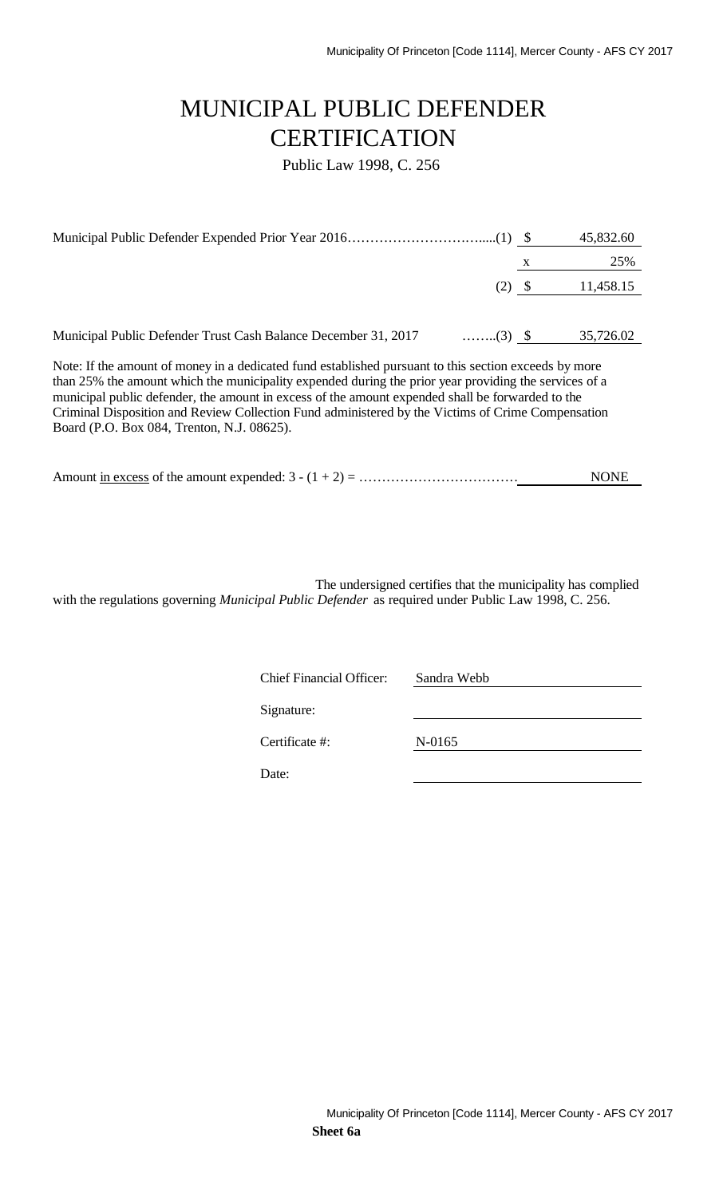# MUNICIPAL PUBLIC DEFENDER **CERTIFICATION**

Public Law 1998, C. 256

|                                                                                   |   | 45,832.60 |
|-----------------------------------------------------------------------------------|---|-----------|
|                                                                                   | X | 25%       |
| (2)                                                                               |   | 11,458.15 |
|                                                                                   |   |           |
| Municipal Public Defender Trust Cash Balance December 31, 2017<br>$\ldots$ (3) \$ |   | 35,726.02 |

Note: If the amount of money in a dedicated fund established pursuant to this section exceeds by more than 25% the amount which the municipality expended during the prior year providing the services of a municipal public defender, the amount in excess of the amount expended shall be forwarded to the Criminal Disposition and Review Collection Fund administered by the Victims of Crime Compensation Board (P.O. Box 084, Trenton, N.J. 08625).

|--|

The undersigned certifies that the municipality has complied with the regulations governing *Municipal Public Defender* as required under Public Law 1998, C. 256.

| <b>Chief Financial Officer:</b> | Sandra Webb |
|---------------------------------|-------------|
| Signature:                      |             |
| Certificate #:                  | N-0165      |
| Date:                           |             |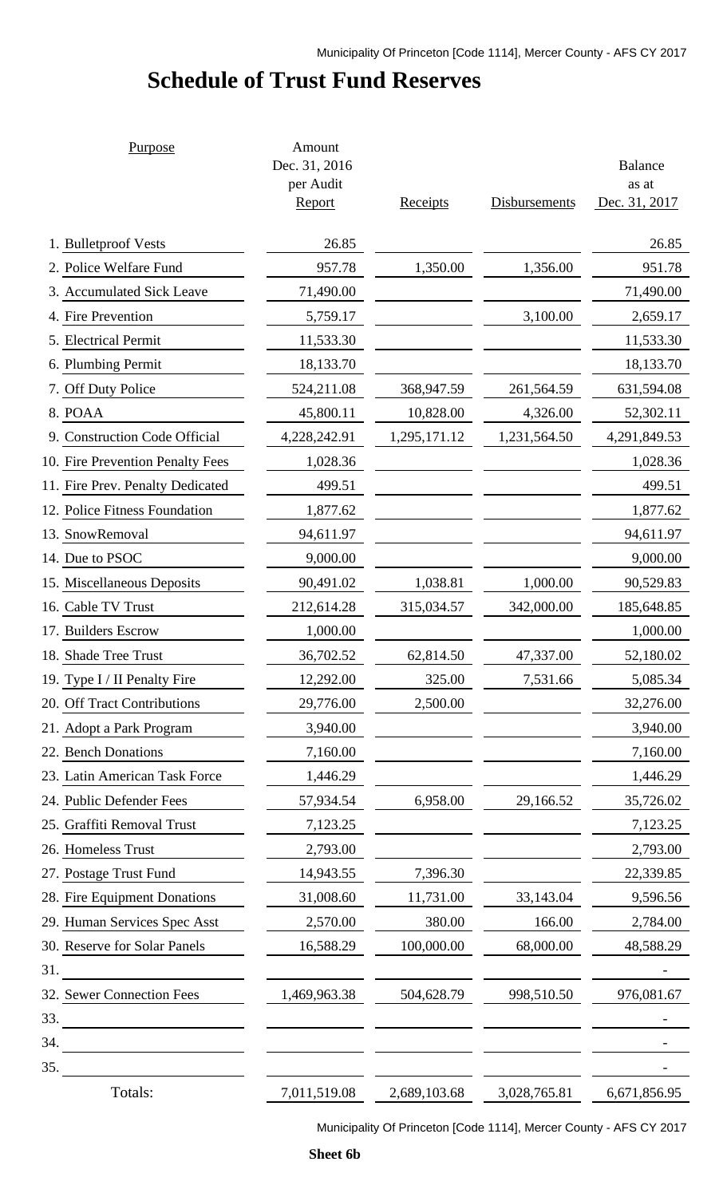# **Schedule of Trust Fund Reserves**

| Purpose                          | Amount<br>Dec. 31, 2016<br>per Audit |              |               | <b>Balance</b><br>as at |
|----------------------------------|--------------------------------------|--------------|---------------|-------------------------|
|                                  | Report                               | Receipts     | Disbursements | Dec. 31, 2017           |
| 1. Bulletproof Vests             | 26.85                                |              |               | 26.85                   |
| 2. Police Welfare Fund           | 957.78                               | 1,350.00     | 1,356.00      | 951.78                  |
| 3. Accumulated Sick Leave        | 71,490.00                            |              |               | 71,490.00               |
| 4. Fire Prevention               | 5,759.17                             |              | 3,100.00      | 2,659.17                |
| 5. Electrical Permit             | 11,533.30                            |              |               | 11,533.30               |
| 6. Plumbing Permit               | 18,133.70                            |              |               | 18,133.70               |
| 7. Off Duty Police               | 524,211.08                           | 368,947.59   | 261,564.59    | 631,594.08              |
| 8. POAA                          | 45,800.11                            | 10,828.00    | 4,326.00      | 52,302.11               |
| 9. Construction Code Official    | 4,228,242.91                         | 1,295,171.12 | 1,231,564.50  | 4,291,849.53            |
| 10. Fire Prevention Penalty Fees | 1,028.36                             |              |               | 1,028.36                |
| 11. Fire Prev. Penalty Dedicated | 499.51                               |              |               | 499.51                  |
| 12. Police Fitness Foundation    | 1,877.62                             |              |               | 1,877.62                |
| 13. SnowRemoval                  | 94,611.97                            |              |               | 94,611.97               |
| 14. Due to PSOC                  | 9,000.00                             |              |               | 9,000.00                |
| 15. Miscellaneous Deposits       | 90,491.02                            | 1,038.81     | 1,000.00      | 90,529.83               |
| 16. Cable TV Trust               | 212,614.28                           | 315,034.57   | 342,000.00    | 185,648.85              |
| 17. Builders Escrow              | 1,000.00                             |              |               | 1,000.00                |
| 18. Shade Tree Trust             | 36,702.52                            | 62,814.50    | 47,337.00     | 52,180.02               |
| 19. Type I / II Penalty Fire     | 12,292.00                            | 325.00       | 7,531.66      | 5,085.34                |
| 20. Off Tract Contributions      | 29,776.00                            | 2,500.00     |               | 32,276.00               |
| 21. Adopt a Park Program         | 3,940.00                             |              |               | 3,940.00                |
| 22. Bench Donations              | 7,160.00                             |              |               | 7,160.00                |
| 23. Latin American Task Force    | 1,446.29                             |              |               | 1,446.29                |
| 24. Public Defender Fees         | 57,934.54                            | 6,958.00     | 29,166.52     | 35,726.02               |
| 25. Graffiti Removal Trust       | 7,123.25                             |              |               | 7,123.25                |
| 26. Homeless Trust               | 2,793.00                             |              |               | 2,793.00                |
| 27. Postage Trust Fund           | 14,943.55                            | 7,396.30     |               | 22,339.85               |
| 28. Fire Equipment Donations     | 31,008.60                            | 11,731.00    | 33,143.04     | 9,596.56                |
| 29. Human Services Spec Asst     | 2,570.00                             | 380.00       | 166.00        | 2,784.00                |
| 30. Reserve for Solar Panels     | 16,588.29                            | 100,000.00   | 68,000.00     | 48,588.29               |
| 31.                              |                                      |              |               |                         |
| 32. Sewer Connection Fees        | 1,469,963.38                         | 504,628.79   | 998,510.50    | 976,081.67              |
| 33.                              |                                      |              |               |                         |
| 34.                              |                                      |              |               |                         |
| 35.                              |                                      |              |               |                         |
| Totals:                          | 7,011,519.08                         | 2,689,103.68 | 3,028,765.81  | 6,671,856.95            |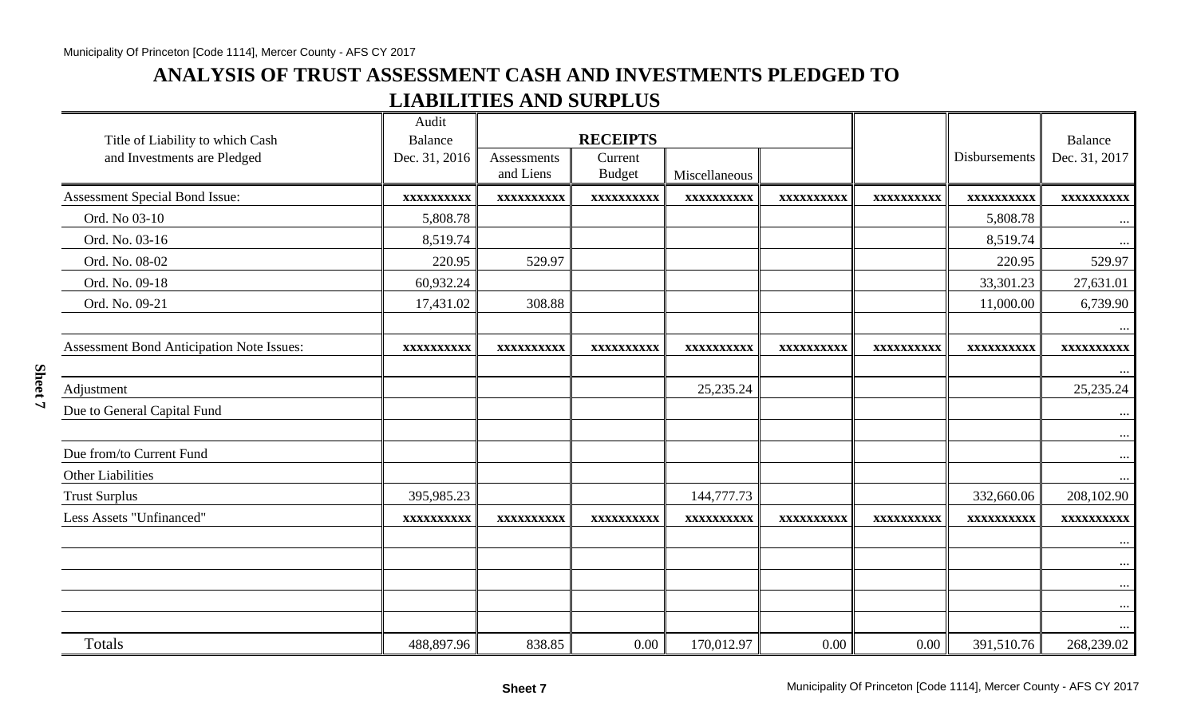## **ANALYSIS OF TRUST ASSESSMENT CASH AND INVESTMENTS PLEDGED TO LIABILITIES AND SURPLUS**

| Title of Liability to which Cash<br>and Investments are Pledged | Audit<br><b>Balance</b><br>Dec. 31, 2016 | Assessments<br>and Liens | <b>RECEIPTS</b><br>Current<br><b>Budget</b> | Miscellaneous |            |            | Disbursements | Balance<br>Dec. 31, 2017 |
|-----------------------------------------------------------------|------------------------------------------|--------------------------|---------------------------------------------|---------------|------------|------------|---------------|--------------------------|
| Assessment Special Bond Issue:                                  | XXXXXXXXXX                               | XXXXXXXXXX               | XXXXXXXXXX                                  | XXXXXXXXXX    | XXXXXXXXXX | XXXXXXXXXX | XXXXXXXXXX    | XXXXXXXXXX               |
| Ord. No 03-10                                                   | 5,808.78                                 |                          |                                             |               |            |            | 5,808.78      | $\cdots$                 |
| Ord. No. 03-16                                                  | 8,519.74                                 |                          |                                             |               |            |            | 8,519.74      | $\cdots$                 |
| Ord. No. 08-02                                                  | 220.95                                   | 529.97                   |                                             |               |            |            | 220.95        | 529.97                   |
| Ord. No. 09-18                                                  | 60,932.24                                |                          |                                             |               |            |            | 33,301.23     | 27,631.01                |
| Ord. No. 09-21                                                  | 17,431.02                                | 308.88                   |                                             |               |            |            | 11,000.00     | 6,739.90                 |
|                                                                 |                                          |                          |                                             |               |            |            |               |                          |
| <b>Assessment Bond Anticipation Note Issues:</b>                | XXXXXXXXXX                               | XXXXXXXXXX               | XXXXXXXXXX                                  | XXXXXXXXXX    | XXXXXXXXXX | XXXXXXXXXX | XXXXXXXXXX    | XXXXXXXXXX               |
| Adjustment                                                      |                                          |                          |                                             | 25, 235. 24   |            |            |               | 25, 235. 24              |
| Due to General Capital Fund                                     |                                          |                          |                                             |               |            |            |               |                          |
| Due from/to Current Fund                                        |                                          |                          |                                             |               |            |            |               | $\cdots$<br>$\cdots$     |
| <b>Other Liabilities</b>                                        |                                          |                          |                                             |               |            |            |               |                          |
| <b>Trust Surplus</b>                                            | 395,985.23                               |                          |                                             | 144,777.73    |            |            | 332,660.06    | 208,102.90               |
| <b>Less Assets "Unfinanced"</b>                                 | XXXXXXXXXX                               | XXXXXXXXXX               | XXXXXXXXXX                                  | XXXXXXXXXX    | XXXXXXXXXX | XXXXXXXXXX | XXXXXXXXXX    | XXXXXXXXXX               |
|                                                                 |                                          |                          |                                             |               |            |            |               | $\cdots$                 |
|                                                                 |                                          |                          |                                             |               |            |            |               |                          |
|                                                                 |                                          |                          |                                             |               |            |            |               |                          |
|                                                                 |                                          |                          |                                             |               |            |            |               |                          |
|                                                                 |                                          |                          |                                             |               |            |            |               |                          |
| Totals                                                          | 488,897.96                               | 838.85                   | 0.00                                        | 170,012.97    | 0.00       | 0.00       | 391,510.76    | 268,239.02               |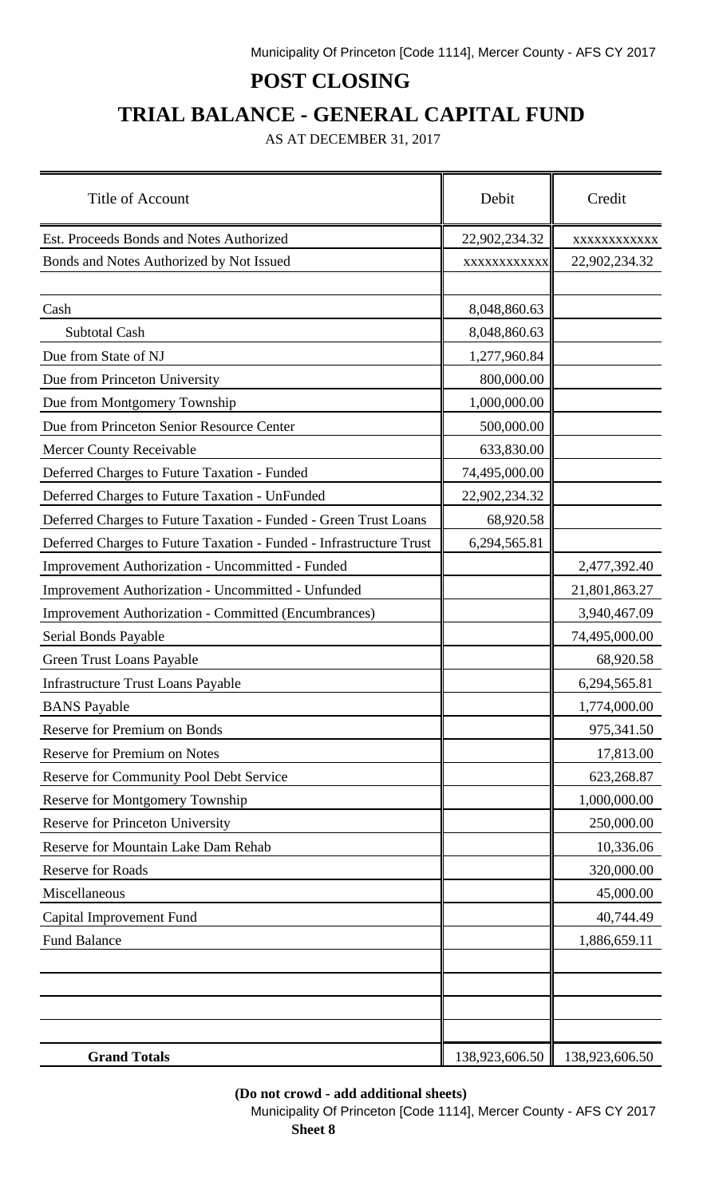# **POST CLOSING**

# **TRIAL BALANCE - GENERAL CAPITAL FUND**

AS AT DECEMBER 31, 2017

| Title of Account                                                    | Debit          | Credit         |
|---------------------------------------------------------------------|----------------|----------------|
| Est. Proceeds Bonds and Notes Authorized                            | 22,902,234.32  | XXXXXXXXXXXX   |
| Bonds and Notes Authorized by Not Issued                            | XXXXXXXXXXX    | 22,902,234.32  |
| Cash                                                                | 8,048,860.63   |                |
| <b>Subtotal Cash</b>                                                | 8,048,860.63   |                |
| Due from State of NJ                                                | 1,277,960.84   |                |
| Due from Princeton University                                       | 800,000.00     |                |
| Due from Montgomery Township                                        | 1,000,000.00   |                |
| Due from Princeton Senior Resource Center                           | 500,000.00     |                |
| <b>Mercer County Receivable</b>                                     | 633,830.00     |                |
| Deferred Charges to Future Taxation - Funded                        | 74,495,000.00  |                |
| Deferred Charges to Future Taxation - UnFunded                      | 22,902,234.32  |                |
| Deferred Charges to Future Taxation - Funded - Green Trust Loans    | 68,920.58      |                |
| Deferred Charges to Future Taxation - Funded - Infrastructure Trust | 6,294,565.81   |                |
| Improvement Authorization - Uncommitted - Funded                    |                | 2,477,392.40   |
| Improvement Authorization - Uncommitted - Unfunded                  |                | 21,801,863.27  |
| <b>Improvement Authorization - Committed (Encumbrances)</b>         |                | 3,940,467.09   |
| Serial Bonds Payable                                                |                | 74,495,000.00  |
| Green Trust Loans Payable                                           |                | 68,920.58      |
| <b>Infrastructure Trust Loans Payable</b>                           |                | 6,294,565.81   |
| <b>BANS</b> Payable                                                 |                | 1,774,000.00   |
| <b>Reserve for Premium on Bonds</b>                                 |                | 975,341.50     |
| Reserve for Premium on Notes                                        |                | 17,813.00      |
| <b>Reserve for Community Pool Debt Service</b>                      |                | 623,268.87     |
| Reserve for Montgomery Township                                     |                | 1,000,000.00   |
| Reserve for Princeton University                                    |                | 250,000.00     |
| Reserve for Mountain Lake Dam Rehab                                 |                | 10,336.06      |
| <b>Reserve for Roads</b>                                            |                | 320,000.00     |
| Miscellaneous                                                       |                | 45,000.00      |
| Capital Improvement Fund                                            |                | 40,744.49      |
| <b>Fund Balance</b>                                                 |                | 1,886,659.11   |
|                                                                     |                |                |
|                                                                     |                |                |
| <b>Grand Totals</b>                                                 | 138,923,606.50 | 138,923,606.50 |

### **(Do not crowd - add additional sheets)**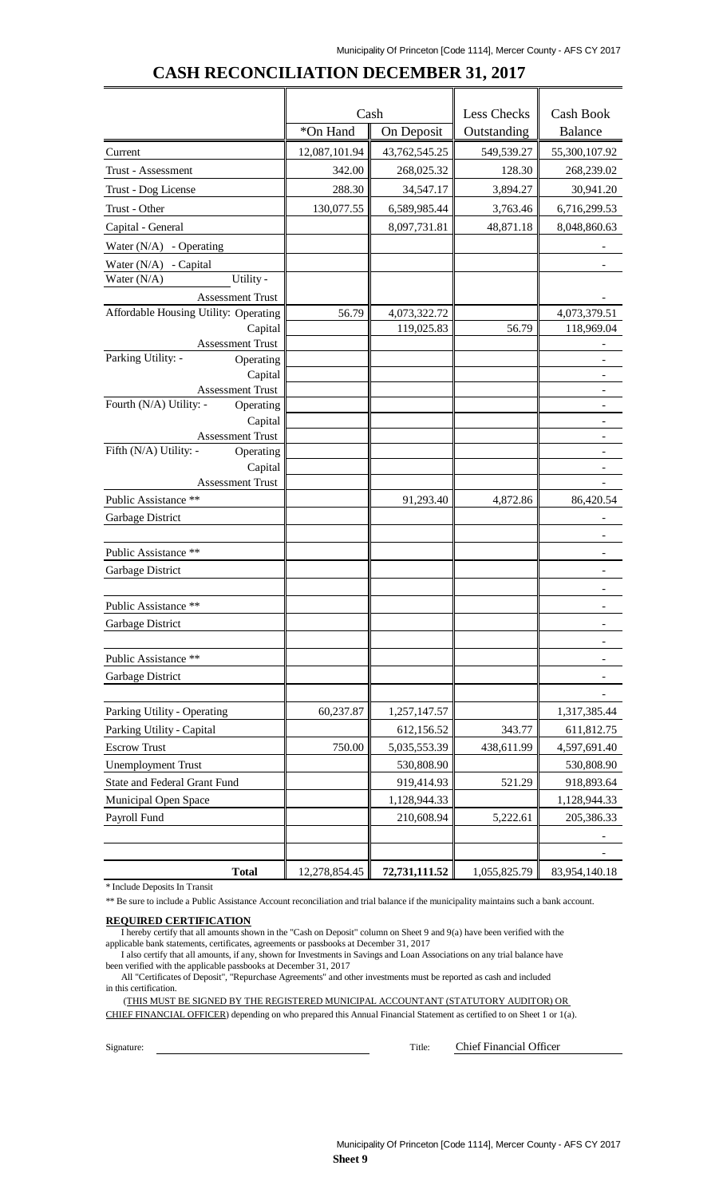|                                                   | Cash          |               | Less Checks  | Cash Book                |  |
|---------------------------------------------------|---------------|---------------|--------------|--------------------------|--|
|                                                   | *On Hand      | On Deposit    | Outstanding  | <b>Balance</b>           |  |
| Current                                           | 12,087,101.94 | 43,762,545.25 | 549,539.27   | 55,300,107.92            |  |
| Trust - Assessment                                | 342.00        | 268,025.32    | 128.30       | 268,239.02               |  |
| Trust - Dog License                               | 288.30        | 34,547.17     | 3,894.27     | 30,941.20                |  |
| Trust - Other                                     | 130,077.55    | 6,589,985.44  | 3,763.46     | 6,716,299.53             |  |
| Capital - General                                 |               | 8,097,731.81  | 48,871.18    | 8,048,860.63             |  |
| Water $(N/A)$ - Operating                         |               |               |              |                          |  |
| Water $(N/A)$ - Capital                           |               |               |              |                          |  |
| Water (N/A)<br>Utility -                          |               |               |              |                          |  |
| <b>Assessment Trust</b>                           |               |               |              |                          |  |
| Affordable Housing Utility: Operating             | 56.79         | 4,073,322.72  |              | 4,073,379.51             |  |
| Capital                                           |               | 119,025.83    | 56.79        | 118,969.04               |  |
| <b>Assessment Trust</b>                           |               |               |              |                          |  |
| Parking Utility: -<br>Operating                   |               |               |              |                          |  |
| Capital                                           |               |               |              |                          |  |
| <b>Assessment Trust</b>                           |               |               |              |                          |  |
| Fourth (N/A) Utility: -<br>Operating              |               |               |              |                          |  |
| Capital                                           |               |               |              |                          |  |
| <b>Assessment Trust</b><br>Fifth (N/A) Utility: - |               |               |              |                          |  |
| Operating<br>Capital                              |               |               |              |                          |  |
| <b>Assessment Trust</b>                           |               |               |              | $\overline{\phantom{a}}$ |  |
| Public Assistance **                              |               | 91,293.40     | 4,872.86     | 86,420.54                |  |
| Garbage District                                  |               |               |              |                          |  |
|                                                   |               |               |              |                          |  |
| Public Assistance **                              |               |               |              |                          |  |
| Garbage District                                  |               |               |              |                          |  |
|                                                   |               |               |              |                          |  |
| Public Assistance **                              |               |               |              |                          |  |
|                                                   |               |               |              |                          |  |
| Garbage District                                  |               |               |              |                          |  |
| Public Assistance **                              |               |               |              |                          |  |
| Garbage District                                  |               |               |              |                          |  |
|                                                   |               |               |              |                          |  |
| Parking Utility - Operating                       | 60,237.87     | 1,257,147.57  |              | 1,317,385.44             |  |
| Parking Utility - Capital                         |               | 612,156.52    | 343.77       | 611,812.75               |  |
| <b>Escrow Trust</b>                               | 750.00        | 5,035,553.39  | 438,611.99   | 4,597,691.40             |  |
| <b>Unemployment Trust</b>                         |               | 530,808.90    |              | 530,808.90               |  |
| State and Federal Grant Fund                      |               | 919,414.93    | 521.29       | 918,893.64               |  |
|                                                   |               |               |              |                          |  |
| Municipal Open Space                              |               | 1,128,944.33  |              | 1,128,944.33             |  |
| Payroll Fund                                      |               | 210,608.94    | 5,222.61     | 205,386.33               |  |
|                                                   |               |               |              |                          |  |
|                                                   |               |               |              |                          |  |
| <b>Total</b>                                      | 12,278,854.45 | 72,731,111.52 | 1,055,825.79 | 83,954,140.18            |  |

### **CASH RECONCILIATION DECEMBER 31, 2017**

\* Include Deposits In Transit

\*\* Be sure to include a Public Assistance Account reconciliation and trial balance if the municipality maintains such a bank account.

#### **REQUIRED CERTIFICATION**

I hereby certify that all amounts shown in the "Cash on Deposit" column on Sheet 9 and 9(a) have been verified with the applicable bank statements, certificates, agreements or passbooks at December 31, 2017

I also certify that all amounts, if any, shown for Investments in Savings and Loan Associations on any trial balance have been verified with the applicable passbooks at December 31, 2017

All "Certificates of Deposit", "Repurchase Agreements" and other investments must be reported as cash and included in this certification.

(THIS MUST BE SIGNED BY THE REGISTERED MUNICIPAL ACCOUNTANT (STATUTORY AUDITOR) OR CHIEF FINANCIAL OFFICER) depending on who prepared this Annual Financial Statement as certified to on Sheet 1 or 1(a).

Signature: Title: Chief Financial Officer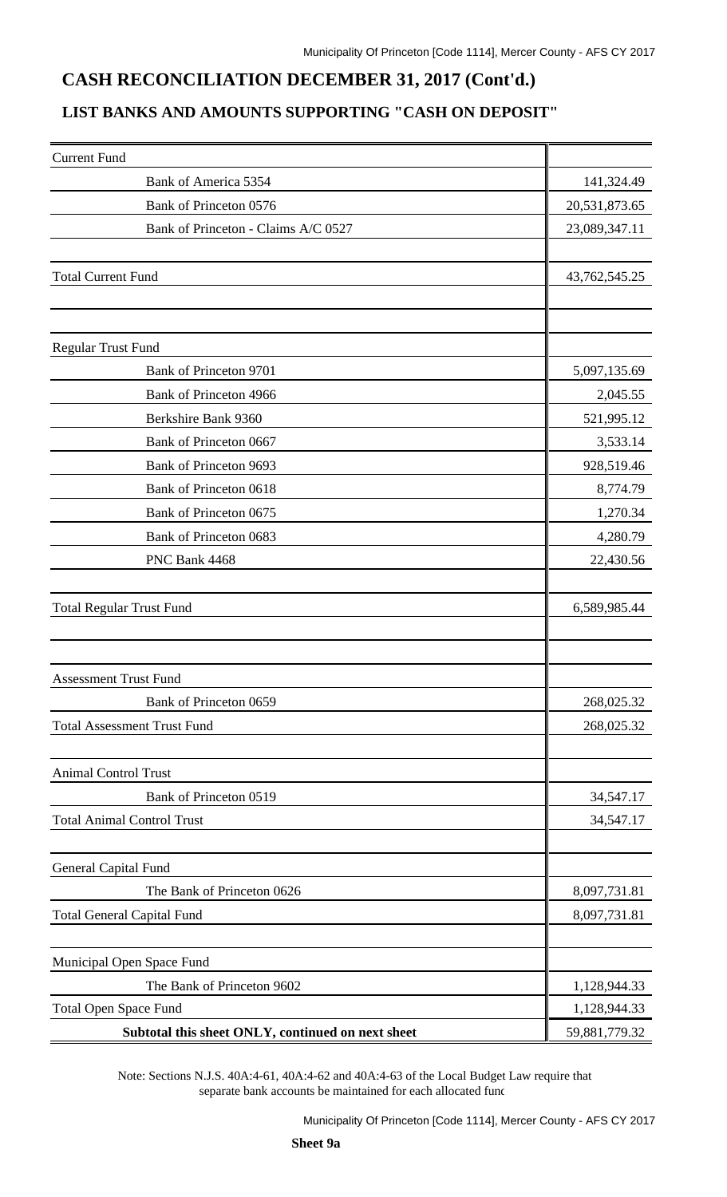### **CASH RECONCILIATION DECEMBER 31, 2017 (Cont'd.)**

### **LIST BANKS AND AMOUNTS SUPPORTING "CASH ON DEPOSIT"**

| <b>Current Fund</b>                               |               |
|---------------------------------------------------|---------------|
| Bank of America 5354                              | 141,324.49    |
| Bank of Princeton 0576                            | 20,531,873.65 |
| Bank of Princeton - Claims A/C 0527               | 23,089,347.11 |
|                                                   |               |
| <b>Total Current Fund</b>                         | 43,762,545.25 |
|                                                   |               |
| <b>Regular Trust Fund</b>                         |               |
| Bank of Princeton 9701                            | 5,097,135.69  |
| Bank of Princeton 4966                            | 2,045.55      |
| Berkshire Bank 9360                               | 521,995.12    |
| Bank of Princeton 0667                            | 3,533.14      |
| Bank of Princeton 9693                            | 928,519.46    |
| Bank of Princeton 0618                            | 8,774.79      |
| Bank of Princeton 0675                            | 1,270.34      |
| Bank of Princeton 0683                            | 4,280.79      |
| PNC Bank 4468                                     | 22,430.56     |
|                                                   |               |
| <b>Total Regular Trust Fund</b>                   | 6,589,985.44  |
|                                                   |               |
|                                                   |               |
| <b>Assessment Trust Fund</b>                      |               |
| Bank of Princeton 0659                            | 268,025.32    |
| <b>Total Assessment Trust Fund</b>                | 268,025.32    |
|                                                   |               |
| <b>Animal Control Trust</b>                       |               |
| Bank of Princeton 0519                            | 34,547.17     |
| <b>Total Animal Control Trust</b>                 | 34,547.17     |
|                                                   |               |
| <b>General Capital Fund</b>                       |               |
| The Bank of Princeton 0626                        | 8,097,731.81  |
| <b>Total General Capital Fund</b>                 | 8,097,731.81  |
| Municipal Open Space Fund                         |               |
| The Bank of Princeton 9602                        | 1,128,944.33  |
| <b>Total Open Space Fund</b>                      | 1,128,944.33  |
| Subtotal this sheet ONLY, continued on next sheet | 59,881,779.32 |

Note: Sections N.J.S. 40A:4-61, 40A:4-62 and 40A:4-63 of the Local Budget Law require that separate bank accounts be maintained for each allocated fund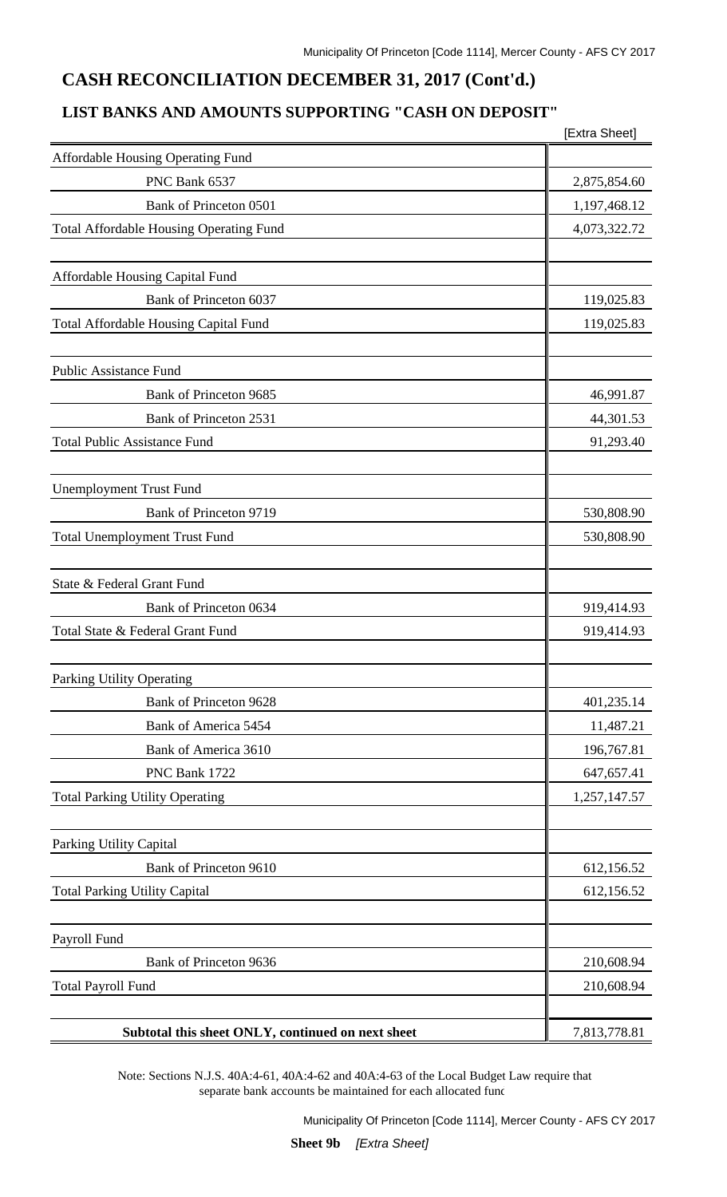### **CASH RECONCILIATION DECEMBER 31, 2017 (Cont'd.)**

### **LIST BANKS AND AMOUNTS SUPPORTING "CASH ON DEPOSIT"**

|                                                   | [Extra Sheet] |
|---------------------------------------------------|---------------|
| Affordable Housing Operating Fund                 |               |
| PNC Bank 6537                                     | 2,875,854.60  |
| Bank of Princeton 0501                            | 1,197,468.12  |
| <b>Total Affordable Housing Operating Fund</b>    | 4,073,322.72  |
| Affordable Housing Capital Fund                   |               |
| Bank of Princeton 6037                            | 119,025.83    |
| Total Affordable Housing Capital Fund             | 119,025.83    |
| <b>Public Assistance Fund</b>                     |               |
| Bank of Princeton 9685                            | 46,991.87     |
| Bank of Princeton 2531                            | 44,301.53     |
| <b>Total Public Assistance Fund</b>               | 91,293.40     |
| <b>Unemployment Trust Fund</b>                    |               |
| Bank of Princeton 9719                            | 530,808.90    |
| <b>Total Unemployment Trust Fund</b>              | 530,808.90    |
| State & Federal Grant Fund                        |               |
| Bank of Princeton 0634                            | 919,414.93    |
| Total State & Federal Grant Fund                  | 919,414.93    |
| Parking Utility Operating                         |               |
| Bank of Princeton 9628                            | 401,235.14    |
| Bank of America 5454                              | 11,487.21     |
| Bank of America 3610                              | 196,767.81    |
| PNC Bank 1722                                     | 647, 657. 41  |
| <b>Total Parking Utility Operating</b>            | 1,257,147.57  |
| Parking Utility Capital                           |               |
| Bank of Princeton 9610                            | 612,156.52    |
| <b>Total Parking Utility Capital</b>              | 612,156.52    |
| Payroll Fund                                      |               |
| Bank of Princeton 9636                            | 210,608.94    |
| <b>Total Payroll Fund</b>                         | 210,608.94    |
| Subtotal this sheet ONLY, continued on next sheet | 7,813,778.81  |

Note: Sections N.J.S. 40A:4-61, 40A:4-62 and 40A:4-63 of the Local Budget Law require that separate bank accounts be maintained for each allocated fund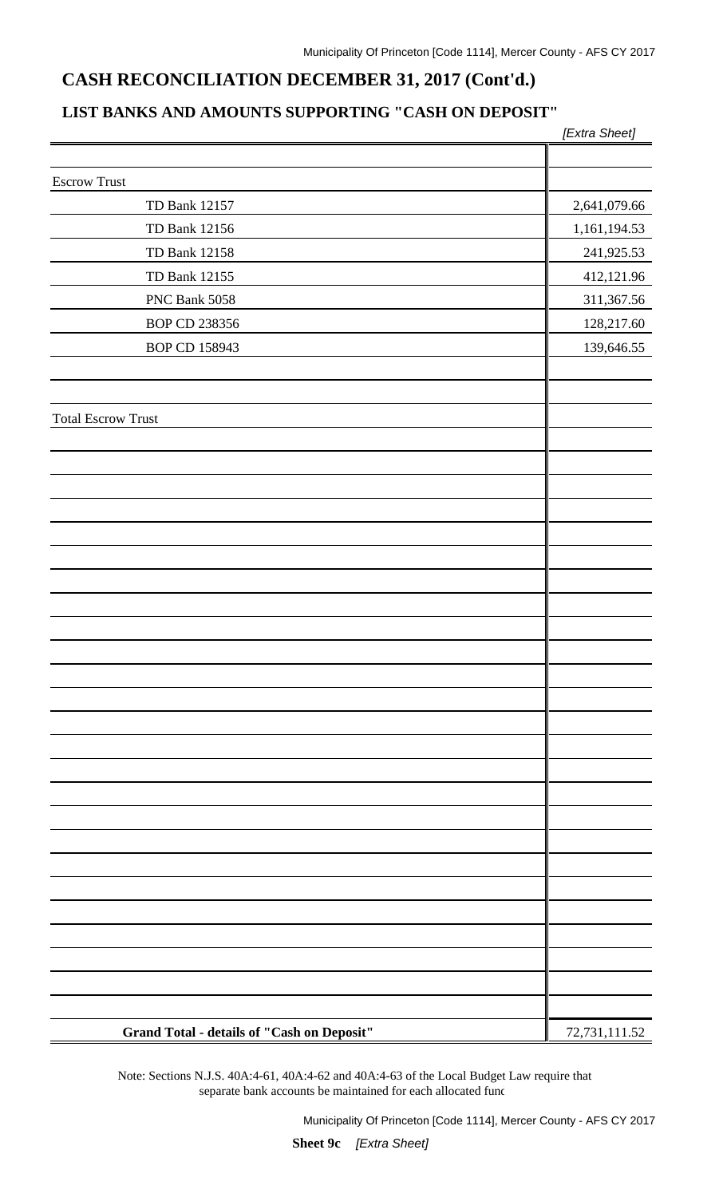### **CASH RECONCILIATION DECEMBER 31, 2017 (Cont'd.)**

### **LIST BANKS AND AMOUNTS SUPPORTING "CASH ON DEPOSIT"**

|                                            | [Extra Sheet] |
|--------------------------------------------|---------------|
|                                            |               |
| <b>Escrow Trust</b>                        |               |
| TD Bank 12157                              | 2,641,079.66  |
| TD Bank 12156                              | 1,161,194.53  |
| TD Bank 12158                              | 241,925.53    |
| TD Bank 12155                              | 412,121.96    |
| PNC Bank 5058                              | 311,367.56    |
| BOP CD 238356                              | 128,217.60    |
| BOP CD 158943                              | 139,646.55    |
|                                            |               |
|                                            |               |
| <b>Total Escrow Trust</b>                  |               |
|                                            |               |
|                                            |               |
|                                            |               |
|                                            |               |
|                                            |               |
|                                            |               |
|                                            |               |
|                                            |               |
|                                            |               |
|                                            |               |
|                                            |               |
|                                            |               |
|                                            |               |
|                                            |               |
|                                            |               |
|                                            |               |
|                                            |               |
|                                            |               |
|                                            |               |
|                                            |               |
|                                            |               |
|                                            |               |
|                                            |               |
|                                            |               |
|                                            |               |
| Grand Total - details of "Cash on Deposit" | 72,731,111.52 |

Note: Sections N.J.S. 40A:4-61, 40A:4-62 and 40A:4-63 of the Local Budget Law require that separate bank accounts be maintained for each allocated fund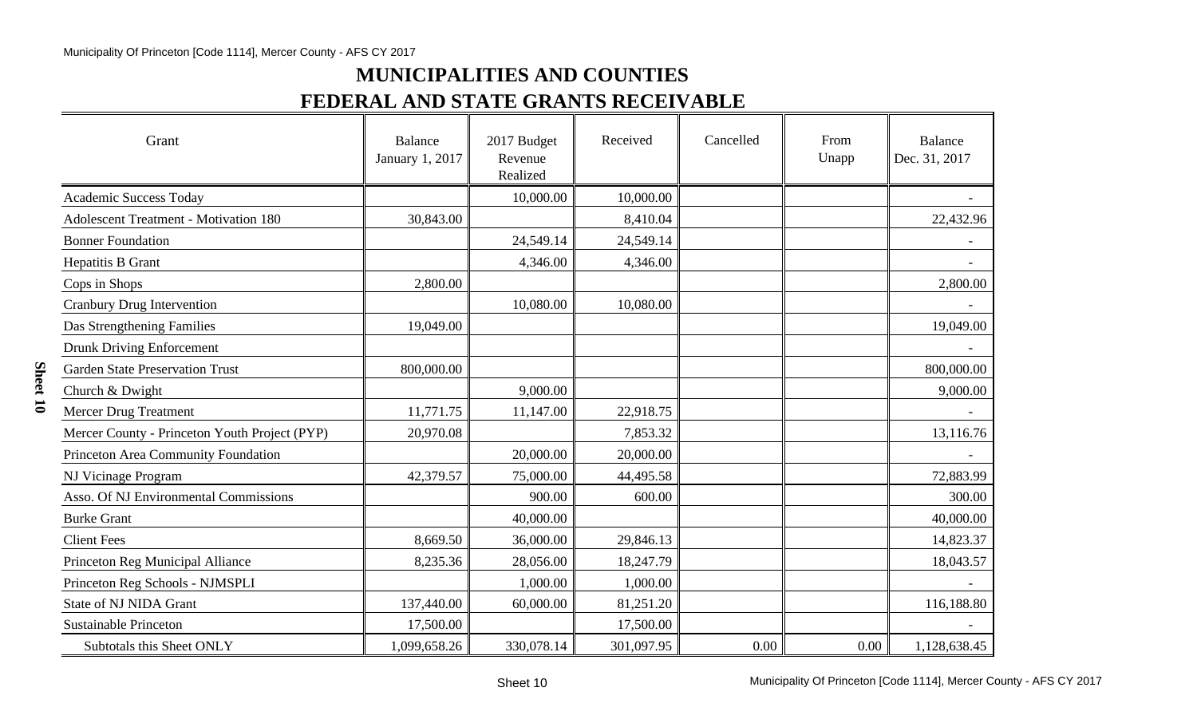## **MUNICIPALITIES AND COUNTIES FEDERAL AND STATE GRANTS RECEIVABLE**

| Grant                                         | <b>Balance</b><br>January 1, 2017 | 2017 Budget<br>Revenue<br>Realized | Received   | Cancelled | From<br>Unapp | <b>Balance</b><br>Dec. 31, 2017 |
|-----------------------------------------------|-----------------------------------|------------------------------------|------------|-----------|---------------|---------------------------------|
| Academic Success Today                        |                                   | 10,000.00                          | 10,000.00  |           |               |                                 |
| <b>Adolescent Treatment - Motivation 180</b>  | 30,843.00                         |                                    | 8,410.04   |           |               | 22,432.96                       |
| <b>Bonner Foundation</b>                      |                                   | 24,549.14                          | 24,549.14  |           |               |                                 |
| Hepatitis B Grant                             |                                   | 4,346.00                           | 4,346.00   |           |               |                                 |
| Cops in Shops                                 | 2,800.00                          |                                    |            |           |               | 2,800.00                        |
| <b>Cranbury Drug Intervention</b>             |                                   | 10,080.00                          | 10,080.00  |           |               |                                 |
| Das Strengthening Families                    | 19,049.00                         |                                    |            |           |               | 19,049.00                       |
| <b>Drunk Driving Enforcement</b>              |                                   |                                    |            |           |               |                                 |
| <b>Garden State Preservation Trust</b>        | 800,000.00                        |                                    |            |           |               | 800,000.00                      |
| Church & Dwight                               |                                   | 9,000.00                           |            |           |               | 9,000.00                        |
| <b>Mercer Drug Treatment</b>                  | 11,771.75                         | 11,147.00                          | 22,918.75  |           |               |                                 |
| Mercer County - Princeton Youth Project (PYP) | 20,970.08                         |                                    | 7,853.32   |           |               | 13,116.76                       |
| Princeton Area Community Foundation           |                                   | 20,000.00                          | 20,000.00  |           |               |                                 |
| NJ Vicinage Program                           | 42,379.57                         | 75,000.00                          | 44,495.58  |           |               | 72,883.99                       |
| Asso. Of NJ Environmental Commissions         |                                   | 900.00                             | 600.00     |           |               | 300.00                          |
| <b>Burke Grant</b>                            |                                   | 40,000.00                          |            |           |               | 40,000.00                       |
| <b>Client Fees</b>                            | 8,669.50                          | 36,000.00                          | 29,846.13  |           |               | 14,823.37                       |
| Princeton Reg Municipal Alliance              | 8,235.36                          | 28,056.00                          | 18,247.79  |           |               | 18,043.57                       |
| Princeton Reg Schools - NJMSPLI               |                                   | 1,000.00                           | 1,000.00   |           |               |                                 |
| <b>State of NJ NIDA Grant</b>                 | 137,440.00                        | 60,000.00                          | 81,251.20  |           |               | 116,188.80                      |
| <b>Sustainable Princeton</b>                  | 17,500.00                         |                                    | 17,500.00  |           |               |                                 |
| Subtotals this Sheet ONLY                     | 1,099,658.26                      | 330,078.14                         | 301,097.95 | 0.00      | 0.00          | 1,128,638.45                    |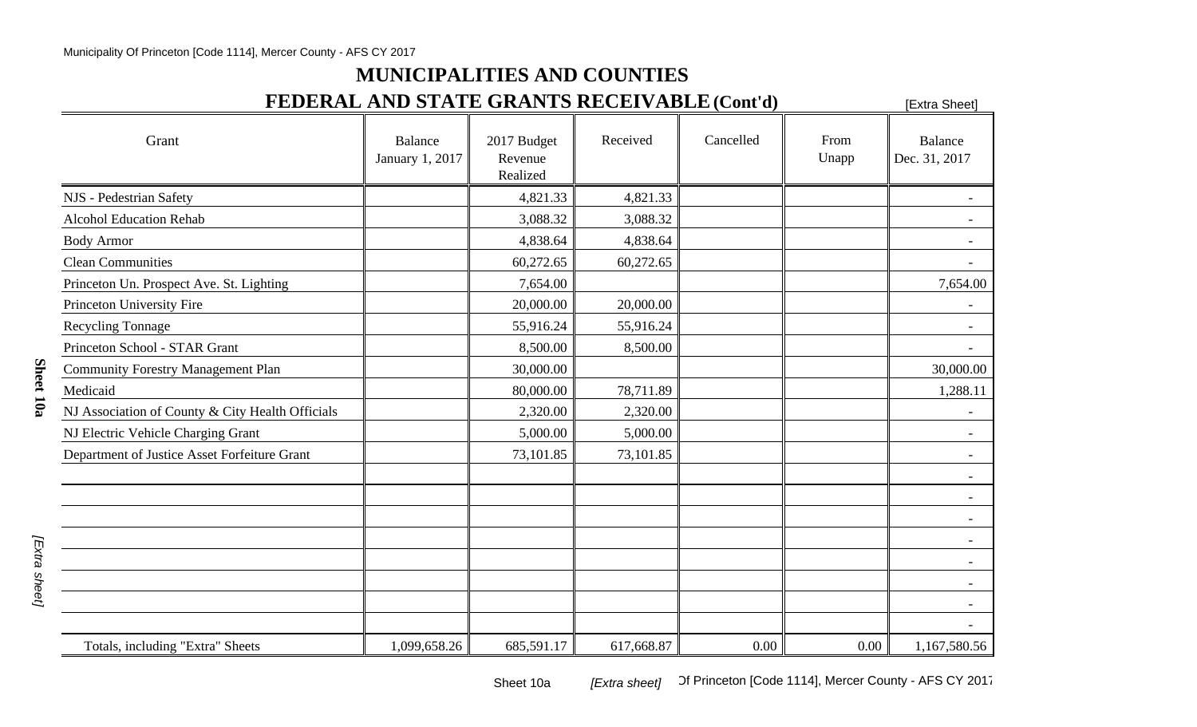### **MUNICIPALITIES AND COUNTIES**

## **FEDERAL AND STATE GRANTS RECEIVABLE (Cont'd)** [Extra Sheet]

| Grant                                            | <b>Balance</b><br>January 1, 2017 | 2017 Budget<br>Revenue<br>Realized | Received   | Cancelled | From<br>Unapp | Balance<br>Dec. 31, 2017 |
|--------------------------------------------------|-----------------------------------|------------------------------------|------------|-----------|---------------|--------------------------|
| NJS - Pedestrian Safety                          |                                   | 4,821.33                           | 4,821.33   |           |               |                          |
| <b>Alcohol Education Rehab</b>                   |                                   | 3,088.32                           | 3,088.32   |           |               |                          |
| <b>Body Armor</b>                                |                                   | 4,838.64                           | 4,838.64   |           |               | $\overline{\phantom{a}}$ |
| <b>Clean Communities</b>                         |                                   | 60,272.65                          | 60,272.65  |           |               |                          |
| Princeton Un. Prospect Ave. St. Lighting         |                                   | 7,654.00                           |            |           |               | 7,654.00                 |
| Princeton University Fire                        |                                   | 20,000.00                          | 20,000.00  |           |               |                          |
| <b>Recycling Tonnage</b>                         |                                   | 55,916.24                          | 55,916.24  |           |               |                          |
| Princeton School - STAR Grant                    |                                   | 8,500.00                           | 8,500.00   |           |               |                          |
| <b>Community Forestry Management Plan</b>        |                                   | 30,000.00                          |            |           |               | 30,000.00                |
| Medicaid                                         |                                   | 80,000.00                          | 78,711.89  |           |               | 1,288.11                 |
| NJ Association of County & City Health Officials |                                   | 2,320.00                           | 2,320.00   |           |               |                          |
| NJ Electric Vehicle Charging Grant               |                                   | 5,000.00                           | 5,000.00   |           |               |                          |
| Department of Justice Asset Forfeiture Grant     |                                   | 73,101.85                          | 73,101.85  |           |               | $\blacksquare$           |
|                                                  |                                   |                                    |            |           |               |                          |
|                                                  |                                   |                                    |            |           |               |                          |
|                                                  |                                   |                                    |            |           |               | $\sim$                   |
|                                                  |                                   |                                    |            |           |               | $\overline{\phantom{a}}$ |
|                                                  |                                   |                                    |            |           |               |                          |
|                                                  |                                   |                                    |            |           |               |                          |
|                                                  |                                   |                                    |            |           |               |                          |
|                                                  |                                   |                                    |            |           |               |                          |
| Totals, including "Extra" Sheets                 | 1,099,658.26                      | 685,591.17                         | 617,668.87 | 0.00      | 0.00          | 1,167,580.56             |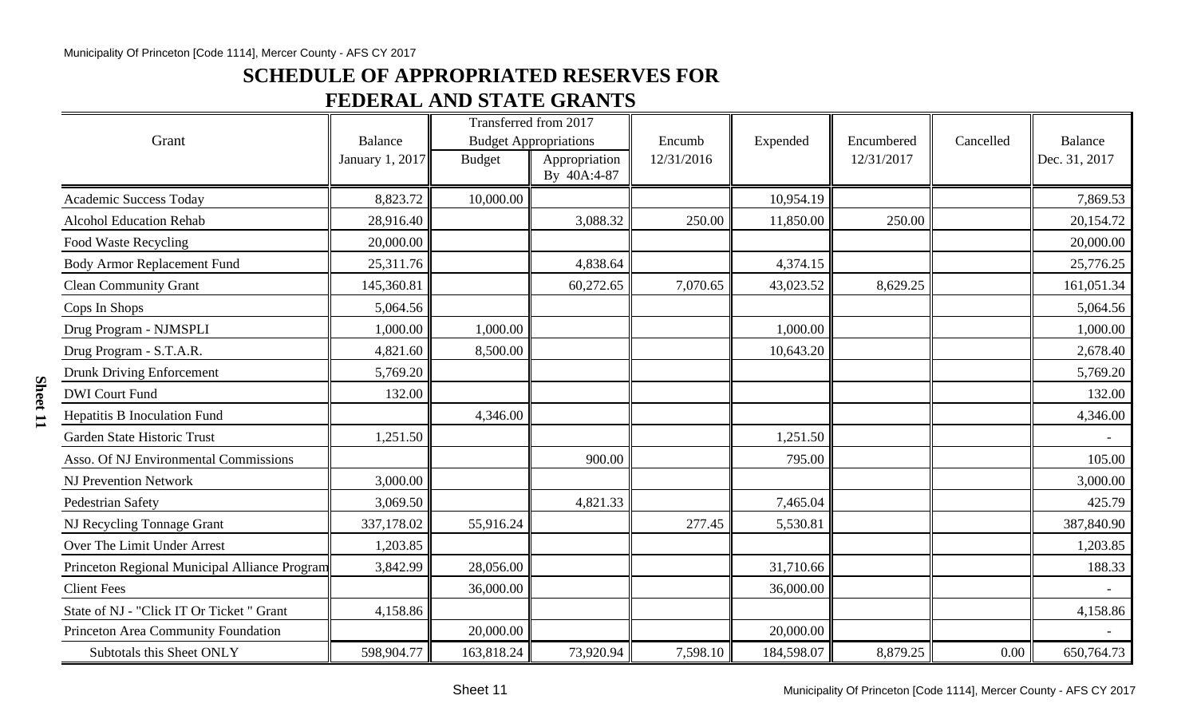### **SCHEDULE OF APPROPRIATED RESERVES FOR**

## **FEDERAL AND STATE GRANTS**

|                                               |                            |               | Transferred from 2017                         |                      |            |                          |           |                                 |
|-----------------------------------------------|----------------------------|---------------|-----------------------------------------------|----------------------|------------|--------------------------|-----------|---------------------------------|
| Grant                                         | Balance<br>January 1, 2017 | <b>Budget</b> | <b>Budget Appropriations</b><br>Appropriation | Encumb<br>12/31/2016 | Expended   | Encumbered<br>12/31/2017 | Cancelled | <b>Balance</b><br>Dec. 31, 2017 |
|                                               |                            |               | By 40A:4-87                                   |                      |            |                          |           |                                 |
| <b>Academic Success Today</b>                 | 8,823.72                   | 10,000.00     |                                               |                      | 10,954.19  |                          |           | 7,869.53                        |
| <b>Alcohol Education Rehab</b>                | 28,916.40                  |               | 3,088.32                                      | 250.00               | 11,850.00  | 250.00                   |           | 20,154.72                       |
| Food Waste Recycling                          | 20,000.00                  |               |                                               |                      |            |                          |           | 20,000.00                       |
| <b>Body Armor Replacement Fund</b>            | 25,311.76                  |               | 4,838.64                                      |                      | 4,374.15   |                          |           | 25,776.25                       |
| <b>Clean Community Grant</b>                  | 145,360.81                 |               | 60,272.65                                     | 7,070.65             | 43,023.52  | 8,629.25                 |           | 161,051.34                      |
| Cops In Shops                                 | 5,064.56                   |               |                                               |                      |            |                          |           | 5,064.56                        |
| Drug Program - NJMSPLI                        | 1,000.00                   | 1,000.00      |                                               |                      | 1,000.00   |                          |           | 1,000.00                        |
| Drug Program - S.T.A.R.                       | 4,821.60                   | 8,500.00      |                                               |                      | 10,643.20  |                          |           | 2,678.40                        |
| <b>Drunk Driving Enforcement</b>              | 5,769.20                   |               |                                               |                      |            |                          |           | 5,769.20                        |
| <b>DWI</b> Court Fund                         | 132.00                     |               |                                               |                      |            |                          |           | 132.00                          |
| <b>Hepatitis B Inoculation Fund</b>           |                            | 4,346.00      |                                               |                      |            |                          |           | 4,346.00                        |
| Garden State Historic Trust                   | 1,251.50                   |               |                                               |                      | 1,251.50   |                          |           |                                 |
| Asso. Of NJ Environmental Commissions         |                            |               | 900.00                                        |                      | 795.00     |                          |           | 105.00                          |
| <b>NJ Prevention Network</b>                  | 3,000.00                   |               |                                               |                      |            |                          |           | 3,000.00                        |
| Pedestrian Safety                             | 3,069.50                   |               | 4,821.33                                      |                      | 7,465.04   |                          |           | 425.79                          |
| NJ Recycling Tonnage Grant                    | 337,178.02                 | 55,916.24     |                                               | 277.45               | 5,530.81   |                          |           | 387,840.90                      |
| Over The Limit Under Arrest                   | 1,203.85                   |               |                                               |                      |            |                          |           | 1,203.85                        |
| Princeton Regional Municipal Alliance Program | 3,842.99                   | 28,056.00     |                                               |                      | 31,710.66  |                          |           | 188.33                          |
| <b>Client Fees</b>                            |                            | 36,000.00     |                                               |                      | 36,000.00  |                          |           |                                 |
| State of NJ - "Click IT Or Ticket" Grant      | 4,158.86                   |               |                                               |                      |            |                          |           | 4,158.86                        |
| Princeton Area Community Foundation           |                            | 20,000.00     |                                               |                      | 20,000.00  |                          |           |                                 |
| Subtotals this Sheet ONLY                     | 598,904.77                 | 163,818.24    | 73,920.94                                     | 7,598.10             | 184,598.07 | 8,879.25                 | 0.00      | 650,764.73                      |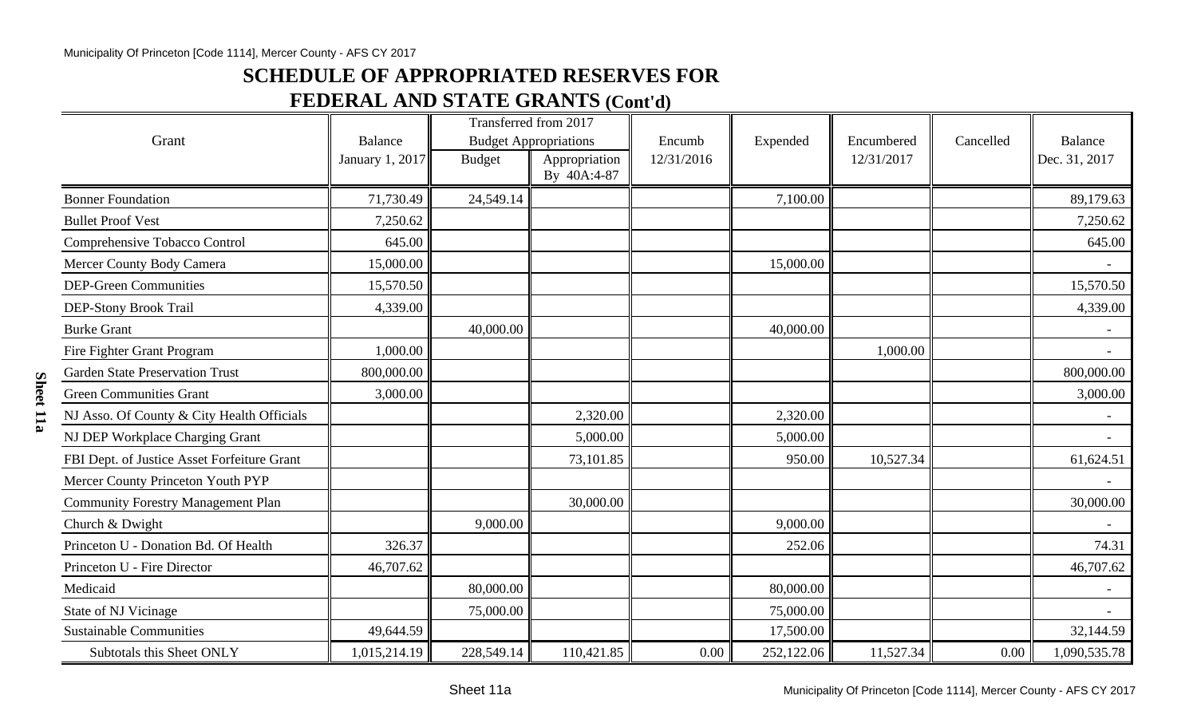### **SCHEDULE OF APPROPRIATED RESERVES FOR**

## **FEDERAL AND STATE GRANTS (Cont'd)**

|                                             |                 | Transferred from 2017        |                              |            |            |            |           |                |
|---------------------------------------------|-----------------|------------------------------|------------------------------|------------|------------|------------|-----------|----------------|
| Grant                                       | <b>Balance</b>  | <b>Budget Appropriations</b> |                              | Encumb     | Expended   | Encumbered | Cancelled | <b>Balance</b> |
|                                             | January 1, 2017 | <b>Budget</b>                | Appropriation<br>By 40A:4-87 | 12/31/2016 |            | 12/31/2017 |           | Dec. 31, 2017  |
| <b>Bonner Foundation</b>                    | 71,730.49       | 24,549.14                    |                              |            | 7,100.00   |            |           | 89,179.63      |
| <b>Bullet Proof Vest</b>                    | 7,250.62        |                              |                              |            |            |            |           | 7,250.62       |
| Comprehensive Tobacco Control               | 645.00          |                              |                              |            |            |            |           | 645.00         |
| Mercer County Body Camera                   | 15,000.00       |                              |                              |            | 15,000.00  |            |           |                |
| <b>DEP-Green Communities</b>                | 15,570.50       |                              |                              |            |            |            |           | 15,570.50      |
| DEP-Stony Brook Trail                       | 4,339.00        |                              |                              |            |            |            |           | 4,339.00       |
| <b>Burke Grant</b>                          |                 | 40,000.00                    |                              |            | 40,000.00  |            |           |                |
| Fire Fighter Grant Program                  | 1,000.00        |                              |                              |            |            | 1,000.00   |           |                |
| <b>Garden State Preservation Trust</b>      | 800,000.00      |                              |                              |            |            |            |           | 800,000.00     |
| <b>Green Communities Grant</b>              | 3,000.00        |                              |                              |            |            |            |           | 3,000.00       |
| NJ Asso. Of County & City Health Officials  |                 |                              | 2,320.00                     |            | 2,320.00   |            |           |                |
| NJ DEP Workplace Charging Grant             |                 |                              | 5,000.00                     |            | 5,000.00   |            |           |                |
| FBI Dept. of Justice Asset Forfeiture Grant |                 |                              | 73,101.85                    |            | 950.00     | 10,527.34  |           | 61,624.51      |
| Mercer County Princeton Youth PYP           |                 |                              |                              |            |            |            |           |                |
| <b>Community Forestry Management Plan</b>   |                 |                              | 30,000.00                    |            |            |            |           | 30,000.00      |
| Church & Dwight                             |                 | 9,000.00                     |                              |            | 9,000.00   |            |           |                |
| Princeton U - Donation Bd. Of Health        | 326.37          |                              |                              |            | 252.06     |            |           | 74.31          |
| Princeton U - Fire Director                 | 46,707.62       |                              |                              |            |            |            |           | 46,707.62      |
| Medicaid                                    |                 | 80,000.00                    |                              |            | 80,000.00  |            |           |                |
| State of NJ Vicinage                        |                 | 75,000.00                    |                              |            | 75,000.00  |            |           |                |
| <b>Sustainable Communities</b>              | 49,644.59       |                              |                              |            | 17,500.00  |            |           | 32,144.59      |
| Subtotals this Sheet ONLY                   | 1,015,214.19    | 228,549.14                   | 110,421.85                   | 0.00       | 252,122.06 | 11,527.34  | 0.00      | 1,090,535.78   |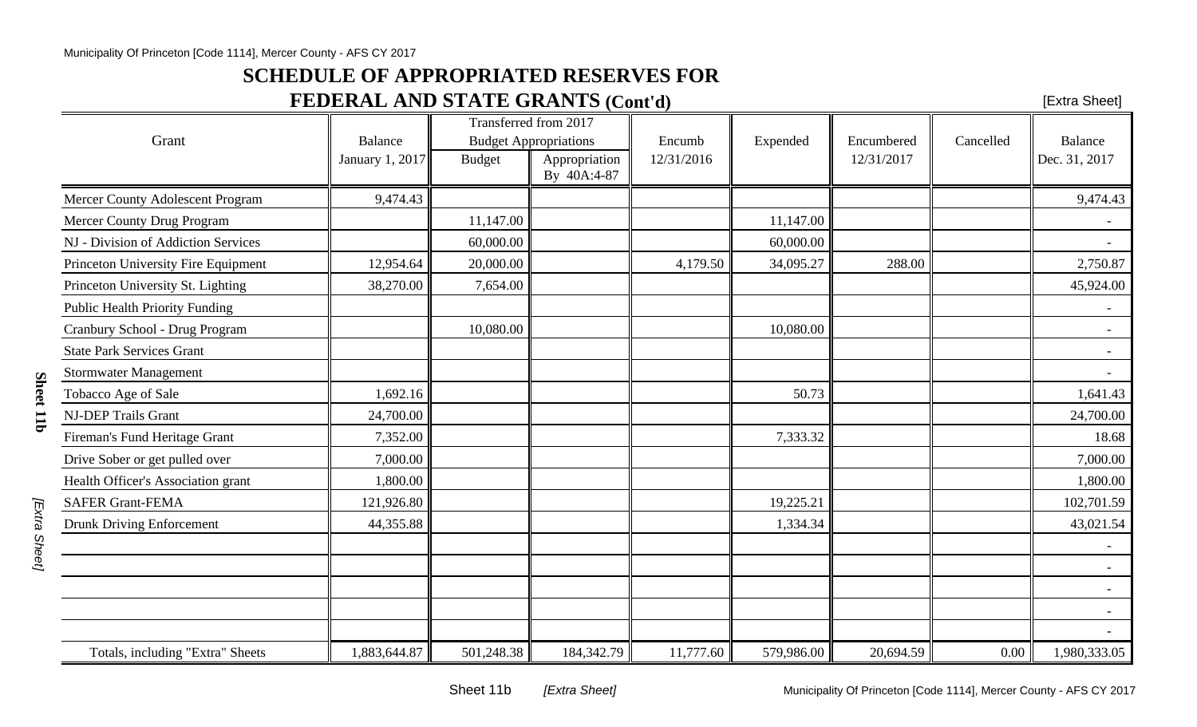#### Municipality Of Princeton [Code 1114], Mercer County - AFS CY 2017

### **SCHEDULE OF APPROPRIATED RESERVES FOR**

## **FEDERAL AND STATE GRANTS (Cont'd)**

| [Extra Sheet] |  |
|---------------|--|
|---------------|--|

|                                       |                 | Transferred from 2017 |                              |            |            |            |           |               |
|---------------------------------------|-----------------|-----------------------|------------------------------|------------|------------|------------|-----------|---------------|
| Grant                                 | <b>Balance</b>  |                       | <b>Budget Appropriations</b> | Encumb     | Expended   | Encumbered | Cancelled | Balance       |
|                                       | January 1, 2017 | <b>Budget</b>         | Appropriation<br>By 40A:4-87 | 12/31/2016 |            | 12/31/2017 |           | Dec. 31, 2017 |
| Mercer County Adolescent Program      | 9,474.43        |                       |                              |            |            |            |           | 9,474.43      |
| Mercer County Drug Program            |                 | 11,147.00             |                              |            | 11,147.00  |            |           |               |
| NJ - Division of Addiction Services   |                 | 60,000.00             |                              |            | 60,000.00  |            |           |               |
| Princeton University Fire Equipment   | 12,954.64       | 20,000.00             |                              | 4,179.50   | 34,095.27  | 288.00     |           | 2,750.87      |
| Princeton University St. Lighting     | 38,270.00       | 7,654.00              |                              |            |            |            |           | 45,924.00     |
| <b>Public Health Priority Funding</b> |                 |                       |                              |            |            |            |           |               |
| Cranbury School - Drug Program        |                 | 10,080.00             |                              |            | 10,080.00  |            |           |               |
| <b>State Park Services Grant</b>      |                 |                       |                              |            |            |            |           |               |
| <b>Stormwater Management</b>          |                 |                       |                              |            |            |            |           |               |
| Tobacco Age of Sale                   | 1,692.16        |                       |                              |            | 50.73      |            |           | 1,641.43      |
| <b>NJ-DEP Trails Grant</b>            | 24,700.00       |                       |                              |            |            |            |           | 24,700.00     |
| Fireman's Fund Heritage Grant         | 7,352.00        |                       |                              |            | 7,333.32   |            |           | 18.68         |
| Drive Sober or get pulled over        | 7,000.00        |                       |                              |            |            |            |           | 7,000.00      |
| Health Officer's Association grant    | 1,800.00        |                       |                              |            |            |            |           | 1,800.00      |
| <b>SAFER Grant-FEMA</b>               | 121,926.80      |                       |                              |            | 19,225.21  |            |           | 102,701.59    |
| <b>Drunk Driving Enforcement</b>      | 44,355.88       |                       |                              |            | 1,334.34   |            |           | 43,021.54     |
|                                       |                 |                       |                              |            |            |            |           |               |
|                                       |                 |                       |                              |            |            |            |           |               |
|                                       |                 |                       |                              |            |            |            |           |               |
|                                       |                 |                       |                              |            |            |            |           |               |
|                                       |                 |                       |                              |            |            |            |           |               |
| Totals, including "Extra" Sheets      | 1,883,644.87    | 501,248.38            | 184,342.79                   | 11,777.60  | 579,986.00 | 20,694.59  | 0.00      | 1,980,333.05  |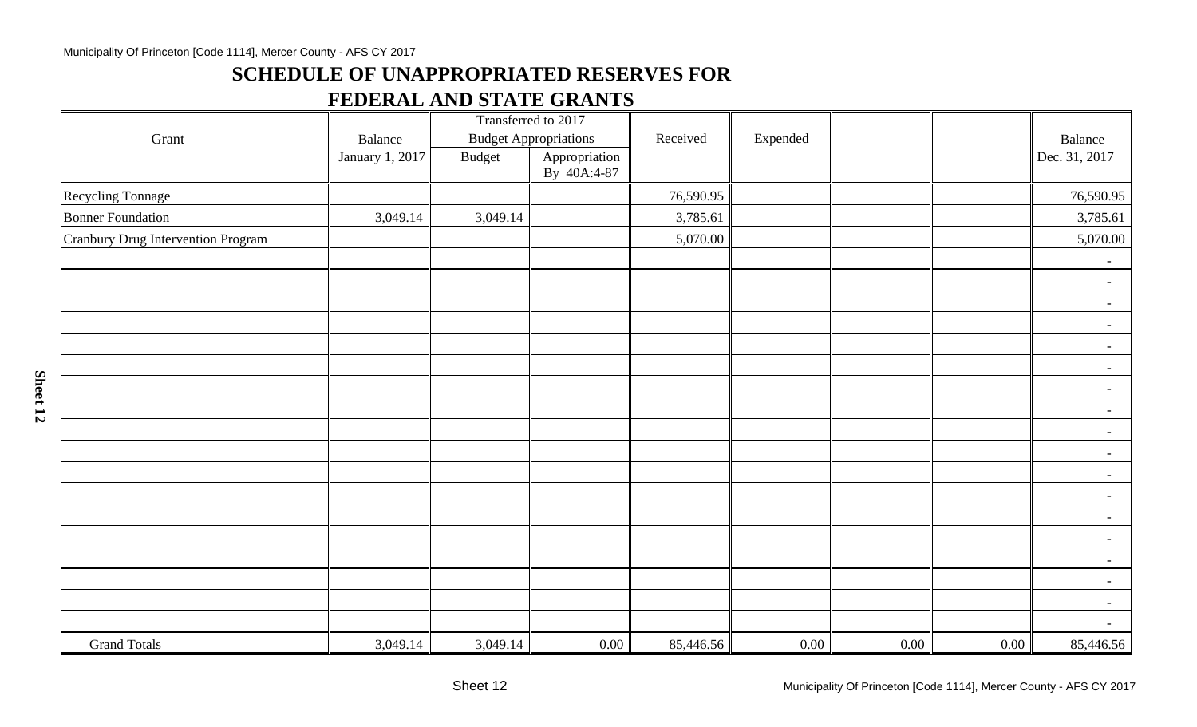#### Municipality Of Princeton [Code 1114], Mercer County - AFS CY 2017

### **SCHEDULE OF UNAPPROPRIATED RESERVES FOR**

### **FEDERAL AND STATE GRANTS**

|                                           |                 | Transferred to 2017 |                              |           |          |          |          |                          |
|-------------------------------------------|-----------------|---------------------|------------------------------|-----------|----------|----------|----------|--------------------------|
| Grant                                     | Balance         |                     | <b>Budget Appropriations</b> | Received  | Expended |          |          | Balance                  |
|                                           | January 1, 2017 | <b>Budget</b>       | Appropriation                |           |          |          |          | Dec. 31, 2017            |
|                                           |                 |                     | By 40A:4-87                  |           |          |          |          |                          |
| Recycling Tonnage                         |                 |                     |                              | 76,590.95 |          |          |          | 76,590.95                |
| <b>Bonner Foundation</b>                  | 3,049.14        | 3,049.14            |                              | 3,785.61  |          |          |          | 3,785.61                 |
| <b>Cranbury Drug Intervention Program</b> |                 |                     |                              | 5,070.00  |          |          |          | 5,070.00                 |
|                                           |                 |                     |                              |           |          |          |          | $\overline{\phantom{a}}$ |
|                                           |                 |                     |                              |           |          |          |          | $\sim$                   |
|                                           |                 |                     |                              |           |          |          |          | $\sim$                   |
|                                           |                 |                     |                              |           |          |          |          | $\sim$                   |
|                                           |                 |                     |                              |           |          |          |          | $\sim$                   |
|                                           |                 |                     |                              |           |          |          |          | $\sim$                   |
|                                           |                 |                     |                              |           |          |          |          | $\blacksquare$           |
|                                           |                 |                     |                              |           |          |          |          | $\blacksquare$           |
|                                           |                 |                     |                              |           |          |          |          | $\sim$                   |
|                                           |                 |                     |                              |           |          |          |          | $\sim$                   |
|                                           |                 |                     |                              |           |          |          |          | $\sim$                   |
|                                           |                 |                     |                              |           |          |          |          | $\sim$                   |
|                                           |                 |                     |                              |           |          |          |          | $\sim$                   |
|                                           |                 |                     |                              |           |          |          |          | $\sim$                   |
|                                           |                 |                     |                              |           |          |          |          | $\sim$                   |
|                                           |                 |                     |                              |           |          |          |          | $\sim$                   |
|                                           |                 |                     |                              |           |          |          |          | $\sim$                   |
|                                           |                 |                     |                              |           |          |          |          | $\sim$                   |
| <b>Grand Totals</b>                       | 3,049.14        | 3,049.14            | 0.00                         | 85,446.56 | 0.00     | $0.00\,$ | $0.00\,$ | 85,446.56                |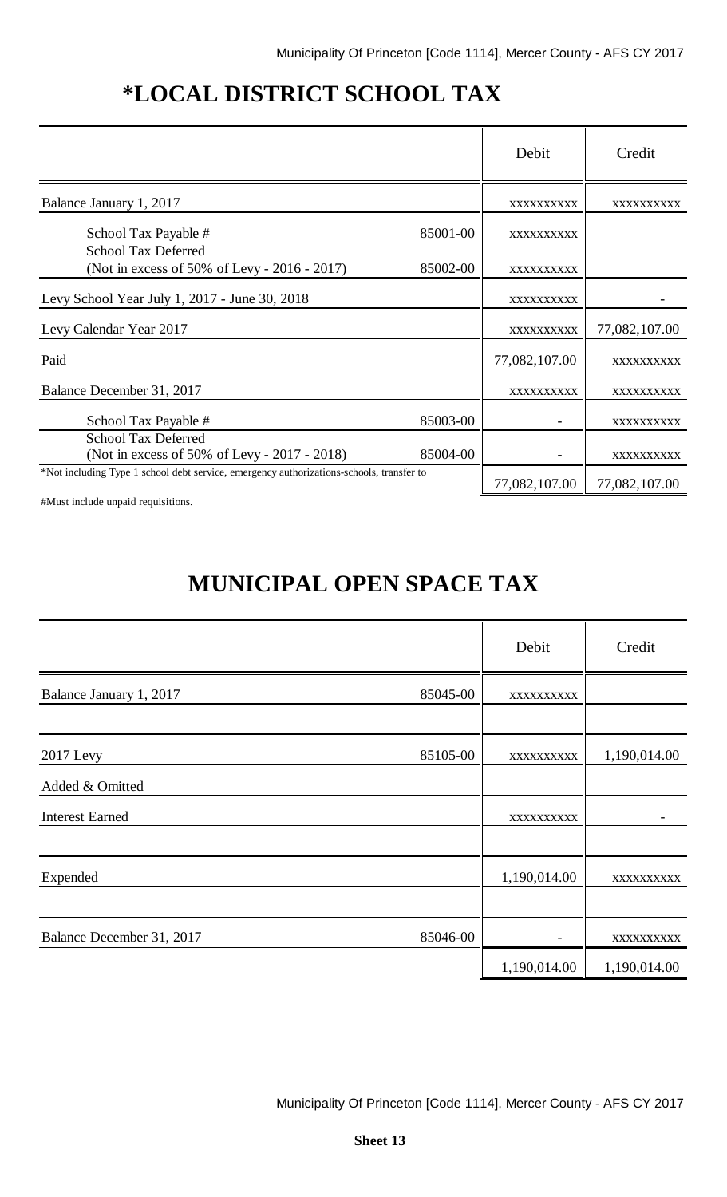# **\*LOCAL DISTRICT SCHOOL TAX**

|                                                                                          |          | Debit         | Credit        |
|------------------------------------------------------------------------------------------|----------|---------------|---------------|
| Balance January 1, 2017                                                                  |          | XXXXXXXXXX    | XXXXXXXXXX    |
| School Tax Payable #                                                                     | 85001-00 | XXXXXXXXXX    |               |
| <b>School Tax Deferred</b><br>(Not in excess of 50% of Levy - 2016 - 2017)               | 85002-00 | XXXXXXXXXX    |               |
| Levy School Year July 1, 2017 - June 30, 2018                                            |          | XXXXXXXXXX    |               |
| Levy Calendar Year 2017                                                                  |          | XXXXXXXXXX    | 77,082,107.00 |
| Paid                                                                                     |          | 77,082,107.00 | XXXXXXXXXX    |
| Balance December 31, 2017                                                                |          | XXXXXXXXXX    | XXXXXXXXXX    |
| School Tax Payable #                                                                     | 85003-00 |               | XXXXXXXXXX    |
| <b>School Tax Deferred</b><br>(Not in excess of 50% of Levy - 2017 - 2018)               | 85004-00 |               | XXXXXXXXXX    |
| *Not including Type 1 school debt service, emergency authorizations-schools, transfer to |          | 77,082,107.00 | 77,082,107.00 |

#Must include unpaid requisitions.

# **MUNICIPAL OPEN SPACE TAX**

|                           |          | Debit        | Credit       |
|---------------------------|----------|--------------|--------------|
| Balance January 1, 2017   | 85045-00 | XXXXXXXXXX   |              |
|                           |          |              |              |
| 2017 Levy                 | 85105-00 | XXXXXXXXXX   | 1,190,014.00 |
| Added & Omitted           |          |              |              |
| <b>Interest Earned</b>    |          | XXXXXXXXXX   |              |
|                           |          |              |              |
| Expended                  |          | 1,190,014.00 | XXXXXXXXXX   |
|                           |          |              |              |
| Balance December 31, 2017 | 85046-00 |              | XXXXXXXXXX   |
|                           |          | 1,190,014.00 | 1,190,014.00 |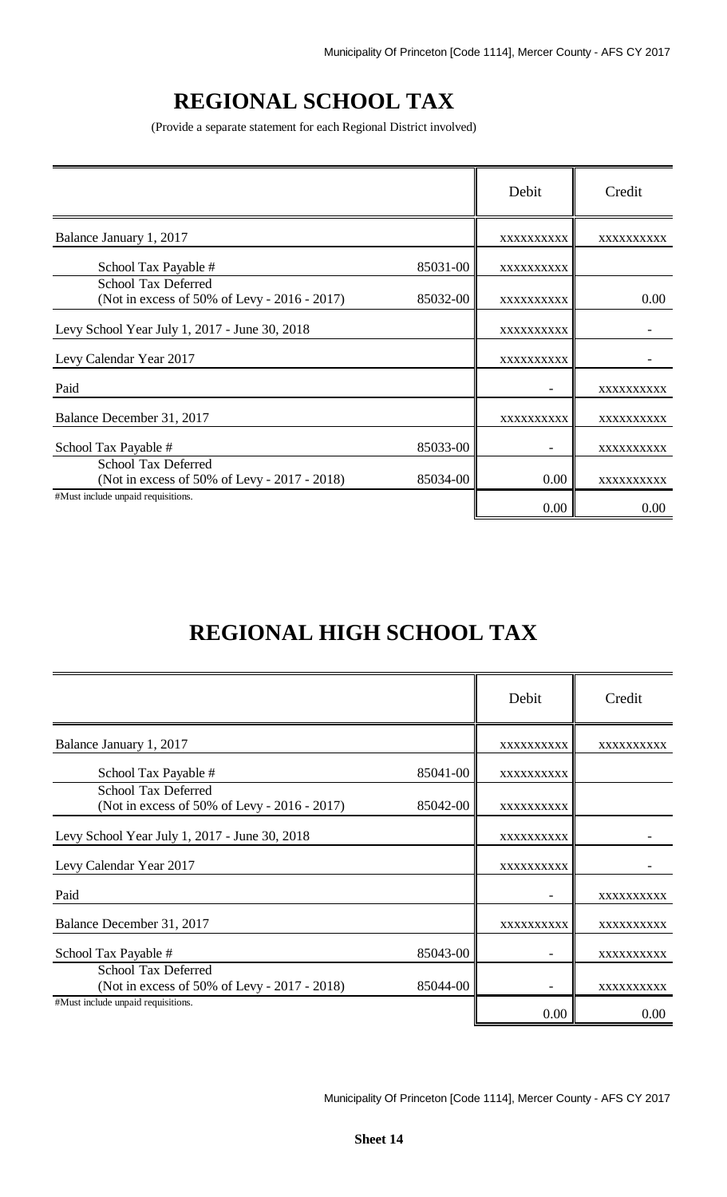# **REGIONAL SCHOOL TAX**

(Provide a separate statement for each Regional District involved)

|                                                                            |          | Debit             | Credit     |
|----------------------------------------------------------------------------|----------|-------------------|------------|
| Balance January 1, 2017                                                    |          | XXXXXXXXXX        | XXXXXXXXXX |
| School Tax Payable #                                                       | 85031-00 | XXXXXXXXXX        |            |
| <b>School Tax Deferred</b><br>(Not in excess of 50% of Levy - 2016 - 2017) | 85032-00 | <b>XXXXXXXXXX</b> | 0.00       |
| Levy School Year July 1, 2017 - June 30, 2018                              |          | XXXXXXXXXX        |            |
| Levy Calendar Year 2017                                                    |          | XXXXXXXXXX        |            |
| Paid                                                                       |          |                   | XXXXXXXXXX |
| Balance December 31, 2017                                                  |          | XXXXXXXXXX        | XXXXXXXXX  |
| School Tax Payable #                                                       | 85033-00 |                   | XXXXXXXXXX |
| <b>School Tax Deferred</b><br>(Not in excess of 50% of Levy - 2017 - 2018) | 85034-00 | 0.00              | XXXXXXXXXX |
| #Must include unpaid requisitions.                                         |          | 0.00              | 0.00       |

# **REGIONAL HIGH SCHOOL TAX**

|                                                                            |          | Debit      | Credit     |
|----------------------------------------------------------------------------|----------|------------|------------|
| Balance January 1, 2017                                                    |          | XXXXXXXXXX | XXXXXXXXXX |
| School Tax Payable #                                                       | 85041-00 | XXXXXXXXXX |            |
| <b>School Tax Deferred</b><br>(Not in excess of 50% of Levy - 2016 - 2017) | 85042-00 | XXXXXXXXXX |            |
| Levy School Year July 1, 2017 - June 30, 2018                              |          | XXXXXXXXXX |            |
| Levy Calendar Year 2017                                                    |          | XXXXXXXXXX |            |
| Paid                                                                       |          |            | XXXXXXXXXX |
| Balance December 31, 2017                                                  |          | XXXXXXXXXX | XXXXXXXXXX |
| School Tax Payable #                                                       | 85043-00 |            | XXXXXXXXXX |
| School Tax Deferred<br>(Not in excess of 50% of Levy - 2017 - 2018)        | 85044-00 |            | XXXXXXXXXX |
| #Must include unpaid requisitions.                                         |          | 0.00       | 0.00       |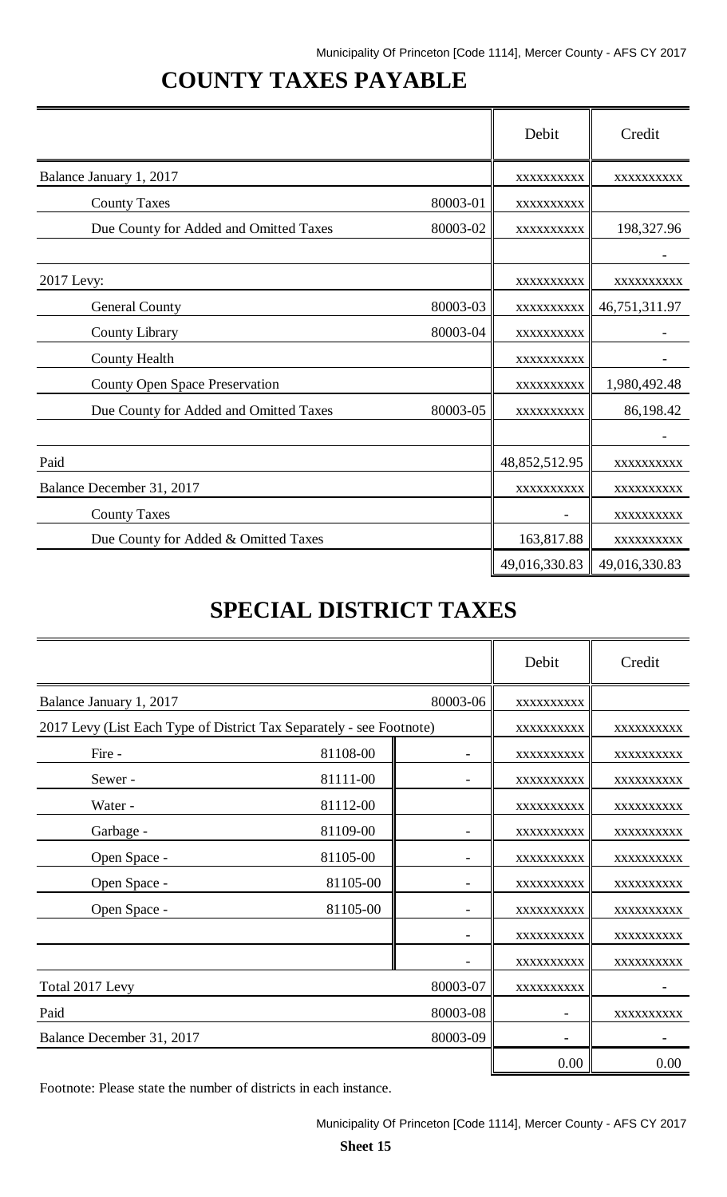# **COUNTY TAXES PAYABLE**

|                                        |          | Debit         | Credit        |
|----------------------------------------|----------|---------------|---------------|
| Balance January 1, 2017                |          | XXXXXXXXXX    | XXXXXXXXXX    |
| <b>County Taxes</b>                    | 80003-01 | XXXXXXXXXX    |               |
| Due County for Added and Omitted Taxes | 80003-02 | XXXXXXXXXX    | 198,327.96    |
|                                        |          |               |               |
| 2017 Levy:                             |          | XXXXXXXXXX    | XXXXXXXXXX    |
| <b>General County</b>                  | 80003-03 | XXXXXXXXXX    | 46,751,311.97 |
| <b>County Library</b>                  | 80003-04 | XXXXXXXXXX    |               |
| <b>County Health</b>                   |          | XXXXXXXXXX    |               |
| <b>County Open Space Preservation</b>  |          | XXXXXXXXXX    | 1,980,492.48  |
| Due County for Added and Omitted Taxes | 80003-05 | XXXXXXXXXX    | 86,198.42     |
|                                        |          |               |               |
| Paid                                   |          | 48,852,512.95 | XXXXXXXXXX    |
| Balance December 31, 2017              |          | XXXXXXXXXX    | XXXXXXXXXX    |
| <b>County Taxes</b>                    |          |               | XXXXXXXXXX    |
| Due County for Added & Omitted Taxes   |          | 163,817.88    | XXXXXXXXXX    |
|                                        |          | 49,016,330.83 | 49,016,330.83 |

# **SPECIAL DISTRICT TAXES**

|                                                                      |          |          | Debit      | Credit     |  |
|----------------------------------------------------------------------|----------|----------|------------|------------|--|
| Balance January 1, 2017                                              | 80003-06 |          |            |            |  |
| 2017 Levy (List Each Type of District Tax Separately - see Footnote) |          |          | XXXXXXXXXX | XXXXXXXXXX |  |
| Fire -                                                               | 81108-00 |          | XXXXXXXXXX | XXXXXXXXXX |  |
| Sewer-                                                               | 81111-00 |          | XXXXXXXXXX | XXXXXXXXXX |  |
| Water -                                                              | 81112-00 |          | XXXXXXXXXX | XXXXXXXXXX |  |
| Garbage -                                                            | 81109-00 |          | XXXXXXXXXX | XXXXXXXXXX |  |
| Open Space -                                                         | 81105-00 |          | XXXXXXXXXX | XXXXXXXXXX |  |
| Open Space -                                                         | 81105-00 |          | XXXXXXXXXX | XXXXXXXXXX |  |
| Open Space -                                                         | 81105-00 |          | XXXXXXXXXX | XXXXXXXXXX |  |
|                                                                      |          |          | XXXXXXXXXX | XXXXXXXXXX |  |
|                                                                      |          |          | XXXXXXXXXX | XXXXXXXXXX |  |
| Total 2017 Levy                                                      |          | 80003-07 | XXXXXXXXXX |            |  |
| Paid                                                                 |          | 80003-08 |            | XXXXXXXXXX |  |
| Balance December 31, 2017                                            |          | 80003-09 |            |            |  |
|                                                                      |          |          | 0.00       | 0.00       |  |

Footnote: Please state the number of districts in each instance.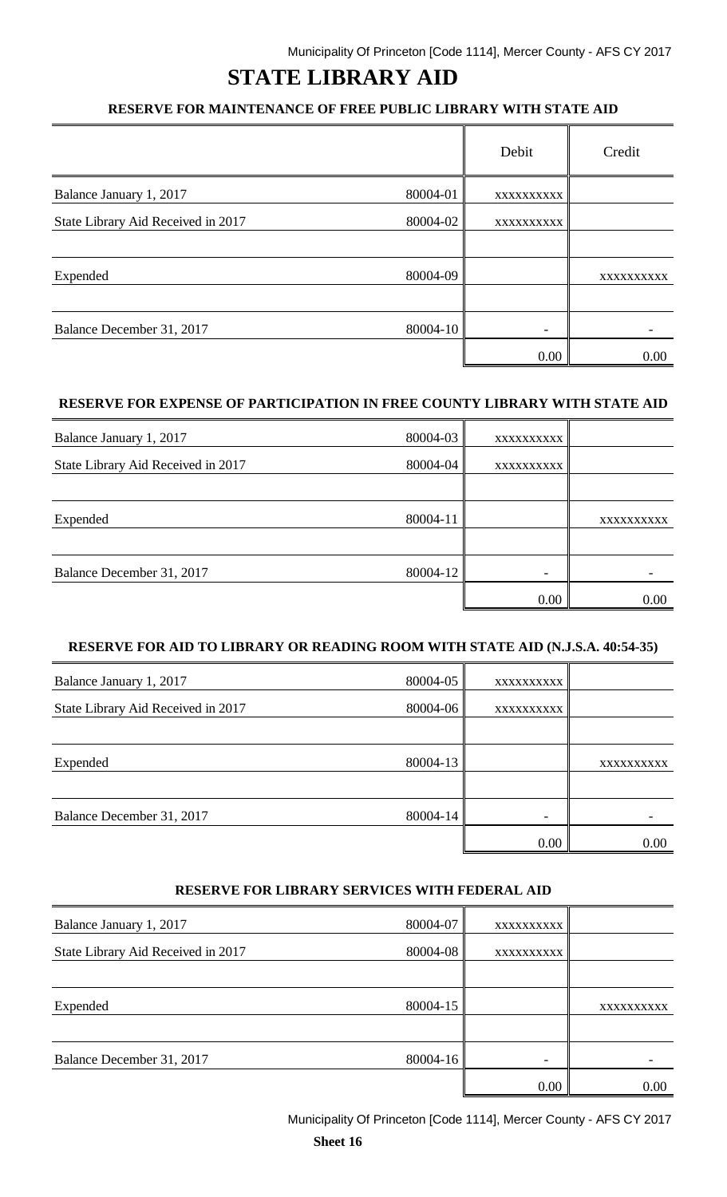# **STATE LIBRARY AID**

### **RESERVE FOR MAINTENANCE OF FREE PUBLIC LIBRARY WITH STATE AID**

|                                    |          | Debit             | Credit     |
|------------------------------------|----------|-------------------|------------|
| Balance January 1, 2017            | 80004-01 | <b>XXXXXXXXXX</b> |            |
| State Library Aid Received in 2017 | 80004-02 | <b>XXXXXXXXXX</b> |            |
|                                    |          |                   |            |
| Expended                           | 80004-09 |                   | XXXXXXXXXX |
|                                    |          |                   |            |
| Balance December 31, 2017          | 80004-10 |                   |            |
|                                    |          | 0.00              | 0.00       |

#### **RESERVE FOR EXPENSE OF PARTICIPATION IN FREE COUNTY LIBRARY WITH STATE AID**

| Balance January 1, 2017            | 80004-03 | XXXXXXXXXX |            |
|------------------------------------|----------|------------|------------|
| State Library Aid Received in 2017 | 80004-04 | XXXXXXXXXX |            |
|                                    |          |            |            |
| Expended                           | 80004-11 |            | XXXXXXXXXX |
|                                    |          |            |            |
| Balance December 31, 2017          | 80004-12 |            |            |
|                                    |          | 0.00       | 0.00       |

#### **RESERVE FOR AID TO LIBRARY OR READING ROOM WITH STATE AID (N.J.S.A. 40:54-35)**

| Balance January 1, 2017            | $80004 - 05$ | XXXXXXXXXX                   |            |
|------------------------------------|--------------|------------------------------|------------|
| State Library Aid Received in 2017 | $80004 - 06$ | XXXXXXXXXX                   |            |
|                                    |              |                              |            |
| Expended                           | 80004-13     |                              | XXXXXXXXXX |
|                                    |              |                              |            |
| Balance December 31, 2017          | 80004-14     | $\qquad \qquad \blacksquare$ |            |
|                                    |              | 0.00                         | 0.00       |

#### **RESERVE FOR LIBRARY SERVICES WITH FEDERAL AID**

| Balance January 1, 2017            | 80004-07     | XXXXXXXXXX |            |
|------------------------------------|--------------|------------|------------|
| State Library Aid Received in 2017 | $80004 - 08$ | XXXXXXXXXX |            |
|                                    |              |            |            |
| Expended                           | 80004-15     |            | XXXXXXXXXX |
|                                    |              |            |            |
| Balance December 31, 2017          | $80004 - 16$ |            |            |
|                                    |              | 0.00       | 0.00       |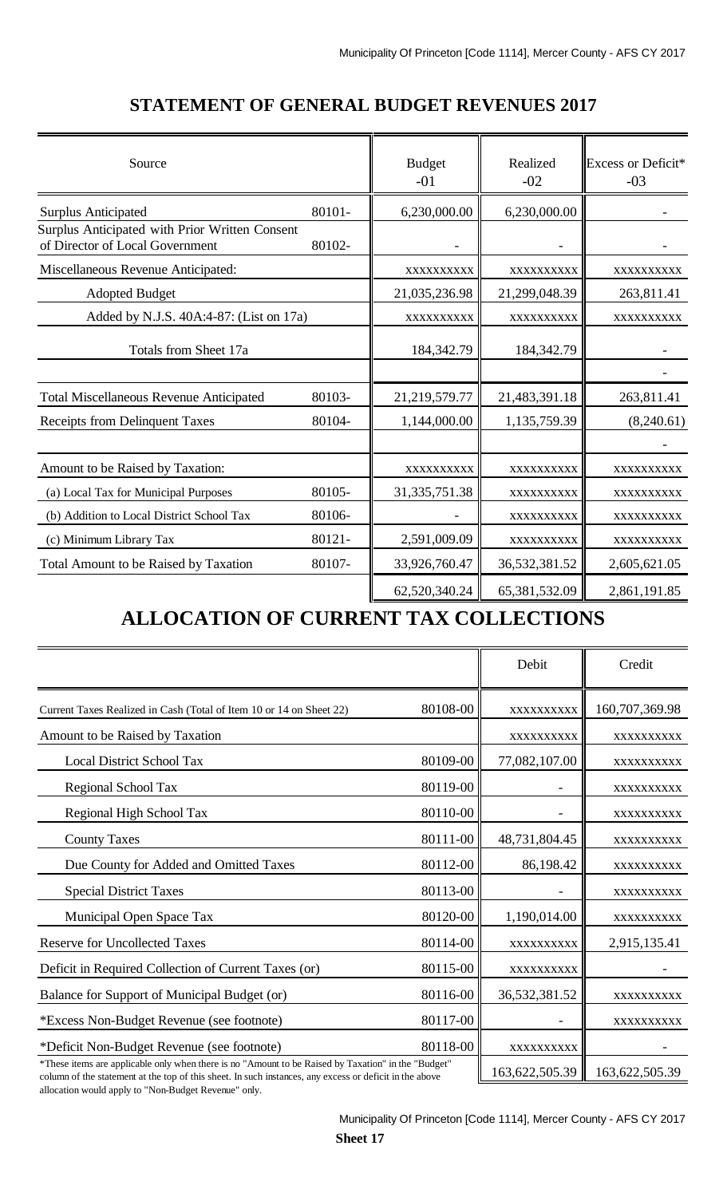| Source                                                                            |        | <b>Budget</b><br>$-01$ | Realized<br>$-02$ | Excess or Deficit*<br>$-03$ |
|-----------------------------------------------------------------------------------|--------|------------------------|-------------------|-----------------------------|
| <b>Surplus Anticipated</b>                                                        | 80101- | 6,230,000.00           | 6,230,000.00      |                             |
| Surplus Anticipated with Prior Written Consent<br>of Director of Local Government | 80102- |                        |                   |                             |
| Miscellaneous Revenue Anticipated:                                                |        | XXXXXXXXXX             | XXXXXXXXXX        | XXXXXXXXXX                  |
| <b>Adopted Budget</b>                                                             |        | 21,035,236.98          | 21,299,048.39     | 263,811.41                  |
| Added by N.J.S. 40A:4-87: (List on 17a)                                           |        | XXXXXXXXXX             | XXXXXXXXXX        | XXXXXXXXXX                  |
| Totals from Sheet 17a                                                             |        | 184,342.79             | 184,342.79        |                             |
|                                                                                   |        |                        |                   |                             |
| <b>Total Miscellaneous Revenue Anticipated</b>                                    | 80103- | 21,219,579.77          | 21,483,391.18     | 263,811.41                  |
| <b>Receipts from Delinquent Taxes</b>                                             | 80104- | 1,144,000.00           | 1,135,759.39      | (8,240.61)                  |
|                                                                                   |        |                        |                   |                             |
| Amount to be Raised by Taxation:                                                  |        | XXXXXXXXXX             | XXXXXXXXXX        | XXXXXXXXXX                  |
| (a) Local Tax for Municipal Purposes                                              | 80105- | 31, 335, 751. 38       | XXXXXXXXXX        | XXXXXXXXXX                  |
| (b) Addition to Local District School Tax                                         | 80106- |                        | XXXXXXXXXX        | XXXXXXXXXX                  |
| (c) Minimum Library Tax                                                           | 80121- | 2,591,009.09           | XXXXXXXXXX        | XXXXXXXXX                   |
| Total Amount to be Raised by Taxation                                             | 80107- | 33,926,760.47          | 36,532,381.52     | 2,605,621.05                |
|                                                                                   |        | 62,520,340.24          | 65,381,532.09     | 2,861,191.85                |

### **STATEMENT OF GENERAL BUDGET REVENUES 2017**

## **ALLOCATION OF CURRENT TAX COLLECTIONS**

|                                                                                                                                                                                                                |          | Debit          | Credit         |
|----------------------------------------------------------------------------------------------------------------------------------------------------------------------------------------------------------------|----------|----------------|----------------|
| Current Taxes Realized in Cash (Total of Item 10 or 14 on Sheet 22)                                                                                                                                            | 80108-00 | XXXXXXXXXX     | 160,707,369.98 |
| Amount to be Raised by Taxation                                                                                                                                                                                |          | XXXXXXXXX      | XXXXXXXXX      |
| Local District School Tax                                                                                                                                                                                      | 80109-00 | 77,082,107.00  | XXXXXXXXXX     |
| Regional School Tax                                                                                                                                                                                            | 80119-00 |                | XXXXXXXXX      |
| Regional High School Tax                                                                                                                                                                                       | 80110-00 |                | XXXXXXXXXX     |
| <b>County Taxes</b>                                                                                                                                                                                            | 80111-00 | 48,731,804.45  | XXXXXXXXXX     |
| Due County for Added and Omitted Taxes                                                                                                                                                                         | 80112-00 | 86,198.42      | XXXXXXXXXX     |
| <b>Special District Taxes</b>                                                                                                                                                                                  | 80113-00 |                | XXXXXXXXX      |
| Municipal Open Space Tax                                                                                                                                                                                       | 80120-00 | 1,190,014.00   | XXXXXXXXX      |
| <b>Reserve for Uncollected Taxes</b>                                                                                                                                                                           | 80114-00 | XXXXXXXXXX     | 2,915,135.41   |
| Deficit in Required Collection of Current Taxes (or)                                                                                                                                                           | 80115-00 | XXXXXXXXXX     |                |
| Balance for Support of Municipal Budget (or)                                                                                                                                                                   | 80116-00 | 36,532,381.52  | XXXXXXXXX      |
| *Excess Non-Budget Revenue (see footnote)                                                                                                                                                                      | 80117-00 |                | XXXXXXXXX      |
| *Deficit Non-Budget Revenue (see footnote)                                                                                                                                                                     | 80118-00 | XXXXXXXXX      |                |
| *These items are applicable only when there is no "Amount to be Raised by Taxation" in the "Budget"<br>column of the statement at the top of this sheet. In such instances, any excess or deficit in the above |          | 163,622,505.39 | 163,622,505.39 |

column of the statement at the top of this sheet. In such instances, any excess or deficit in the above allocation would apply to "Non-Budget Revenue" only.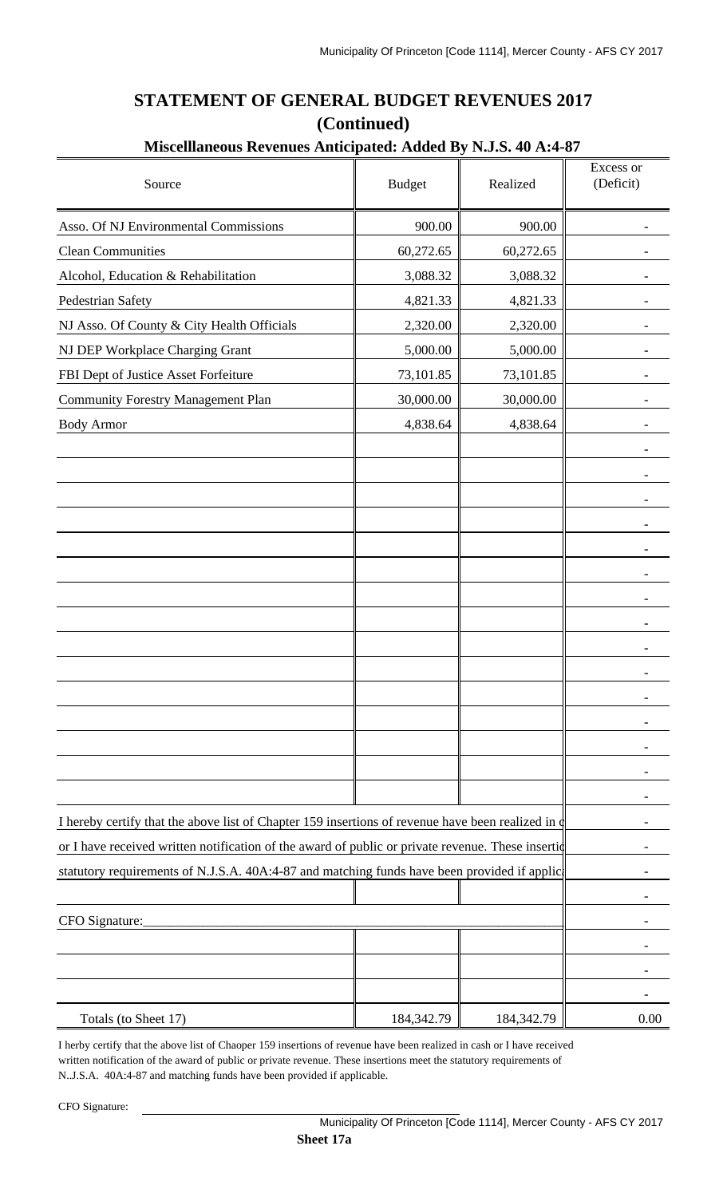| Miscelllaneous Revenues Anticipated: Added By N.J.S. 40 A:4-87                                     |               |            |                        |
|----------------------------------------------------------------------------------------------------|---------------|------------|------------------------|
| Source                                                                                             | <b>Budget</b> | Realized   | Excess or<br>(Deficit) |
| Asso. Of NJ Environmental Commissions                                                              | 900.00        | 900.00     |                        |
| <b>Clean Communities</b>                                                                           | 60,272.65     | 60,272.65  |                        |
| Alcohol, Education & Rehabilitation                                                                | 3,088.32      | 3,088.32   |                        |
| Pedestrian Safety                                                                                  | 4,821.33      | 4,821.33   |                        |
| NJ Asso. Of County & City Health Officials                                                         | 2,320.00      | 2,320.00   |                        |
| NJ DEP Workplace Charging Grant                                                                    | 5,000.00      | 5,000.00   |                        |
| FBI Dept of Justice Asset Forfeiture                                                               | 73,101.85     | 73,101.85  |                        |
| <b>Community Forestry Management Plan</b>                                                          | 30,000.00     | 30,000.00  |                        |
| <b>Body Armor</b>                                                                                  | 4,838.64      | 4,838.64   |                        |
|                                                                                                    |               |            |                        |
|                                                                                                    |               |            |                        |
|                                                                                                    |               |            |                        |
|                                                                                                    |               |            |                        |
|                                                                                                    |               |            |                        |
|                                                                                                    |               |            |                        |
|                                                                                                    |               |            |                        |
|                                                                                                    |               |            |                        |
|                                                                                                    |               |            |                        |
|                                                                                                    |               |            |                        |
|                                                                                                    |               |            |                        |
|                                                                                                    |               |            |                        |
|                                                                                                    |               |            |                        |
|                                                                                                    |               |            |                        |
| I hereby certify that the above list of Chapter 159 insertions of revenue have been realized in or |               |            |                        |
| or I have received written notification of the award of public or private revenue. These insertid  |               |            |                        |
| statutory requirements of N.J.S.A. 40A:4-87 and matching funds have been provided if applic        |               |            |                        |
|                                                                                                    |               |            |                        |
| CFO Signature:                                                                                     |               |            |                        |
|                                                                                                    |               |            |                        |
|                                                                                                    |               |            |                        |
| Totals (to Sheet 17)                                                                               | 184,342.79    | 184,342.79 | 0.00                   |

## **STATEMENT OF GENERAL BUDGET REVENUES 2017 (Continued)**

I herby certify that the above list of Chaoper 159 insertions of revenue have been realized in cash or I have received written notification of the award of public or private revenue. These insertions meet the statutory requirements of N..J.S.A. 40A:4-87 and matching funds have been provided if applicable.

CFO Signature: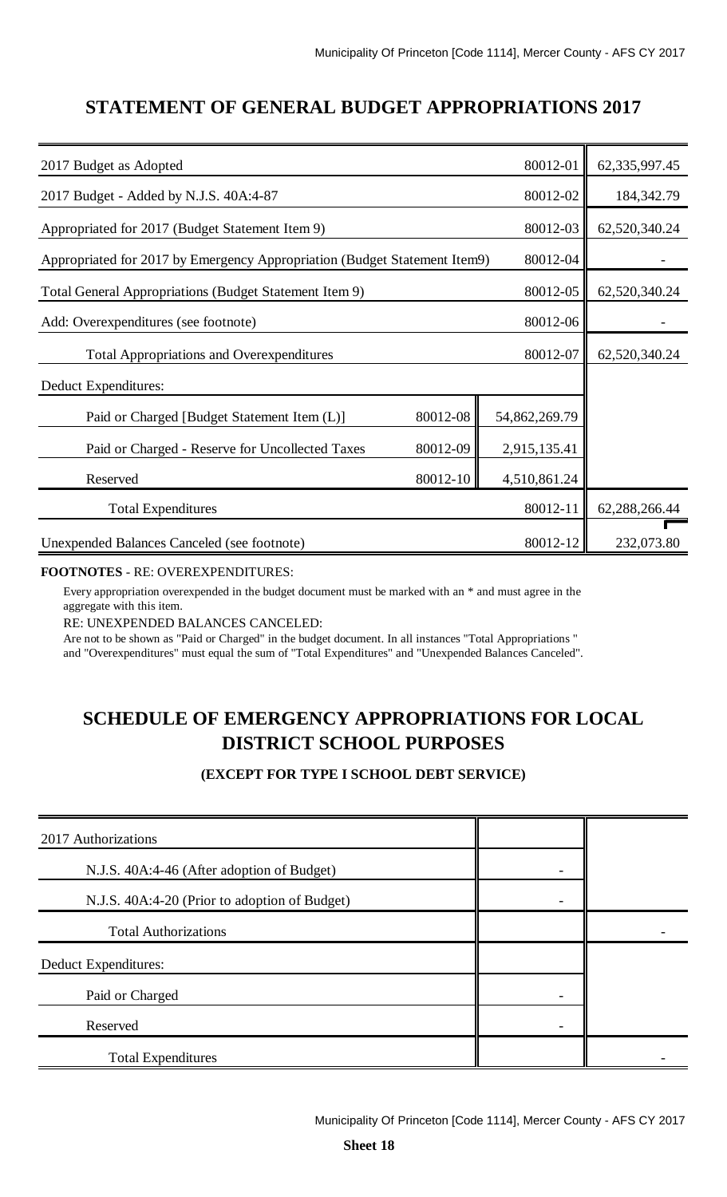### **STATEMENT OF GENERAL BUDGET APPROPRIATIONS 2017**

| 2017 Budget as Adopted                                                    |          | 80012-01      | 62, 335, 997. 45 |
|---------------------------------------------------------------------------|----------|---------------|------------------|
| 2017 Budget - Added by N.J.S. 40A:4-87                                    |          | 80012-02      | 184, 342. 79     |
| Appropriated for 2017 (Budget Statement Item 9)                           |          | 80012-03      | 62,520,340.24    |
| Appropriated for 2017 by Emergency Appropriation (Budget Statement Item9) |          | 80012-04      |                  |
| Total General Appropriations (Budget Statement Item 9)                    |          | 80012-05      | 62,520,340.24    |
| 80012-06<br>Add: Overexpenditures (see footnote)                          |          |               |                  |
| 80012-07<br><b>Total Appropriations and Overexpenditures</b>              |          |               | 62,520,340.24    |
| Deduct Expenditures:                                                      |          |               |                  |
| Paid or Charged [Budget Statement Item (L)]                               | 80012-08 | 54,862,269.79 |                  |
| Paid or Charged - Reserve for Uncollected Taxes                           | 80012-09 | 2,915,135.41  |                  |
| 4,510,861.24<br>80012-10<br>Reserved                                      |          |               |                  |
| <b>Total Expenditures</b>                                                 |          | 80012-11      | 62,288,266.44    |
| Unexpended Balances Canceled (see footnote)                               |          | 80012-12      | 232,073.80       |

### **FOOTNOTES** - RE: OVEREXPENDITURES:

Every appropriation overexpended in the budget document must be marked with an \* and must agree in the aggregate with this item.

RE: UNEXPENDED BALANCES CANCELED:

Are not to be shown as "Paid or Charged" in the budget document. In all instances "Total Appropriations " and "Overexpenditures" must equal the sum of "Total Expenditures" and "Unexpended Balances Canceled".

## **SCHEDULE OF EMERGENCY APPROPRIATIONS FOR LOCAL DISTRICT SCHOOL PURPOSES**

### **(EXCEPT FOR TYPE I SCHOOL DEBT SERVICE)**

| 2017 Authorizations                           |  |
|-----------------------------------------------|--|
| N.J.S. 40A:4-46 (After adoption of Budget)    |  |
| N.J.S. 40A:4-20 (Prior to adoption of Budget) |  |
| <b>Total Authorizations</b>                   |  |
| Deduct Expenditures:                          |  |
| Paid or Charged                               |  |
| Reserved                                      |  |
| <b>Total Expenditures</b>                     |  |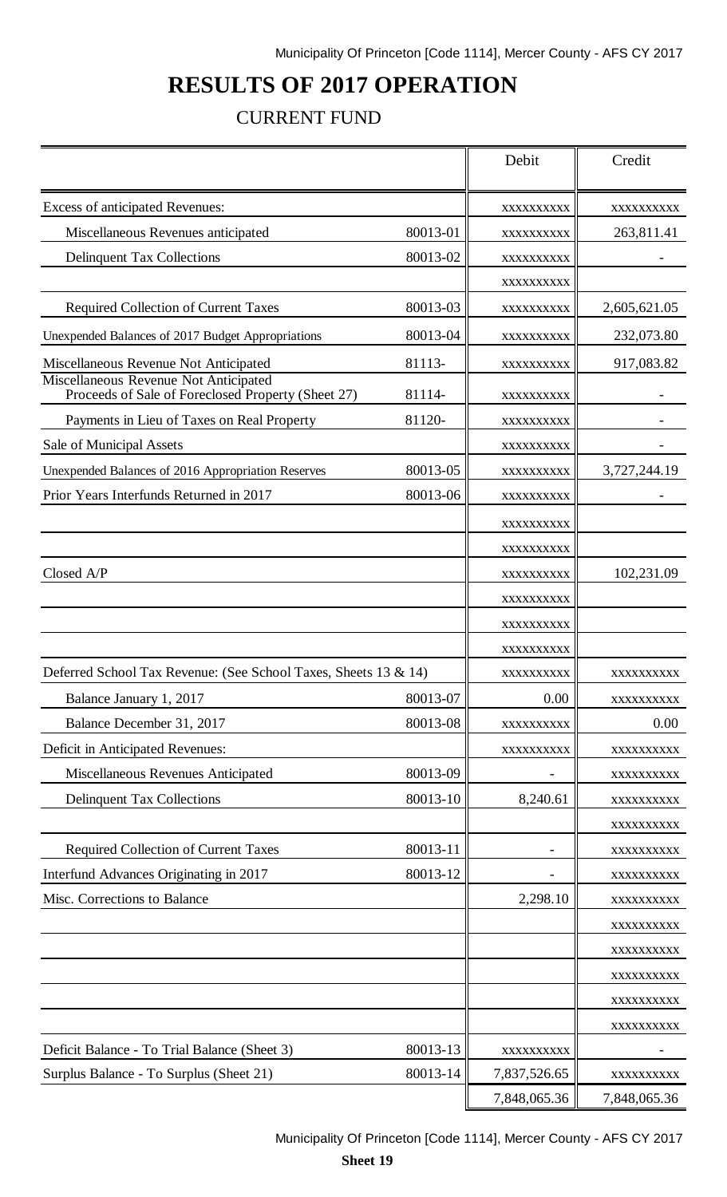# **RESULTS OF 2017 OPERATION**

### CURRENT FUND

| Excess of anticipated Revenues:<br>XXXXXXXXXX<br>XXXXXXXXXX<br>80013-01<br>Miscellaneous Revenues anticipated<br>263,811.41<br>XXXXXXXXXX<br><b>Delinquent Tax Collections</b><br>80013-02<br>XXXXXXXXXX<br>XXXXXXXXXX<br>Required Collection of Current Taxes<br>80013-03<br>2,605,621.05<br>XXXXXXXXXX<br>80013-04<br>Unexpended Balances of 2017 Budget Appropriations<br>232,073.80<br>XXXXXXXXXX<br>Miscellaneous Revenue Not Anticipated<br>81113-<br>917,083.82<br>XXXXXXXXXX<br>Miscellaneous Revenue Not Anticipated<br>Proceeds of Sale of Foreclosed Property (Sheet 27)<br>81114-<br>XXXXXXXXXX<br>Payments in Lieu of Taxes on Real Property<br>81120-<br>XXXXXXXXXX<br>Sale of Municipal Assets<br>XXXXXXXXXX<br>80013-05<br>3,727,244.19<br>Unexpended Balances of 2016 Appropriation Reserves<br>XXXXXXXXXX<br>Prior Years Interfunds Returned in 2017<br>80013-06<br>XXXXXXXXXX<br>XXXXXXXXXX<br>XXXXXXXXXX<br>Closed A/P<br>102,231.09<br>XXXXXXXXXX<br>XXXXXXXXXX<br>XXXXXXXXXX<br>XXXXXXXXXX<br>Deferred School Tax Revenue: (See School Taxes, Sheets 13 & 14)<br>XXXXXXXXXX<br>XXXXXXXXXX<br>80013-07<br>0.00<br>Balance January 1, 2017<br>XXXXXXXXXX<br>80013-08<br>Balance December 31, 2017<br>0.00<br>XXXXXXXXXX<br>Deficit in Anticipated Revenues:<br>XXXXXXXXXX<br>XXXXXXXXXX<br>Miscellaneous Revenues Anticipated<br>80013-09<br>XXXXXXXXXX<br>80013-10<br><b>Delinquent Tax Collections</b><br>8,240.61<br>XXXXXXXXXX<br>XXXXXXXXXX<br><b>Required Collection of Current Taxes</b><br>80013-11<br>XXXXXXXXXX<br>Interfund Advances Originating in 2017<br>80013-12<br>XXXXXXXXXX<br>Misc. Corrections to Balance<br>2,298.10<br>XXXXXXXXXX<br>XXXXXXXXXX<br>XXXXXXXXXX<br>XXXXXXXXXX<br>XXXXXXXXXX<br>XXXXXXXXXX<br>80013-13<br>Deficit Balance - To Trial Balance (Sheet 3)<br>XXXXXXXXXX<br>Surplus Balance - To Surplus (Sheet 21)<br>80013-14<br>7,837,526.65<br>XXXXXXXXXX<br>7,848,065.36<br>7,848,065.36 |  | Debit | Credit |
|--------------------------------------------------------------------------------------------------------------------------------------------------------------------------------------------------------------------------------------------------------------------------------------------------------------------------------------------------------------------------------------------------------------------------------------------------------------------------------------------------------------------------------------------------------------------------------------------------------------------------------------------------------------------------------------------------------------------------------------------------------------------------------------------------------------------------------------------------------------------------------------------------------------------------------------------------------------------------------------------------------------------------------------------------------------------------------------------------------------------------------------------------------------------------------------------------------------------------------------------------------------------------------------------------------------------------------------------------------------------------------------------------------------------------------------------------------------------------------------------------------------------------------------------------------------------------------------------------------------------------------------------------------------------------------------------------------------------------------------------------------------------------------------------------------------------------------------------------------------------------------------------------------------------------------------------------|--|-------|--------|
|                                                                                                                                                                                                                                                                                                                                                                                                                                                                                                                                                                                                                                                                                                                                                                                                                                                                                                                                                                                                                                                                                                                                                                                                                                                                                                                                                                                                                                                                                                                                                                                                                                                                                                                                                                                                                                                                                                                                                  |  |       |        |
|                                                                                                                                                                                                                                                                                                                                                                                                                                                                                                                                                                                                                                                                                                                                                                                                                                                                                                                                                                                                                                                                                                                                                                                                                                                                                                                                                                                                                                                                                                                                                                                                                                                                                                                                                                                                                                                                                                                                                  |  |       |        |
|                                                                                                                                                                                                                                                                                                                                                                                                                                                                                                                                                                                                                                                                                                                                                                                                                                                                                                                                                                                                                                                                                                                                                                                                                                                                                                                                                                                                                                                                                                                                                                                                                                                                                                                                                                                                                                                                                                                                                  |  |       |        |
|                                                                                                                                                                                                                                                                                                                                                                                                                                                                                                                                                                                                                                                                                                                                                                                                                                                                                                                                                                                                                                                                                                                                                                                                                                                                                                                                                                                                                                                                                                                                                                                                                                                                                                                                                                                                                                                                                                                                                  |  |       |        |
|                                                                                                                                                                                                                                                                                                                                                                                                                                                                                                                                                                                                                                                                                                                                                                                                                                                                                                                                                                                                                                                                                                                                                                                                                                                                                                                                                                                                                                                                                                                                                                                                                                                                                                                                                                                                                                                                                                                                                  |  |       |        |
|                                                                                                                                                                                                                                                                                                                                                                                                                                                                                                                                                                                                                                                                                                                                                                                                                                                                                                                                                                                                                                                                                                                                                                                                                                                                                                                                                                                                                                                                                                                                                                                                                                                                                                                                                                                                                                                                                                                                                  |  |       |        |
|                                                                                                                                                                                                                                                                                                                                                                                                                                                                                                                                                                                                                                                                                                                                                                                                                                                                                                                                                                                                                                                                                                                                                                                                                                                                                                                                                                                                                                                                                                                                                                                                                                                                                                                                                                                                                                                                                                                                                  |  |       |        |
|                                                                                                                                                                                                                                                                                                                                                                                                                                                                                                                                                                                                                                                                                                                                                                                                                                                                                                                                                                                                                                                                                                                                                                                                                                                                                                                                                                                                                                                                                                                                                                                                                                                                                                                                                                                                                                                                                                                                                  |  |       |        |
|                                                                                                                                                                                                                                                                                                                                                                                                                                                                                                                                                                                                                                                                                                                                                                                                                                                                                                                                                                                                                                                                                                                                                                                                                                                                                                                                                                                                                                                                                                                                                                                                                                                                                                                                                                                                                                                                                                                                                  |  |       |        |
|                                                                                                                                                                                                                                                                                                                                                                                                                                                                                                                                                                                                                                                                                                                                                                                                                                                                                                                                                                                                                                                                                                                                                                                                                                                                                                                                                                                                                                                                                                                                                                                                                                                                                                                                                                                                                                                                                                                                                  |  |       |        |
|                                                                                                                                                                                                                                                                                                                                                                                                                                                                                                                                                                                                                                                                                                                                                                                                                                                                                                                                                                                                                                                                                                                                                                                                                                                                                                                                                                                                                                                                                                                                                                                                                                                                                                                                                                                                                                                                                                                                                  |  |       |        |
|                                                                                                                                                                                                                                                                                                                                                                                                                                                                                                                                                                                                                                                                                                                                                                                                                                                                                                                                                                                                                                                                                                                                                                                                                                                                                                                                                                                                                                                                                                                                                                                                                                                                                                                                                                                                                                                                                                                                                  |  |       |        |
|                                                                                                                                                                                                                                                                                                                                                                                                                                                                                                                                                                                                                                                                                                                                                                                                                                                                                                                                                                                                                                                                                                                                                                                                                                                                                                                                                                                                                                                                                                                                                                                                                                                                                                                                                                                                                                                                                                                                                  |  |       |        |
|                                                                                                                                                                                                                                                                                                                                                                                                                                                                                                                                                                                                                                                                                                                                                                                                                                                                                                                                                                                                                                                                                                                                                                                                                                                                                                                                                                                                                                                                                                                                                                                                                                                                                                                                                                                                                                                                                                                                                  |  |       |        |
|                                                                                                                                                                                                                                                                                                                                                                                                                                                                                                                                                                                                                                                                                                                                                                                                                                                                                                                                                                                                                                                                                                                                                                                                                                                                                                                                                                                                                                                                                                                                                                                                                                                                                                                                                                                                                                                                                                                                                  |  |       |        |
|                                                                                                                                                                                                                                                                                                                                                                                                                                                                                                                                                                                                                                                                                                                                                                                                                                                                                                                                                                                                                                                                                                                                                                                                                                                                                                                                                                                                                                                                                                                                                                                                                                                                                                                                                                                                                                                                                                                                                  |  |       |        |
|                                                                                                                                                                                                                                                                                                                                                                                                                                                                                                                                                                                                                                                                                                                                                                                                                                                                                                                                                                                                                                                                                                                                                                                                                                                                                                                                                                                                                                                                                                                                                                                                                                                                                                                                                                                                                                                                                                                                                  |  |       |        |
|                                                                                                                                                                                                                                                                                                                                                                                                                                                                                                                                                                                                                                                                                                                                                                                                                                                                                                                                                                                                                                                                                                                                                                                                                                                                                                                                                                                                                                                                                                                                                                                                                                                                                                                                                                                                                                                                                                                                                  |  |       |        |
|                                                                                                                                                                                                                                                                                                                                                                                                                                                                                                                                                                                                                                                                                                                                                                                                                                                                                                                                                                                                                                                                                                                                                                                                                                                                                                                                                                                                                                                                                                                                                                                                                                                                                                                                                                                                                                                                                                                                                  |  |       |        |
|                                                                                                                                                                                                                                                                                                                                                                                                                                                                                                                                                                                                                                                                                                                                                                                                                                                                                                                                                                                                                                                                                                                                                                                                                                                                                                                                                                                                                                                                                                                                                                                                                                                                                                                                                                                                                                                                                                                                                  |  |       |        |
|                                                                                                                                                                                                                                                                                                                                                                                                                                                                                                                                                                                                                                                                                                                                                                                                                                                                                                                                                                                                                                                                                                                                                                                                                                                                                                                                                                                                                                                                                                                                                                                                                                                                                                                                                                                                                                                                                                                                                  |  |       |        |
|                                                                                                                                                                                                                                                                                                                                                                                                                                                                                                                                                                                                                                                                                                                                                                                                                                                                                                                                                                                                                                                                                                                                                                                                                                                                                                                                                                                                                                                                                                                                                                                                                                                                                                                                                                                                                                                                                                                                                  |  |       |        |
|                                                                                                                                                                                                                                                                                                                                                                                                                                                                                                                                                                                                                                                                                                                                                                                                                                                                                                                                                                                                                                                                                                                                                                                                                                                                                                                                                                                                                                                                                                                                                                                                                                                                                                                                                                                                                                                                                                                                                  |  |       |        |
|                                                                                                                                                                                                                                                                                                                                                                                                                                                                                                                                                                                                                                                                                                                                                                                                                                                                                                                                                                                                                                                                                                                                                                                                                                                                                                                                                                                                                                                                                                                                                                                                                                                                                                                                                                                                                                                                                                                                                  |  |       |        |
|                                                                                                                                                                                                                                                                                                                                                                                                                                                                                                                                                                                                                                                                                                                                                                                                                                                                                                                                                                                                                                                                                                                                                                                                                                                                                                                                                                                                                                                                                                                                                                                                                                                                                                                                                                                                                                                                                                                                                  |  |       |        |
|                                                                                                                                                                                                                                                                                                                                                                                                                                                                                                                                                                                                                                                                                                                                                                                                                                                                                                                                                                                                                                                                                                                                                                                                                                                                                                                                                                                                                                                                                                                                                                                                                                                                                                                                                                                                                                                                                                                                                  |  |       |        |
|                                                                                                                                                                                                                                                                                                                                                                                                                                                                                                                                                                                                                                                                                                                                                                                                                                                                                                                                                                                                                                                                                                                                                                                                                                                                                                                                                                                                                                                                                                                                                                                                                                                                                                                                                                                                                                                                                                                                                  |  |       |        |
|                                                                                                                                                                                                                                                                                                                                                                                                                                                                                                                                                                                                                                                                                                                                                                                                                                                                                                                                                                                                                                                                                                                                                                                                                                                                                                                                                                                                                                                                                                                                                                                                                                                                                                                                                                                                                                                                                                                                                  |  |       |        |
|                                                                                                                                                                                                                                                                                                                                                                                                                                                                                                                                                                                                                                                                                                                                                                                                                                                                                                                                                                                                                                                                                                                                                                                                                                                                                                                                                                                                                                                                                                                                                                                                                                                                                                                                                                                                                                                                                                                                                  |  |       |        |
|                                                                                                                                                                                                                                                                                                                                                                                                                                                                                                                                                                                                                                                                                                                                                                                                                                                                                                                                                                                                                                                                                                                                                                                                                                                                                                                                                                                                                                                                                                                                                                                                                                                                                                                                                                                                                                                                                                                                                  |  |       |        |
|                                                                                                                                                                                                                                                                                                                                                                                                                                                                                                                                                                                                                                                                                                                                                                                                                                                                                                                                                                                                                                                                                                                                                                                                                                                                                                                                                                                                                                                                                                                                                                                                                                                                                                                                                                                                                                                                                                                                                  |  |       |        |
|                                                                                                                                                                                                                                                                                                                                                                                                                                                                                                                                                                                                                                                                                                                                                                                                                                                                                                                                                                                                                                                                                                                                                                                                                                                                                                                                                                                                                                                                                                                                                                                                                                                                                                                                                                                                                                                                                                                                                  |  |       |        |
|                                                                                                                                                                                                                                                                                                                                                                                                                                                                                                                                                                                                                                                                                                                                                                                                                                                                                                                                                                                                                                                                                                                                                                                                                                                                                                                                                                                                                                                                                                                                                                                                                                                                                                                                                                                                                                                                                                                                                  |  |       |        |
|                                                                                                                                                                                                                                                                                                                                                                                                                                                                                                                                                                                                                                                                                                                                                                                                                                                                                                                                                                                                                                                                                                                                                                                                                                                                                                                                                                                                                                                                                                                                                                                                                                                                                                                                                                                                                                                                                                                                                  |  |       |        |
|                                                                                                                                                                                                                                                                                                                                                                                                                                                                                                                                                                                                                                                                                                                                                                                                                                                                                                                                                                                                                                                                                                                                                                                                                                                                                                                                                                                                                                                                                                                                                                                                                                                                                                                                                                                                                                                                                                                                                  |  |       |        |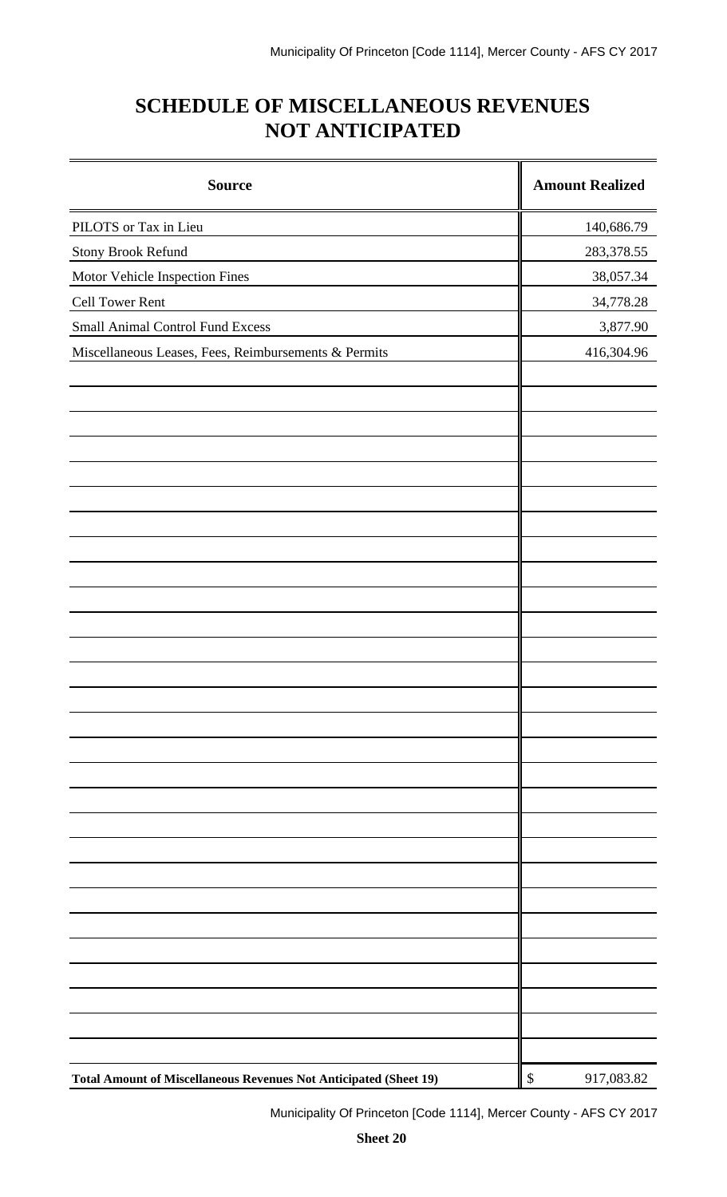# **SCHEDULE OF MISCELLANEOUS REVENUES NOT ANTICIPATED**

| <b>Source</b>                                                     |                           | <b>Amount Realized</b> |
|-------------------------------------------------------------------|---------------------------|------------------------|
| PILOTS or Tax in Lieu                                             |                           | 140,686.79             |
| Stony Brook Refund                                                |                           | 283,378.55             |
| Motor Vehicle Inspection Fines                                    |                           | 38,057.34              |
| Cell Tower Rent                                                   |                           | 34,778.28              |
| <b>Small Animal Control Fund Excess</b>                           |                           | 3,877.90               |
| Miscellaneous Leases, Fees, Reimbursements & Permits              |                           | 416,304.96             |
|                                                                   |                           |                        |
|                                                                   |                           |                        |
|                                                                   |                           |                        |
|                                                                   |                           |                        |
|                                                                   |                           |                        |
|                                                                   |                           |                        |
|                                                                   |                           |                        |
|                                                                   |                           |                        |
|                                                                   |                           |                        |
|                                                                   |                           |                        |
|                                                                   |                           |                        |
|                                                                   |                           |                        |
|                                                                   |                           |                        |
|                                                                   |                           |                        |
|                                                                   |                           |                        |
|                                                                   |                           |                        |
|                                                                   |                           |                        |
|                                                                   |                           |                        |
|                                                                   |                           |                        |
|                                                                   |                           |                        |
| Total Amount of Miscellaneous Revenues Not Anticipated (Sheet 19) | $\boldsymbol{\mathsf{S}}$ | 917,083.82             |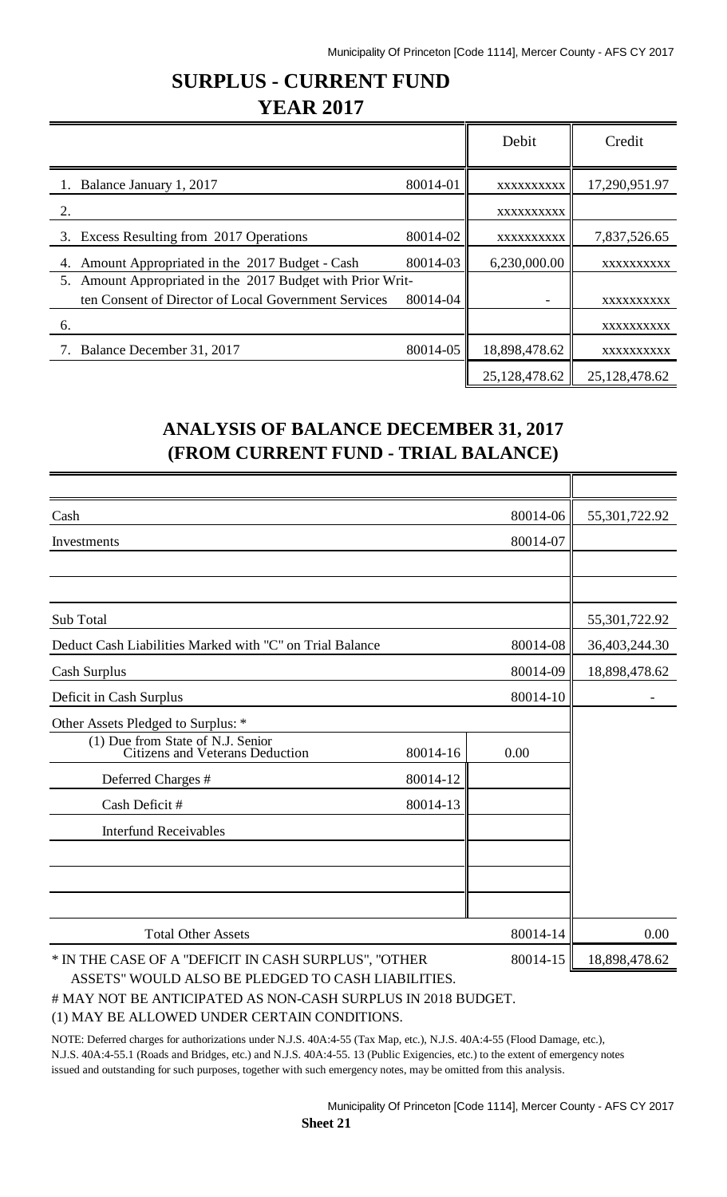## **SURPLUS - CURRENT FUND YEAR 2017**

|                                                               |          | Debit         | Credit            |
|---------------------------------------------------------------|----------|---------------|-------------------|
| Balance January 1, 2017                                       | 80014-01 | XXXXXXXXXX    | 17,290,951.97     |
| 2.                                                            |          | XXXXXXXXXX    |                   |
| 3. Excess Resulting from 2017 Operations                      | 80014-02 | XXXXXXXXXX    | 7,837,526.65      |
| Amount Appropriated in the 2017 Budget - Cash<br>4.           | 80014-03 | 6,230,000.00  | <b>XXXXXXXXXX</b> |
| Amount Appropriated in the 2017 Budget with Prior Writ-<br>5. |          |               |                   |
| ten Consent of Director of Local Government Services          | 80014-04 |               | XXXXXXXXXX        |
| 6.                                                            |          |               | XXXXXXXXXX        |
| 7. Balance December 31, 2017                                  | 80014-05 | 18,898,478.62 | XXXXXXXXXX        |
|                                                               |          | 25,128,478.62 | 25,128,478.62     |

## **ANALYSIS OF BALANCE DECEMBER 31, 2017 (FROM CURRENT FUND - TRIAL BALANCE)**

| Cash                                                                        | 55,301,722.92 |               |               |
|-----------------------------------------------------------------------------|---------------|---------------|---------------|
| Investments                                                                 |               |               |               |
|                                                                             |               |               |               |
|                                                                             |               |               |               |
| Sub Total                                                                   | 55,301,722.92 |               |               |
| Deduct Cash Liabilities Marked with "C" on Trial Balance<br>80014-08        |               |               | 36,403,244.30 |
| Cash Surplus                                                                | 80014-09      | 18,898,478.62 |               |
| Deficit in Cash Surplus                                                     |               |               |               |
| Other Assets Pledged to Surplus: *                                          |               |               |               |
| (1) Due from State of N.J. Senior<br><b>Citizens and Veterans Deduction</b> | 80014-16      | 0.00          |               |
| Deferred Charges #                                                          | 80014-12      |               |               |
| Cash Deficit #                                                              | 80014-13      |               |               |
| <b>Interfund Receivables</b>                                                |               |               |               |
|                                                                             |               |               |               |
|                                                                             |               |               |               |
| <b>Total Other Assets</b><br>80014-14                                       |               |               | 0.00          |
| * IN THE CASE OF A "DEFICIT IN CASH SURPLUS", "OTHER<br>80014-15            |               |               | 18,898,478.62 |
| ASSETS" WOULD ALSO BE PLEDGED TO CASH LIABILITIES.                          |               |               |               |

# MAY NOT BE ANTICIPATED AS NON-CASH SURPLUS IN 2018 BUDGET.

(1) MAY BE ALLOWED UNDER CERTAIN CONDITIONS.

NOTE: Deferred charges for authorizations under N.J.S. 40A:4-55 (Tax Map, etc.), N.J.S. 40A:4-55 (Flood Damage, etc.), N.J.S. 40A:4-55.1 (Roads and Bridges, etc.) and N.J.S. 40A:4-55. 13 (Public Exigencies, etc.) to the extent of emergency notes issued and outstanding for such purposes, together with such emergency notes, may be omitted from this analysis.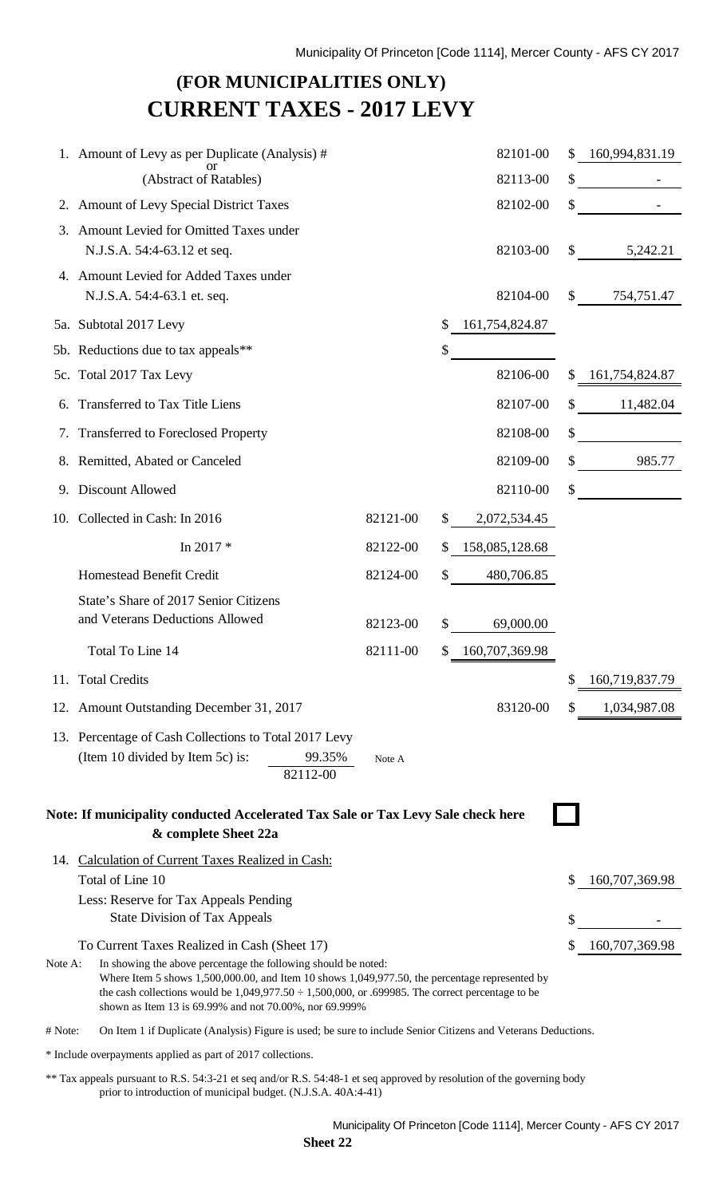## **(FOR MUNICIPALITIES ONLY) CURRENT TAXES - 2017 LEVY**

|                                                                                                          | 1. Amount of Levy as per Duplicate (Analysis) #<br>or                                                                                                                                                                                                                                                                                                                                |          |     | 82101-00       |    | 160,994,831.19 |  |
|----------------------------------------------------------------------------------------------------------|--------------------------------------------------------------------------------------------------------------------------------------------------------------------------------------------------------------------------------------------------------------------------------------------------------------------------------------------------------------------------------------|----------|-----|----------------|----|----------------|--|
|                                                                                                          | (Abstract of Ratables)                                                                                                                                                                                                                                                                                                                                                               |          |     | 82113-00       | \$ |                |  |
|                                                                                                          | 2. Amount of Levy Special District Taxes                                                                                                                                                                                                                                                                                                                                             |          |     | 82102-00       | \$ |                |  |
| 3.                                                                                                       | Amount Levied for Omitted Taxes under<br>N.J.S.A. 54:4-63.12 et seq.                                                                                                                                                                                                                                                                                                                 |          |     | 82103-00       | S. | 5,242.21       |  |
|                                                                                                          | 4. Amount Levied for Added Taxes under<br>N.J.S.A. 54:4-63.1 et. seq.                                                                                                                                                                                                                                                                                                                |          |     | 82104-00       | \$ | 754,751.47     |  |
|                                                                                                          | 5a. Subtotal 2017 Levy                                                                                                                                                                                                                                                                                                                                                               |          | \$  | 161,754,824.87 |    |                |  |
|                                                                                                          | 5b. Reductions due to tax appeals**                                                                                                                                                                                                                                                                                                                                                  |          | \$  |                |    |                |  |
|                                                                                                          | 5c. Total 2017 Tax Levy                                                                                                                                                                                                                                                                                                                                                              |          |     | 82106-00       | \$ | 161,754,824.87 |  |
|                                                                                                          | Transferred to Tax Title Liens                                                                                                                                                                                                                                                                                                                                                       |          |     | 82107-00       | \$ | 11,482.04      |  |
|                                                                                                          | 7. Transferred to Foreclosed Property                                                                                                                                                                                                                                                                                                                                                |          |     | 82108-00       | \$ |                |  |
|                                                                                                          | 8. Remitted, Abated or Canceled                                                                                                                                                                                                                                                                                                                                                      |          |     | 82109-00       |    | 985.77         |  |
| 9.                                                                                                       | <b>Discount Allowed</b>                                                                                                                                                                                                                                                                                                                                                              |          |     | 82110-00       | \$ |                |  |
|                                                                                                          | 10. Collected in Cash: In 2016                                                                                                                                                                                                                                                                                                                                                       | 82121-00 |     | 2,072,534.45   |    |                |  |
|                                                                                                          | In 2017*                                                                                                                                                                                                                                                                                                                                                                             | 82122-00 | \$  | 158,085,128.68 |    |                |  |
|                                                                                                          | Homestead Benefit Credit                                                                                                                                                                                                                                                                                                                                                             | 82124-00 | \$. | 480,706.85     |    |                |  |
|                                                                                                          | State's Share of 2017 Senior Citizens<br>and Veterans Deductions Allowed                                                                                                                                                                                                                                                                                                             | 82123-00 | \$  | 69,000.00      |    |                |  |
|                                                                                                          | Total To Line 14                                                                                                                                                                                                                                                                                                                                                                     | 82111-00 | \$  | 160,707,369.98 |    |                |  |
|                                                                                                          | 11. Total Credits                                                                                                                                                                                                                                                                                                                                                                    |          |     |                | \$ | 160,719,837.79 |  |
|                                                                                                          | 12. Amount Outstanding December 31, 2017                                                                                                                                                                                                                                                                                                                                             |          |     | 83120-00       |    | 1,034,987.08   |  |
|                                                                                                          | 13. Percentage of Cash Collections to Total 2017 Levy                                                                                                                                                                                                                                                                                                                                |          |     |                |    |                |  |
|                                                                                                          | (Item 10 divided by Item 5c) is:<br>99.35%<br>82112-00                                                                                                                                                                                                                                                                                                                               | Note A   |     |                |    |                |  |
| Note: If municipality conducted Accelerated Tax Sale or Tax Levy Sale check here<br>& complete Sheet 22a |                                                                                                                                                                                                                                                                                                                                                                                      |          |     |                |    |                |  |
|                                                                                                          | 14. Calculation of Current Taxes Realized in Cash:<br>Total of Line 10                                                                                                                                                                                                                                                                                                               |          |     |                |    | 160,707,369.98 |  |
|                                                                                                          | Less: Reserve for Tax Appeals Pending<br><b>State Division of Tax Appeals</b>                                                                                                                                                                                                                                                                                                        |          |     |                | \$ |                |  |
| Note A:                                                                                                  | To Current Taxes Realized in Cash (Sheet 17)<br>In showing the above percentage the following should be noted:<br>Where Item 5 shows 1,500,000.00, and Item 10 shows 1,049,977.50, the percentage represented by<br>the cash collections would be $1,049,977.50 \div 1,500,000$ , or .699985. The correct percentage to be<br>shown as Item 13 is 69.99% and not 70.00%, nor 69.999% |          |     |                |    | 160,707,369.98 |  |
| # Note:                                                                                                  | On Item 1 if Duplicate (Analysis) Figure is used; be sure to include Senior Citizens and Veterans Deductions.                                                                                                                                                                                                                                                                        |          |     |                |    |                |  |

\* Include overpayments applied as part of 2017 collections.

\*\* Tax appeals pursuant to R.S. 54:3-21 et seq and/or R.S. 54:48-1 et seq approved by resolution of the governing body prior to introduction of municipal budget. (N.J.S.A. 40A:4-41)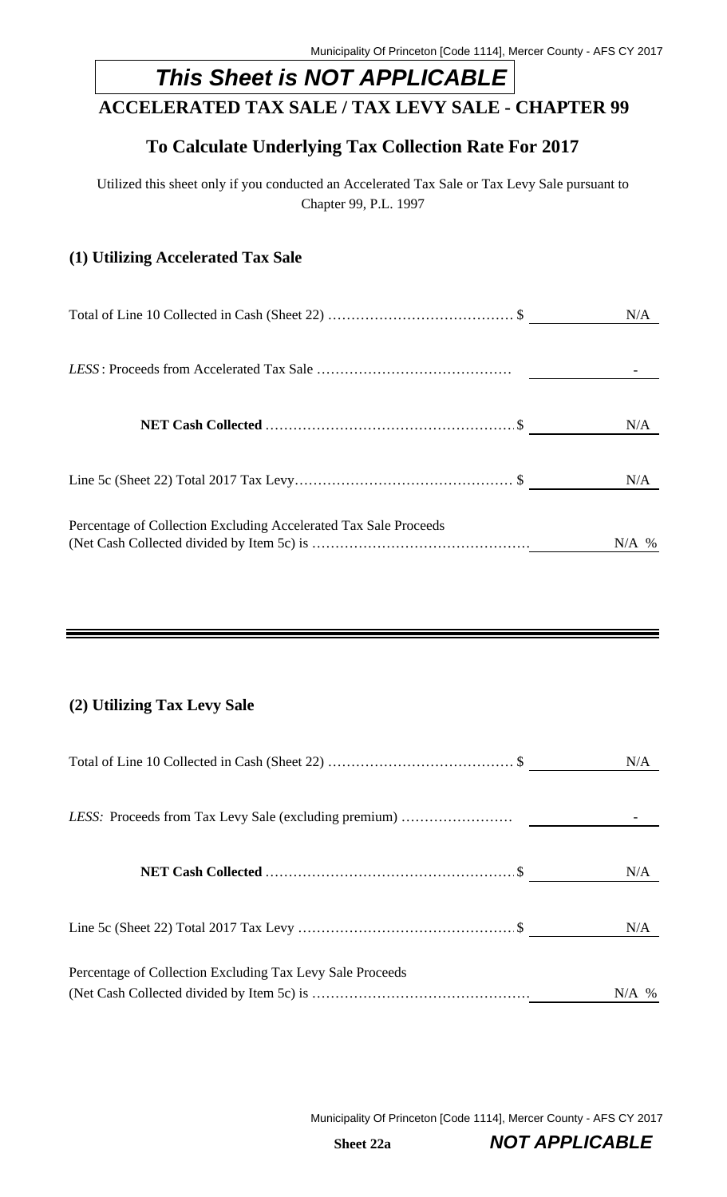# *This Sheet is NOT APPLICABLE*

# **ACCELERATED TAX SALE / TAX LEVY SALE - CHAPTER 99**

# **To Calculate Underlying Tax Collection Rate For 2017**

Utilized this sheet only if you conducted an Accelerated Tax Sale or Tax Levy Sale pursuant to Chapter 99, P.L. 1997

#### **(1) Utilizing Accelerated Tax Sale**

|                                                                  | N/A     |
|------------------------------------------------------------------|---------|
|                                                                  |         |
|                                                                  | N/A     |
|                                                                  | N/A     |
| Percentage of Collection Excluding Accelerated Tax Sale Proceeds | $N/A$ % |

## **(2) Utilizing Tax Levy Sale**

|                                                           | N/A     |
|-----------------------------------------------------------|---------|
| LESS: Proceeds from Tax Levy Sale (excluding premium)     |         |
|                                                           | N/A     |
|                                                           | N/A     |
| Percentage of Collection Excluding Tax Levy Sale Proceeds | $N/A$ % |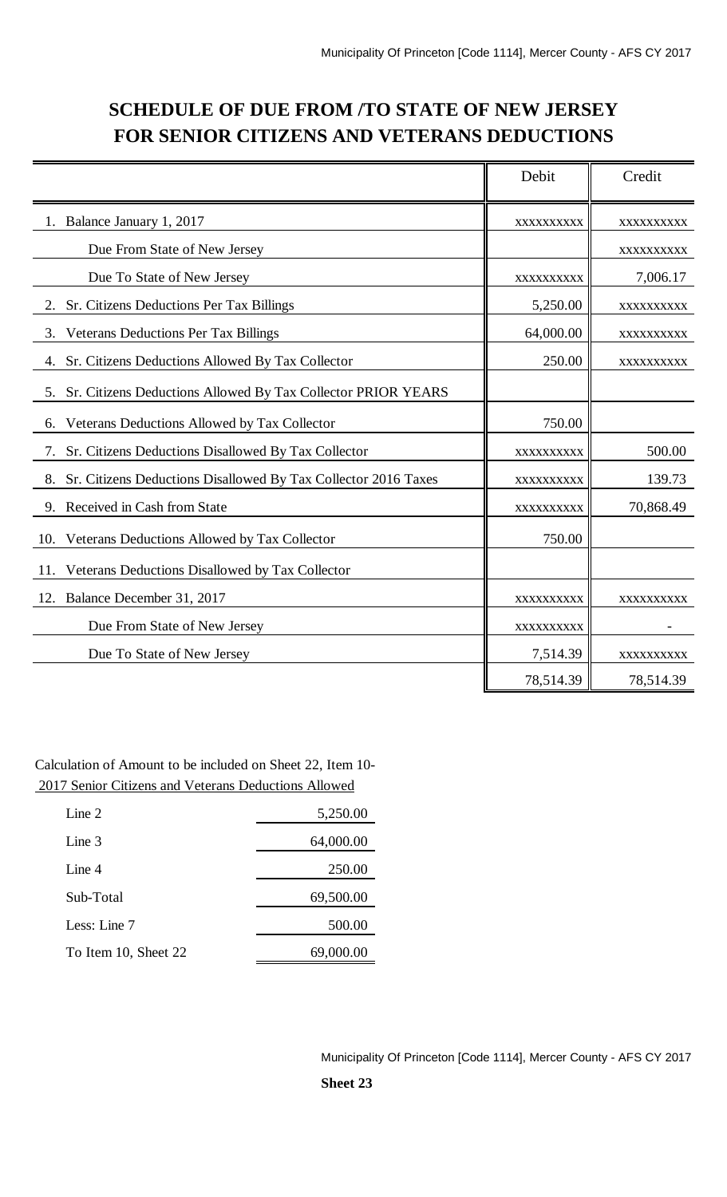# **SCHEDULE OF DUE FROM /TO STATE OF NEW JERSEY FOR SENIOR CITIZENS AND VETERANS DEDUCTIONS**

|                                                                      | Debit      | Credit     |
|----------------------------------------------------------------------|------------|------------|
| Balance January 1, 2017                                              | XXXXXXXXXX | XXXXXXXXXX |
| Due From State of New Jersey                                         |            | XXXXXXXXXX |
| Due To State of New Jersey                                           | XXXXXXXXXX | 7,006.17   |
| Sr. Citizens Deductions Per Tax Billings<br>2.                       | 5,250.00   | XXXXXXXXXX |
| <b>Veterans Deductions Per Tax Billings</b><br>3.                    | 64,000.00  | XXXXXXXXX  |
| Sr. Citizens Deductions Allowed By Tax Collector<br>4.               | 250.00     | XXXXXXXXXX |
| 5. Sr. Citizens Deductions Allowed By Tax Collector PRIOR YEARS      |            |            |
| Veterans Deductions Allowed by Tax Collector<br>6.                   | 750.00     |            |
| Sr. Citizens Deductions Disallowed By Tax Collector<br>7.            | XXXXXXXXXX | 500.00     |
| Sr. Citizens Deductions Disallowed By Tax Collector 2016 Taxes<br>8. | XXXXXXXXX  | 139.73     |
| Received in Cash from State<br>9.                                    | XXXXXXXXXX | 70,868.49  |
| Veterans Deductions Allowed by Tax Collector<br>10.                  | 750.00     |            |
| Veterans Deductions Disallowed by Tax Collector<br>11.               |            |            |
| Balance December 31, 2017<br>12.                                     | XXXXXXXXXX | XXXXXXXXXX |
| Due From State of New Jersey                                         | XXXXXXXXXX |            |
| Due To State of New Jersey                                           | 7,514.39   | XXXXXXXXXX |
|                                                                      | 78,514.39  | 78,514.39  |

Calculation of Amount to be included on Sheet 22, Item 10- 2017 Senior Citizens and Veterans Deductions Allowed

| Line $2$             | 5,250.00  |
|----------------------|-----------|
| Line 3               | 64,000.00 |
| Line $4$             | 250.00    |
| Sub-Total            | 69,500.00 |
| Less: Line 7         | 500.00    |
| To Item 10, Sheet 22 | 69,000.00 |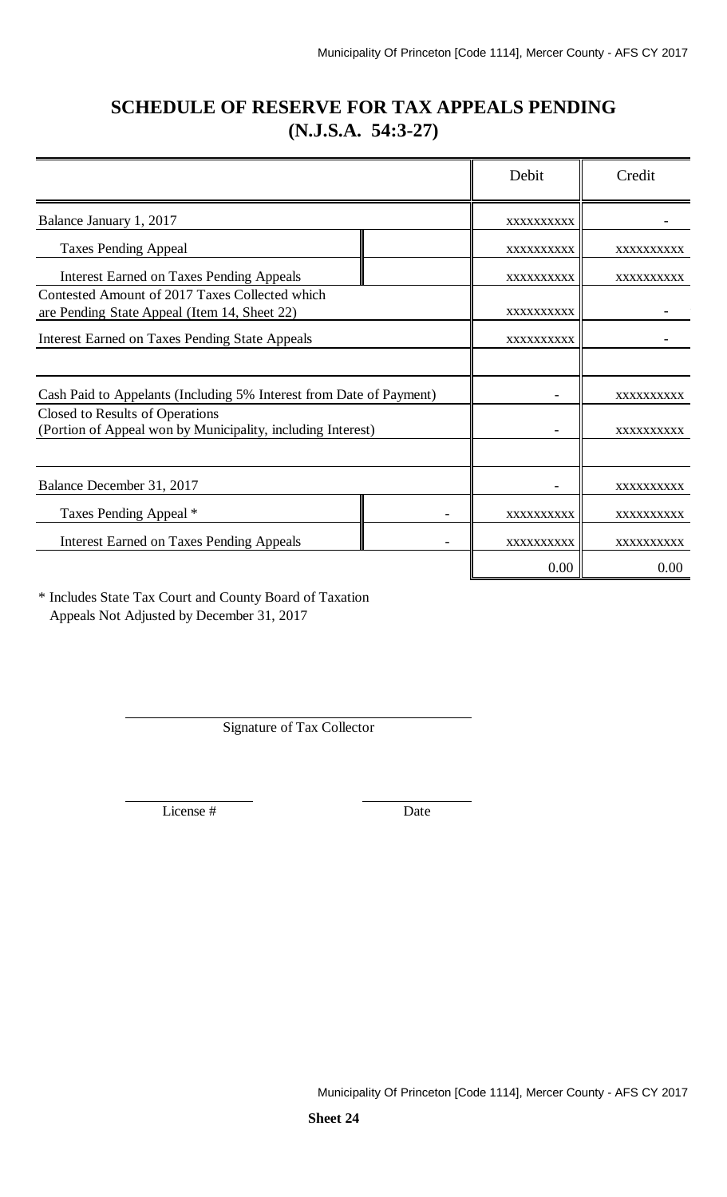# **SCHEDULE OF RESERVE FOR TAX APPEALS PENDING (N.J.S.A. 54:3-27)**

|                                                                                                | Debit      | Credit            |
|------------------------------------------------------------------------------------------------|------------|-------------------|
| Balance January 1, 2017                                                                        | XXXXXXXXXX |                   |
| <b>Taxes Pending Appeal</b>                                                                    | XXXXXXXXXX | XXXXXXXXXX        |
| <b>Interest Earned on Taxes Pending Appeals</b>                                                | XXXXXXXXXX | XXXXXXXXXX        |
| Contested Amount of 2017 Taxes Collected which                                                 |            |                   |
| are Pending State Appeal (Item 14, Sheet 22)                                                   | XXXXXXXXXX |                   |
| <b>Interest Earned on Taxes Pending State Appeals</b>                                          | XXXXXXXXXX |                   |
|                                                                                                |            |                   |
| Cash Paid to Appelants (Including 5% Interest from Date of Payment)                            |            | <b>XXXXXXXXXX</b> |
| Closed to Results of Operations<br>(Portion of Appeal won by Municipality, including Interest) |            | XXXXXXXXXX        |
|                                                                                                |            |                   |
| Balance December 31, 2017                                                                      |            | XXXXXXXXXX        |
| Taxes Pending Appeal *                                                                         | XXXXXXXXXX | XXXXXXXXXX        |
| <b>Interest Earned on Taxes Pending Appeals</b>                                                | XXXXXXXXXX | XXXXXXXXXX        |
|                                                                                                | 0.00       | 0.00              |

\* Includes State Tax Court and County Board of Taxation Appeals Not Adjusted by December 31, 2017

Signature of Tax Collector

License # Date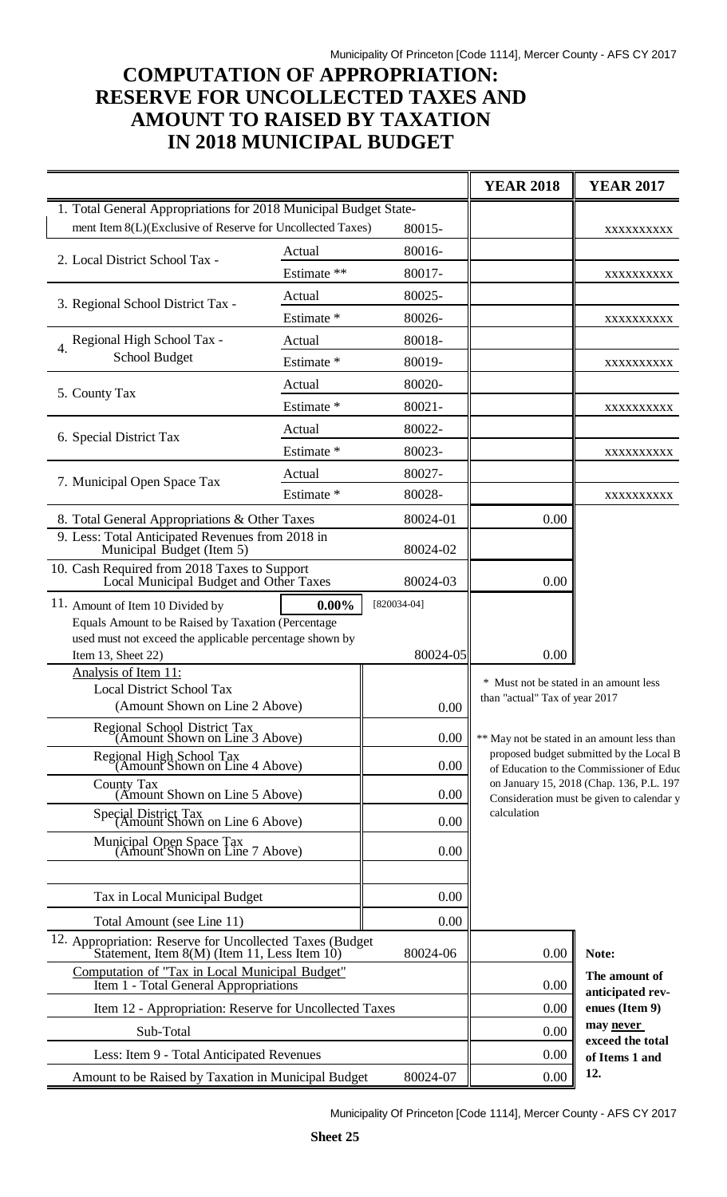# **COMPUTATION OF APPROPRIATION: RESERVE FOR UNCOLLECTED TAXES AND AMOUNT TO RAISED BY TAXATION IN 2018 MUNICIPAL BUDGET**

|                                                                                                          |             |                                   | <b>YEAR 2018</b>                                                                        | <b>YEAR 2017</b>                                                                      |  |
|----------------------------------------------------------------------------------------------------------|-------------|-----------------------------------|-----------------------------------------------------------------------------------------|---------------------------------------------------------------------------------------|--|
| 1. Total General Appropriations for 2018 Municipal Budget State-                                         |             |                                   |                                                                                         |                                                                                       |  |
| ment Item 8(L)(Exclusive of Reserve for Uncollected Taxes)                                               |             | 80015-                            |                                                                                         | XXXXXXXXX                                                                             |  |
| 2. Local District School Tax -                                                                           | Actual      | 80016-                            |                                                                                         |                                                                                       |  |
|                                                                                                          | Estimate ** | 80017-                            |                                                                                         | XXXXXXXXXX                                                                            |  |
| 3. Regional School District Tax -                                                                        | Actual      | 80025-                            |                                                                                         |                                                                                       |  |
|                                                                                                          | Estimate *  | 80026-                            |                                                                                         | XXXXXXXXXX                                                                            |  |
| 4. Regional High School Tax -                                                                            | Actual      | 80018-                            |                                                                                         |                                                                                       |  |
| <b>School Budget</b>                                                                                     | Estimate *  | 80019-                            |                                                                                         | XXXXXXXXXX                                                                            |  |
| 5. County Tax                                                                                            | Actual      | 80020-                            |                                                                                         |                                                                                       |  |
|                                                                                                          | Estimate *  | $80021 -$                         |                                                                                         | XXXXXXXXX                                                                             |  |
| 6. Special District Tax                                                                                  | Actual      | 80022-                            |                                                                                         |                                                                                       |  |
|                                                                                                          | Estimate *  | 80023-                            |                                                                                         | XXXXXXXXXX                                                                            |  |
| 7. Municipal Open Space Tax                                                                              | Actual      | 80027-                            |                                                                                         |                                                                                       |  |
|                                                                                                          | Estimate *  | 80028-                            |                                                                                         | XXXXXXXXX                                                                             |  |
| 8. Total General Appropriations & Other Taxes                                                            |             | 80024-01                          | 0.00                                                                                    |                                                                                       |  |
| 9. Less: Total Anticipated Revenues from 2018 in<br>Municipal Budget (Item 5)                            |             | 80024-02                          |                                                                                         |                                                                                       |  |
| 10. Cash Required from 2018 Taxes to Support<br>Local Municipal Budget and Other Taxes                   |             | 80024-03                          | 0.00                                                                                    |                                                                                       |  |
| 11. Amount of Item 10 Divided by<br>Equals Amount to be Raised by Taxation (Percentage                   | $0.00\%$    | $[820034-04]$                     |                                                                                         |                                                                                       |  |
| used must not exceed the applicable percentage shown by<br>Item 13, Sheet 22)                            |             | 80024-05                          | 0.00                                                                                    |                                                                                       |  |
| Analysis of Item 11:                                                                                     |             |                                   | * Must not be stated in an amount less                                                  |                                                                                       |  |
| <b>Local District School Tax</b>                                                                         |             |                                   | than "actual" Tax of year 2017                                                          |                                                                                       |  |
| (Amount Shown on Line 2 Above)                                                                           |             | $0.00\,$                          |                                                                                         |                                                                                       |  |
| Regional School District Tax<br>(Amount Shown on Line 3 Above)                                           |             | 0.00                              | ** May not be stated in an amount less than<br>proposed budget submitted by the Local B |                                                                                       |  |
| Regional High School Tax<br>(Amount Shown on Line 4 Above)                                               |             | 0.00                              |                                                                                         | of Education to the Commissioner of Educ                                              |  |
| County Tax<br>(Amount Shown on Line 5 Above)                                                             |             | 0.00                              |                                                                                         | on January 15, 2018 (Chap. 136, P.L. 197<br>Consideration must be given to calendar y |  |
| Special District Tax<br>(Amount Shown on Line 6 Above)                                                   |             | 0.00                              | calculation                                                                             |                                                                                       |  |
| Municipal Open Space Tax<br>(Amount Shown on Line 7 Above)                                               |             | 0.00                              |                                                                                         |                                                                                       |  |
|                                                                                                          |             |                                   |                                                                                         |                                                                                       |  |
| Tax in Local Municipal Budget                                                                            |             | 0.00                              |                                                                                         |                                                                                       |  |
| Total Amount (see Line 11)                                                                               |             | 0.00                              |                                                                                         |                                                                                       |  |
| 12. Appropriation: Reserve for Uncollected Taxes (Budget<br>Statement, Item 8(M) (Item 11, Less Item 10) |             | 80024-06                          | 0.00                                                                                    | Note:                                                                                 |  |
| Computation of "Tax in Local Municipal Budget"<br>Item 1 - Total General Appropriations                  | 0.00        | The amount of<br>anticipated rev- |                                                                                         |                                                                                       |  |
| Item 12 - Appropriation: Reserve for Uncollected Taxes                                                   | 0.00        | enues (Item 9)                    |                                                                                         |                                                                                       |  |
| Sub-Total                                                                                                |             |                                   | 0.00                                                                                    | may never<br>exceed the total                                                         |  |
| Less: Item 9 - Total Anticipated Revenues                                                                |             | 0.00                              | of Items 1 and                                                                          |                                                                                       |  |
| Amount to be Raised by Taxation in Municipal Budget                                                      |             | 80024-07                          | 0.00                                                                                    | 12.                                                                                   |  |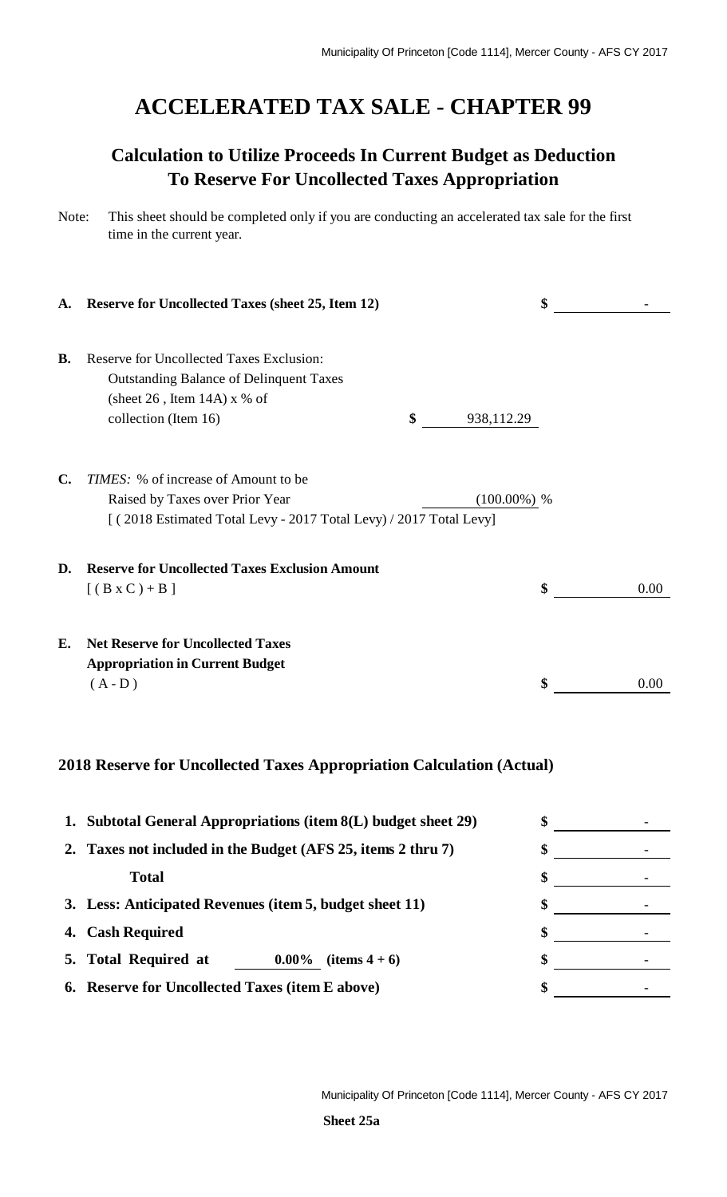# **ACCELERATED TAX SALE - CHAPTER 99**

# **Calculation to Utilize Proceeds In Current Budget as Deduction To Reserve For Uncollected Taxes Appropriation**

| A.             | <b>Reserve for Uncollected Taxes (sheet 25, Item 12)</b>                                                                        |                  | \$         |
|----------------|---------------------------------------------------------------------------------------------------------------------------------|------------------|------------|
| <b>B.</b>      | Reserve for Uncollected Taxes Exclusion:<br><b>Outstanding Balance of Delinquent Taxes</b><br>(sheet $26$ , Item $14A$ ) x % of |                  |            |
|                | collection (Item 16)                                                                                                            | \$<br>938,112.29 |            |
| $\mathbf{C}$ . | TIMES: % of increase of Amount to be                                                                                            |                  |            |
|                | Raised by Taxes over Prior Year<br>[(2018 Estimated Total Levy - 2017 Total Levy) / 2017 Total Levy]                            | $(100.00\%)$ %   |            |
| D.             | <b>Reserve for Uncollected Taxes Exclusion Amount</b>                                                                           |                  |            |
|                | $[(B \times C) + B]$                                                                                                            |                  | \$<br>0.00 |
| <b>E.</b>      | <b>Net Reserve for Uncollected Taxes</b><br><b>Appropriation in Current Budget</b>                                              |                  |            |
|                | $(A - D)$                                                                                                                       |                  | \$<br>0.00 |
|                |                                                                                                                                 |                  |            |
|                | 2018 Reserve for Uncollected Taxes Appropriation Calculation (Actual)                                                           |                  |            |

# **1. Subtotal General Appropriations (item 8(L) budget sheet 29) \$** - **2. Taxes not included in the Budget (AFS 25, items 2 thru 7) \$** - **Total \$** - **3. Less: Anticipated Revenues (item 5, budget sheet 11) \$** - **4. Cash Required \$** - **5.** Total Required at <u>0.00%</u> (items 4 + 6) \$ **6. Reserve for Uncollected Taxes (item E above) \$** -

Note: This sheet should be completed only if you are conducting an accelerated tax sale for the first time in the current year.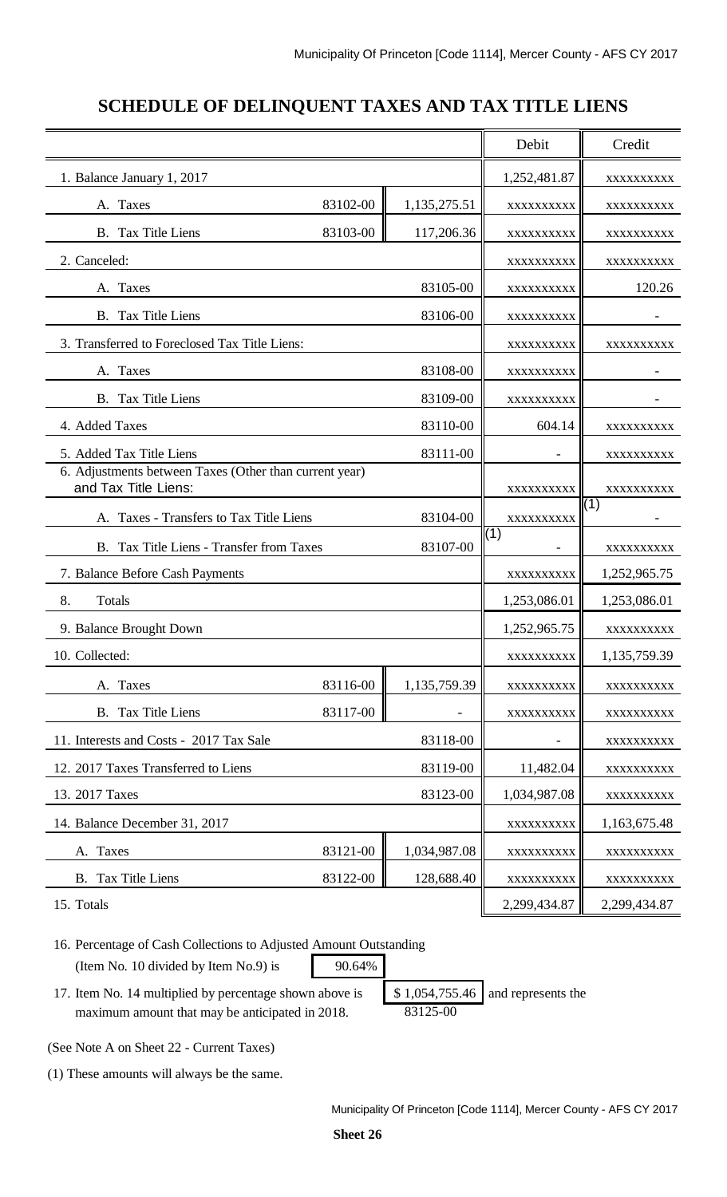# **SCHEDULE OF DELINQUENT TAXES AND TAX TITLE LIENS**

|                                                                                |            | Debit        | Credit       |              |
|--------------------------------------------------------------------------------|------------|--------------|--------------|--------------|
| 1. Balance January 1, 2017                                                     |            |              | 1,252,481.87 | XXXXXXXXX    |
| A. Taxes                                                                       | 83102-00   | 1,135,275.51 | XXXXXXXXXX   | XXXXXXXXX    |
| B. Tax Title Liens                                                             | 83103-00   | 117,206.36   | XXXXXXXXXX   | XXXXXXXXX    |
| 2. Canceled:                                                                   |            |              | XXXXXXXXX    | XXXXXXXXX    |
| A. Taxes                                                                       |            | 83105-00     | XXXXXXXXXX   | 120.26       |
| <b>B.</b> Tax Title Liens                                                      |            | 83106-00     | XXXXXXXXXX   |              |
| 3. Transferred to Foreclosed Tax Title Liens:                                  |            |              | XXXXXXXXX    | XXXXXXXXX    |
| A. Taxes                                                                       |            | 83108-00     | XXXXXXXXX    |              |
| <b>B.</b> Tax Title Liens                                                      |            | 83109-00     | XXXXXXXXXX   |              |
| 4. Added Taxes                                                                 |            | 83110-00     | 604.14       | XXXXXXXXX    |
| 5. Added Tax Title Liens                                                       |            | 83111-00     |              | XXXXXXXXXX   |
| 6. Adjustments between Taxes (Other than current year)<br>and Tax Title Liens: |            |              | XXXXXXXXXX   | XXXXXXXXX    |
| A. Taxes - Transfers to Tax Title Liens                                        | XXXXXXXXXX | (1)          |              |              |
| 83104-00<br>B. Tax Title Liens - Transfer from Taxes<br>83107-00               |            | (1)          | XXXXXXXXXX   |              |
| 7. Balance Before Cash Payments                                                |            | XXXXXXXXXX   | 1,252,965.75 |              |
| 8.<br>Totals                                                                   |            | 1,253,086.01 | 1,253,086.01 |              |
| 9. Balance Brought Down                                                        |            |              | 1,252,965.75 | XXXXXXXXXX   |
| 10. Collected:                                                                 |            |              | XXXXXXXXX    | 1,135,759.39 |
| A. Taxes                                                                       | 83116-00   | 1,135,759.39 | XXXXXXXXXX   | XXXXXXXXX    |
| B. Tax Title Liens                                                             | 83117-00   |              | XXXXXXXXXX   | XXXXXXXXX    |
| 11. Interests and Costs - 2017 Tax Sale                                        |            | 83118-00     |              | XXXXXXXXX    |
| 12. 2017 Taxes Transferred to Liens<br>83119-00                                |            |              | 11,482.04    | XXXXXXXXXX   |
| 13. 2017 Taxes<br>83123-00                                                     |            |              | 1,034,987.08 | XXXXXXXXX    |
| 14. Balance December 31, 2017                                                  |            |              | XXXXXXXXXX   | 1,163,675.48 |
| Taxes<br>А.                                                                    | 83121-00   | 1,034,987.08 | XXXXXXXXX    | XXXXXXXXX    |
| Tax Title Liens<br>В.                                                          | 83122-00   | 128,688.40   | XXXXXXXXX    | XXXXXXXXX    |
| 15. Totals                                                                     |            |              | 2,299,434.87 | 2,299,434.87 |

16. Percentage of Cash Collections to Adjusted Amount Outstanding (Item No. 10 divided by Item No.9) is 90.64%

17. Item No. 14 multiplied by percentage shown above is  $\frac{1}{10}$  \$ 1,054,755.46 and represents the maximum amount that may be anticipated in 2018. 83125-00

(See Note A on Sheet 22 - Current Taxes)

(1) These amounts will always be the same.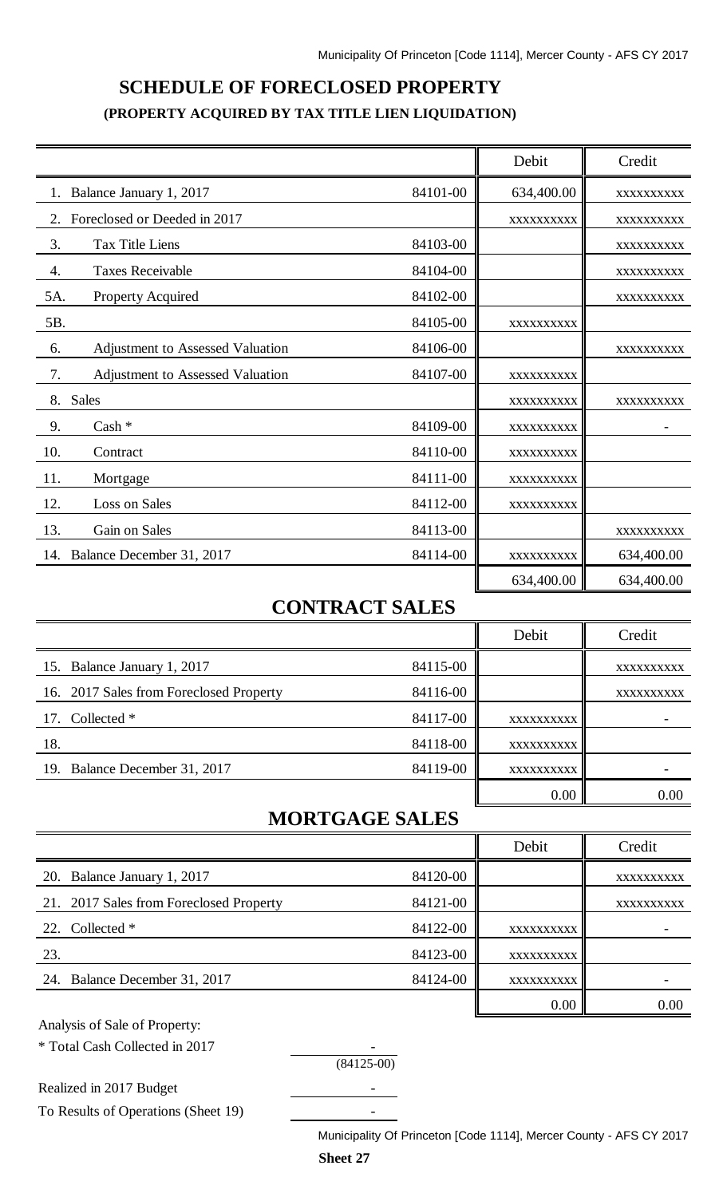# **SCHEDULE OF FORECLOSED PROPERTY (PROPERTY ACQUIRED BY TAX TITLE LIEN LIQUIDATION)**

|                                        |          | Debit      | Credit     |
|----------------------------------------|----------|------------|------------|
| Balance January 1, 2017                | 84101-00 | 634,400.00 | XXXXXXXXXX |
| Foreclosed or Deeded in 2017<br>2.     |          | XXXXXXXXXX | XXXXXXXXXX |
| 3.<br><b>Tax Title Liens</b>           | 84103-00 |            | XXXXXXXXXX |
| 4.<br><b>Taxes Receivable</b>          | 84104-00 |            | XXXXXXXXXX |
| 5A.<br><b>Property Acquired</b>        | 84102-00 |            | XXXXXXXXXX |
| 5B.                                    | 84105-00 | XXXXXXXXXX |            |
| Adjustment to Assessed Valuation<br>6. | 84106-00 |            | XXXXXXXXXX |
| 7.<br>Adjustment to Assessed Valuation | 84107-00 | XXXXXXXXXX |            |
| 8.<br><b>Sales</b>                     |          | XXXXXXXXXX | XXXXXXXXXX |
| 9.<br>$Cash *$                         | 84109-00 | XXXXXXXXXX |            |
| 10.<br>Contract                        | 84110-00 | XXXXXXXXXX |            |
| 11.<br>Mortgage                        | 84111-00 | XXXXXXXXXX |            |
| 12.<br>Loss on Sales                   | 84112-00 | XXXXXXXXXX |            |
| 13.<br>Gain on Sales                   | 84113-00 |            | XXXXXXXXXX |
| 14. Balance December 31, 2017          | 84114-00 | XXXXXXXXXX | 634,400.00 |
|                                        |          | 634,400.00 | 634,400.00 |

# **CONTRACT SALES**

|                                         |          | Debit      | Credit     |
|-----------------------------------------|----------|------------|------------|
| 15. Balance January 1, 2017             | 84115-00 |            | XXXXXXXXXX |
| 16. 2017 Sales from Foreclosed Property | 84116-00 |            | XXXXXXXXXX |
| 17. Collected *                         | 84117-00 | XXXXXXXXXX |            |
| 18.                                     | 84118-00 | XXXXXXXXXX |            |
| 19. Balance December 31, 2017           | 84119-00 | XXXXXXXXXX |            |
|                                         |          | 0.00       | 0.00       |

# **MORTGAGE SALES**

|                                         |          | Debit      | Credit     |
|-----------------------------------------|----------|------------|------------|
| 20. Balance January 1, 2017             | 84120-00 |            | XXXXXXXXXX |
| 21. 2017 Sales from Foreclosed Property | 84121-00 |            | XXXXXXXXXX |
| 22. Collected *                         | 84122-00 | XXXXXXXXXX |            |
| 23.                                     | 84123-00 | XXXXXXXXXX |            |
| 24. Balance December 31, 2017           | 84124-00 | XXXXXXXXXX |            |
|                                         |          | 0.00       | 0.00       |

(84125-00)

Analysis of Sale of Property:

\* Total Cash Collected in 2017 -

Realized in 2017 Budget

To Results of Operations (Sheet 19) -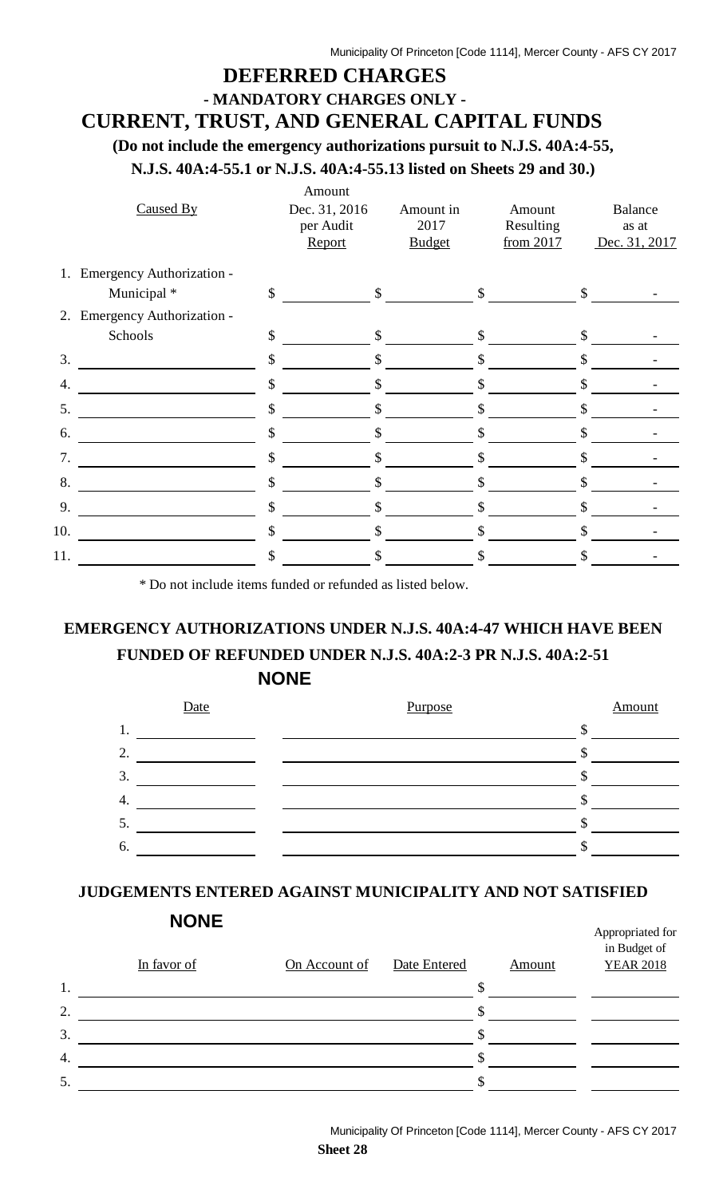## **DEFERRED CHARGES - MANDATORY CHARGES ONLY -**

## **CURRENT, TRUST, AND GENERAL CAPITAL FUNDS**

**(Do not include the emergency authorizations pursuit to N.J.S. 40A:4-55,**

**N.J.S. 40A:4-55.1 or N.J.S. 40A:4-55.13 listed on Sheets 29 and 30.)**

|     | Caused By                    |               | Amount<br>Dec. 31, 2016<br>per Audit<br>Report | Amount in<br>2017<br><b>Budget</b> |              | Amount<br>Resulting<br>from 2017 |              | <b>Balance</b><br>as at<br>Dec. 31, 2017 |
|-----|------------------------------|---------------|------------------------------------------------|------------------------------------|--------------|----------------------------------|--------------|------------------------------------------|
|     | 1. Emergency Authorization - |               |                                                |                                    |              |                                  |              |                                          |
|     | Municipal *                  | $\mathcal{S}$ | $\mathbb{S}$                                   |                                    | $\mathbb{S}$ |                                  | $\mathbb{S}$ |                                          |
|     | 2. Emergency Authorization - |               |                                                |                                    |              |                                  |              |                                          |
|     | Schools                      | \$            | \$                                             |                                    | $\mathbb{S}$ |                                  | \$           |                                          |
| 3.  |                              | \$            | \$                                             |                                    | \$           |                                  | S            |                                          |
| 4.  |                              | \$            | \$                                             |                                    |              |                                  | \$           |                                          |
| 5.  |                              | \$            | \$                                             |                                    | S            |                                  |              |                                          |
| 6.  |                              | \$            | \$                                             |                                    |              |                                  |              |                                          |
| 7.  |                              | \$            |                                                |                                    |              |                                  |              |                                          |
| 8.  |                              | \$            | \$                                             |                                    | S            |                                  | S            |                                          |
| 9.  |                              | \$            | \$                                             |                                    |              |                                  | S            |                                          |
| 10. |                              | \$            | \$                                             |                                    | S            |                                  |              |                                          |
| 11. |                              | \$            |                                                |                                    |              |                                  |              |                                          |

\* Do not include items funded or refunded as listed below.

# **EMERGENCY AUTHORIZATIONS UNDER N.J.S. 40A:4-47 WHICH HAVE BEEN FUNDED OF REFUNDED UNDER N.J.S. 40A:2-3 PR N.J.S. 40A:2-51 NONE**



## **JUDGEMENTS ENTERED AGAINST MUNICIPALITY AND NOT SATISFIED**

|                  | In favor of | On Account of | Date Entered | Amount | in Budget of<br><b>YEAR 2018</b> |
|------------------|-------------|---------------|--------------|--------|----------------------------------|
| 1.               |             |               |              |        |                                  |
| 2.               |             |               |              |        |                                  |
| 3.               |             |               |              |        |                                  |
| $\overline{4}$ . |             |               |              |        |                                  |
| 5.               |             |               |              |        |                                  |

Appropriated for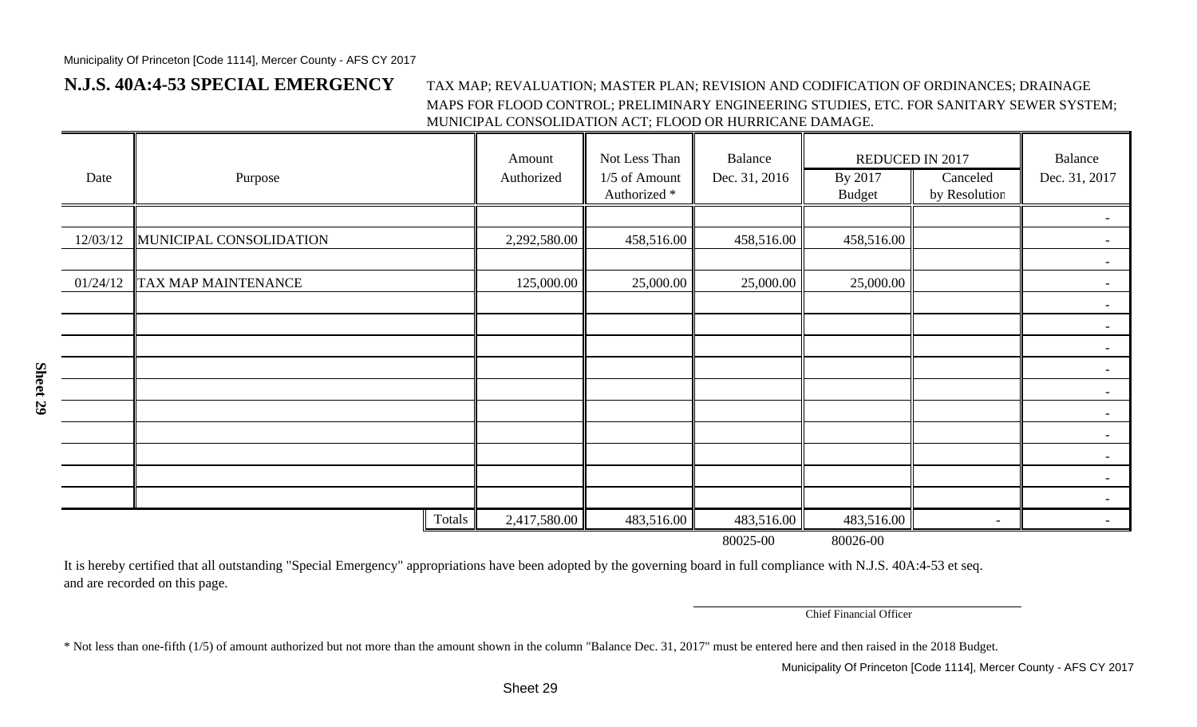## **N.J.S. 40A:4-53 SPECIAL EMERGENCY**

#### TAX MAP; REVALUATION; MASTER PLAN; REVISION AND CODIFICATION OF ORDINANCES; DRAINAGE MAPS FOR FLOOD CONTROL; PRELIMINARY ENGINEERING STUDIES, ETC. FOR SANITARY SEWER SYSTEM; MUNICIPAL CONSOLIDATION ACT; FLOOD OR HURRICANE DAMAGE.

| Date     | Purpose                 |        | Amount<br>Authorized | Not Less Than<br>1/5 of Amount<br>Authorized <sup>*</sup> | <b>Balance</b><br>Dec. 31, 2016 | <b>REDUCED IN 2017</b><br>By 2017<br><b>Budget</b> | Canceled<br>by Resolution | Balance<br>Dec. 31, 2017 |
|----------|-------------------------|--------|----------------------|-----------------------------------------------------------|---------------------------------|----------------------------------------------------|---------------------------|--------------------------|
|          |                         |        |                      |                                                           |                                 |                                                    |                           |                          |
| 12/03/12 | MUNICIPAL CONSOLIDATION |        | 2,292,580.00         | 458,516.00                                                | 458,516.00                      | 458,516.00                                         |                           | $\blacksquare$           |
|          |                         |        |                      |                                                           |                                 |                                                    |                           | $\blacksquare$           |
| 01/24/12 | TAX MAP MAINTENANCE     |        | 125,000.00           | 25,000.00                                                 | 25,000.00                       | 25,000.00                                          |                           | $\blacksquare$           |
|          |                         |        |                      |                                                           |                                 |                                                    |                           | $\overline{\phantom{a}}$ |
|          |                         |        |                      |                                                           |                                 |                                                    |                           |                          |
|          |                         |        |                      |                                                           |                                 |                                                    |                           |                          |
|          |                         |        |                      |                                                           |                                 |                                                    |                           | $\blacksquare$           |
|          |                         |        |                      |                                                           |                                 |                                                    |                           |                          |
|          |                         |        |                      |                                                           |                                 |                                                    |                           |                          |
|          |                         |        |                      |                                                           |                                 |                                                    |                           |                          |
|          |                         |        |                      |                                                           |                                 |                                                    |                           |                          |
|          |                         |        |                      |                                                           |                                 |                                                    |                           |                          |
|          |                         |        |                      |                                                           |                                 |                                                    |                           | $\blacksquare$           |
|          |                         | Totals | 2,417,580.00         | 483,516.00                                                | 483,516.00                      | 483,516.00                                         | $\overline{\phantom{a}}$  |                          |
|          |                         |        |                      |                                                           | 80025-00                        | 80026-00                                           |                           |                          |

It is hereby certified that all outstanding "Special Emergency" appropriations have been adopted by the governing board in full compliance with N.J.S. 40A:4-53 et seq. and are recorded on this page.

Chief Financial Officer

\* Not less than one-fifth (1/5) of amount authorized but not more than the amount shown in the column "Balance Dec. 31, 2017" must be entered here and then raised in the 2018 Budget.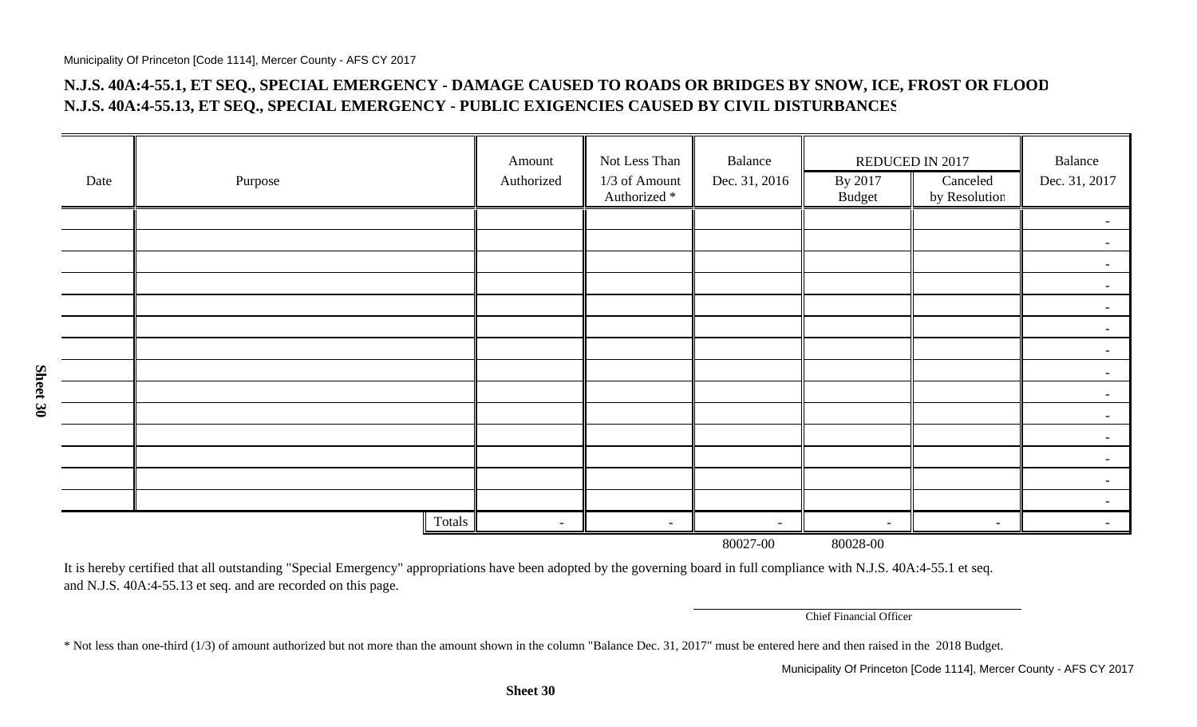**Sheet 30**

## **N.J.S. 40A:4-55.1, ET SEQ., SPECIAL EMERGENCY - DAMAGE CAUSED TO ROADS OR BRIDGES BY SNOW, ICE, FROST OR FLOO D N.J.S. 40A:4-55.13, ET SEQ., SPECIAL EMERGENCY - PUBLIC EXIGENCIES CAUSED BY CIVIL DISTURBANCE S**

|      |               | Amount     | Not Less Than                            | Balance       | REDUCED IN 2017          |                           | Balance                  |
|------|---------------|------------|------------------------------------------|---------------|--------------------------|---------------------------|--------------------------|
| Date | Purpose       | Authorized | 1/3 of Amount<br>Authorized <sup>*</sup> | Dec. 31, 2016 | By 2017<br>Budget        | Canceled<br>by Resolution | Dec. 31, 2017            |
|      |               |            |                                          |               |                          |                           |                          |
|      |               |            |                                          |               |                          |                           |                          |
|      |               |            |                                          |               |                          |                           | $\sim$                   |
|      |               |            |                                          |               |                          |                           |                          |
|      |               |            |                                          |               |                          |                           |                          |
|      |               |            |                                          |               |                          |                           |                          |
|      |               |            |                                          |               |                          |                           | $\sim$                   |
|      |               |            |                                          |               |                          |                           | $\overline{\phantom{0}}$ |
|      |               |            |                                          |               |                          |                           | $\overline{\phantom{0}}$ |
|      |               |            |                                          |               |                          |                           |                          |
|      |               |            |                                          |               |                          |                           | $\sim$                   |
|      |               |            |                                          |               |                          |                           |                          |
|      |               |            |                                          |               |                          |                           |                          |
|      |               |            |                                          |               |                          |                           | $\overline{\phantom{0}}$ |
|      | <b>Totals</b> | $\sim$     | $\sim$                                   | $\sim$        | $\overline{\phantom{a}}$ | $\sim$                    |                          |
|      |               |            |                                          | 80027-00      | 80028-00                 |                           |                          |

It is hereby certified that all outstanding "Special Emergency" appropriations have been adopted by the governing board in full compliance with N.J.S. 40A:4-55.1 et seq. and N.J.S. 40A:4-55.13 et seq. and are recorded on this page.

Chief Financial Officer

\* Not less than one-third (1/3) of amount authorized but not more than the amount shown in the column "Balance Dec. 31, 2017" must be entered here and then raised in the 2018 Budget.

**Sheet 30**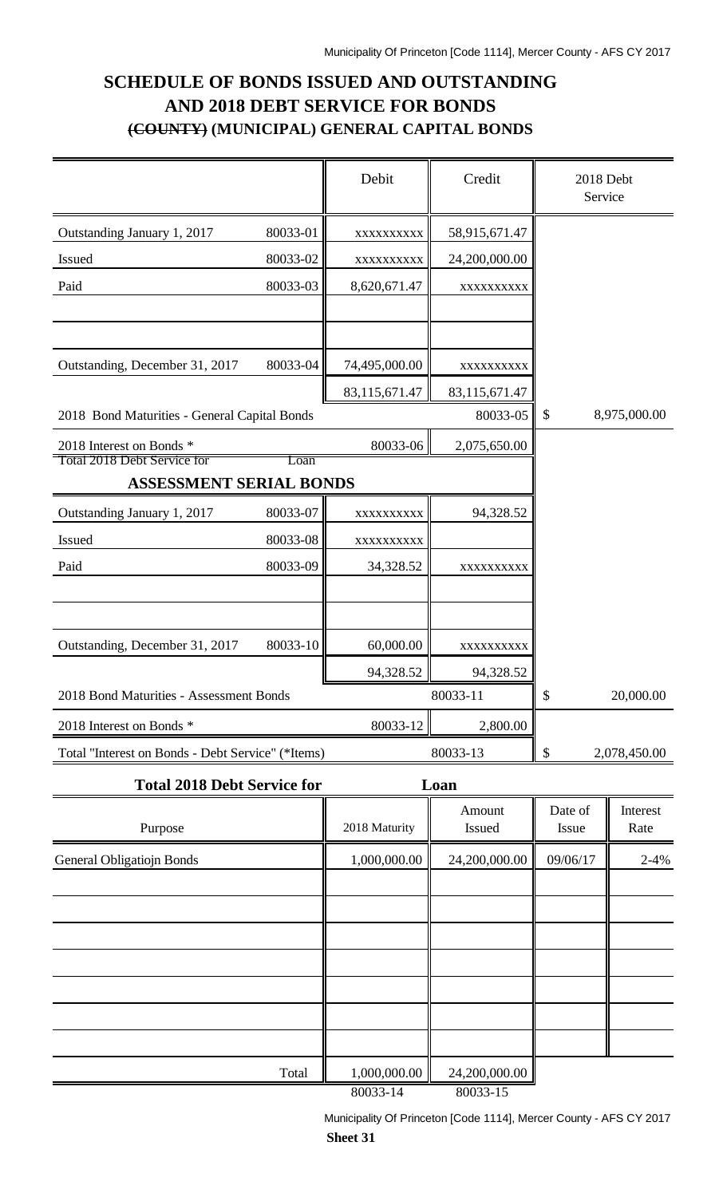## **SCHEDULE OF BONDS ISSUED AND OUTSTANDING AND 2018 DEBT SERVICE FOR BONDS (COUNTY) (MUNICIPAL) GENERAL CAPITAL BONDS**

|                                                                |          | Debit         | Credit           | 2018 Debt<br>Service      |                  |
|----------------------------------------------------------------|----------|---------------|------------------|---------------------------|------------------|
| Outstanding January 1, 2017                                    | 80033-01 | XXXXXXXXXX    | 58,915,671.47    |                           |                  |
| Issued                                                         | 80033-02 | XXXXXXXXX     | 24,200,000.00    |                           |                  |
| Paid                                                           | 80033-03 | 8,620,671.47  | XXXXXXXXXX       |                           |                  |
|                                                                |          |               |                  |                           |                  |
|                                                                |          |               |                  |                           |                  |
| Outstanding, December 31, 2017                                 | 80033-04 | 74,495,000.00 | XXXXXXXXXX       |                           |                  |
|                                                                |          | 83,115,671.47 | 83,115,671.47    |                           |                  |
| 2018 Bond Maturities - General Capital Bonds                   |          |               | 80033-05         | $\boldsymbol{\mathsf{S}}$ | 8,975,000.00     |
| 2018 Interest on Bonds *<br><b>Total 2018 Debt Service for</b> |          | 80033-06      | 2,075,650.00     |                           |                  |
| <b>ASSESSMENT SERIAL BONDS</b>                                 | Loan     |               |                  |                           |                  |
| Outstanding January 1, 2017                                    | 80033-07 | XXXXXXXXX     | 94,328.52        |                           |                  |
| <b>Issued</b>                                                  | 80033-08 | XXXXXXXXX     |                  |                           |                  |
| Paid                                                           | 80033-09 | 34,328.52     | XXXXXXXXXX       |                           |                  |
|                                                                |          |               |                  |                           |                  |
|                                                                |          |               |                  |                           |                  |
| Outstanding, December 31, 2017                                 | 80033-10 | 60,000.00     | XXXXXXXXX        |                           |                  |
|                                                                |          | 94,328.52     | 94,328.52        |                           |                  |
| 2018 Bond Maturities - Assessment Bonds                        |          |               | 80033-11         | \$                        | 20,000.00        |
| 2018 Interest on Bonds *                                       |          | 80033-12      | 2,800.00         |                           |                  |
| Total "Interest on Bonds - Debt Service" (*Items)              |          |               | 80033-13         | \$                        | 2,078,450.00     |
| <b>Total 2018 Debt Service for</b>                             |          |               | Loan             |                           |                  |
| Purpose                                                        |          | 2018 Maturity | Amount<br>Issued | Date of<br>Issue          | Interest<br>Rate |
|                                                                |          |               |                  |                           |                  |
| <b>General Obligatiojn Bonds</b>                               |          | 1,000,000.00  | 24,200,000.00    | 09/06/17                  | $2 - 4%$         |
|                                                                |          |               |                  |                           |                  |
|                                                                |          |               |                  |                           |                  |
|                                                                |          |               |                  |                           |                  |
|                                                                |          |               |                  |                           |                  |

Total 1,000,000.00 24,200,000.00 80033-14 80033-15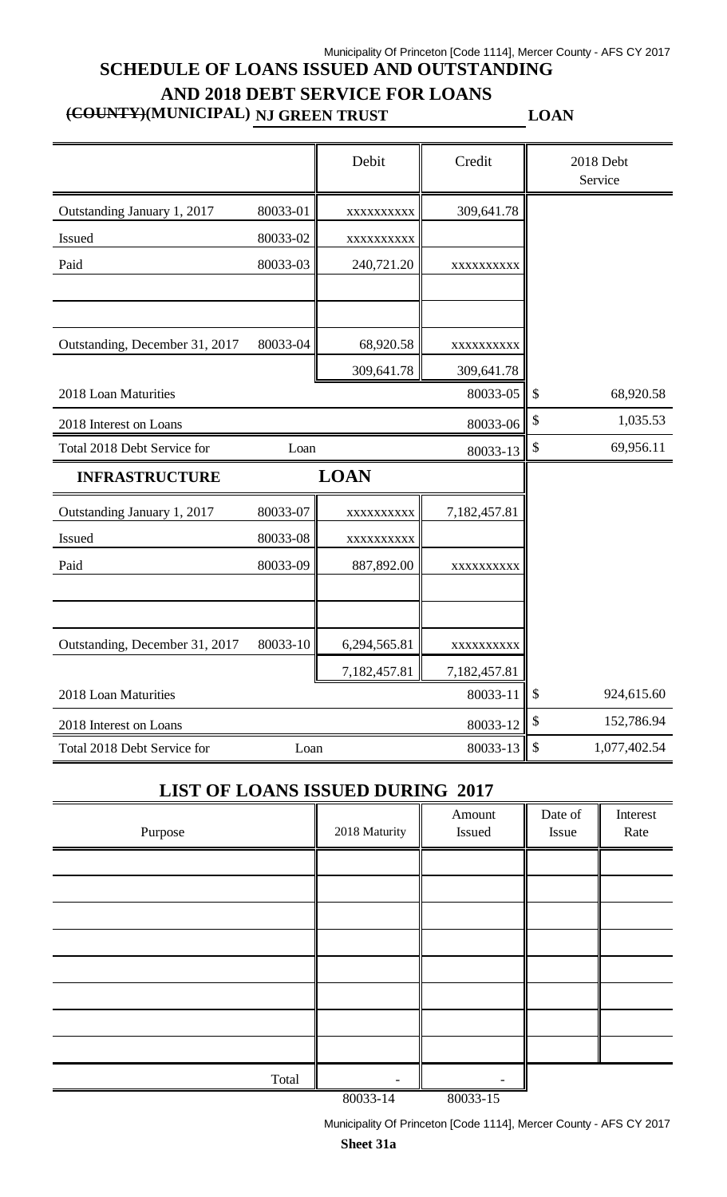## Municipality Of Princeton [Code 1114], Mercer County - AFS CY 2017 **SCHEDULE OF LOANS ISSUED AND OUTSTANDING AND 2018 DEBT SERVICE FOR LOANS**

**(COUNTY)(MUNICIPAL) NJ GREEN TRUST LOAN**

|                                |          | Debit        | Credit       |                            | 2018 Debt<br>Service |
|--------------------------------|----------|--------------|--------------|----------------------------|----------------------|
| Outstanding January 1, 2017    | 80033-01 | XXXXXXXXX    | 309,641.78   |                            |                      |
| Issued                         | 80033-02 | XXXXXXXXX    |              |                            |                      |
| Paid                           | 80033-03 | 240,721.20   | XXXXXXXXX    |                            |                      |
|                                |          |              |              |                            |                      |
| Outstanding, December 31, 2017 | 80033-04 | 68,920.58    | XXXXXXXXX    |                            |                      |
|                                |          | 309,641.78   | 309,641.78   |                            |                      |
| 2018 Loan Maturities           |          |              | 80033-05     | $\boldsymbol{\mathcal{S}}$ | 68,920.58            |
| 2018 Interest on Loans         |          |              | 80033-06     | \$                         | 1,035.53             |
| Total 2018 Debt Service for    | Loan     |              | 80033-13     | \$                         | 69,956.11            |
| <b>INFRASTRUCTURE</b>          |          | <b>LOAN</b>  |              |                            |                      |
| Outstanding January 1, 2017    | 80033-07 | XXXXXXXXX    | 7,182,457.81 |                            |                      |
| Issued                         | 80033-08 | XXXXXXXXXX   |              |                            |                      |
| Paid                           | 80033-09 | 887,892.00   | XXXXXXXXXX   |                            |                      |
|                                |          |              |              |                            |                      |
| Outstanding, December 31, 2017 | 80033-10 | 6,294,565.81 | XXXXXXXXX    |                            |                      |
|                                |          | 7,182,457.81 | 7,182,457.81 |                            |                      |
| 2018 Loan Maturities           |          |              | 80033-11     | $\boldsymbol{\mathsf{S}}$  | 924,615.60           |
| 2018 Interest on Loans         |          |              | 80033-12     | \$                         | 152,786.94           |
| Total 2018 Debt Service for    | Loan     |              | 80033-13     | $\boldsymbol{\mathsf{S}}$  | 1,077,402.54         |

## **LIST OF LOANS ISSUED DURING 2017**

| Purpose | 2018 Maturity | Amount<br>Issued | Date of<br>Issue | Interest<br>Rate |
|---------|---------------|------------------|------------------|------------------|
|         |               |                  |                  |                  |
|         |               |                  |                  |                  |
|         |               |                  |                  |                  |
|         |               |                  |                  |                  |
|         |               |                  |                  |                  |
|         |               |                  |                  |                  |
|         |               |                  |                  |                  |
|         |               |                  |                  |                  |
| Total   | 0000011       | 0000015          |                  |                  |

80033-14 80033-15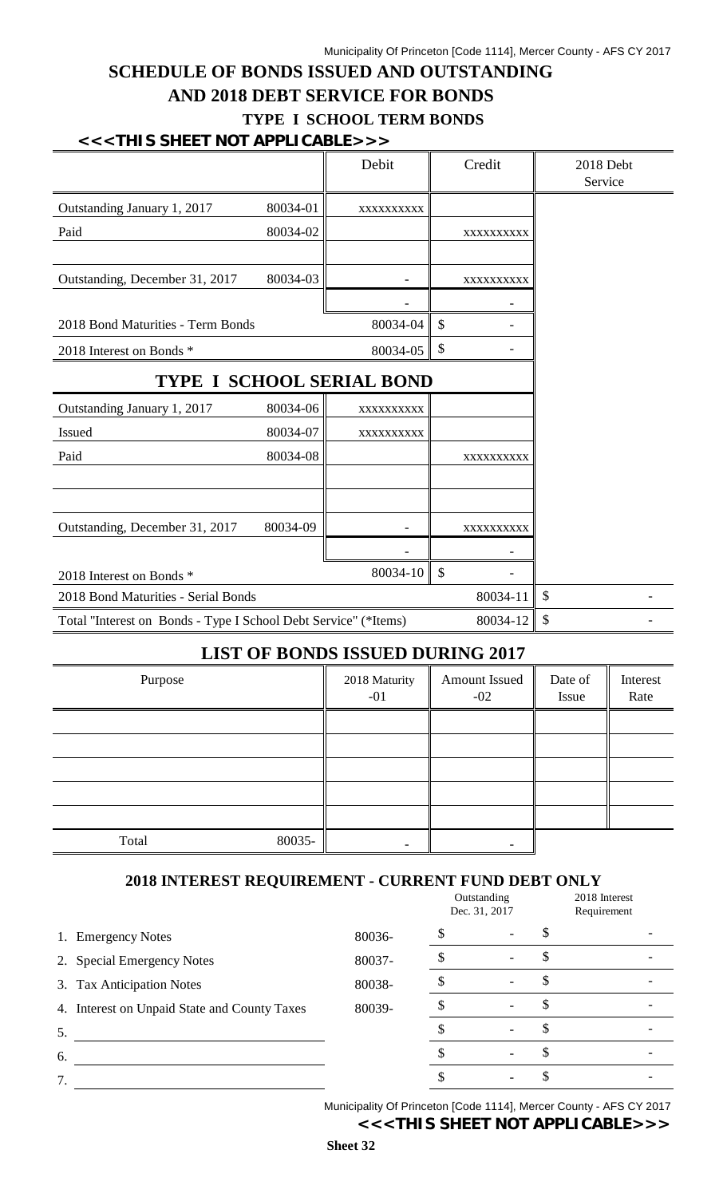## **SCHEDULE OF BONDS ISSUED AND OUTSTANDING AND 2018 DEBT SERVICE FOR BONDS TYPE I SCHOOL TERM BONDS**

#### **<<<THIS SHEET NOT APPLICABLE>>>**

|                                     | Debit      |                                                                 | Credit                           | 2018 Debt<br>Service   |
|-------------------------------------|------------|-----------------------------------------------------------------|----------------------------------|------------------------|
| 80034-01                            | XXXXXXXXXX |                                                                 |                                  |                        |
| 80034-02                            |            |                                                                 | XXXXXXXXXX                       |                        |
|                                     |            |                                                                 |                                  |                        |
| 80034-03                            |            |                                                                 | XXXXXXXXXX                       |                        |
|                                     |            |                                                                 |                                  |                        |
|                                     | 80034-04   | $\mathcal{S}$                                                   |                                  |                        |
|                                     | 80034-05   | \$                                                              |                                  |                        |
|                                     |            |                                                                 |                                  |                        |
| 80034-06                            | XXXXXXXXXX |                                                                 |                                  |                        |
| 80034-07                            | XXXXXXXXX  |                                                                 |                                  |                        |
| 80034-08                            |            |                                                                 | XXXXXXXXXX                       |                        |
|                                     |            |                                                                 |                                  |                        |
|                                     |            |                                                                 |                                  |                        |
|                                     |            |                                                                 |                                  |                        |
|                                     | 80034-10   | \$                                                              |                                  |                        |
| 2018 Bond Maturities - Serial Bonds |            |                                                                 |                                  |                        |
|                                     |            |                                                                 | 80034-12                         | \$                     |
|                                     | 80034-09   | Total "Interest on Bonds - Type I School Debt Service" (*Items) | <b>TYPE I SCHOOL SERIAL BOND</b> | XXXXXXXXXX<br>80034-11 |

## **LIST OF BONDS ISSUED DURING 2017**

| Purpose         | 2018 Maturity<br>$-01$ | <b>Amount Issued</b><br>$-02$ | Date of<br>Issue | Interest<br>Rate |
|-----------------|------------------------|-------------------------------|------------------|------------------|
|                 |                        |                               |                  |                  |
|                 |                        |                               |                  |                  |
|                 |                        |                               |                  |                  |
|                 |                        |                               |                  |                  |
|                 |                        |                               |                  |                  |
| 80035-<br>Total |                        | -                             |                  |                  |

#### **2018 INTEREST REQUIREMENT - CURRENT FUND DEBT ONLY**

|                                              |        | Outstanding<br>Dec. 31, 2017 | 2018 Interest<br>Requirement |  |
|----------------------------------------------|--------|------------------------------|------------------------------|--|
| <b>Emergency Notes</b><br>1.                 | 80036- |                              |                              |  |
| 2. Special Emergency Notes                   | 80037- |                              |                              |  |
| 3. Tax Anticipation Notes                    | 80038- |                              |                              |  |
| 4. Interest on Unpaid State and County Taxes | 80039- |                              |                              |  |
| 5.                                           |        |                              |                              |  |
| 6.                                           |        |                              |                              |  |
|                                              |        |                              |                              |  |

Municipality Of Princeton [Code 1114], Mercer County - AFS CY 2017 **<<<THIS SHEET NOT APPLICABLE>>>**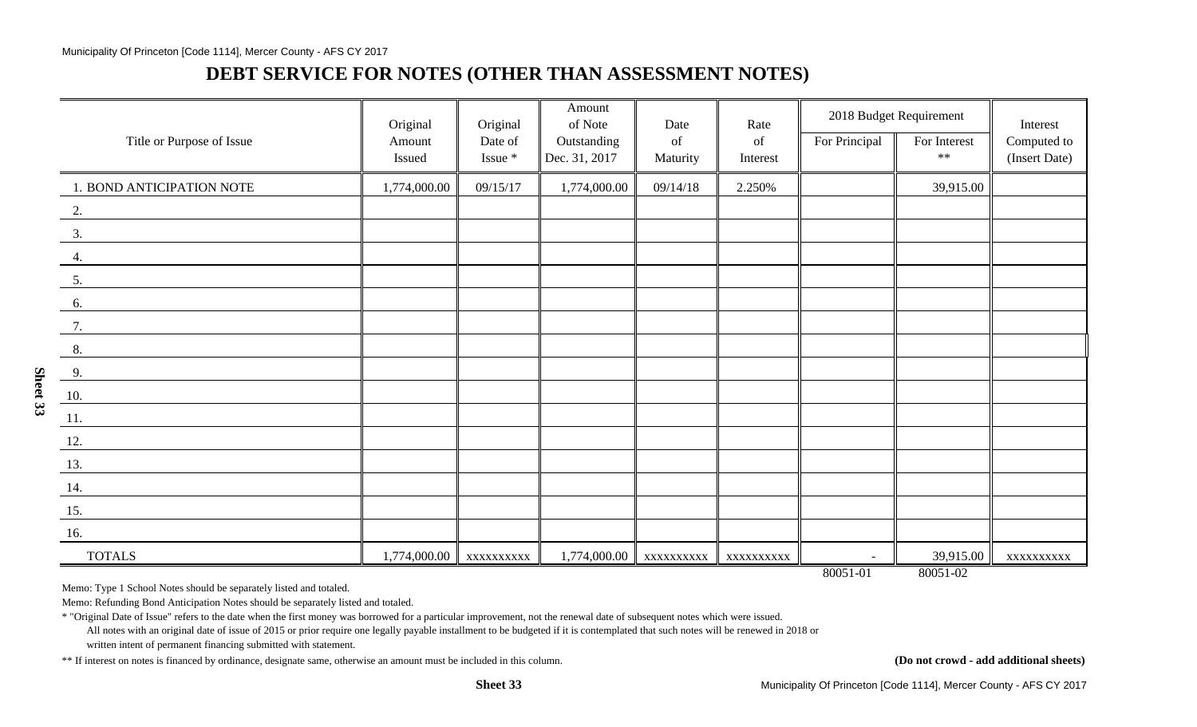## **DEBT SERVICE FOR NOTES (OTHER THAN ASSESSMENT NOTES)**

|                           | Original         | Original           | Amount<br>of Note            | Date           | Rate           | 2018 Budget Requirement |                           | Interest                     |
|---------------------------|------------------|--------------------|------------------------------|----------------|----------------|-------------------------|---------------------------|------------------------------|
| Title or Purpose of Issue | Amount<br>Issued | Date of<br>Issue * | Outstanding<br>Dec. 31, 2017 | of<br>Maturity | of<br>Interest | For Principal           | For Interest<br>$***$     | Computed to<br>(Insert Date) |
| 1. BOND ANTICIPATION NOTE | 1,774,000.00     | 09/15/17           | 1,774,000.00                 | 09/14/18       | 2.250%         |                         | 39,915.00                 |                              |
| $\overline{2}$ .          |                  |                    |                              |                |                |                         |                           |                              |
| 3.                        |                  |                    |                              |                |                |                         |                           |                              |
| 4.                        |                  |                    |                              |                |                |                         |                           |                              |
| 5.                        |                  |                    |                              |                |                |                         |                           |                              |
| 6.                        |                  |                    |                              |                |                |                         |                           |                              |
| 7.                        |                  |                    |                              |                |                |                         |                           |                              |
| 8.                        |                  |                    |                              |                |                |                         |                           |                              |
| 9.                        |                  |                    |                              |                |                |                         |                           |                              |
| <b>10.</b>                |                  |                    |                              |                |                |                         |                           |                              |
| 11.                       |                  |                    |                              |                |                |                         |                           |                              |
| <u>12.</u>                |                  |                    |                              |                |                |                         |                           |                              |
| 13.                       |                  |                    |                              |                |                |                         |                           |                              |
| 14.                       |                  |                    |                              |                |                |                         |                           |                              |
| 15.                       |                  |                    |                              |                |                |                         |                           |                              |
| 16.                       |                  |                    |                              |                |                |                         |                           |                              |
| <b>TOTALS</b>             | 1,774,000.00     | XXXXXXXXX          | 1,774,000.00                 | XXXXXXXXX      | XXXXXXXXX      | $80051 - 01$            | 39,915.00<br>$80051 - 02$ | XXXXXXXXX                    |

Memo: Type 1 School Notes should be separately listed and totaled.

Memo: Refunding Bond Anticipation Notes should be separately listed and totaled.

\* "Original Date of Issue" refers to the date when the first money was borrowed for a particular improvement, not the renewal date of subsequent notes which were issued.

All notes with an original date of issue of 2015 or prior require one legally payable installment to be budgeted if it is contemplated that such notes will be renewed in 2018 or written intent of permanent financing submitted with statement.

\*\* If interest on notes is financed by ordinance, designate same, otherwise an amount must be included in this column. **(Do not crowd - add additional sheets)**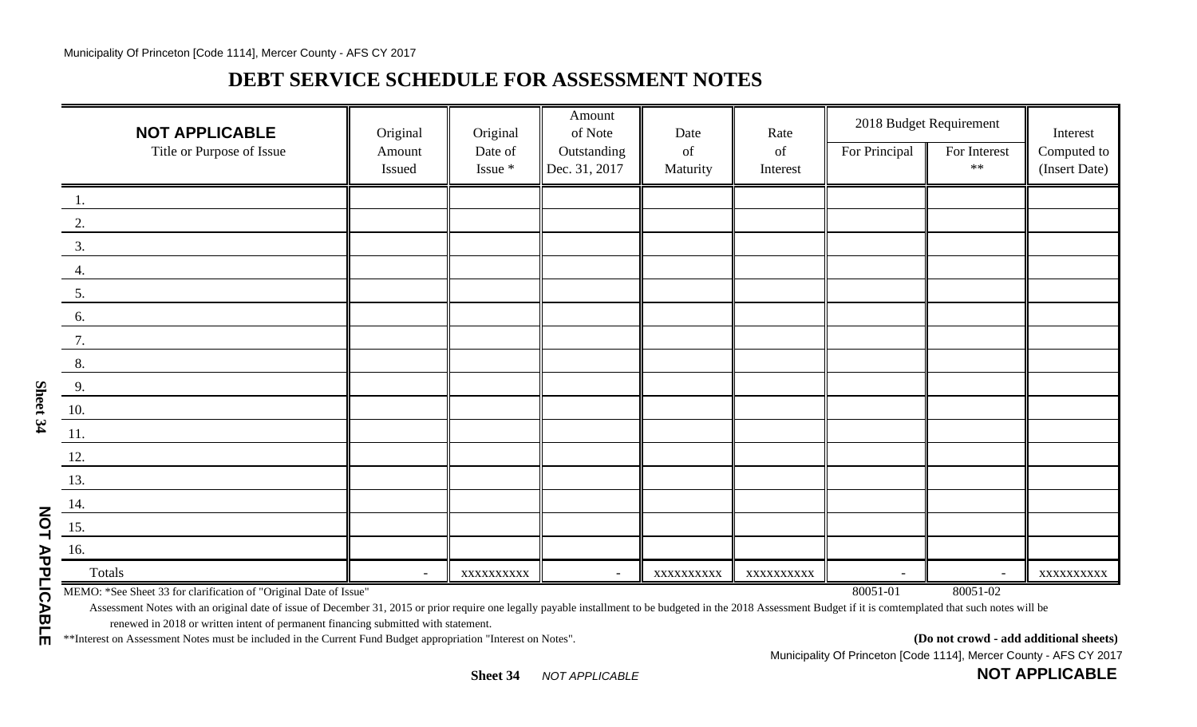# **DEBT SERVICE SCHEDULE FOR ASSESSMENT NOTES**

| <b>NOT APPLICABLE</b>                                             | Original | Original   | Amount<br>of Note        | Date       | Rate       | 2018 Budget Requirement |                | Interest      |
|-------------------------------------------------------------------|----------|------------|--------------------------|------------|------------|-------------------------|----------------|---------------|
| Title or Purpose of Issue                                         | Amount   | Date of    | Outstanding              | of         | of         | For Principal           | For Interest   | Computed to   |
|                                                                   | Issued   | Issue *    | Dec. 31, 2017            | Maturity   | Interest   |                         | $**$           | (Insert Date) |
| 1.                                                                |          |            |                          |            |            |                         |                |               |
| 2.                                                                |          |            |                          |            |            |                         |                |               |
| 3.                                                                |          |            |                          |            |            |                         |                |               |
| 4.                                                                |          |            |                          |            |            |                         |                |               |
| 5.                                                                |          |            |                          |            |            |                         |                |               |
| 6.                                                                |          |            |                          |            |            |                         |                |               |
| 7.                                                                |          |            |                          |            |            |                         |                |               |
| 8.                                                                |          |            |                          |            |            |                         |                |               |
| $\frac{9}{2}$                                                     |          |            |                          |            |            |                         |                |               |
| $\underline{10}$ .                                                |          |            |                          |            |            |                         |                |               |
| 11.                                                               |          |            |                          |            |            |                         |                |               |
| 12.                                                               |          |            |                          |            |            |                         |                |               |
| 13.                                                               |          |            |                          |            |            |                         |                |               |
| $\underline{14}$ .                                                |          |            |                          |            |            |                         |                |               |
| $\underline{15}$ .                                                |          |            |                          |            |            |                         |                |               |
| 16.                                                               |          |            |                          |            |            |                         |                |               |
| Totals                                                            | $\sim$   | XXXXXXXXXX | $\overline{\phantom{a}}$ | XXXXXXXXXX | XXXXXXXXXX | $\overline{a}$          | $\overline{a}$ | XXXXXXXXXX    |
| MEMO: *See Sheet 33 for clarification of "Original Date of Issue" |          |            |                          |            |            | 80051-01                | 80051-02       |               |

Assessment Notes with an original date of issue of December 31, 2015 or prior require one legally payable installment to be budgeted in the 2018 Assessment Budget if it is comtemplated that such notes will be renewed in 2018 or written intent of permanent financing submitted with statement.

\*\*Interest on Assessment Notes must be included in the Current Fund Budget appropriation "Interest on Notes". **(Do not crowd - add additional sheets)**

**NOT APPLICABLE**

Municipality Of Princeton [Code 1114], Mercer County - AFS CY 2017

**NOT APPLICABLE**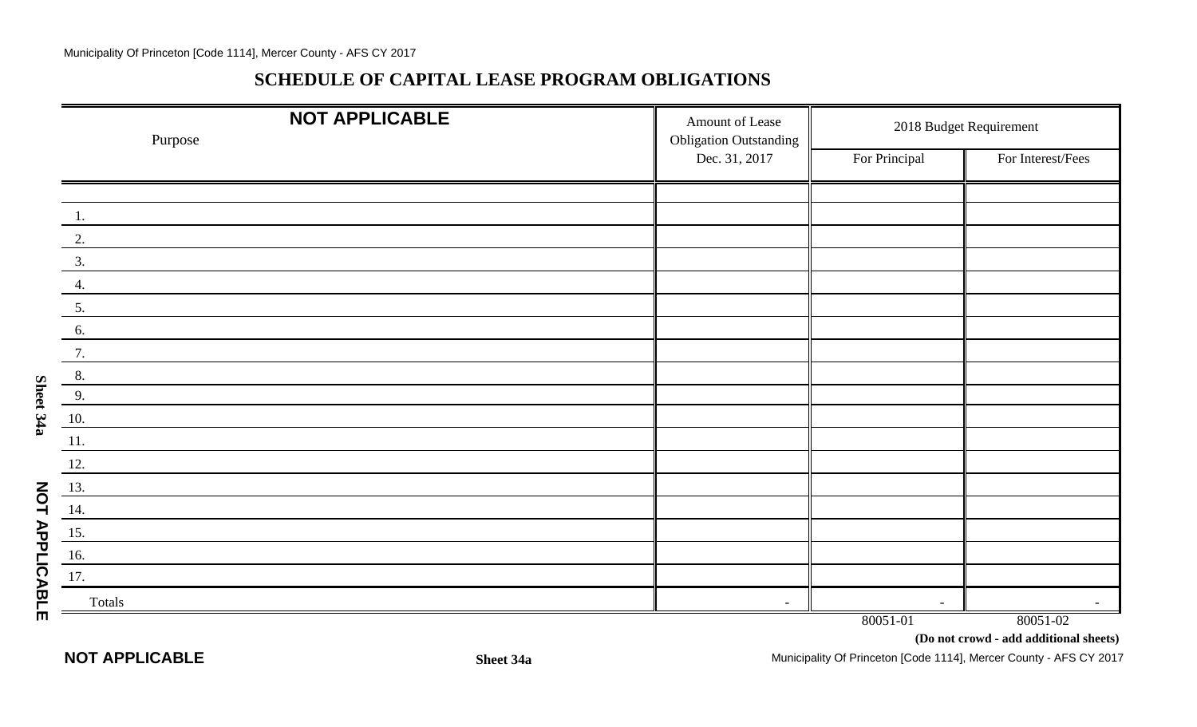#### **SCHEDULE OF CAPITAL LEASE PROGRAM OBLIGATIONS**

|                       | <b>NOT APPLICABLE</b><br>Purpose | Amount of Lease<br><b>Obligation Outstanding</b> |               | 2018 Budget Requirement                            |
|-----------------------|----------------------------------|--------------------------------------------------|---------------|----------------------------------------------------|
|                       |                                  | Dec. 31, 2017                                    | For Principal | For Interest/Fees                                  |
|                       |                                  |                                                  |               |                                                    |
|                       |                                  |                                                  |               |                                                    |
|                       | 2.                               |                                                  |               |                                                    |
|                       | 3.                               |                                                  |               |                                                    |
|                       | 4.                               |                                                  |               |                                                    |
|                       | 5.                               |                                                  |               |                                                    |
|                       | 6.                               |                                                  |               |                                                    |
|                       | 7.                               |                                                  |               |                                                    |
|                       | 8.                               |                                                  |               |                                                    |
| Sheet 34a             | 9.                               |                                                  |               |                                                    |
|                       | 10.                              |                                                  |               |                                                    |
|                       | 11.                              |                                                  |               |                                                    |
|                       | 12.                              |                                                  |               |                                                    |
|                       | 13.                              |                                                  |               |                                                    |
|                       | 14.                              |                                                  |               |                                                    |
|                       | 15.                              |                                                  |               |                                                    |
|                       | 16.                              |                                                  |               |                                                    |
|                       | 17.                              |                                                  |               |                                                    |
| <b>NOT APPLICABLE</b> | Totals                           | $\overline{\phantom{a}}$                         | $\sim$        |                                                    |
|                       |                                  |                                                  | 80051-01      | 80051-02<br>(Do not crowd - add additional sheets) |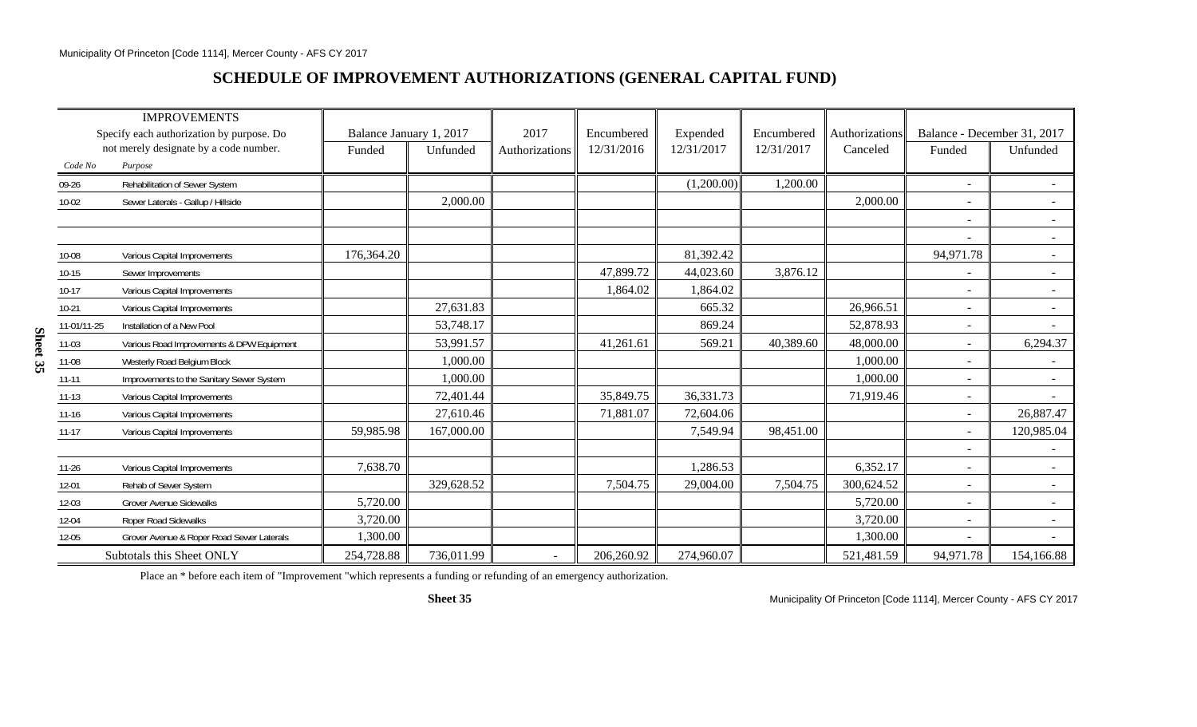## **SCHEDULE OF IMPROVEMENT AUTHORIZATIONS (GENERAL CAPITAL FUND)**

|             | <b>IMPROVEMENTS</b>                       |                         |            |                          |            |            |            |                |                             |            |
|-------------|-------------------------------------------|-------------------------|------------|--------------------------|------------|------------|------------|----------------|-----------------------------|------------|
|             | Specify each authorization by purpose. Do | Balance January 1, 2017 |            | 2017                     | Encumbered | Expended   | Encumbered | Authorizations | Balance - December 31, 2017 |            |
|             | not merely designate by a code number.    | Funded                  | Unfunded   | Authorizations           | 12/31/2016 | 12/31/2017 | 12/31/2017 | Canceled       | Funded                      | Unfunded   |
| Code No     | Purpose                                   |                         |            |                          |            |            |            |                |                             |            |
| 09-26       | Rehabilitation of Sewer System            |                         |            |                          |            | (1,200.00) | 1,200.00   |                | $\overline{\phantom{0}}$    |            |
| $10 - 02$   | Sewer Laterals - Gallup / Hillside        |                         | 2,000.00   |                          |            |            |            | 2,000.00       |                             |            |
|             |                                           |                         |            |                          |            |            |            |                |                             | $\sim$     |
|             |                                           |                         |            |                          |            |            |            |                | $\blacksquare$              | $\sim$     |
| 10-08       | Various Capital Improvements              | 176,364.20              |            |                          |            | 81,392.42  |            |                | 94,971.78                   | $\sim$     |
| $10 - 15$   | Sewer Improvements                        |                         |            |                          | 47,899.72  | 44,023.60  | 3,876.12   |                |                             | $\sim$     |
| $10-17$     | Various Capital Improvements              |                         |            |                          | 1,864.02   | 1,864.02   |            |                |                             |            |
| $10-21$     | Various Capital Improvements              |                         | 27,631.83  |                          |            | 665.32     |            | 26,966.51      |                             |            |
| 11-01/11-25 | Installation of a New Pool                |                         | 53,748.17  |                          |            | 869.24     |            | 52,878.93      | $\overline{\phantom{a}}$    |            |
| $11-03$     | Various Road Improvements & DPW Equipment |                         | 53,991.57  |                          | 41,261.61  | 569.21     | 40,389.60  | 48,000.00      | $\overline{\phantom{0}}$    | 6,294.37   |
| 11-08       | Westerly Road Belgium Block               |                         | 1,000.00   |                          |            |            |            | 1,000.00       | $\blacksquare$              |            |
| $11 - 11$   | Improvements to the Sanitary Sewer System |                         | 1,000.00   |                          |            |            |            | 1,000.00       | $\equiv$                    |            |
| $11 - 13$   | Various Capital Improvements              |                         | 72,401.44  |                          | 35,849.75  | 36,331.73  |            | 71,919.46      | $\overline{\phantom{a}}$    | $\sim$     |
| $11 - 16$   | Various Capital Improvements              |                         | 27,610.46  |                          | 71,881.07  | 72,604.06  |            |                | $\overline{\phantom{0}}$    | 26,887.47  |
| $11 - 17$   | Various Capital Improvements              | 59,985.98               | 167,000.00 |                          |            | 7,549.94   | 98,451.00  |                |                             | 120,985.04 |
|             |                                           |                         |            |                          |            |            |            |                |                             |            |
| $11 - 26$   | Various Capital Improvements              | 7,638.70                |            |                          |            | 1,286.53   |            | 6,352.17       | $\overline{\phantom{0}}$    |            |
| 12-01       | Rehab of Sewer System                     |                         | 329,628.52 |                          | 7,504.75   | 29,004.00  | 7,504.75   | 300,624.52     |                             |            |
| 12-03       | <b>Grover Avenue Sidewalks</b>            | 5,720.00                |            |                          |            |            |            | 5,720.00       | $\blacksquare$              |            |
| $12 - 04$   | Roper Road Sidewalks                      | 3,720.00                |            |                          |            |            |            | 3,720.00       | $\blacksquare$              | $\sim$     |
| $12 - 05$   | Grover Avenue & Roper Road Sewer Laterals | 1,300.00                |            |                          |            |            |            | 1,300.00       | $\overline{\phantom{a}}$    | $\sim$     |
|             | Subtotals this Sheet ONLY                 | 254,728.88              | 736,011.99 | $\overline{\phantom{a}}$ | 206,260.92 | 274,960.07 |            | 521,481.59     | 94,971.78                   | 154,166.88 |

Place an \* before each item of "Improvement "which represents a funding or refunding of an emergency authorization.

**Sheet 35**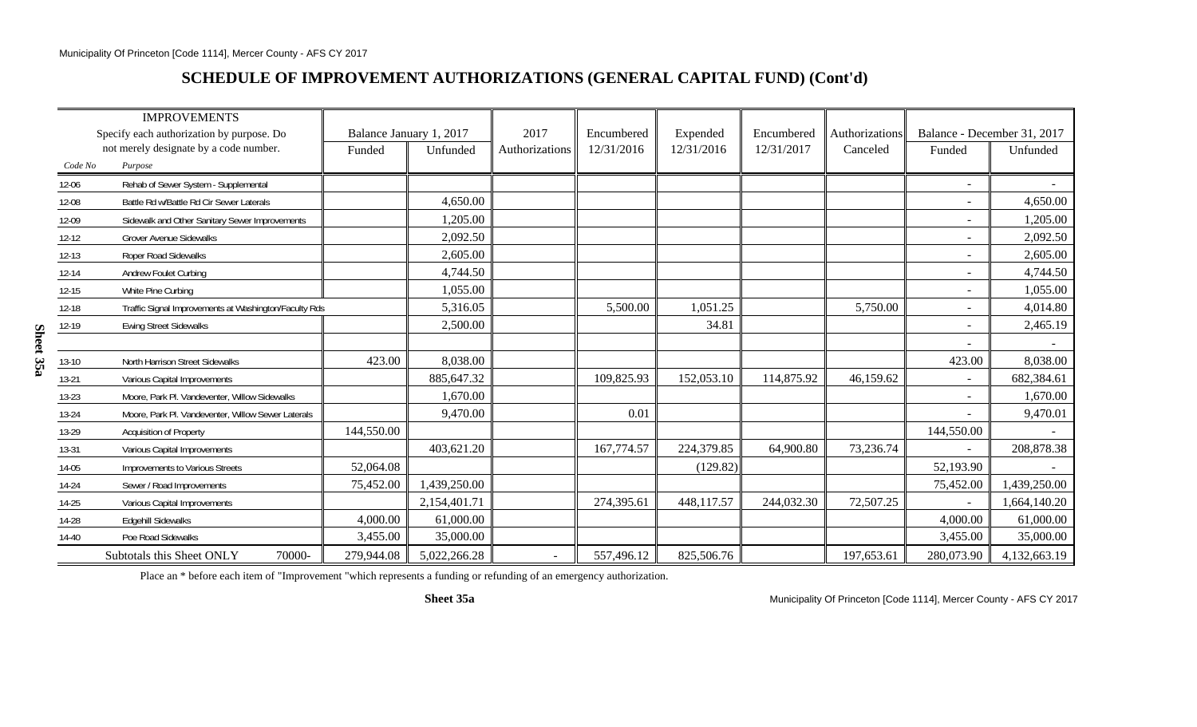## **SCHEDULE OF IMPROVEMENT AUTHORIZATIONS (GENERAL CAPITAL FUND) (Cont'd)**

|           | <b>IMPROVEMENTS</b>                                   |                         |              |                |            |            |            |                |                             |              |
|-----------|-------------------------------------------------------|-------------------------|--------------|----------------|------------|------------|------------|----------------|-----------------------------|--------------|
|           | Specify each authorization by purpose. Do             | Balance January 1, 2017 |              | 2017           | Encumbered | Expended   | Encumbered | Authorizations | Balance - December 31, 2017 |              |
|           | not merely designate by a code number.                | Funded                  | Unfunded     | Authorizations | 12/31/2016 | 12/31/2016 | 12/31/2017 | Canceled       | Funded                      | Unfunded     |
| Code No   | Purpose                                               |                         |              |                |            |            |            |                |                             |              |
| 12-06     | Rehab of Sewer System - Supplemental                  |                         |              |                |            |            |            |                |                             |              |
| 12-08     | Battle Rd w/Battle Rd Cir Sewer Laterals              |                         | 4,650.00     |                |            |            |            |                |                             | 4,650.00     |
| 12-09     | Sidewalk and Other Sanitary Sewer Improvements        |                         | 1,205.00     |                |            |            |            |                |                             | 1,205.00     |
| 12-12     | <b>Grover Avenue Sidewalks</b>                        |                         | 2,092.50     |                |            |            |            |                | $\sim$                      | 2,092.50     |
| $12 - 13$ | Roper Road Sidewalks                                  |                         | 2,605.00     |                |            |            |            |                |                             | 2,605.00     |
| 12-14     | <b>Andrew Foulet Curbing</b>                          |                         | 4,744.50     |                |            |            |            |                |                             | 4,744.50     |
| $12 - 15$ | White Pine Curbing                                    |                         | 1,055.00     |                |            |            |            |                |                             | 1,055.00     |
| 12-18     | Traffic Signal Improvements at Washington/Faculty Rds |                         | 5,316.05     |                | 5,500.00   | 1,051.25   |            | 5,750.00       |                             | 4,014.80     |
| 12-19     | <b>Ewing Street Sidewalks</b>                         |                         | 2,500.00     |                |            | 34.81      |            |                |                             | 2,465.19     |
|           |                                                       |                         |              |                |            |            |            |                |                             |              |
| $13 - 10$ | North Harrison Street Sidewalks                       | 423.00                  | 8,038.00     |                |            |            |            |                | 423.00                      | 8,038.00     |
| 13-21     | Various Capital Improvements                          |                         | 885,647.32   |                | 109,825.93 | 152,053.10 | 114,875.92 | 46,159.62      | $\sim$                      | 682,384.61   |
| 13-23     | Moore, Park Pl. Vandeventer, Willow Sidewalks         |                         | 1,670.00     |                |            |            |            |                |                             | 1,670.00     |
| 13-24     | Moore, Park Pl. Vandeventer, Willow Sewer Laterals    |                         | 9,470.00     |                | 0.01       |            |            |                |                             | 9,470.01     |
| 13-29     | Acquisition of Property                               | 144,550.00              |              |                |            |            |            |                | 144,550.00                  |              |
| 13-31     | Various Capital Improvements                          |                         | 403,621.20   |                | 167,774.57 | 224,379.85 | 64,900.80  | 73,236.74      |                             | 208,878.38   |
| 14-05     | Improvements to Various Streets                       | 52,064.08               |              |                |            | (129.82)   |            |                | 52,193.90                   |              |
| 14-24     | Sewer / Road Improvements                             | 75,452.00               | 1,439,250.00 |                |            |            |            |                | 75,452.00                   | 1,439,250.00 |
| 14-25     | Various Capital Improvements                          |                         | 2,154,401.71 |                | 274,395.61 | 448,117.57 | 244,032.30 | 72,507.25      |                             | 1,664,140.20 |
| 14-28     | <b>Edgehill Sidewalks</b>                             | 4,000.00                | 61,000.00    |                |            |            |            |                | 4,000.00                    | 61,000.00    |
| $14 - 40$ | Poe Road Sidewalks                                    | 3,455.00                | 35,000.00    |                |            |            |            |                | 3,455.00                    | 35,000.00    |
| $\equiv$  | 70000-<br>Subtotals this Sheet ONLY                   | 279,944.08              | 5,022,266.28 |                | 557,496.12 | 825,506.76 |            | 197,653.61     | 280,073.90                  | 4,132,663.19 |

Place an \* before each item of "Improvement "which represents a funding or refunding of an emergency authorization.

**Sheet 35a**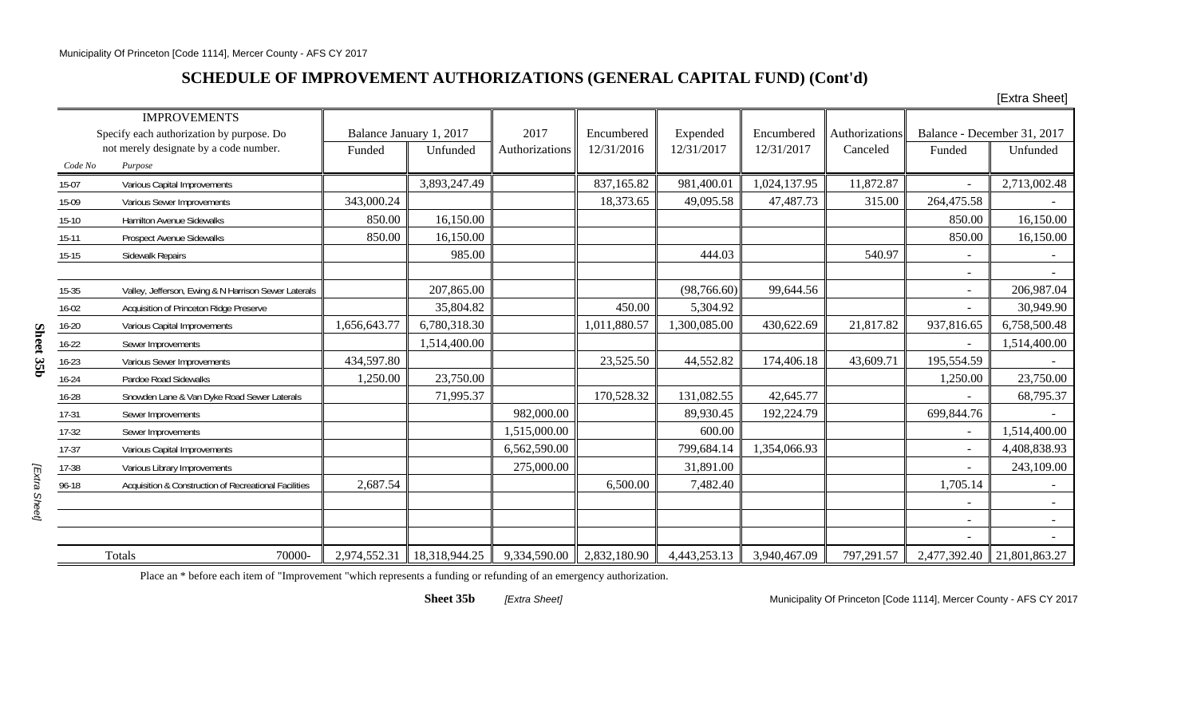## **SCHEDULE OF IMPROVEMENT AUTHORIZATIONS (GENERAL CAPITAL FUND) (Cont'd)**

[Extra Sheet]

|           | <b>IMPROVEMENTS</b>                                   |              |                         |                |              |              |              |                |                          |                             |
|-----------|-------------------------------------------------------|--------------|-------------------------|----------------|--------------|--------------|--------------|----------------|--------------------------|-----------------------------|
|           | Specify each authorization by purpose. Do             |              | Balance January 1, 2017 | 2017           | Encumbered   | Expended     | Encumbered   | Authorizations |                          | Balance - December 31, 2017 |
|           | not merely designate by a code number.                | Funded       | Unfunded                | Authorizations | 12/31/2016   | 12/31/2017   | 12/31/2017   | Canceled       | Funded                   | Unfunded                    |
| Code No   | Purpose                                               |              |                         |                |              |              |              |                |                          |                             |
| 15-07     | Various Capital Improvements                          |              | 3,893,247.49            |                | 837,165.82   | 981,400.01   | 1,024,137.95 | 11,872.87      |                          | 2,713,002.48                |
| 15-09     | Various Sewer Improvements                            | 343,000.24   |                         |                | 18,373.65    | 49,095.58    | 47,487.73    | 315.00         | 264,475.58               |                             |
| $15-10$   | <b>Hamilton Avenue Sidewalks</b>                      | 850.00       | 16,150.00               |                |              |              |              |                | 850.00                   | 16,150.00                   |
| $15-11$   | <b>Prospect Avenue Sidewalks</b>                      | 850.00       | 16,150.00               |                |              |              |              |                | 850.00                   | 16,150.00                   |
| $15-15$   | Sidewalk Repairs                                      |              | 985.00                  |                |              | 444.03       |              | 540.97         |                          |                             |
|           |                                                       |              |                         |                |              |              |              |                |                          |                             |
| $15-35$   | Valley, Jefferson, Ewing & N Harrison Sewer Laterals  |              | 207,865.00              |                |              | (98, 766.60) | 99,644.56    |                |                          | 206,987.04                  |
| $16 - 02$ | Acquisition of Princeton Ridge Preserve               |              | 35,804.82               |                | 450.00       | 5,304.92     |              |                |                          | 30,949.90                   |
| $16 - 20$ | Various Capital Improvements                          | 1,656,643.77 | 6,780,318.30            |                | 1,011,880.57 | 1,300,085.00 | 430,622.69   | 21,817.82      | 937,816.65               | 6,758,500.48                |
| $16 - 22$ | Sewer Improvements                                    |              | 1,514,400.00            |                |              |              |              |                |                          | 1,514,400.00                |
| $16 - 23$ | Various Sewer Improvements                            | 434,597.80   |                         |                | 23,525.50    | 44,552.82    | 174,406.18   | 43,609.71      | 195,554.59               |                             |
| $16 - 24$ | Pardoe Road Sidewalks                                 | 1,250.00     | 23,750.00               |                |              |              |              |                | 1,250.00                 | 23,750.00                   |
| 16-28     | Snowden Lane & Van Dyke Road Sewer Laterals           |              | 71,995.37               |                | 170,528.32   | 131,082.55   | 42,645.77    |                |                          | 68,795.37                   |
| $17-31$   | Sewer Improvements                                    |              |                         | 982,000.00     |              | 89,930.45    | 192,224.79   |                | 699,844.76               |                             |
| $17-32$   | Sewer Improvements                                    |              |                         | 1,515,000.00   |              | 600.00       |              |                |                          | 1,514,400.00                |
| $17-37$   | Various Capital Improvements                          |              |                         | 6,562,590.00   |              | 799,684.14   | 1,354,066.93 |                | $\overline{\phantom{a}}$ | 4,408,838.93                |
| 17-38     | Various Library Improvements                          |              |                         | 275,000.00     |              | 31,891.00    |              |                |                          | 243,109.00                  |
| 96-18     | Acquisition & Construction of Recreational Facilities | 2,687.54     |                         |                | 6,500.00     | 7,482.40     |              |                | 1,705.14                 |                             |
|           |                                                       |              |                         |                |              |              |              |                |                          |                             |
|           |                                                       |              |                         |                |              |              |              |                |                          | $\sim$                      |
|           |                                                       |              |                         |                |              |              |              |                |                          |                             |
|           | <b>Totals</b><br>70000-                               | 2,974,552.31 | 18,318,944.25           | 9,334,590.00   | 2,832,180.90 | 4,443,253.13 | 3,940,467.09 | 797,291.57     | 2,477,392.40             | 21,801,863.27               |

Sheet 35b

Place an \* before each item of "Improvement "which represents a funding or refunding of an emergency authorization.

**Sheet 35b**

*[Extra Sheet]* Municipality Of Princeton [Code 1114], Mercer County - AFS CY 2017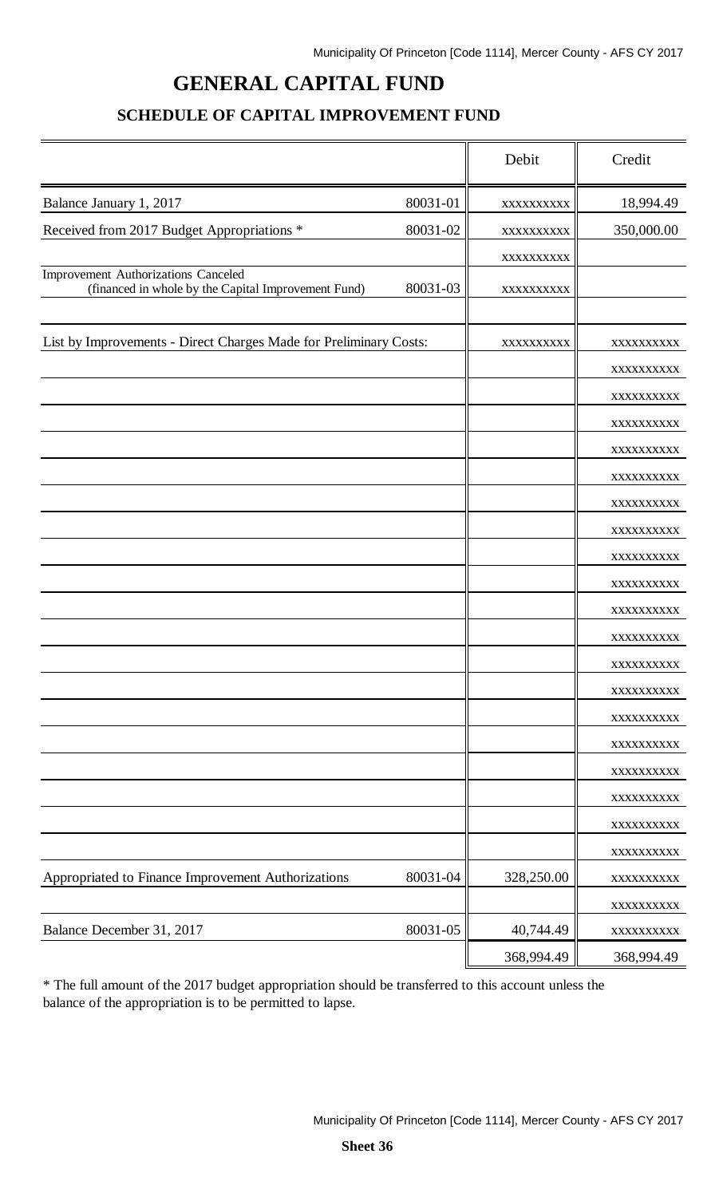# **GENERAL CAPITAL FUND**

## **SCHEDULE OF CAPITAL IMPROVEMENT FUND**

|                                                                                            |          | Debit      | Credit                   |
|--------------------------------------------------------------------------------------------|----------|------------|--------------------------|
| Balance January 1, 2017                                                                    | 80031-01 | XXXXXXXXXX | 18,994.49                |
| Received from 2017 Budget Appropriations *                                                 | 80031-02 | XXXXXXXXXX | 350,000.00               |
|                                                                                            |          | XXXXXXXXXX |                          |
| Improvement Authorizations Canceled<br>(financed in whole by the Capital Improvement Fund) | 80031-03 | XXXXXXXXXX |                          |
|                                                                                            |          |            |                          |
| List by Improvements - Direct Charges Made for Preliminary Costs:                          |          | XXXXXXXXXX | XXXXXXXXXX               |
|                                                                                            |          |            | XXXXXXXXXX               |
|                                                                                            |          |            | XXXXXXXXXX               |
|                                                                                            |          |            | XXXXXXXXXX               |
|                                                                                            |          |            | XXXXXXXXXX               |
|                                                                                            |          |            | XXXXXXXXXX               |
|                                                                                            |          |            | XXXXXXXXXX               |
|                                                                                            |          |            | XXXXXXXXXX               |
|                                                                                            |          |            | XXXXXXXXXX               |
|                                                                                            |          |            | XXXXXXXXXX               |
|                                                                                            |          |            | XXXXXXXXXX               |
|                                                                                            |          |            | XXXXXXXXXX               |
|                                                                                            |          |            | XXXXXXXXXX               |
|                                                                                            |          |            | XXXXXXXXXX               |
|                                                                                            |          |            | XXXXXXXXXX               |
|                                                                                            |          |            | XXXXXXXXXX               |
|                                                                                            |          |            | XXXXXXXXXX               |
|                                                                                            |          |            | XXXXXXXXXX               |
|                                                                                            |          |            | XXXXXXXXXX               |
|                                                                                            |          |            | XXXXXXXXXX               |
| Appropriated to Finance Improvement Authorizations                                         | 80031-04 | 328,250.00 | XXXXXXXXXX               |
| Balance December 31, 2017                                                                  | 80031-05 | 40,744.49  | XXXXXXXXXX               |
|                                                                                            |          | 368,994.49 | XXXXXXXXXX<br>368,994.49 |
|                                                                                            |          |            |                          |

\* The full amount of the 2017 budget appropriation should be transferred to this account unless the balance of the appropriation is to be permitted to lapse.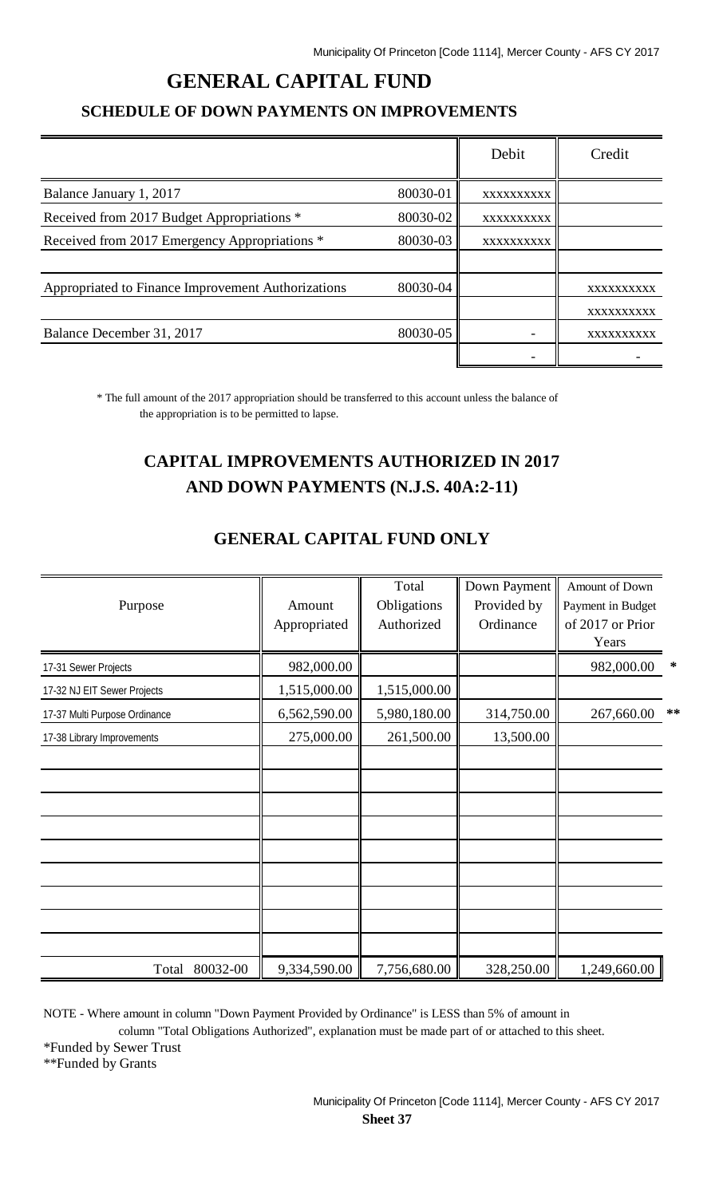# **GENERAL CAPITAL FUND**

#### **SCHEDULE OF DOWN PAYMENTS ON IMPROVEMENTS**

|                                                    |          | Debit      | Credit     |
|----------------------------------------------------|----------|------------|------------|
| Balance January 1, 2017                            | 80030-01 | XXXXXXXXXX |            |
| Received from 2017 Budget Appropriations *         | 80030-02 | XXXXXXXXXX |            |
| Received from 2017 Emergency Appropriations *      | 80030-03 | XXXXXXXXXX |            |
|                                                    |          |            |            |
| Appropriated to Finance Improvement Authorizations | 80030-04 |            | XXXXXXXXXX |
|                                                    |          |            | XXXXXXXXXX |
| Balance December 31, 2017                          | 80030-05 |            | XXXXXXXXXX |
|                                                    |          |            |            |

\* The full amount of the 2017 appropriation should be transferred to this account unless the balance of the appropriation is to be permitted to lapse.

# **CAPITAL IMPROVEMENTS AUTHORIZED IN 2017 AND DOWN PAYMENTS (N.J.S. 40A:2-11)**

| Purpose                       | Amount<br>Appropriated | Total<br>Obligations<br>Authorized | Down Payment<br>Provided by<br>Ordinance | Amount of Down<br>Payment in Budget<br>of 2017 or Prior |        |
|-------------------------------|------------------------|------------------------------------|------------------------------------------|---------------------------------------------------------|--------|
|                               |                        |                                    |                                          | Years                                                   |        |
| 17-31 Sewer Projects          | 982,000.00             |                                    |                                          | 982,000.00                                              | $\ast$ |
| 17-32 NJ EIT Sewer Projects   | 1,515,000.00           | 1,515,000.00                       |                                          |                                                         |        |
| 17-37 Multi Purpose Ordinance | 6,562,590.00           | 5,980,180.00                       | 314,750.00                               | 267,660.00                                              | **     |
| 17-38 Library Improvements    | 275,000.00             | 261,500.00                         | 13,500.00                                |                                                         |        |
|                               |                        |                                    |                                          |                                                         |        |
|                               |                        |                                    |                                          |                                                         |        |
|                               |                        |                                    |                                          |                                                         |        |
|                               |                        |                                    |                                          |                                                         |        |
|                               |                        |                                    |                                          |                                                         |        |
|                               |                        |                                    |                                          |                                                         |        |
|                               |                        |                                    |                                          |                                                         |        |
|                               |                        |                                    |                                          |                                                         |        |
|                               |                        |                                    |                                          |                                                         |        |
| Total 80032-00                | 9,334,590.00           | 7,756,680.00                       | 328,250.00                               | 1,249,660.00                                            |        |

#### **GENERAL CAPITAL FUND ONLY**

NOTE - Where amount in column "Down Payment Provided by Ordinance" is LESS than 5% of amount in

column "Total Obligations Authorized", explanation must be made part of or attached to this sheet.

\*Funded by Sewer Trust

\*\*Funded by Grants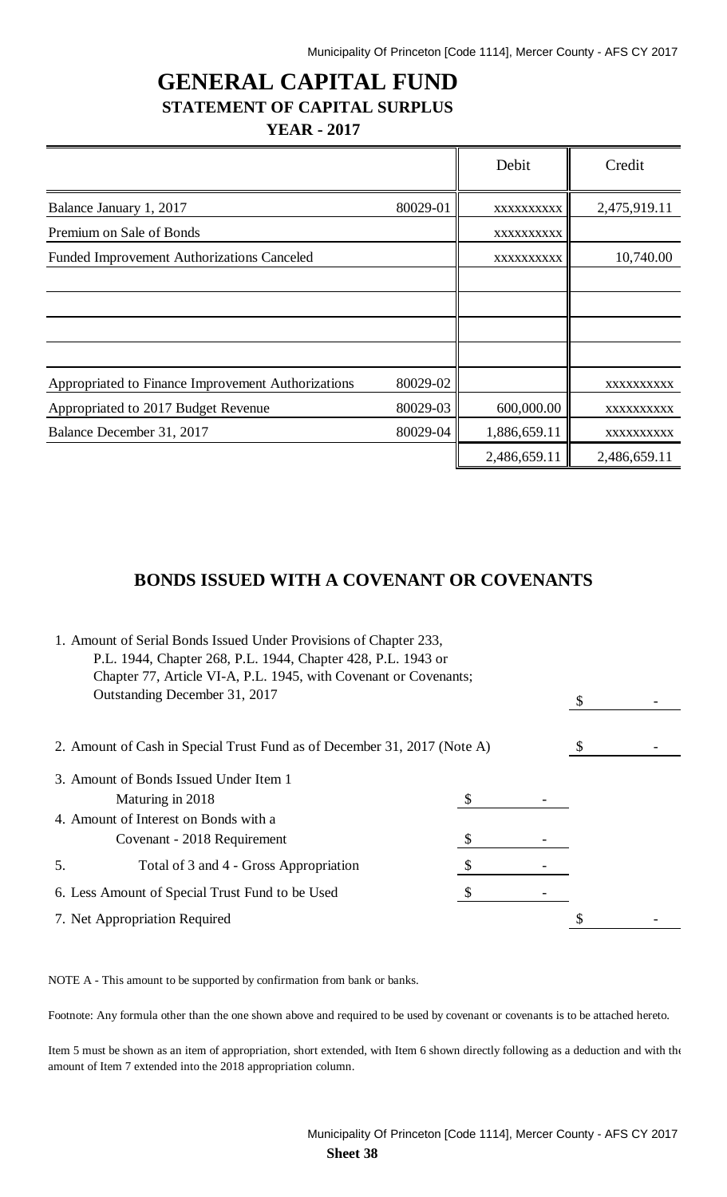# **GENERAL CAPITAL FUND STATEMENT OF CAPITAL SURPLUS YEAR - 2017**

|                                                    |          | Debit        | Credit       |
|----------------------------------------------------|----------|--------------|--------------|
| Balance January 1, 2017                            | 80029-01 | XXXXXXXXXX   | 2,475,919.11 |
| Premium on Sale of Bonds                           |          | XXXXXXXXXX   |              |
| <b>Funded Improvement Authorizations Canceled</b>  |          | XXXXXXXXXX   | 10,740.00    |
|                                                    |          |              |              |
|                                                    |          |              |              |
|                                                    |          |              |              |
| Appropriated to Finance Improvement Authorizations | 80029-02 |              | XXXXXXXXXX   |
| Appropriated to 2017 Budget Revenue                | 80029-03 | 600,000.00   | XXXXXXXXXX   |
| Balance December 31, 2017                          | 80029-04 | 1,886,659.11 | XXXXXXXXXX   |
|                                                    |          | 2,486,659.11 | 2,486,659.11 |

## **BONDS ISSUED WITH A COVENANT OR COVENANTS**

| 1. Amount of Serial Bonds Issued Under Provisions of Chapter 233, |                                                                          |  |  |  |
|-------------------------------------------------------------------|--------------------------------------------------------------------------|--|--|--|
| P.L. 1944, Chapter 268, P.L. 1944, Chapter 428, P.L. 1943 or      |                                                                          |  |  |  |
| Chapter 77, Article VI-A, P.L. 1945, with Covenant or Covenants;  |                                                                          |  |  |  |
| Outstanding December 31, 2017                                     |                                                                          |  |  |  |
|                                                                   |                                                                          |  |  |  |
|                                                                   | 2. Amount of Cash in Special Trust Fund as of December 31, 2017 (Note A) |  |  |  |
|                                                                   | 3. Amount of Bonds Issued Under Item 1                                   |  |  |  |
|                                                                   | Maturing in 2018                                                         |  |  |  |
|                                                                   | 4. Amount of Interest on Bonds with a                                    |  |  |  |
|                                                                   | Covenant - 2018 Requirement                                              |  |  |  |
| 5.                                                                |                                                                          |  |  |  |
| 6. Less Amount of Special Trust Fund to be Used                   |                                                                          |  |  |  |
| 7. Net Appropriation Required                                     |                                                                          |  |  |  |
|                                                                   |                                                                          |  |  |  |

NOTE A - This amount to be supported by confirmation from bank or banks.

Footnote: Any formula other than the one shown above and required to be used by covenant or covenants is to be attached hereto.

Item 5 must be shown as an item of appropriation, short extended, with Item 6 shown directly following as a deduction and with the amount of Item 7 extended into the 2018 appropriation column.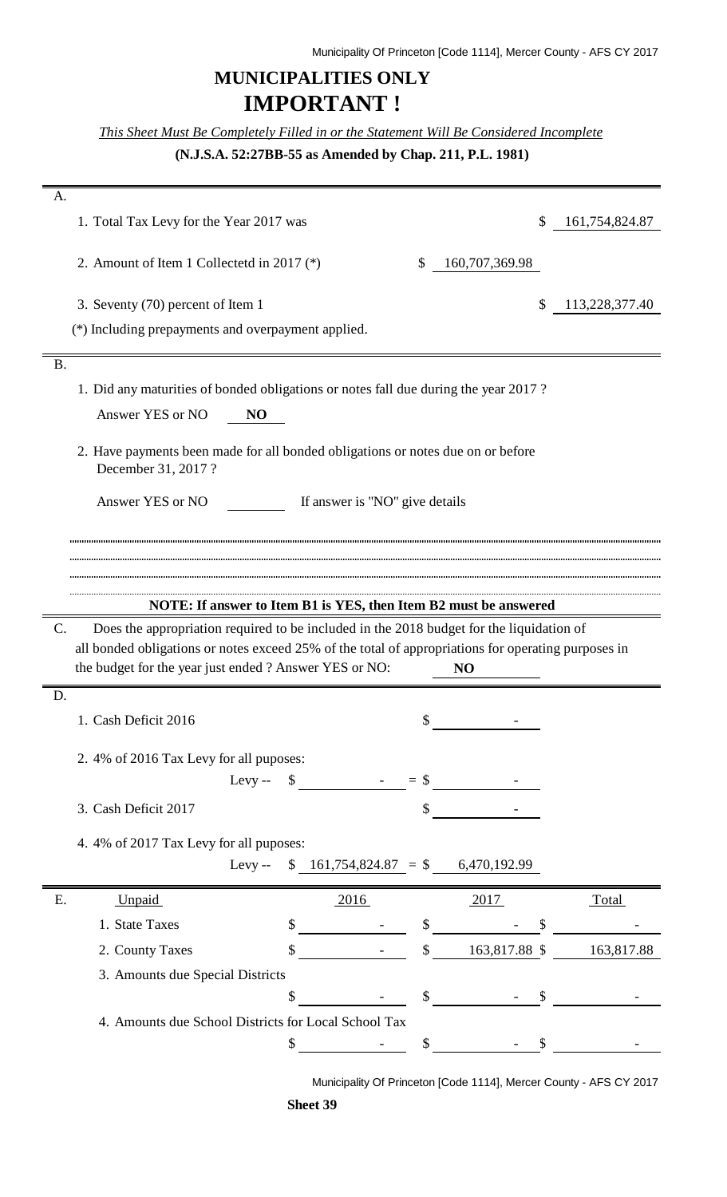# **MUNICIPALITIES ONLY IMPORTANT !**

*This Sheet Must Be Completely Filled in or the Statement Will Be Considered Incomplete*

**(N.J.S.A. 52:27BB-55 as Amended by Chap. 211, P.L. 1981)**

| A.                                                                                                         |              |                |                |
|------------------------------------------------------------------------------------------------------------|--------------|----------------|----------------|
| 1. Total Tax Levy for the Year 2017 was                                                                    |              | \$             | 161,754,824.87 |
| 2. Amount of Item 1 Collectetd in 2017 $(*)$                                                               | \$           | 160,707,369.98 |                |
| 3. Seventy (70) percent of Item 1                                                                          |              | \$             | 113,228,377.40 |
| (*) Including prepayments and overpayment applied.                                                         |              |                |                |
|                                                                                                            |              |                |                |
| <b>B.</b>                                                                                                  |              |                |                |
| 1. Did any maturities of bonded obligations or notes fall due during the year 2017?                        |              |                |                |
| Answer YES or NO<br>N <sub>O</sub>                                                                         |              |                |                |
| 2. Have payments been made for all bonded obligations or notes due on or before<br>December 31, 2017?      |              |                |                |
| Answer YES or NO<br>If answer is "NO" give details                                                         |              |                |                |
|                                                                                                            |              |                |                |
|                                                                                                            |              |                |                |
|                                                                                                            |              |                |                |
| NOTE: If answer to Item B1 is YES, then Item B2 must be answered                                           |              |                |                |
|                                                                                                            |              |                |                |
| $\mathbf{C}$ .<br>Does the appropriation required to be included in the 2018 budget for the liquidation of |              |                |                |
| all bonded obligations or notes exceed 25% of the total of appropriations for operating purposes in        |              |                |                |
| the budget for the year just ended ? Answer YES or NO:                                                     |              | NO             |                |
| D.                                                                                                         |              |                |                |
| 1. Cash Deficit 2016                                                                                       | \$           |                |                |
| 2.4% of 2016 Tax Levy for all puposes:                                                                     |              |                |                |
| Levy-- $\$$ - $=\$$                                                                                        |              |                |                |
| 3. Cash Deficit 2017                                                                                       | \$           |                |                |
|                                                                                                            |              |                |                |
| 4.4% of 2017 Tax Levy for all puposes:                                                                     |              |                |                |
| $$161,754,824.87 = $6,470,192.99$<br>$L$ evy --                                                            |              |                |                |
| Ε.<br>Unpaid<br><u>2016</u>                                                                                |              | <u>2017</u>    | <b>Total</b>   |
| 1. State Taxes<br>\$                                                                                       | \$           | \$             |                |
| 2. County Taxes                                                                                            | \$           | 163,817.88 \$  | 163,817.88     |
| 3. Amounts due Special Districts                                                                           |              |                |                |
| \$                                                                                                         | $\mathbb{S}$ | \$             |                |
| 4. Amounts due School Districts for Local School Tax                                                       |              |                |                |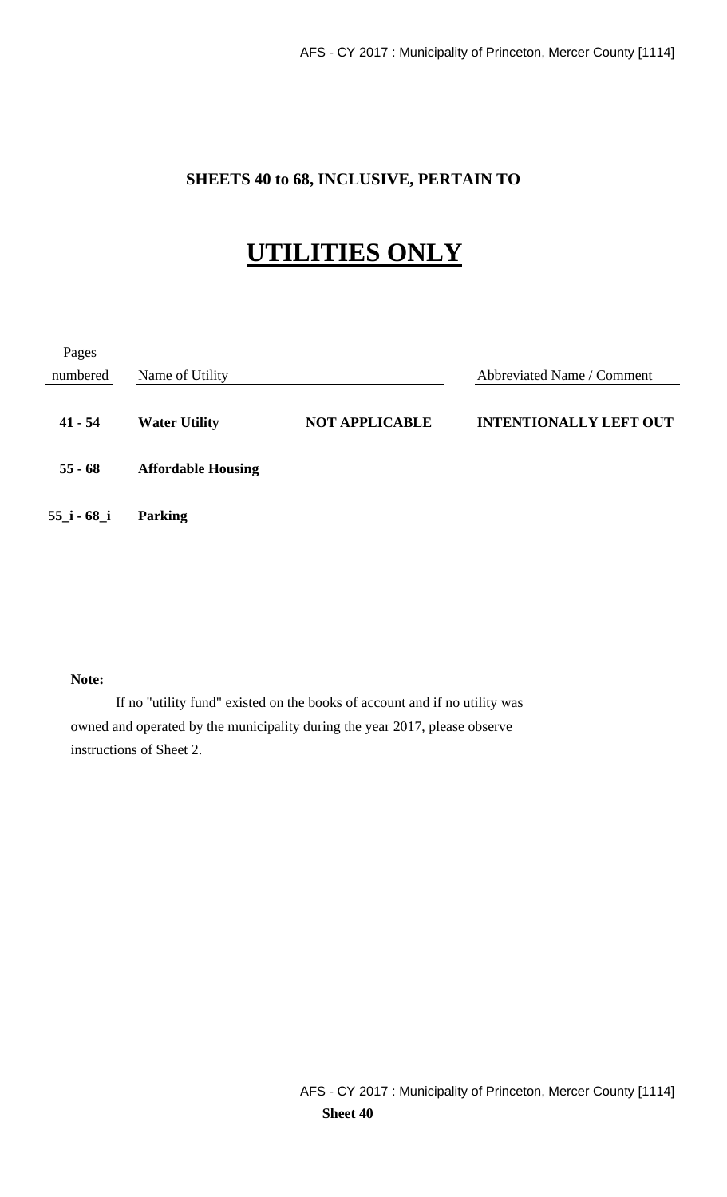## **SHEETS 40 to 68, INCLUSIVE, PERTAIN TO**

# **UTILITIES ONLY**

| Pages          |                           |                       |                               |
|----------------|---------------------------|-----------------------|-------------------------------|
| numbered       | Name of Utility           |                       | Abbreviated Name / Comment    |
| $41 - 54$      | <b>Water Utility</b>      | <b>NOT APPLICABLE</b> | <b>INTENTIONALLY LEFT OUT</b> |
| $55 - 68$      | <b>Affordable Housing</b> |                       |                               |
| $55$ _i - 68_i | <b>Parking</b>            |                       |                               |

#### **Note:**

If no "utility fund" existed on the books of account and if no utility was owned and operated by the municipality during the year 2017, please observe instructions of Sheet 2.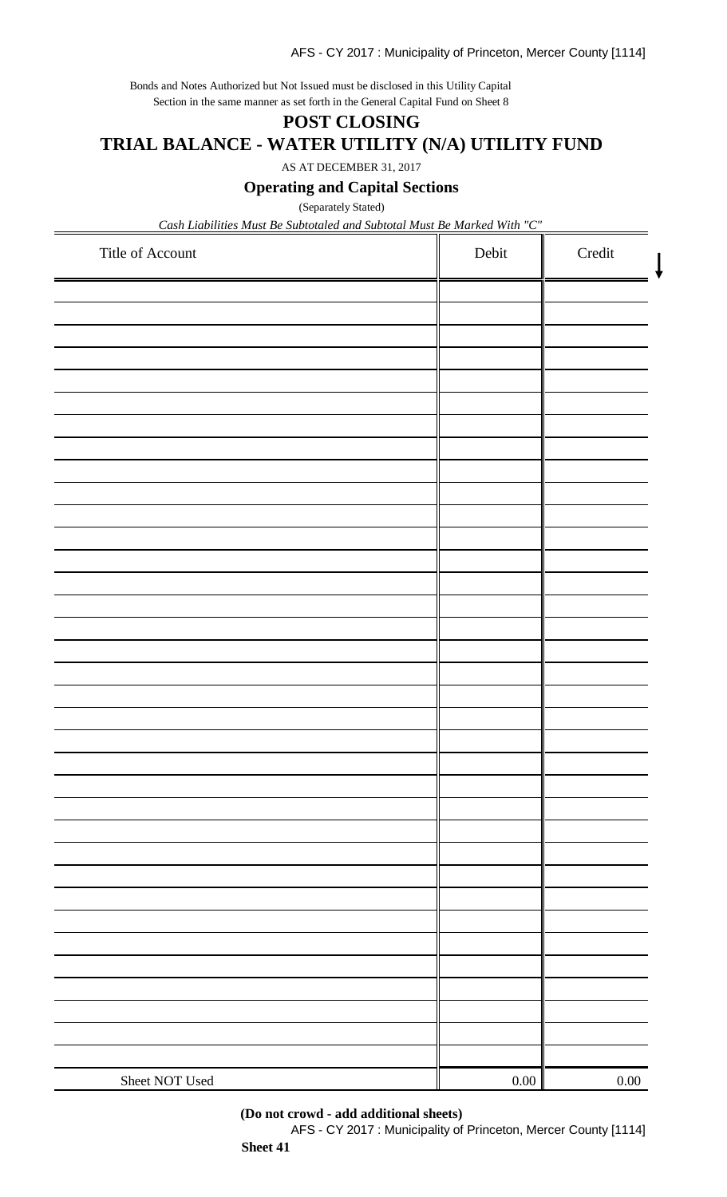Bonds and Notes Authorized but Not Issued must be disclosed in this Utility Capital Section in the same manner as set forth in the General Capital Fund on Sheet 8

# **POST CLOSING TRIAL BALANCE - WATER UTILITY (N/A) UTILITY FUND**

AS AT DECEMBER 31, 2017

**Operating and Capital Sections**

(Separately Stated)

*Cash Liabilities Must Be Subtotaled and Subtotal Must Be Marked With "C"*

| Title of Account | Debit | Credit   |
|------------------|-------|----------|
|                  |       |          |
|                  |       |          |
|                  |       |          |
|                  |       |          |
|                  |       |          |
|                  |       |          |
|                  |       |          |
|                  |       |          |
|                  |       |          |
|                  |       |          |
|                  |       |          |
|                  |       |          |
|                  |       |          |
|                  |       |          |
|                  |       |          |
|                  |       |          |
|                  |       |          |
|                  |       |          |
|                  |       |          |
|                  |       |          |
|                  |       |          |
|                  |       |          |
|                  |       |          |
|                  |       |          |
|                  |       |          |
| Sheet NOT Used   | 0.00  | $0.00\,$ |

**(Do not crowd - add additional sheets)**

AFS - CY 2017 : Municipality of Princeton, Mercer County [1114]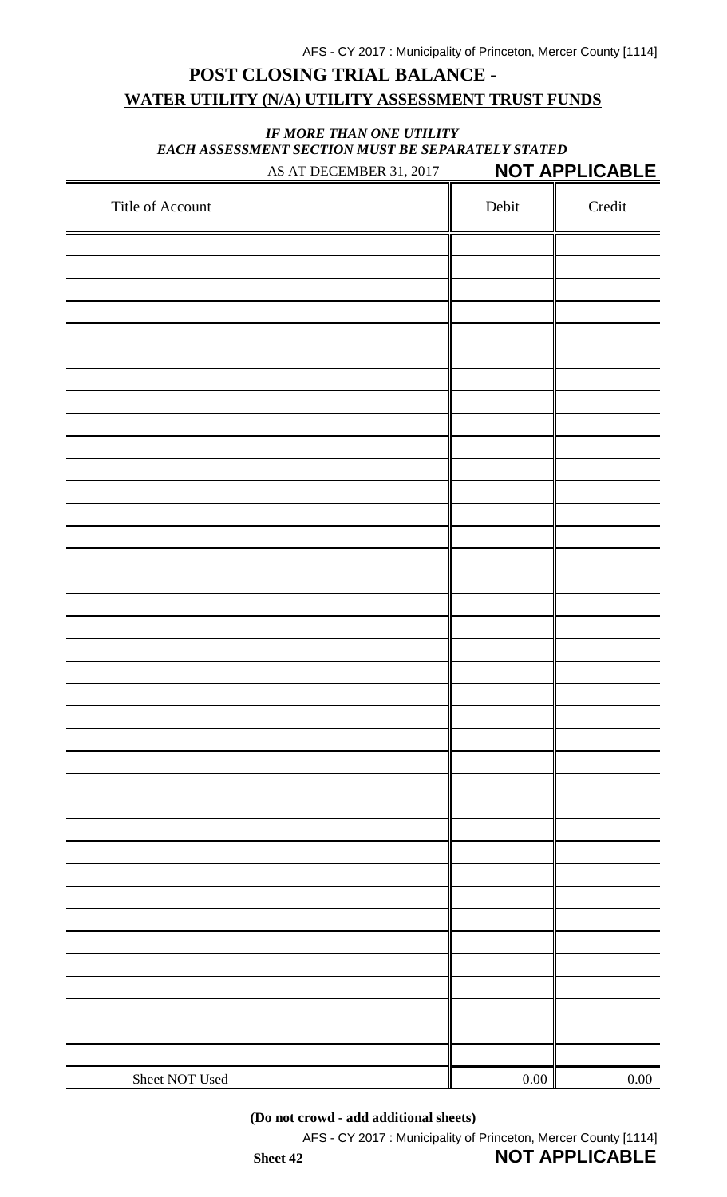# **POST CLOSING TRIAL BALANCE - WATER UTILITY (N/A) UTILITY ASSESSMENT TRUST FUNDS**

#### *IF MORE THAN ONE UTILITY EACH ASSESSMENT SECTION MUST BE SEPARATELY STATED* AS AT DECEMBER 31, 2017 **NOT APPLICABLE**

| Title of Account | Debit    | Credit   |
|------------------|----------|----------|
|                  |          |          |
|                  |          |          |
|                  |          |          |
|                  |          |          |
|                  |          |          |
|                  |          |          |
|                  |          |          |
|                  |          |          |
|                  |          |          |
|                  |          |          |
|                  |          |          |
|                  |          |          |
|                  |          |          |
|                  |          |          |
|                  |          |          |
|                  |          |          |
|                  |          |          |
|                  |          |          |
|                  |          |          |
|                  |          |          |
|                  |          |          |
|                  |          |          |
|                  |          |          |
|                  |          |          |
|                  |          |          |
|                  |          |          |
|                  |          |          |
|                  |          |          |
|                  |          |          |
|                  |          |          |
|                  |          |          |
|                  |          |          |
|                  |          |          |
|                  |          |          |
|                  |          |          |
|                  |          |          |
|                  |          |          |
| Sheet NOT Used   | $0.00\,$ | $0.00\,$ |

**(Do not crowd - add additional sheets)**

AFS - CY 2017 : Municipality of Princeton, Mercer County [1114]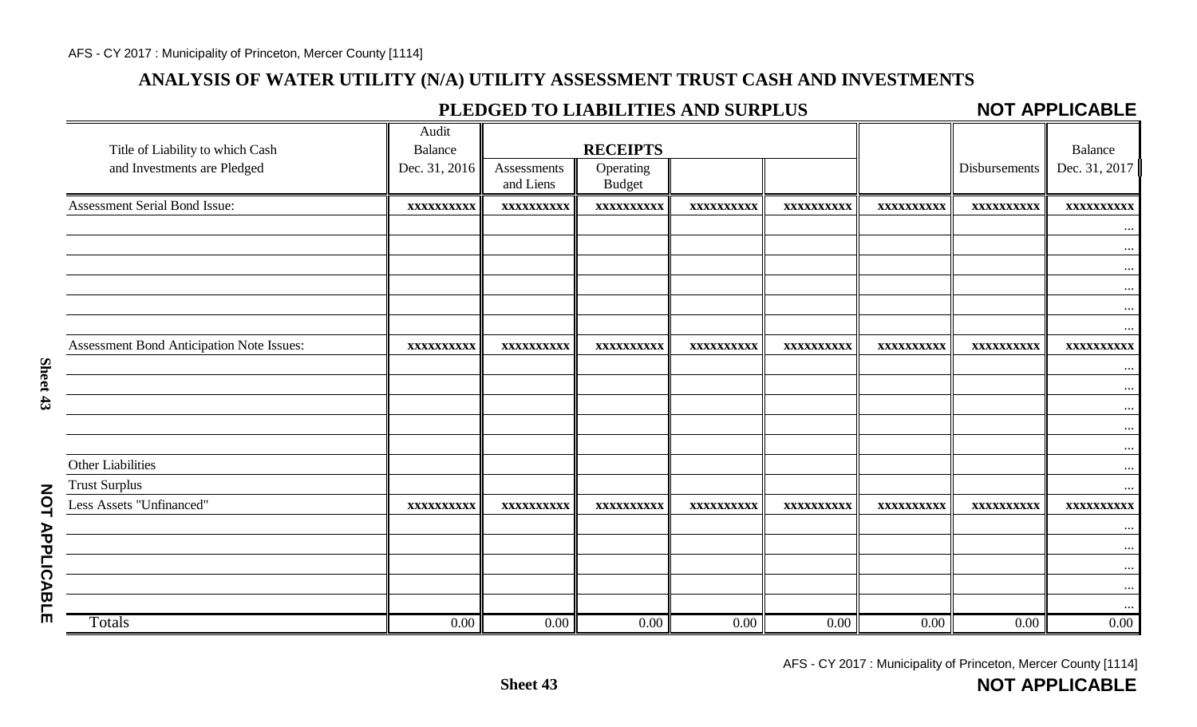## **ANALYSIS OF WATER UTILITY (N/A) UTILITY ASSESSMENT TRUST CASH AND INVESTMENTS**

## **PLEDGED TO LIABILITIES AND SURPLUS**

#### **NOT APPLICABLE**

|                                           | Audit          |                   |                 |                   |            |            |               |               |
|-------------------------------------------|----------------|-------------------|-----------------|-------------------|------------|------------|---------------|---------------|
| Title of Liability to which Cash          | <b>Balance</b> |                   | <b>RECEIPTS</b> |                   |            |            |               | Balance       |
| and Investments are Pledged               | Dec. 31, 2016  | Assessments       | Operating       |                   |            |            | Disbursements | Dec. 31, 2017 |
|                                           |                | and Liens         | <b>Budget</b>   |                   |            |            |               |               |
| Assessment Serial Bond Issue:             | XXXXXXXXXX     | <b>XXXXXXXXXX</b> | XXXXXXXXXX      | XXXXXXXXXX        | XXXXXXXXXX | XXXXXXXXXX | XXXXXXXXXX    | XXXXXXXXXX    |
|                                           |                |                   |                 |                   |            |            |               | $\cdots$      |
|                                           |                |                   |                 |                   |            |            |               | $\cdots$      |
|                                           |                |                   |                 |                   |            |            |               | $\cdots$      |
|                                           |                |                   |                 |                   |            |            |               | $\cdots$      |
|                                           |                |                   |                 |                   |            |            |               | $\cdots$      |
|                                           |                |                   |                 |                   |            |            |               | $\ldots$      |
| Assessment Bond Anticipation Note Issues: | XXXXXXXXXX     | XXXXXXXXXX        | XXXXXXXXXX      | <b>XXXXXXXXXX</b> | XXXXXXXXXX | XXXXXXXXXX | XXXXXXXXXX    | XXXXXXXXXX    |
|                                           |                |                   |                 |                   |            |            |               | $\cdots$      |
|                                           |                |                   |                 |                   |            |            |               | $\cdots$      |
|                                           |                |                   |                 |                   |            |            |               | $\cdots$      |
|                                           |                |                   |                 |                   |            |            |               | $\cdots$      |
|                                           |                |                   |                 |                   |            |            |               | $\cdots$      |
| Other Liabilities                         |                |                   |                 |                   |            |            |               | $\cdots$      |
| <b>Trust Surplus</b>                      |                |                   |                 |                   |            |            |               | $\cdots$      |
| Less Assets "Unfinanced"                  | XXXXXXXXXX     | XXXXXXXXXX        | XXXXXXXXXX      | XXXXXXXXXX        | XXXXXXXXXX | XXXXXXXXXX | XXXXXXXXXX    | XXXXXXXXXX    |
|                                           |                |                   |                 |                   |            |            |               | $\cdots$      |
|                                           |                |                   |                 |                   |            |            |               | $\cdots$      |
|                                           |                |                   |                 |                   |            |            |               | $\cdots$      |
|                                           |                |                   |                 |                   |            |            |               | $\cdots$      |
|                                           |                |                   |                 |                   |            |            |               |               |
| Totals                                    | 0.00           | $0.00\,$          | 0.00            | $0.00\,$          | 0.00       | 0.00       | $0.00\,$      | $0.00\,$      |

**NOT APPLICABLE**

**NOT APPLICABLE NOT APPLICABLE**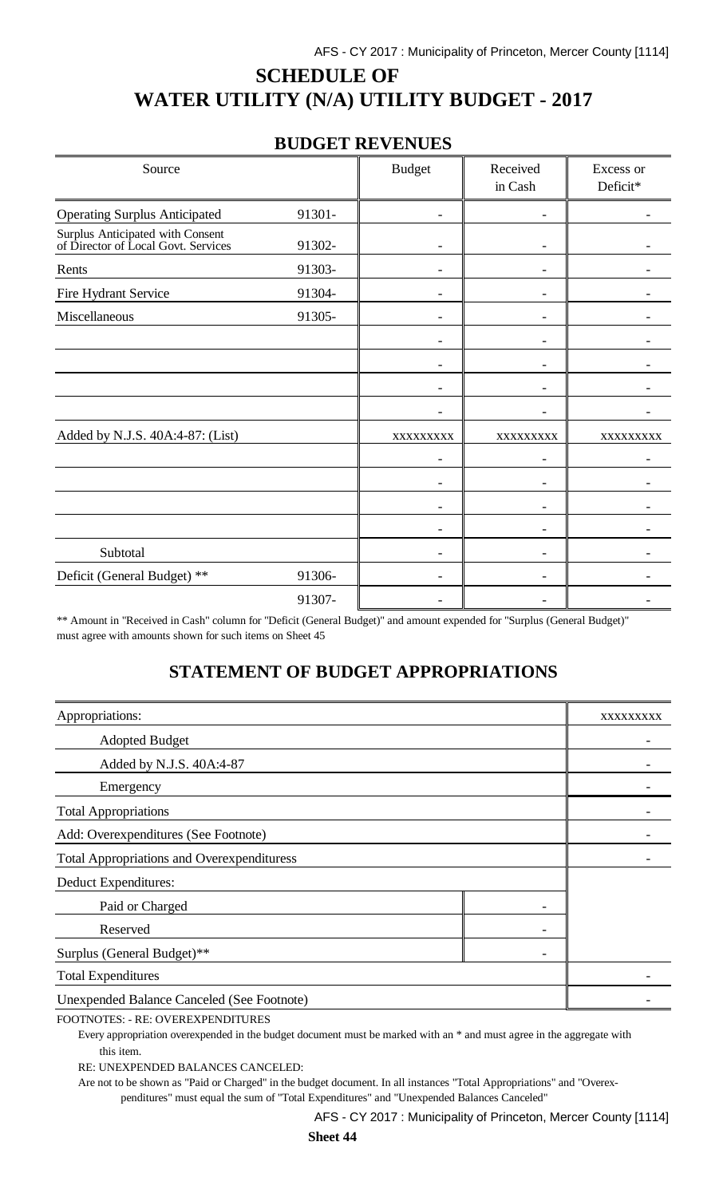# **SCHEDULE OF WATER UTILITY (N/A) UTILITY BUDGET - 2017**

## **BUDGET REVENUES**

| Source                                                                  |        | <b>Budget</b> | Received<br>in Cash | Excess or<br>Deficit* |
|-------------------------------------------------------------------------|--------|---------------|---------------------|-----------------------|
| <b>Operating Surplus Anticipated</b>                                    | 91301- |               |                     |                       |
| Surplus Anticipated with Consent<br>of Director of Local Govt. Services | 91302- |               | ۰                   |                       |
| Rents                                                                   | 91303- |               |                     |                       |
| Fire Hydrant Service                                                    | 91304- |               |                     |                       |
| Miscellaneous                                                           | 91305- |               |                     |                       |
|                                                                         |        |               |                     |                       |
|                                                                         |        |               |                     |                       |
|                                                                         |        |               | ۰                   |                       |
|                                                                         |        |               |                     |                       |
| Added by N.J.S. 40A:4-87: (List)                                        |        | XXXXXXXXX     | XXXXXXXXX           | XXXXXXXXX             |
|                                                                         |        |               | -                   |                       |
|                                                                         |        |               |                     |                       |
|                                                                         |        |               |                     |                       |
|                                                                         |        |               |                     |                       |
| Subtotal                                                                |        |               |                     |                       |
| Deficit (General Budget) **                                             | 91306- |               |                     |                       |
|                                                                         | 91307- |               |                     |                       |

\*\* Amount in "Received in Cash" column for "Deficit (General Budget)" and amount expended for "Surplus (General Budget)" must agree with amounts shown for such items on Sheet 45

# **STATEMENT OF BUDGET APPROPRIATIONS**

| Appropriations:                                   |  | XXXXXXXXX |
|---------------------------------------------------|--|-----------|
| <b>Adopted Budget</b>                             |  |           |
| Added by N.J.S. 40A:4-87                          |  |           |
| Emergency                                         |  |           |
| <b>Total Appropriations</b>                       |  |           |
| Add: Overexpenditures (See Footnote)              |  |           |
| <b>Total Appropriations and Overexpendituress</b> |  |           |
| Deduct Expenditures:                              |  |           |
| Paid or Charged                                   |  |           |
| Reserved                                          |  |           |
| Surplus (General Budget)**                        |  |           |
| <b>Total Expenditures</b>                         |  |           |
| <b>Unexpended Balance Canceled (See Footnote)</b> |  |           |

FOOTNOTES: - RE: OVEREXPENDITURES

Every appropriation overexpended in the budget document must be marked with an \* and must agree in the aggregate with this item.

RE: UNEXPENDED BALANCES CANCELED:

Are not to be shown as "Paid or Charged" in the budget document. In all instances "Total Appropriations" and "Overexpenditures" must equal the sum of "Total Expenditures" and "Unexpended Balances Canceled"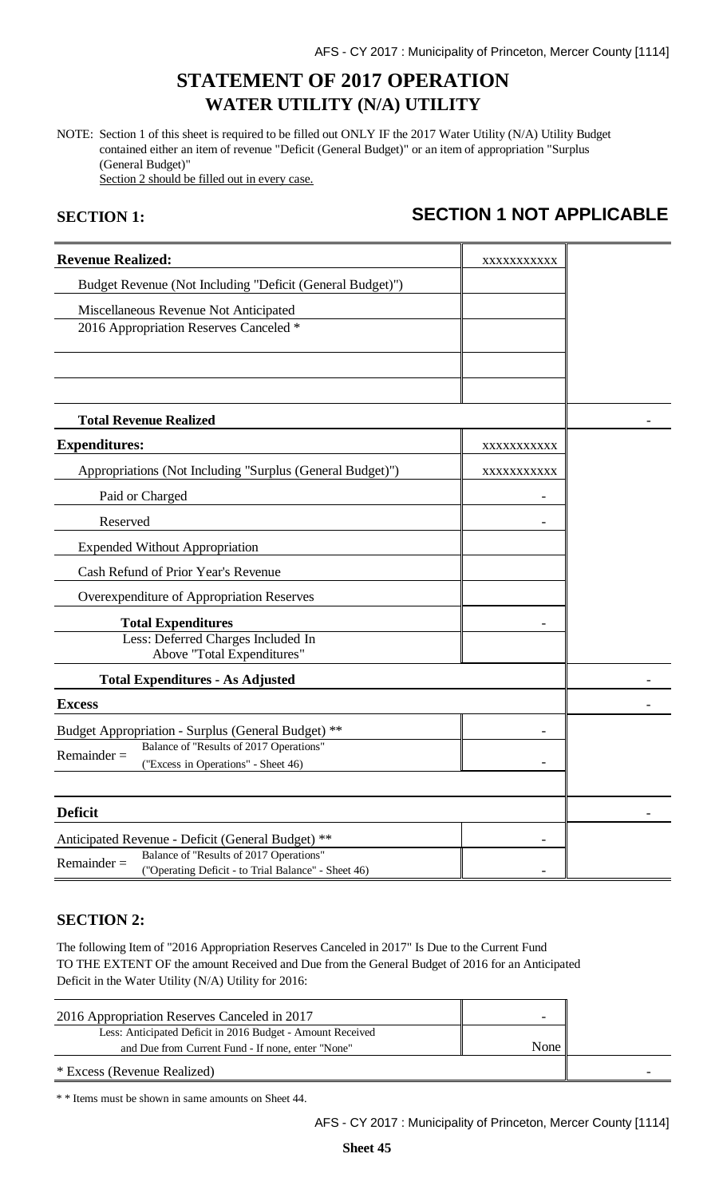# **STATEMENT OF 2017 OPERATION WATER UTILITY (N/A) UTILITY**

NOTE: Section 1 of this sheet is required to be filled out ONLY IF the 2017 Water Utility (N/A) Utility Budget contained either an item of revenue "Deficit (General Budget)" or an item of appropriation "Surplus (General Budget)" Section 2 should be filled out in every case.

# **SECTION 1: SECTION 1 NOT APPLICABLE**

| <b>Revenue Realized:</b>                                                                      | XXXXXXXXXX |  |
|-----------------------------------------------------------------------------------------------|------------|--|
| Budget Revenue (Not Including "Deficit (General Budget)")                                     |            |  |
| Miscellaneous Revenue Not Anticipated                                                         |            |  |
| 2016 Appropriation Reserves Canceled *                                                        |            |  |
|                                                                                               |            |  |
|                                                                                               |            |  |
|                                                                                               |            |  |
| <b>Total Revenue Realized</b>                                                                 |            |  |
| <b>Expenditures:</b>                                                                          | XXXXXXXXXX |  |
| Appropriations (Not Including "Surplus (General Budget)")                                     | XXXXXXXXXX |  |
| Paid or Charged                                                                               |            |  |
| Reserved                                                                                      |            |  |
| <b>Expended Without Appropriation</b>                                                         |            |  |
| Cash Refund of Prior Year's Revenue                                                           |            |  |
| Overexpenditure of Appropriation Reserves                                                     |            |  |
| <b>Total Expenditures</b>                                                                     |            |  |
| Less: Deferred Charges Included In<br>Above "Total Expenditures"                              |            |  |
| <b>Total Expenditures - As Adjusted</b>                                                       |            |  |
| <b>Excess</b>                                                                                 |            |  |
|                                                                                               |            |  |
| Budget Appropriation - Surplus (General Budget) **<br>Balance of "Results of 2017 Operations" |            |  |
| $Remainder =$<br>("Excess in Operations" - Sheet 46)                                          |            |  |
|                                                                                               |            |  |
| <b>Deficit</b>                                                                                |            |  |
| Anticipated Revenue - Deficit (General Budget) **                                             |            |  |
| Balance of "Results of 2017 Operations"<br>$Remainder =$                                      |            |  |
| ("Operating Deficit - to Trial Balance" - Sheet 46)                                           |            |  |

#### **SECTION 2:**

The following Item of "2016 Appropriation Reserves Canceled in 2017" Is Due to the Current Fund TO THE EXTENT OF the amount Received and Due from the General Budget of 2016 for an Anticipated Deficit in the Water Utility (N/A) Utility for 2016:

| 2016 Appropriation Reserves Canceled in 2017               | -    |  |
|------------------------------------------------------------|------|--|
| Less: Anticipated Deficit in 2016 Budget - Amount Received |      |  |
| and Due from Current Fund - If none, enter "None"          | None |  |
| * Excess (Revenue Realized)                                |      |  |

\* \* Items must be shown in same amounts on Sheet 44.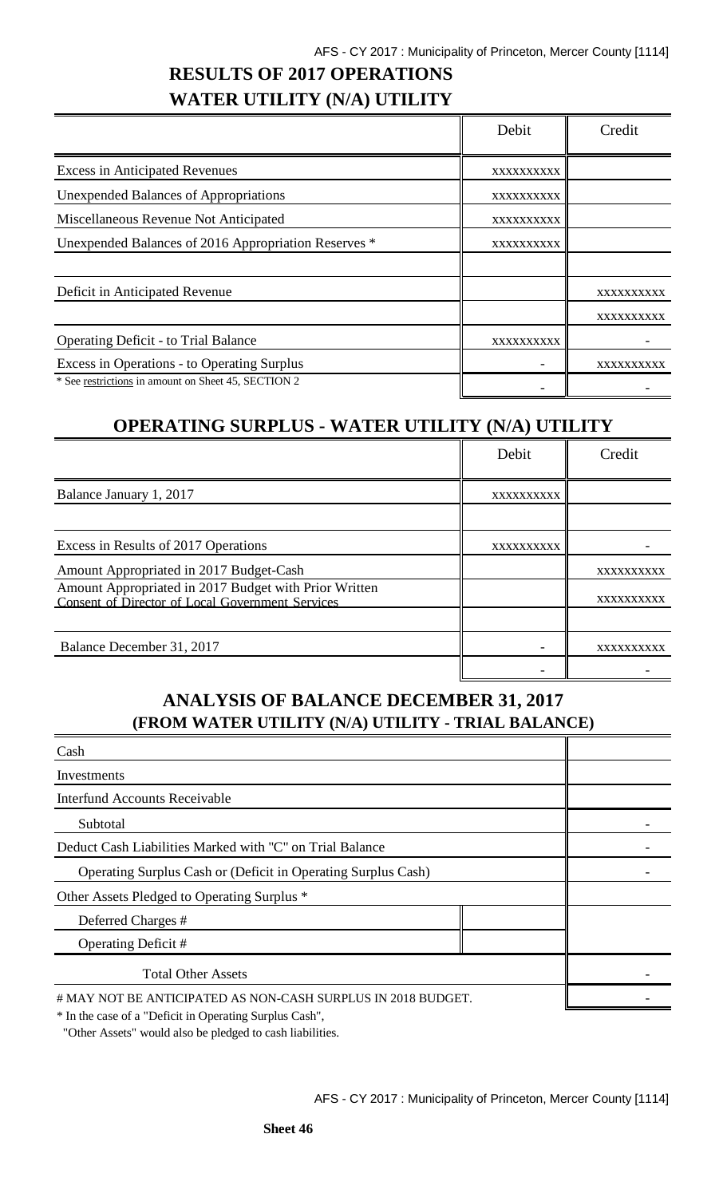# **RESULTS OF 2017 OPERATIONS WATER UTILITY (N/A) UTILITY**

|                                                      | Debit      | Credit     |
|------------------------------------------------------|------------|------------|
| <b>Excess in Anticipated Revenues</b>                | XXXXXXXXXX |            |
| <b>Unexpended Balances of Appropriations</b>         | XXXXXXXXXX |            |
| Miscellaneous Revenue Not Anticipated                | XXXXXXXXXX |            |
| Unexpended Balances of 2016 Appropriation Reserves * | XXXXXXXXXX |            |
|                                                      |            |            |
| Deficit in Anticipated Revenue                       |            | XXXXXXXXXX |
|                                                      |            | XXXXXXXXXX |
| <b>Operating Deficit - to Trial Balance</b>          | XXXXXXXXXX |            |
| Excess in Operations - to Operating Surplus          |            | XXXXXXXXXX |
| * See restrictions in amount on Sheet 45, SECTION 2  |            |            |

# **OPERATING SURPLUS - WATER UTILITY (N/A) UTILITY**

|                                                                                                           | Debit      | Credit     |
|-----------------------------------------------------------------------------------------------------------|------------|------------|
| Balance January 1, 2017                                                                                   | XXXXXXXXXX |            |
|                                                                                                           |            |            |
| Excess in Results of 2017 Operations                                                                      | XXXXXXXXXX |            |
| Amount Appropriated in 2017 Budget-Cash                                                                   |            | XXXXXXXXXX |
| Amount Appropriated in 2017 Budget with Prior Written<br>Consent of Director of Local Government Services |            | XXXXXXXXXX |
|                                                                                                           |            |            |
| Balance December 31, 2017                                                                                 |            | XXXXXXXXXX |
|                                                                                                           |            |            |

## **ANALYSIS OF BALANCE DECEMBER 31, 2017 (FROM WATER UTILITY (N/A) UTILITY - TRIAL BALANCE)**

| Cash                                                                 |  |
|----------------------------------------------------------------------|--|
| Investments                                                          |  |
| <b>Interfund Accounts Receivable</b>                                 |  |
| Subtotal                                                             |  |
| Deduct Cash Liabilities Marked with "C" on Trial Balance             |  |
| <b>Operating Surplus Cash or (Deficit in Operating Surplus Cash)</b> |  |
| Other Assets Pledged to Operating Surplus *                          |  |
| Deferred Charges #                                                   |  |
| Operating Deficit #                                                  |  |
| <b>Total Other Assets</b>                                            |  |
| # MAY NOT BE ANTICIPATED AS NON-CASH SURPLUS IN 2018 BUDGET.         |  |

\* In the case of a "Deficit in Operating Surplus Cash",

"Other Assets" would also be pledged to cash liabilities.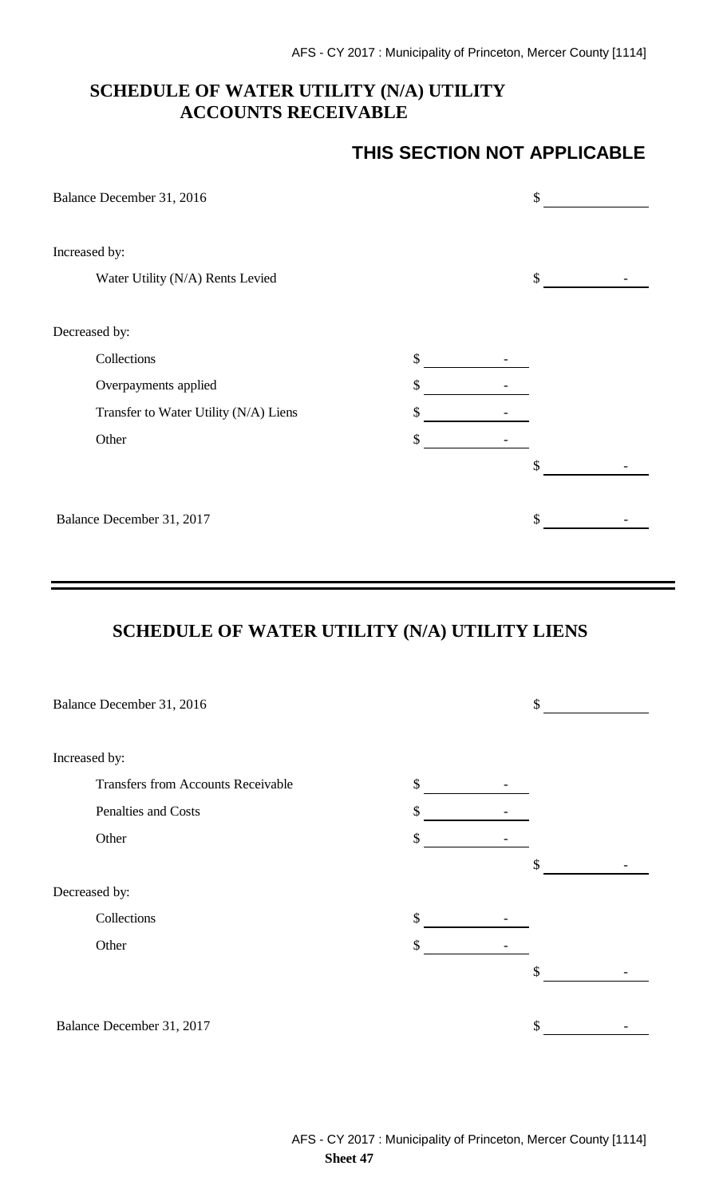## **SCHEDULE OF WATER UTILITY (N/A) UTILITY ACCOUNTS RECEIVABLE**

## **THIS SECTION NOT APPLICABLE**

| Balance December 31, 2016             |    | \$ |
|---------------------------------------|----|----|
| Increased by:                         |    |    |
| Water Utility (N/A) Rents Levied      |    | \$ |
| Decreased by:                         |    |    |
| Collections                           | \$ |    |
| Overpayments applied                  | \$ |    |
| Transfer to Water Utility (N/A) Liens | \$ |    |
| Other                                 | \$ |    |
|                                       |    | \$ |
| Balance December 31, 2017             |    | \$ |

# **SCHEDULE OF WATER UTILITY (N/A) UTILITY LIENS**

|               | Balance December 31, 2016                 |    | \$ |
|---------------|-------------------------------------------|----|----|
|               |                                           |    |    |
| Increased by: |                                           |    |    |
|               | <b>Transfers from Accounts Receivable</b> | \$ |    |
|               | Penalties and Costs                       | \$ |    |
|               | Other                                     | \$ |    |
|               |                                           |    | \$ |
| Decreased by: |                                           |    |    |
|               | Collections                               | \$ |    |
|               | Other                                     | \$ |    |
|               |                                           |    | \$ |
|               |                                           |    |    |
|               | Balance December 31, 2017                 |    | \$ |
|               |                                           |    |    |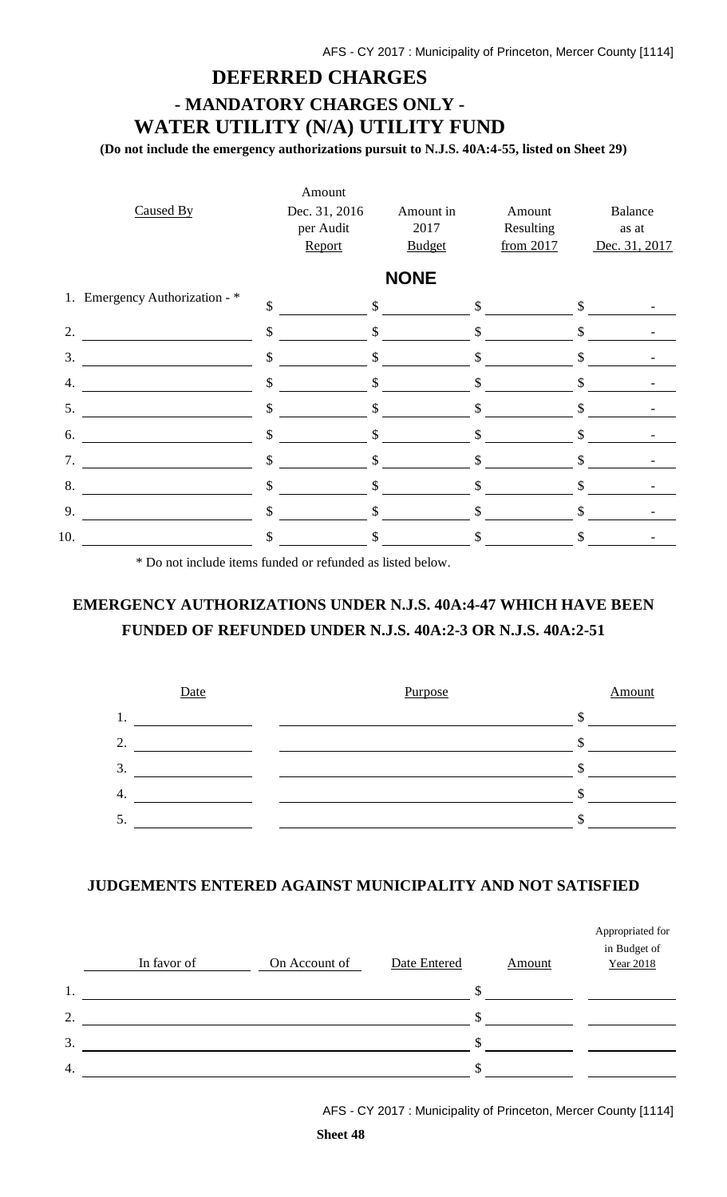## **DEFERRED CHARGES**

# **- MANDATORY CHARGES ONLY - WATER UTILITY (N/A) UTILITY FUND**

**(Do not include the emergency authorizations pursuit to N.J.S. 40A:4-55, listed on Sheet 29)**

|     |                                | Amount        |               |              |               |               |
|-----|--------------------------------|---------------|---------------|--------------|---------------|---------------|
|     | Caused By                      | Dec. 31, 2016 | Amount in     | Amount       |               | Balance       |
|     |                                | per Audit     | 2017          | Resulting    |               | as at         |
|     |                                | Report        | <b>Budget</b> | from 2017    |               | Dec. 31, 2017 |
|     |                                |               | <b>NONE</b>   |              |               |               |
|     | 1. Emergency Authorization - * | \$            | $\mathsf{\$}$ | $\mathbb{S}$ | $\mathcal{S}$ |               |
| 2.  |                                | \$            | \$            | \$           | \$            |               |
| 3.  |                                | \$            | \$            | \$           | \$            |               |
| 4.  |                                | \$            | $\mathcal{S}$ | \$           |               |               |
| 5.  |                                | \$            | \$            | \$           | \$            |               |
| 6.  |                                | $\mathcal{S}$ | \$            | \$           | \$            |               |
| 7.  |                                | \$            | $\mathcal{S}$ | \$           | \$            |               |
| 8.  |                                | \$            | \$            | \$           | \$            |               |
| 9.  |                                | $\mathbb{S}$  | $\mathcal{S}$ | \$           | \$            |               |
| 10. |                                | \$            | \$            |              |               |               |

\* Do not include items funded or refunded as listed below.

## **EMERGENCY AUTHORIZATIONS UNDER N.J.S. 40A:4-47 WHICH HAVE BEEN FUNDED OF REFUNDED UNDER N.J.S. 40A:2-3 OR N.J.S. 40A:2-51**



#### **JUDGEMENTS ENTERED AGAINST MUNICIPALITY AND NOT SATISFIED**

|    | In favor of | On Account of | Date Entered | Amount | Appropriated for<br>in Budget of<br><b>Year 2018</b> |
|----|-------------|---------------|--------------|--------|------------------------------------------------------|
| 1. |             |               |              |        |                                                      |
| 2. |             |               |              |        |                                                      |
| 3. |             |               |              |        |                                                      |
| 4. |             |               |              | ۰Π     |                                                      |

AFS - CY 2017 : Municipality of Princeton, Mercer County [1114]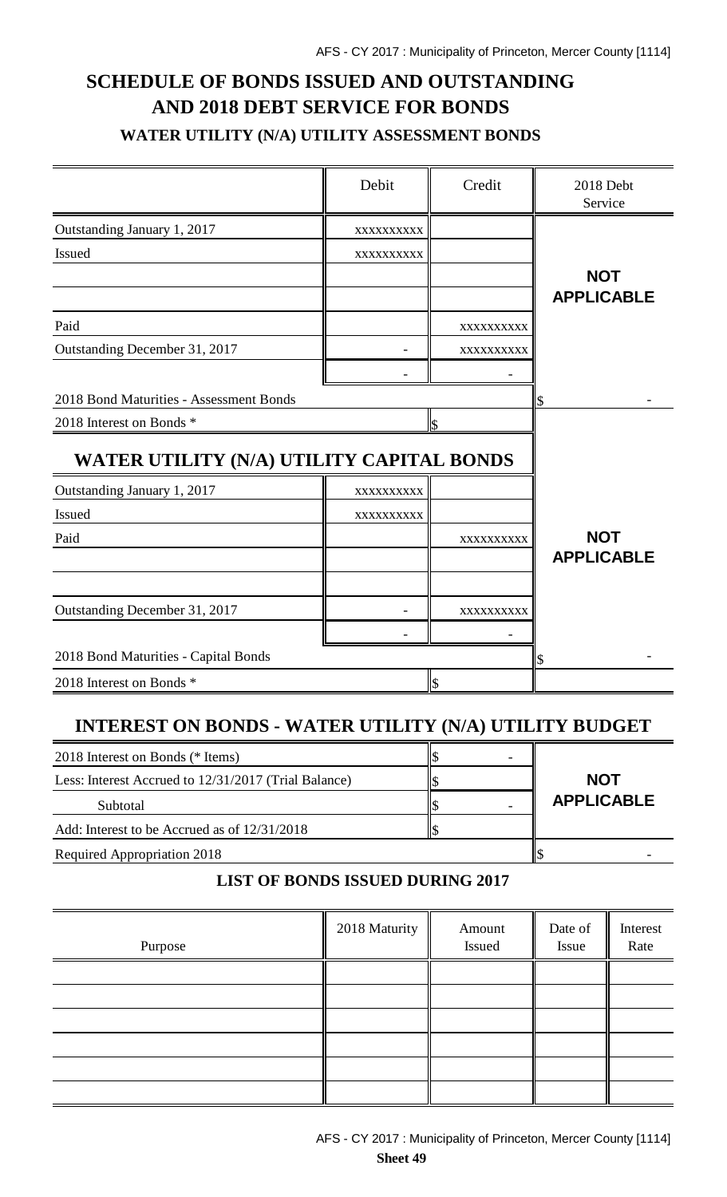# **SCHEDULE OF BONDS ISSUED AND OUTSTANDING AND 2018 DEBT SERVICE FOR BONDS WATER UTILITY (N/A) UTILITY ASSESSMENT BONDS**

|                                           | Debit      | Credit        | 2018 Debt<br>Service |
|-------------------------------------------|------------|---------------|----------------------|
| Outstanding January 1, 2017               | XXXXXXXXXX |               |                      |
| Issued                                    | XXXXXXXXXX |               |                      |
|                                           |            |               | <b>NOT</b>           |
|                                           |            |               | <b>APPLICABLE</b>    |
| Paid                                      |            | XXXXXXXXXX    |                      |
| Outstanding December 31, 2017             |            | XXXXXXXXXX    |                      |
|                                           |            |               |                      |
| 2018 Bond Maturities - Assessment Bonds   |            |               | \$                   |
| 2018 Interest on Bonds *                  |            | \$            |                      |
| WATER UTILITY (N/A) UTILITY CAPITAL BONDS |            |               |                      |
| Outstanding January 1, 2017               | XXXXXXXXXX |               |                      |
| Issued                                    | XXXXXXXXXX |               |                      |
| Paid                                      |            | XXXXXXXXXX    | <b>NOT</b>           |
|                                           |            |               | <b>APPLICABLE</b>    |
|                                           |            |               |                      |
| Outstanding December 31, 2017             |            | XXXXXXXXX     |                      |
|                                           |            |               |                      |
| 2018 Bond Maturities - Capital Bonds      | \$         |               |                      |
| 2018 Interest on Bonds *                  |            | $\mathsf{\$}$ |                      |

## **INTEREST ON BONDS - WATER UTILITY (N/A) UTILITY BUDGET**

| 2018 Interest on Bonds (* Items)                     |                   |
|------------------------------------------------------|-------------------|
| Less: Interest Accrued to 12/31/2017 (Trial Balance) | <b>NOT</b>        |
| Subtotal                                             | <b>APPLICABLE</b> |
| Add: Interest to be Accrued as of $12/31/2018$       |                   |
| Required Appropriation 2018                          |                   |

## **LIST OF BONDS ISSUED DURING 2017**

| Purpose | 2018 Maturity | Amount<br>Issued | Date of<br>Issue | Interest<br>Rate |
|---------|---------------|------------------|------------------|------------------|
|         |               |                  |                  |                  |
|         |               |                  |                  |                  |
|         |               |                  |                  |                  |
|         |               |                  |                  |                  |
|         |               |                  |                  |                  |
|         |               |                  |                  |                  |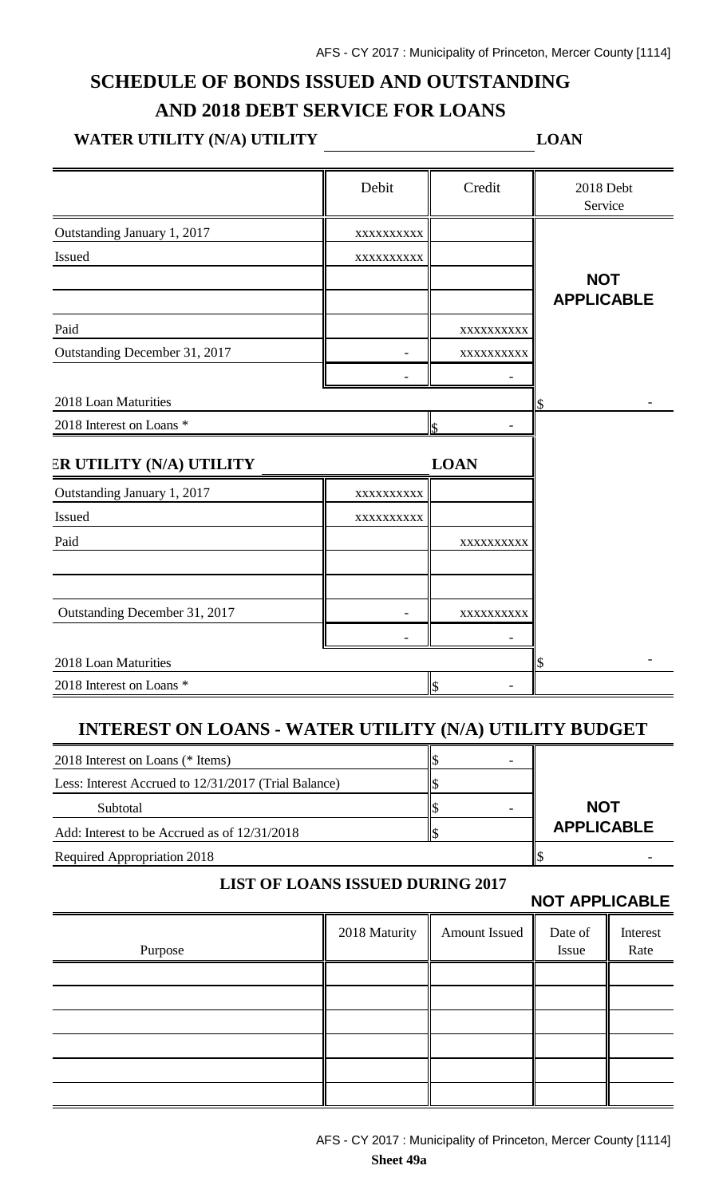# **SCHEDULE OF BONDS ISSUED AND OUTSTANDING AND 2018 DEBT SERVICE FOR LOANS**

# WATER UTILITY (N/A) UTILITY \_\_\_\_\_\_\_\_\_\_\_\_\_\_\_\_\_\_\_\_\_\_\_\_\_\_\_\_\_LOAN

|                               | Debit      | Credit      | 2018 Debt<br>Service |
|-------------------------------|------------|-------------|----------------------|
| Outstanding January 1, 2017   | XXXXXXXXXX |             |                      |
| Issued                        | XXXXXXXXX  |             |                      |
|                               |            |             | <b>NOT</b>           |
|                               |            |             | <b>APPLICABLE</b>    |
| Paid                          |            | XXXXXXXXX   |                      |
| Outstanding December 31, 2017 |            | XXXXXXXXXX  |                      |
|                               |            |             |                      |
| 2018 Loan Maturities          |            |             |                      |
| 2018 Interest on Loans *      |            | \$          |                      |
| ER UTILITY (N/A) UTILITY      |            | <b>LOAN</b> |                      |
| Outstanding January 1, 2017   | XXXXXXXXXX |             |                      |
| Issued                        | XXXXXXXXXX |             |                      |
| Paid                          |            | XXXXXXXXX   |                      |
|                               |            |             |                      |
| Outstanding December 31, 2017 |            | XXXXXXXXX   |                      |
|                               |            |             |                      |
| 2018 Loan Maturities          |            |             | \$                   |
| 2018 Interest on Loans *      |            | \$          |                      |

## **INTEREST ON LOANS - WATER UTILITY (N/A) UTILITY BUDGET**

| 2018 Interest on Loans (* Items)                     | ۰ |                   |
|------------------------------------------------------|---|-------------------|
| Less: Interest Accrued to 12/31/2017 (Trial Balance) |   |                   |
| Subtotal                                             |   | <b>NOT</b>        |
| Add: Interest to be Accrued as of 12/31/2018         |   | <b>APPLICABLE</b> |
| <b>Required Appropriation 2018</b>                   |   |                   |

#### **LIST OF LOANS ISSUED DURING 2017**

**NOT APPLICABLE**

|         |               |               | . <i>.</i>       |                  |
|---------|---------------|---------------|------------------|------------------|
| Purpose | 2018 Maturity | Amount Issued | Date of<br>Issue | Interest<br>Rate |
|         |               |               |                  |                  |
|         |               |               |                  |                  |
|         |               |               |                  |                  |
|         |               |               |                  |                  |
|         |               |               |                  |                  |
|         |               |               |                  |                  |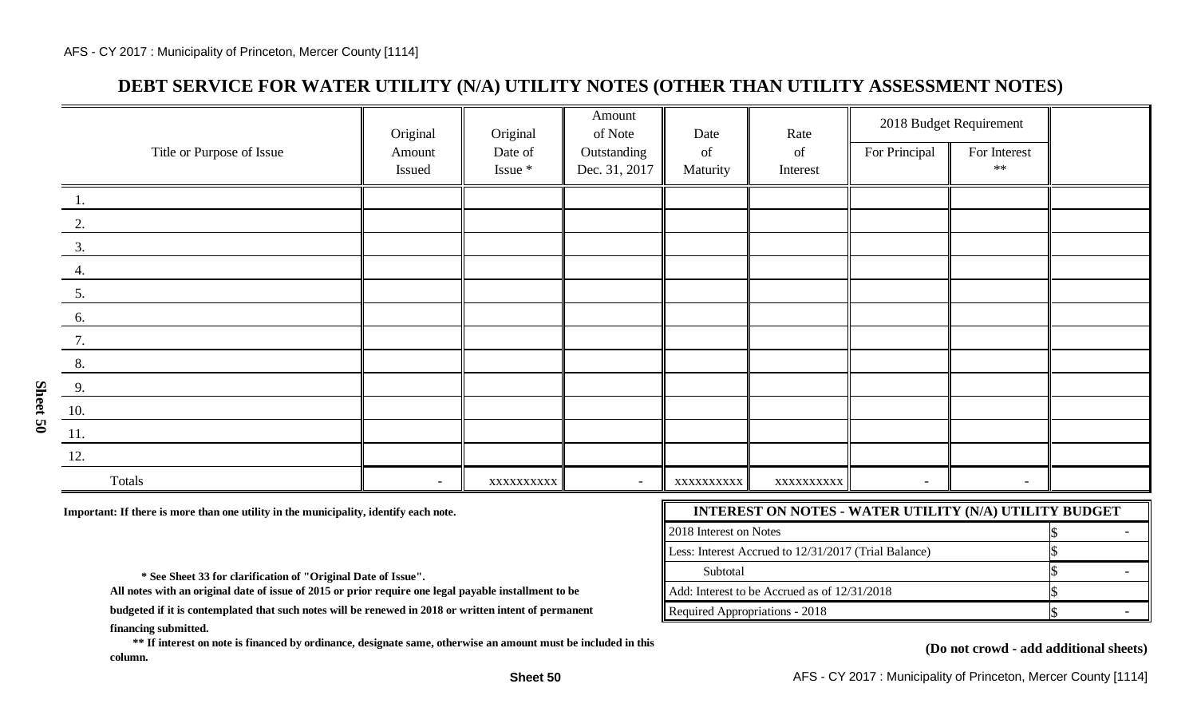## **DEBT SERVICE FOR WATER UTILITY (N/A) UTILITY NOTES (OTHER THAN UTILITY ASSESSMENT NOTES)**

|                              | Original | Original   | Amount<br>of Note        | Date       | Rate      | 2018 Budget Requirement  |              |  |
|------------------------------|----------|------------|--------------------------|------------|-----------|--------------------------|--------------|--|
| Title or Purpose of Issue    | Amount   | Date of    | Outstanding              | of         | of        | For Principal            | For Interest |  |
|                              | Issued   | Issue *    | Dec. 31, 2017            | Maturity   | Interest  |                          | $\ast\ast$   |  |
| 1.                           |          |            |                          |            |           |                          |              |  |
| 2.                           |          |            |                          |            |           |                          |              |  |
| 3.                           |          |            |                          |            |           |                          |              |  |
| 4.                           |          |            |                          |            |           |                          |              |  |
| 5.                           |          |            |                          |            |           |                          |              |  |
| 6.                           |          |            |                          |            |           |                          |              |  |
| $\frac{7}{2}$                |          |            |                          |            |           |                          |              |  |
| 8.                           |          |            |                          |            |           |                          |              |  |
| 9.                           |          |            |                          |            |           |                          |              |  |
| 10.                          |          |            |                          |            |           |                          |              |  |
| $\underline{\phantom{a}11.}$ |          |            |                          |            |           |                          |              |  |
| 12.                          |          |            |                          |            |           |                          |              |  |
| Totals                       | $\sim$   | XXXXXXXXXX | $\overline{\phantom{a}}$ | XXXXXXXXXX | XXXXXXXXX | $\overline{\phantom{a}}$ | $\sim$       |  |

Important: If there is more than one utility in the municipality, identify each note.

| <b>INTEREST ON NOTES - WATER UTILITY (N/A) UTILITY BUDGET</b> |  |  |  |  |  |  |
|---------------------------------------------------------------|--|--|--|--|--|--|
| 2018 Interest on Notes                                        |  |  |  |  |  |  |
| Less: Interest Accrued to 12/31/2017 (Trial Balance)          |  |  |  |  |  |  |
| Subtotal                                                      |  |  |  |  |  |  |
| Add: Interest to be Accrued as of 12/31/2018                  |  |  |  |  |  |  |
| Required Appropriations - 2018                                |  |  |  |  |  |  |

 **\* See Sheet 33 for clarification of "Original Date of Issue".** 

**All notes with an original date of issue of 2015 or prior require one legal payable installment to be**

**financing submitted. budgeted if it is contemplated that such notes will be renewed in 2018 or written intent of permanent**

 **\*\* If interest on note is financed by ordinance, designate same, otherwise an amount must be included in this column.**

#### **(Do not crowd - add additional sheets)**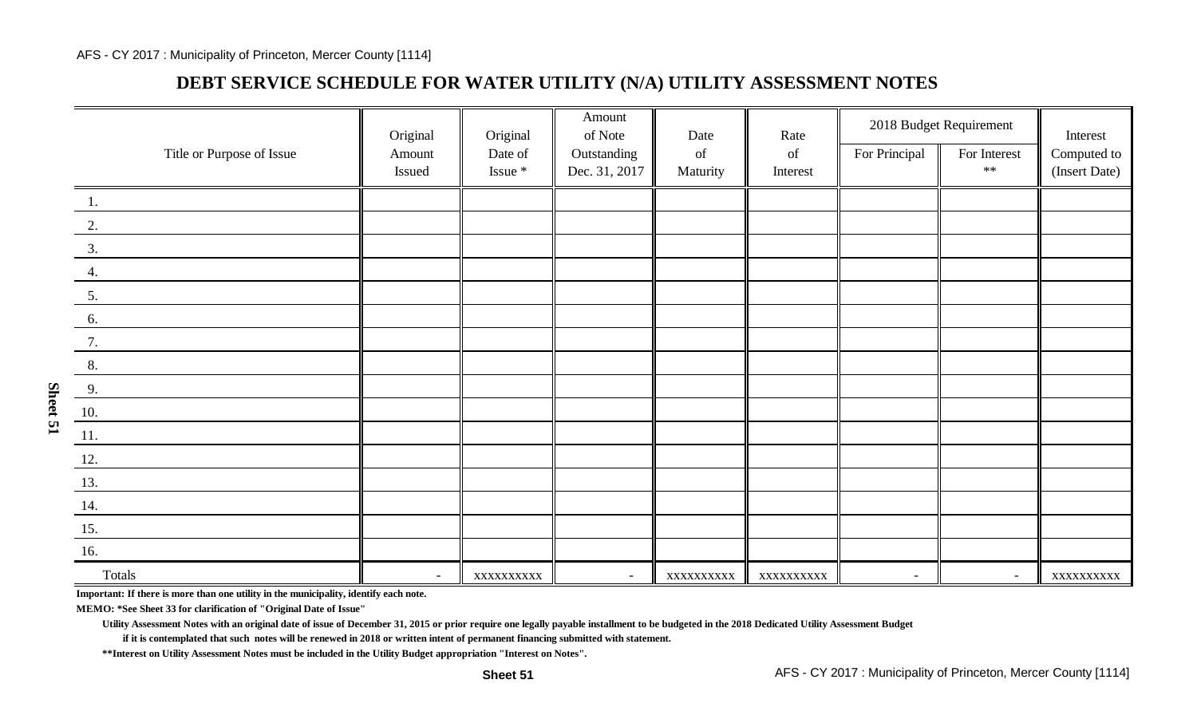## **DEBT SERVICE SCHEDULE FOR WATER UTILITY (N/A) UTILITY ASSESSMENT NOTES**

|                              | Original | Original   | Amount<br>of Note | Date                                                                                               | Rate                                                                                               | 2018 Budget Requirement  |              | Interest      |
|------------------------------|----------|------------|-------------------|----------------------------------------------------------------------------------------------------|----------------------------------------------------------------------------------------------------|--------------------------|--------------|---------------|
| Title or Purpose of Issue    | Amount   | Date of    | Outstanding       | $% \left( \left( \mathcal{A},\mathcal{A}\right) \right) =\left( \mathcal{A},\mathcal{A}\right)$ of | $% \left( \left( \mathcal{A},\mathcal{A}\right) \right) =\left( \mathcal{A},\mathcal{A}\right)$ of | For Principal            | For Interest | Computed to   |
|                              | Issued   | Issue *    | Dec. 31, 2017     | Maturity                                                                                           | Interest                                                                                           |                          | $\ast\ast$   | (Insert Date) |
| 1.                           |          |            |                   |                                                                                                    |                                                                                                    |                          |              |               |
| 2.                           |          |            |                   |                                                                                                    |                                                                                                    |                          |              |               |
| 3.                           |          |            |                   |                                                                                                    |                                                                                                    |                          |              |               |
| 4.                           |          |            |                   |                                                                                                    |                                                                                                    |                          |              |               |
| 5.                           |          |            |                   |                                                                                                    |                                                                                                    |                          |              |               |
| 6.                           |          |            |                   |                                                                                                    |                                                                                                    |                          |              |               |
| 7.                           |          |            |                   |                                                                                                    |                                                                                                    |                          |              |               |
| 8.                           |          |            |                   |                                                                                                    |                                                                                                    |                          |              |               |
| 9.                           |          |            |                   |                                                                                                    |                                                                                                    |                          |              |               |
| <b>10.</b>                   |          |            |                   |                                                                                                    |                                                                                                    |                          |              |               |
| $\underline{\phantom{a}11.}$ |          |            |                   |                                                                                                    |                                                                                                    |                          |              |               |
| 12.                          |          |            |                   |                                                                                                    |                                                                                                    |                          |              |               |
| 13.                          |          |            |                   |                                                                                                    |                                                                                                    |                          |              |               |
| 14.                          |          |            |                   |                                                                                                    |                                                                                                    |                          |              |               |
| 15.                          |          |            |                   |                                                                                                    |                                                                                                    |                          |              |               |
| <b>16.</b>                   |          |            |                   |                                                                                                    |                                                                                                    |                          |              |               |
| Totals                       | $\sim$   | XXXXXXXXXX | $\sim$            | XXXXXXXXXX                                                                                         | XXXXXXXXXX                                                                                         | $\overline{\phantom{a}}$ | $\sim$       | XXXXXXXXXX    |

**Important: If there is more than one utility in the municipality, identify each note.**

**MEMO: \*See Sheet 33 for clarification of "Original Date of Issue"**

**Utility Assessment Notes with an original date of issue of December 31, 2015 or prior require one legally payable installment to be budgeted in the 2018 Dedicated Utility Assessment Budget**

**if it is contemplated that such notes will be renewed in 2018 or written intent of permanent financing submitted with statement.**

**\*\*Interest on Utility Assessment Notes must be included in the Utility Budget appropriation "Interest on Notes".**

**Sheet 51**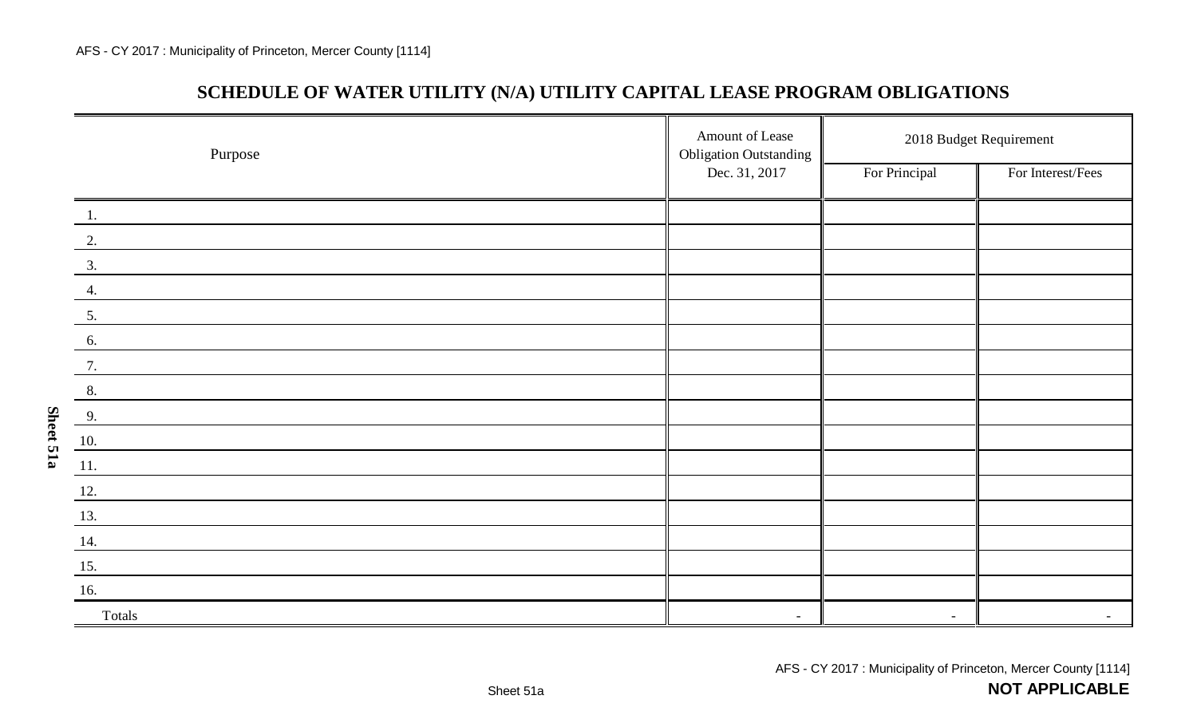**Sheet 51a**

## **SCHEDULE OF WATER UTILITY (N/A) UTILITY CAPITAL LEASE PROGRAM OBLIGATIONS**

| Purpose       | Amount of Lease<br><b>Obligation Outstanding</b> | 2018 Budget Requirement  |                   |  |
|---------------|--------------------------------------------------|--------------------------|-------------------|--|
|               | Dec. 31, 2017                                    | For Principal            | For Interest/Fees |  |
| 1.            |                                                  |                          |                   |  |
| 2.            |                                                  |                          |                   |  |
| $\frac{3}{2}$ |                                                  |                          |                   |  |
| 4.            |                                                  |                          |                   |  |
| 5.            |                                                  |                          |                   |  |
| 6.            |                                                  |                          |                   |  |
| 7.            |                                                  |                          |                   |  |
| 8.            |                                                  |                          |                   |  |
| 9.            |                                                  |                          |                   |  |
| 10.           |                                                  |                          |                   |  |
| 11.           |                                                  |                          |                   |  |
| 12.           |                                                  |                          |                   |  |
| 13.           |                                                  |                          |                   |  |
| 14.           |                                                  |                          |                   |  |
| 15.           |                                                  |                          |                   |  |
| 16.           |                                                  |                          |                   |  |
| Totals        | $\sim$                                           | $\overline{\phantom{a}}$ |                   |  |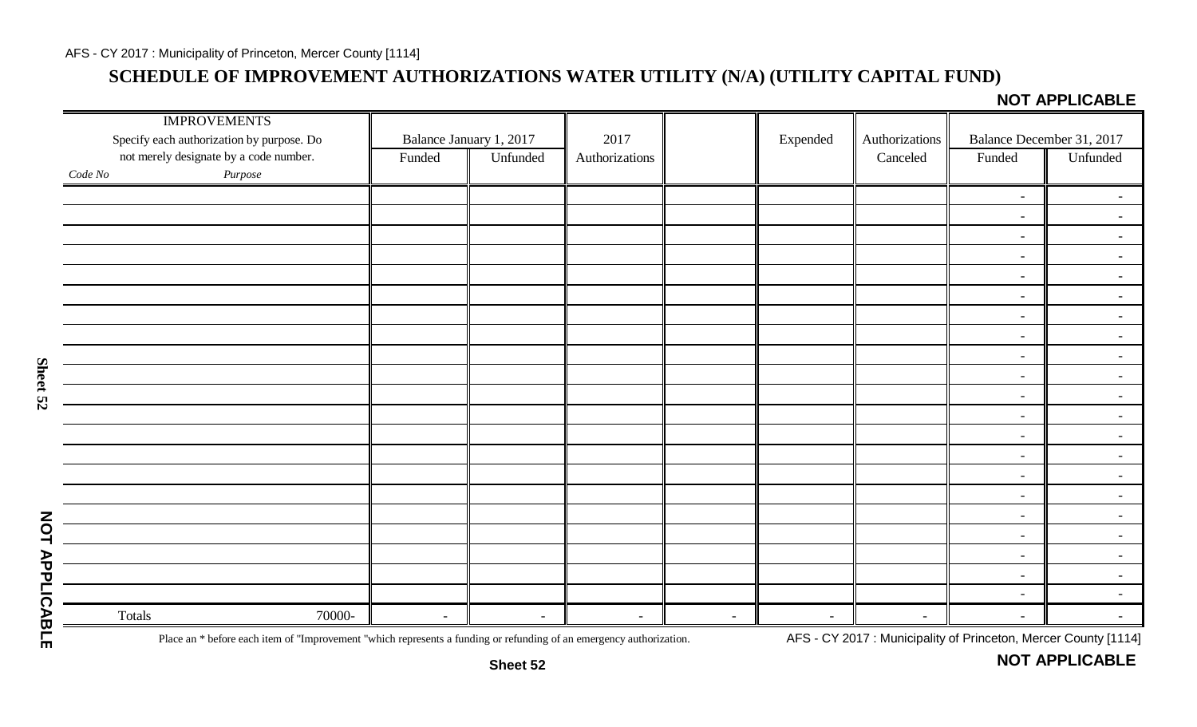## **SCHEDULE OF IMPROVEMENT AUTHORIZATIONS WATER UTILITY (N/A) (UTILITY CAPITAL FUND)**

**NOT APPLICABLE** 

| <b>IMPROVEMENTS</b><br>Specify each authorization by purpose. Do |        |        | Balance January 1, 2017 | 2017           |        | Expended       | Authorizations |                | Balance December 31, 2017 |
|------------------------------------------------------------------|--------|--------|-------------------------|----------------|--------|----------------|----------------|----------------|---------------------------|
| not merely designate by a code number.                           |        | Funded | Unfunded                | Authorizations |        |                | Canceled       | Funded         | Unfunded                  |
| Purpose<br>Code No                                               |        |        |                         |                |        |                |                |                |                           |
|                                                                  |        |        |                         |                |        |                |                |                |                           |
|                                                                  |        |        |                         |                |        |                |                | $\sim$         | $\sim$                    |
|                                                                  |        |        |                         |                |        |                |                | $\sim$         | $\blacksquare$            |
|                                                                  |        |        |                         |                |        |                |                | $\sim$         | $\sim$ .                  |
|                                                                  |        |        |                         |                |        |                |                | $\sim$         | $\sim$                    |
|                                                                  |        |        |                         |                |        |                |                | $\sim$         | $\sim$                    |
|                                                                  |        |        |                         |                |        |                |                | $\sim$         | $\sim$                    |
|                                                                  |        |        |                         |                |        |                |                | $\blacksquare$ | $\sim$                    |
|                                                                  |        |        |                         |                |        |                |                | $\blacksquare$ | $\sim$ .                  |
|                                                                  |        |        |                         |                |        |                |                | $\sim$         | $\sim$ .                  |
|                                                                  |        |        |                         |                |        |                |                | $\blacksquare$ | $\sim$ .                  |
|                                                                  |        |        |                         |                |        |                |                | $\sim$         | $\sim$ .                  |
|                                                                  |        |        |                         |                |        |                |                | $\sim$         | $\sim$                    |
|                                                                  |        |        |                         |                |        |                |                | $\sim$         | $\sim$ .                  |
|                                                                  |        |        |                         |                |        |                |                | $\blacksquare$ | $\sim$                    |
|                                                                  |        |        |                         |                |        |                |                | $\sim$         | $\sim$                    |
|                                                                  |        |        |                         |                |        |                |                | $\sim$         | $\sim$                    |
|                                                                  |        |        |                         |                |        |                |                | $\sim$         | $\sim$ .                  |
|                                                                  |        |        |                         |                |        |                |                | $\sim$         | $\sim$                    |
|                                                                  |        |        |                         |                |        |                |                | $\sim$         | $\sim$                    |
|                                                                  |        |        |                         |                |        |                |                | $\sim$         | $\sim$ .                  |
|                                                                  |        |        |                         |                |        |                |                | $\sim$         | $\sim$ .                  |
| Totals                                                           | 70000- | $\sim$ | $\sim$                  | $\sim$         | $\sim$ | $\blacksquare$ | $\sim$         | $\sim$         | $\overline{\phantom{a}}$  |

Place an \* before each item of "Improvement "which represents a funding or refunding of an emergency authorization. AFS - CY 2017: Municipality of Princeton, Mercer County [1114]

**NOT APPLICABLE**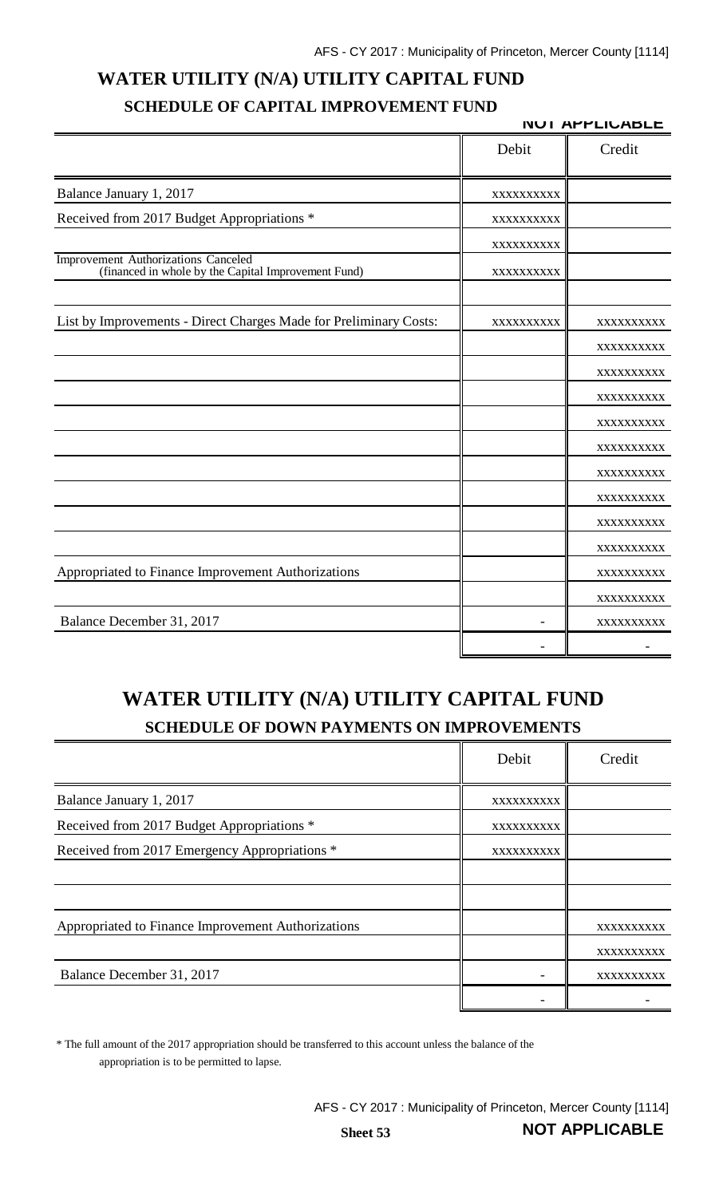# **WATER UTILITY (N/A) UTILITY CAPITAL FUND SCHEDULE OF CAPITAL IMPROVEMENT FUND**

|                                                                                            |            | <b>NUI APPLIUABLE</b> |
|--------------------------------------------------------------------------------------------|------------|-----------------------|
|                                                                                            | Debit      | Credit                |
| Balance January 1, 2017                                                                    | XXXXXXXXX  |                       |
| Received from 2017 Budget Appropriations *                                                 | XXXXXXXXX  |                       |
|                                                                                            | XXXXXXXXXX |                       |
| Improvement Authorizations Canceled<br>(financed in whole by the Capital Improvement Fund) | XXXXXXXXXX |                       |
| List by Improvements - Direct Charges Made for Preliminary Costs:                          | XXXXXXXXXX | XXXXXXXXXX            |
|                                                                                            |            | XXXXXXXXXX            |
|                                                                                            |            | XXXXXXXXXX            |
|                                                                                            |            | XXXXXXXXXX            |
|                                                                                            |            | XXXXXXXXXX            |
|                                                                                            |            | XXXXXXXXXX            |
|                                                                                            |            | XXXXXXXXXX            |
|                                                                                            |            | XXXXXXXXXX            |
|                                                                                            |            | XXXXXXXXXX            |
|                                                                                            |            | XXXXXXXXXX            |
| Appropriated to Finance Improvement Authorizations                                         |            | XXXXXXXXXX            |
|                                                                                            |            | XXXXXXXXXX            |
| Balance December 31, 2017                                                                  |            | XXXXXXXXXX            |
|                                                                                            |            |                       |

# **WATER UTILITY (N/A) UTILITY CAPITAL FUND SCHEDULE OF DOWN PAYMENTS ON IMPROVEMENTS**

|                                                    | Debit      | Credit     |
|----------------------------------------------------|------------|------------|
| Balance January 1, 2017                            | XXXXXXXXXX |            |
| Received from 2017 Budget Appropriations *         | XXXXXXXXXX |            |
| Received from 2017 Emergency Appropriations *      | XXXXXXXXXX |            |
|                                                    |            |            |
|                                                    |            |            |
| Appropriated to Finance Improvement Authorizations |            | XXXXXXXXXX |
|                                                    |            | XXXXXXXXXX |
| Balance December 31, 2017                          |            | XXXXXXXXXX |
|                                                    |            |            |

\* The full amount of the 2017 appropriation should be transferred to this account unless the balance of the appropriation is to be permitted to lapse.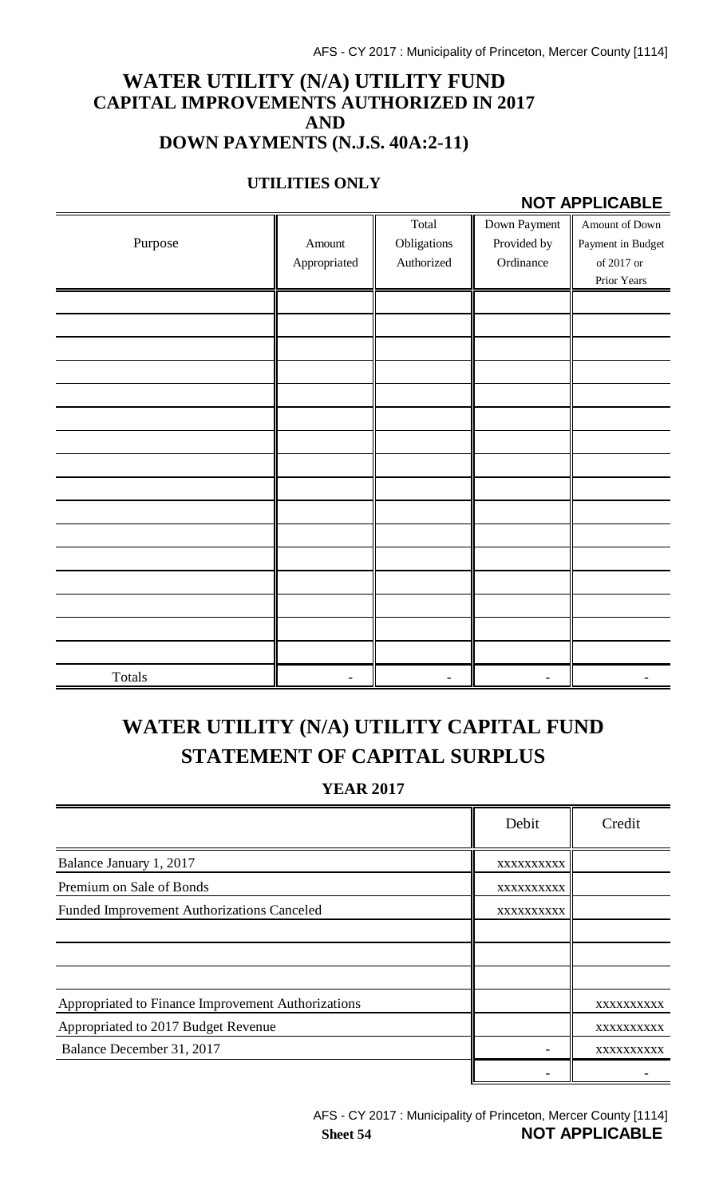### **WATER UTILITY (N/A) UTILITY FUND CAPITAL IMPROVEMENTS AUTHORIZED IN 2017 AND DOWN PAYMENTS (N.J.S. 40A:2-11)**

#### **UTILITIES ONLY**

#### **NOT APPLICABLE**

|         |              | Total       | Down Payment | Amount of Down    |
|---------|--------------|-------------|--------------|-------------------|
| Purpose | Amount       | Obligations | Provided by  | Payment in Budget |
|         | Appropriated | Authorized  | Ordinance    | of 2017 or        |
|         |              |             |              | Prior Years       |
|         |              |             |              |                   |
|         |              |             |              |                   |
|         |              |             |              |                   |
|         |              |             |              |                   |
|         |              |             |              |                   |
|         |              |             |              |                   |
|         |              |             |              |                   |
|         |              |             |              |                   |
|         |              |             |              |                   |
|         |              |             |              |                   |
|         |              |             |              |                   |
|         |              |             |              |                   |
|         |              |             |              |                   |
|         |              |             |              |                   |
|         |              |             |              |                   |
|         |              |             |              |                   |
| Totals  |              |             |              |                   |

# **WATER UTILITY (N/A) UTILITY CAPITAL FUND STATEMENT OF CAPITAL SURPLUS**

**YEAR 2017**

|                                                    | Debit      | Credit     |
|----------------------------------------------------|------------|------------|
| Balance January 1, 2017                            | XXXXXXXXXX |            |
| Premium on Sale of Bonds                           | XXXXXXXXXX |            |
| <b>Funded Improvement Authorizations Canceled</b>  | XXXXXXXXXX |            |
|                                                    |            |            |
|                                                    |            |            |
|                                                    |            |            |
| Appropriated to Finance Improvement Authorizations |            | XXXXXXXXXX |
| Appropriated to 2017 Budget Revenue                |            | XXXXXXXXXX |
| Balance December 31, 2017                          |            | XXXXXXXXX  |
|                                                    |            |            |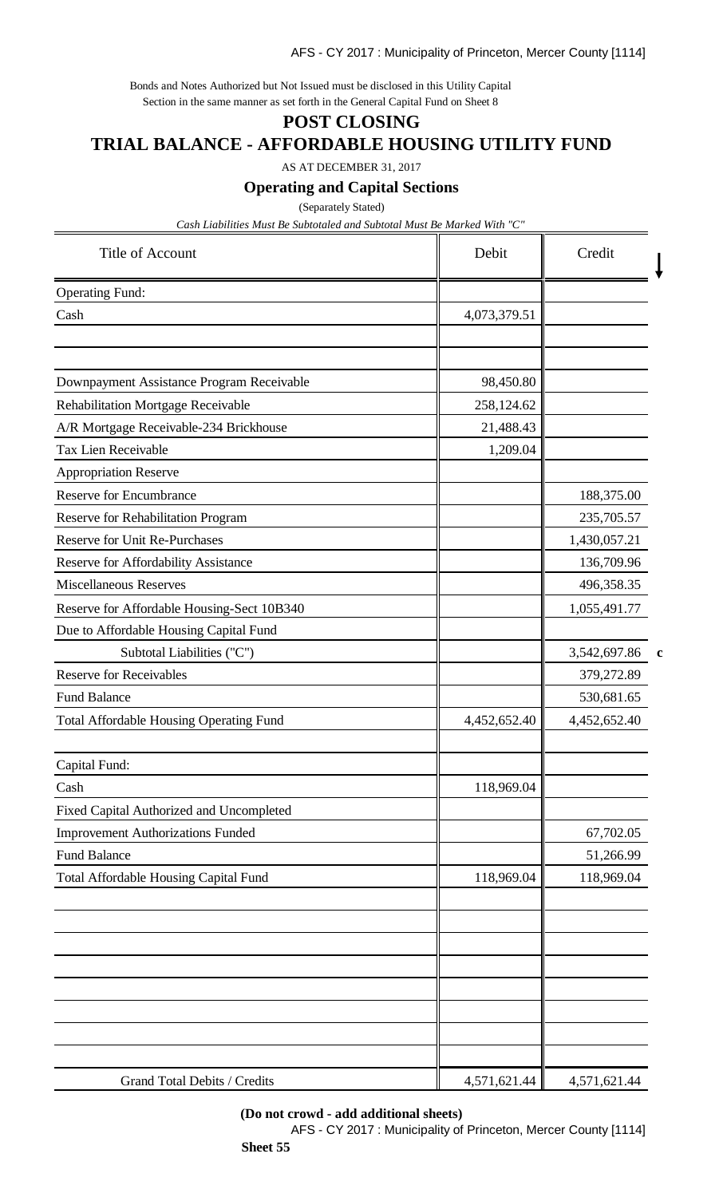Bonds and Notes Authorized but Not Issued must be disclosed in this Utility Capital Section in the same manner as set forth in the General Capital Fund on Sheet 8

### **POST CLOSING**

#### **TRIAL BALANCE - AFFORDABLE HOUSING UTILITY FUND**

AS AT DECEMBER 31, 2017

**Operating and Capital Sections**

(Separately Stated)

*Cash Liabilities Must Be Subtotaled and Subtotal Must Be Marked With "C"*

| Title of Account                               | Debit        | Credit       |   |
|------------------------------------------------|--------------|--------------|---|
| <b>Operating Fund:</b>                         |              |              |   |
| Cash                                           | 4,073,379.51 |              |   |
|                                                |              |              |   |
| Downpayment Assistance Program Receivable      | 98,450.80    |              |   |
| <b>Rehabilitation Mortgage Receivable</b>      | 258,124.62   |              |   |
| A/R Mortgage Receivable-234 Brickhouse         | 21,488.43    |              |   |
| Tax Lien Receivable                            | 1,209.04     |              |   |
| Appropriation Reserve                          |              |              |   |
| <b>Reserve for Encumbrance</b>                 |              | 188,375.00   |   |
| <b>Reserve for Rehabilitation Program</b>      |              | 235,705.57   |   |
| <b>Reserve for Unit Re-Purchases</b>           |              | 1,430,057.21 |   |
| Reserve for Affordability Assistance           |              | 136,709.96   |   |
| <b>Miscellaneous Reserves</b>                  |              | 496,358.35   |   |
| Reserve for Affordable Housing-Sect 10B340     |              | 1,055,491.77 |   |
| Due to Affordable Housing Capital Fund         |              |              |   |
| Subtotal Liabilities ("C")                     |              | 3,542,697.86 | c |
| <b>Reserve for Receivables</b>                 |              | 379,272.89   |   |
| <b>Fund Balance</b>                            |              | 530,681.65   |   |
| <b>Total Affordable Housing Operating Fund</b> | 4,452,652.40 | 4,452,652.40 |   |
| Capital Fund:                                  |              |              |   |
| Cash                                           | 118,969.04   |              |   |
| Fixed Capital Authorized and Uncompleted       |              |              |   |
| <b>Improvement Authorizations Funded</b>       |              | 67,702.05    |   |
| <b>Fund Balance</b>                            |              | 51,266.99    |   |
| Total Affordable Housing Capital Fund          | 118,969.04   | 118,969.04   |   |
|                                                |              |              |   |
|                                                |              |              |   |
| Grand Total Debits / Credits                   | 4,571,621.44 | 4,571,621.44 |   |

#### **(Do not crowd - add additional sheets)**

AFS - CY 2017 : Municipality of Princeton, Mercer County [1114] **Sheet 55**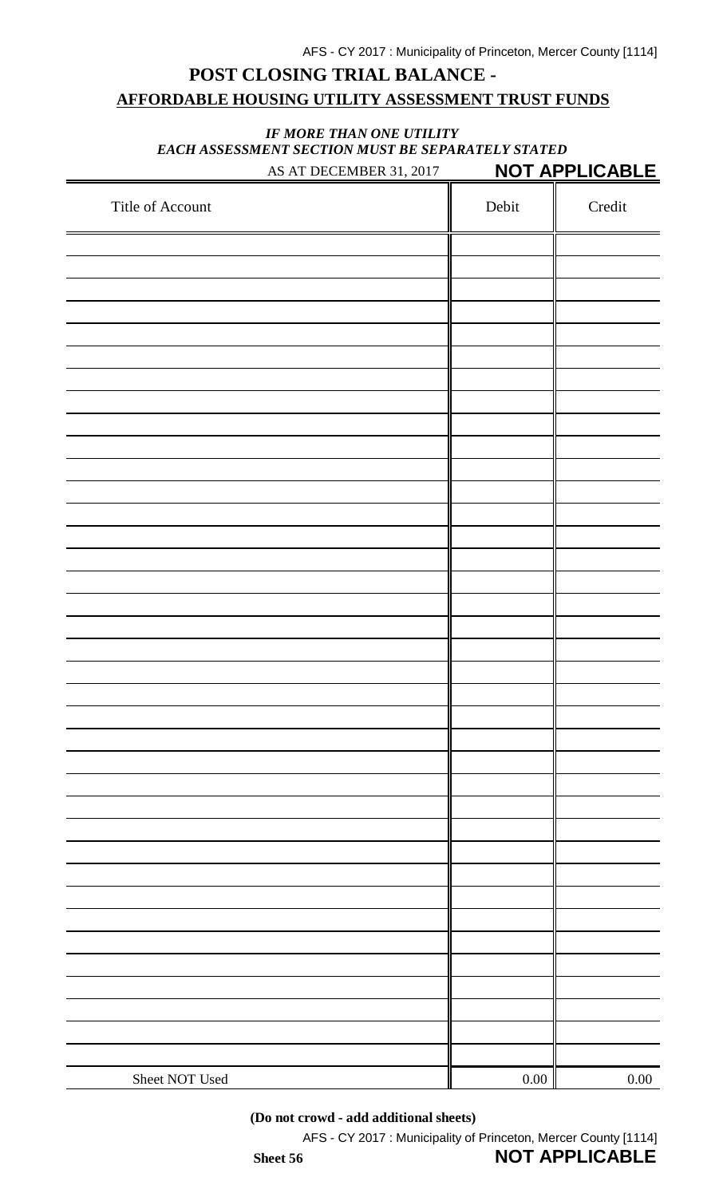## **POST CLOSING TRIAL BALANCE - AFFORDABLE HOUSING UTILITY ASSESSMENT TRUST FUNDS**

#### *IF MORE THAN ONE UTILITY EACH ASSESSMENT SECTION MUST BE SEPARATELY STATED* AS AT DECEMBER 31, 2017 **NOT APPLICABLE**

| Title of Account | Debit    | Credit   |
|------------------|----------|----------|
|                  |          |          |
|                  |          |          |
|                  |          |          |
|                  |          |          |
|                  |          |          |
|                  |          |          |
|                  |          |          |
|                  |          |          |
|                  |          |          |
|                  |          |          |
|                  |          |          |
|                  |          |          |
|                  |          |          |
|                  |          |          |
|                  |          |          |
|                  |          |          |
|                  |          |          |
|                  |          |          |
|                  |          |          |
|                  |          |          |
|                  |          |          |
|                  |          |          |
|                  |          |          |
|                  |          |          |
|                  |          |          |
|                  |          |          |
|                  |          |          |
|                  |          |          |
|                  |          |          |
|                  |          |          |
|                  |          |          |
|                  |          |          |
|                  |          |          |
|                  |          |          |
| Sheet NOT Used   | $0.00\,$ | $0.00\,$ |
|                  |          |          |

**(Do not crowd - add additional sheets)**

AFS - CY 2017 : Municipality of Princeton, Mercer County [1114]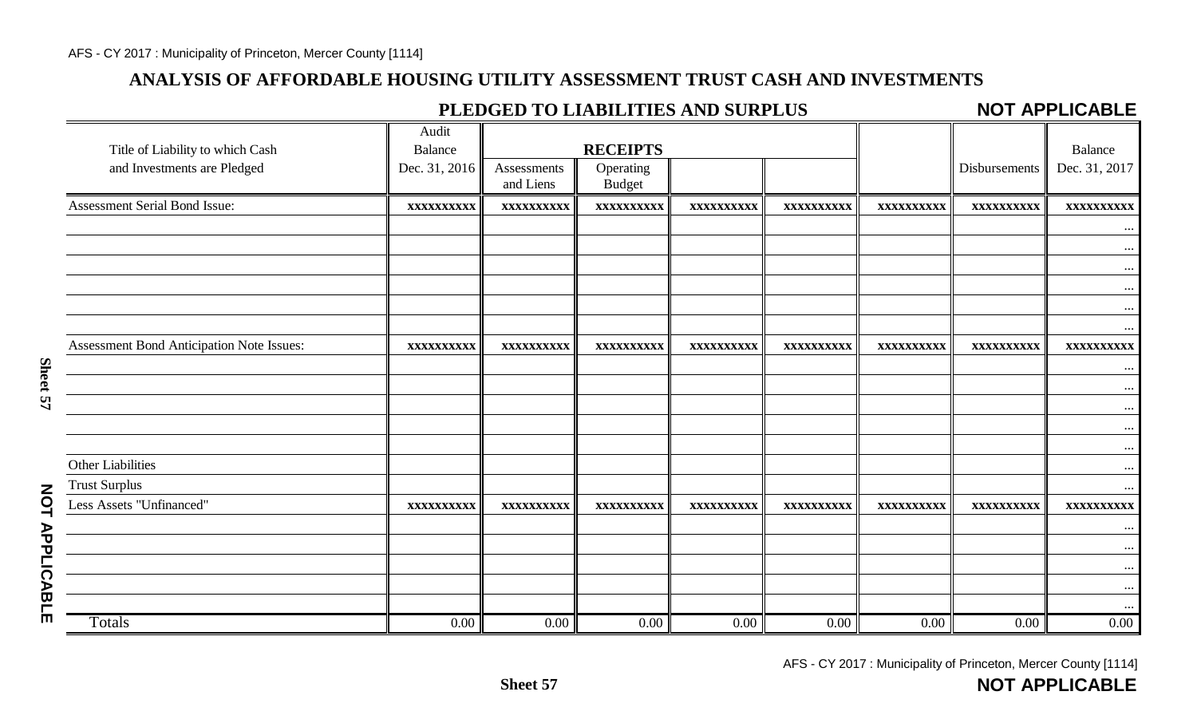### **ANALYSIS OF AFFORDABLE HOUSING UTILITY ASSESSMENT TRUST CASH AND INVESTMENTS**

## **PLEDGED TO LIABILITIES AND SURPLUS**

#### **NOT APPLICABLE**

|                                           | Audit          |                          |                            |                   |            |                   |               |               |
|-------------------------------------------|----------------|--------------------------|----------------------------|-------------------|------------|-------------------|---------------|---------------|
| Title of Liability to which Cash          | <b>Balance</b> |                          | <b>RECEIPTS</b>            |                   |            |                   |               | Balance       |
| and Investments are Pledged               | Dec. 31, 2016  | Assessments<br>and Liens | Operating<br><b>Budget</b> |                   |            |                   | Disbursements | Dec. 31, 2017 |
| Assessment Serial Bond Issue:             | XXXXXXXXXX     | XXXXXXXXXX               | XXXXXXXXXX                 | XXXXXXXXXX        | XXXXXXXXXX | XXXXXXXXXX        | XXXXXXXXXX    | XXXXXXXXXX    |
|                                           |                |                          |                            |                   |            |                   |               |               |
|                                           |                |                          |                            |                   |            |                   |               | $\cdots$      |
|                                           |                |                          |                            |                   |            |                   |               | $\cdots$      |
|                                           |                |                          |                            |                   |            |                   |               | $\cdots$      |
|                                           |                |                          |                            |                   |            |                   |               | $\cdots$      |
|                                           |                |                          |                            |                   |            |                   |               | $\cdots$      |
| Assessment Bond Anticipation Note Issues: | XXXXXXXXXX     | XXXXXXXXXX               | XXXXXXXXXX                 | <b>XXXXXXXXXX</b> | XXXXXXXXXX | <b>XXXXXXXXXX</b> | XXXXXXXXXX    | XXXXXXXXXX    |
|                                           |                |                          |                            |                   |            |                   |               | $\cdots$      |
|                                           |                |                          |                            |                   |            |                   |               | $\cdots$      |
|                                           |                |                          |                            |                   |            |                   |               | $\cdots$      |
|                                           |                |                          |                            |                   |            |                   |               | $\cdots$      |
|                                           |                |                          |                            |                   |            |                   |               | $\cdots$      |
| Other Liabilities                         |                |                          |                            |                   |            |                   |               | $\ddotsc$     |
| <b>Trust Surplus</b>                      |                |                          |                            |                   |            |                   |               | $\cdots$      |
| Less Assets "Unfinanced"                  | XXXXXXXXXX     | XXXXXXXXXX               | XXXXXXXXXX                 | XXXXXXXXXX        | XXXXXXXXXX | XXXXXXXXXX        | XXXXXXXXXX    | XXXXXXXXXX    |
|                                           |                |                          |                            |                   |            |                   |               | $\cdots$      |
|                                           |                |                          |                            |                   |            |                   |               | $\cdots$      |
|                                           |                |                          |                            |                   |            |                   |               | $\cdots$      |
|                                           |                |                          |                            |                   |            |                   |               | $\cdots$      |
|                                           |                |                          |                            |                   |            |                   |               |               |
| Totals                                    | 0.00           | $0.00\,$                 | 0.00                       | $0.00\,$          | $0.00\,$   | 0.00              | $0.00\,$      | 0.00          |

AFS - CY 2017 : Municipality of Princeton, Mercer County [1114]

**NOT APPLICABLE**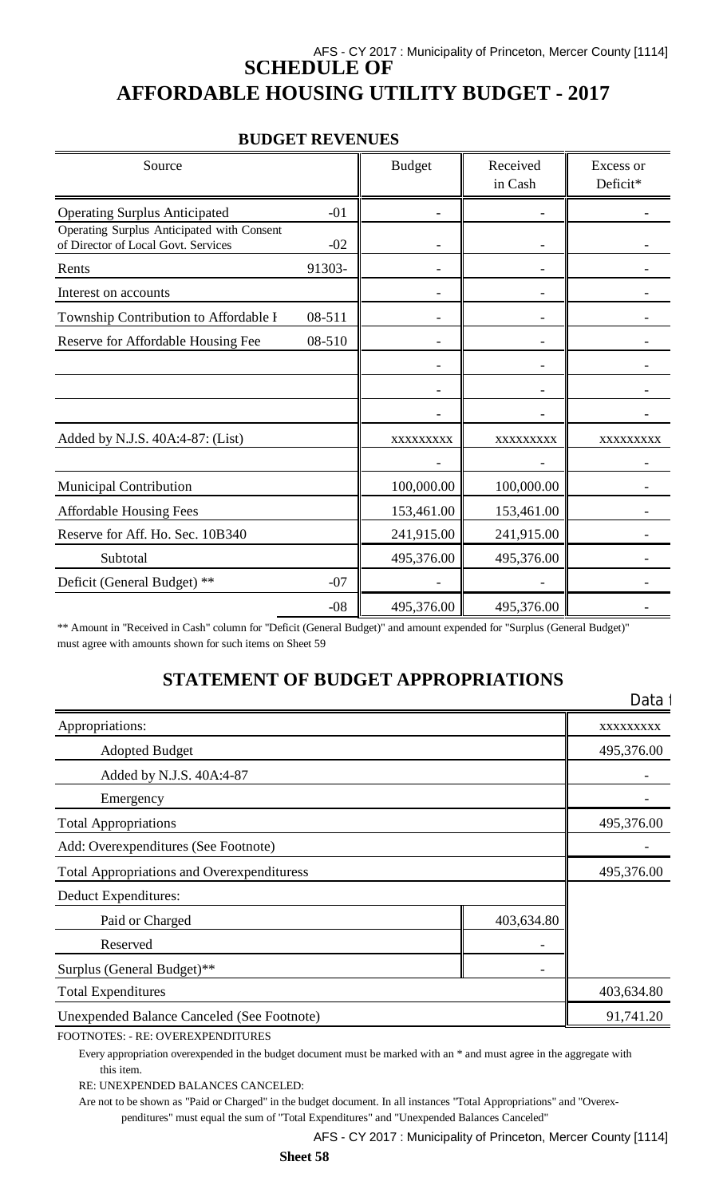## AFS - CY 2017 : Municipality of Princeton, Mercer County [1114] **SCHEDULE OF AFFORDABLE HOUSING UTILITY BUDGET - 2017**

| Source                                                                            |        | <b>Budget</b> | Received<br>in Cash | Excess or<br>Deficit* |
|-----------------------------------------------------------------------------------|--------|---------------|---------------------|-----------------------|
| <b>Operating Surplus Anticipated</b>                                              | $-01$  |               |                     |                       |
| Operating Surplus Anticipated with Consent<br>of Director of Local Govt. Services | $-02$  |               |                     |                       |
| Rents                                                                             | 91303- |               |                     |                       |
| Interest on accounts                                                              |        |               |                     |                       |
| Township Contribution to Affordable I                                             | 08-511 |               |                     |                       |
| Reserve for Affordable Housing Fee                                                | 08-510 |               |                     |                       |
|                                                                                   |        |               |                     |                       |
|                                                                                   |        |               |                     |                       |
|                                                                                   |        |               |                     |                       |
| Added by N.J.S. 40A:4-87: (List)                                                  |        | XXXXXXXXX     | XXXXXXXXX           | XXXXXXXXX             |
|                                                                                   |        |               |                     |                       |
| <b>Municipal Contribution</b>                                                     |        | 100,000.00    | 100,000.00          |                       |
| <b>Affordable Housing Fees</b>                                                    |        | 153,461.00    | 153,461.00          |                       |
| Reserve for Aff. Ho. Sec. 10B340                                                  |        | 241,915.00    | 241,915.00          |                       |
| Subtotal                                                                          |        | 495,376.00    | 495,376.00          |                       |
| Deficit (General Budget) **                                                       | $-07$  |               |                     |                       |
|                                                                                   | $-08$  | 495,376.00    | 495,376.00          |                       |

\*\* Amount in "Received in Cash" column for "Deficit (General Budget)" and amount expended for "Surplus (General Budget)" must agree with amounts shown for such items on Sheet 59

### **STATEMENT OF BUDGET APPROPRIATIONS**

|                                                   |            | Data       |
|---------------------------------------------------|------------|------------|
| Appropriations:                                   |            | XXXXXXXXX  |
| <b>Adopted Budget</b>                             |            | 495,376.00 |
| Added by N.J.S. 40A:4-87                          |            |            |
| Emergency                                         |            |            |
| <b>Total Appropriations</b>                       |            | 495,376.00 |
| Add: Overexpenditures (See Footnote)              |            |            |
| <b>Total Appropriations and Overexpendituress</b> |            | 495,376.00 |
| Deduct Expenditures:                              |            |            |
| Paid or Charged                                   | 403,634.80 |            |
| Reserved                                          |            |            |
| Surplus (General Budget)**                        |            |            |
| <b>Total Expenditures</b>                         |            | 403,634.80 |
| <b>Unexpended Balance Canceled (See Footnote)</b> |            | 91,741.20  |

FOOTNOTES: - RE: OVEREXPENDITURES

Every appropriation overexpended in the budget document must be marked with an \* and must agree in the aggregate with this item.

RE: UNEXPENDED BALANCES CANCELED:

Are not to be shown as "Paid or Charged" in the budget document. In all instances "Total Appropriations" and "Overexpenditures" must equal the sum of "Total Expenditures" and "Unexpended Balances Canceled"

AFS - CY 2017 : Municipality of Princeton, Mercer County [1114]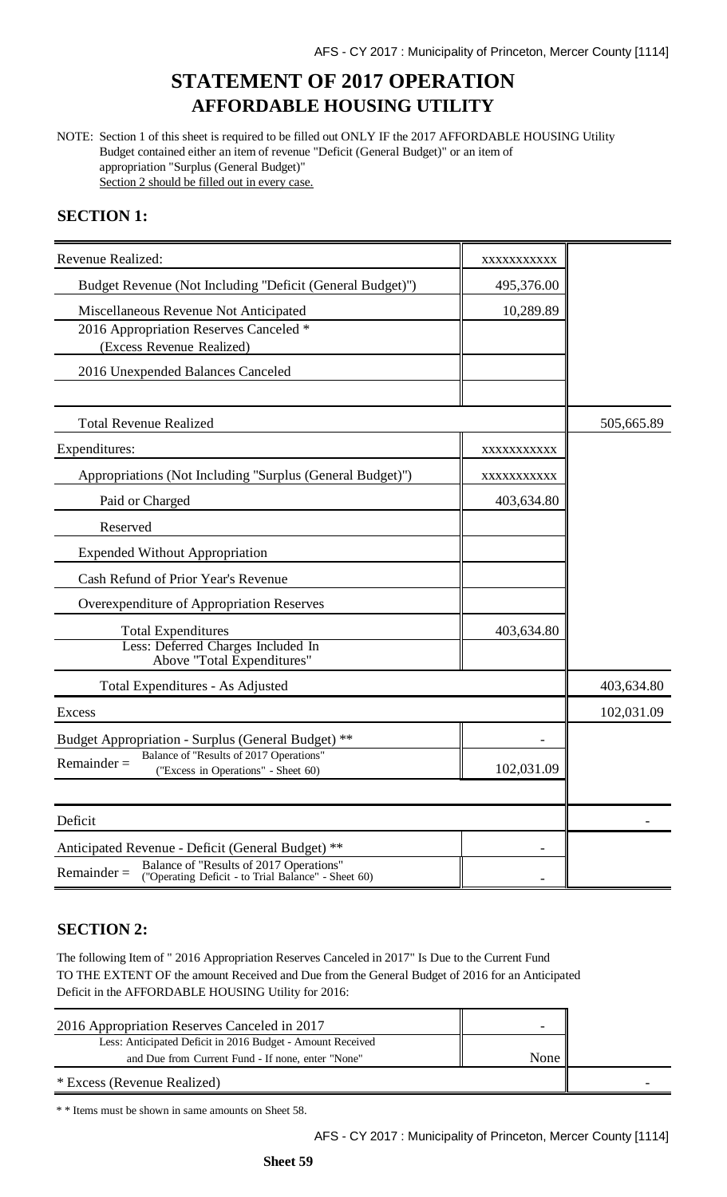## **STATEMENT OF 2017 OPERATION AFFORDABLE HOUSING UTILITY**

NOTE: Section 1 of this sheet is required to be filled out ONLY IF the 2017 AFFORDABLE HOUSING Utility Budget contained either an item of revenue "Deficit (General Budget)" or an item of appropriation "Surplus (General Budget)" Section 2 should be filled out in every case.

### **SECTION 1:**

| Revenue Realized:                                                                                                                                                    | XXXXXXXXXX |            |
|----------------------------------------------------------------------------------------------------------------------------------------------------------------------|------------|------------|
| Budget Revenue (Not Including "Deficit (General Budget)")                                                                                                            | 495,376.00 |            |
| Miscellaneous Revenue Not Anticipated<br>2016 Appropriation Reserves Canceled *<br>(Excess Revenue Realized)                                                         | 10,289.89  |            |
| 2016 Unexpended Balances Canceled                                                                                                                                    |            |            |
| <b>Total Revenue Realized</b>                                                                                                                                        |            | 505,665.89 |
| Expenditures:                                                                                                                                                        | XXXXXXXXXX |            |
| Appropriations (Not Including "Surplus (General Budget)")                                                                                                            | XXXXXXXXXX |            |
| Paid or Charged                                                                                                                                                      | 403,634.80 |            |
| Reserved                                                                                                                                                             |            |            |
| <b>Expended Without Appropriation</b>                                                                                                                                |            |            |
| Cash Refund of Prior Year's Revenue                                                                                                                                  |            |            |
| Overexpenditure of Appropriation Reserves                                                                                                                            |            |            |
| <b>Total Expenditures</b><br>Less: Deferred Charges Included In<br>Above "Total Expenditures"                                                                        | 403,634.80 |            |
| Total Expenditures - As Adjusted                                                                                                                                     |            | 403,634.80 |
| <b>Excess</b>                                                                                                                                                        |            | 102,031.09 |
| Budget Appropriation - Surplus (General Budget) **                                                                                                                   |            |            |
| Balance of "Results of 2017 Operations"<br>$Remainder =$<br>("Excess in Operations" - Sheet 60)                                                                      | 102,031.09 |            |
| Deficit                                                                                                                                                              |            |            |
| Anticipated Revenue - Deficit (General Budget) **<br>Balance of "Results of 2017 Operations"<br>$Remainder =$<br>("Operating Deficit - to Trial Balance" - Sheet 60) |            |            |

### **SECTION 2:**

The following Item of " 2016 Appropriation Reserves Canceled in 2017" Is Due to the Current Fund TO THE EXTENT OF the amount Received and Due from the General Budget of 2016 for an Anticipated Deficit in the AFFORDABLE HOUSING Utility for 2016:

| 2016 Appropriation Reserves Canceled in 2017               |      |  |
|------------------------------------------------------------|------|--|
| Less: Anticipated Deficit in 2016 Budget - Amount Received |      |  |
| and Due from Current Fund - If none, enter "None"          | None |  |
| * Excess (Revenue Realized)                                |      |  |

\* \* Items must be shown in same amounts on Sheet 58.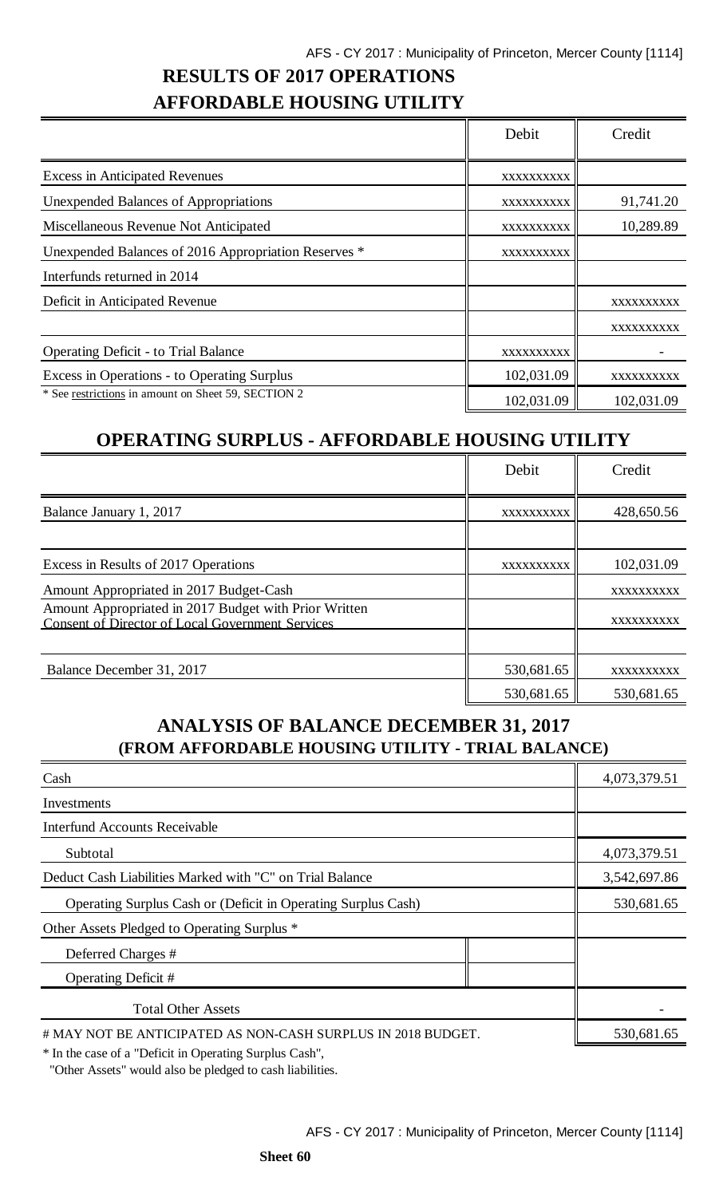# **RESULTS OF 2017 OPERATIONS AFFORDABLE HOUSING UTILITY**

|                                                      | Debit      | Credit     |
|------------------------------------------------------|------------|------------|
| <b>Excess in Anticipated Revenues</b>                | XXXXXXXXXX |            |
| <b>Unexpended Balances of Appropriations</b>         | XXXXXXXXXX | 91,741.20  |
| Miscellaneous Revenue Not Anticipated                | XXXXXXXXXX | 10,289.89  |
| Unexpended Balances of 2016 Appropriation Reserves * | XXXXXXXXXX |            |
| Interfunds returned in 2014                          |            |            |
| Deficit in Anticipated Revenue                       |            | XXXXXXXXXX |
|                                                      |            | XXXXXXXXXX |
| <b>Operating Deficit - to Trial Balance</b>          | XXXXXXXXXX |            |
| Excess in Operations - to Operating Surplus          | 102,031.09 | xxxxxxxxxx |
| * See restrictions in amount on Sheet 59, SECTION 2  | 102,031.09 | 102,031.09 |

## **OPERATING SURPLUS - AFFORDABLE HOUSING UTILITY**

|                                                                                                                  | Debit      | Credit     |
|------------------------------------------------------------------------------------------------------------------|------------|------------|
| Balance January 1, 2017                                                                                          | XXXXXXXXXX | 428,650.56 |
|                                                                                                                  |            |            |
| Excess in Results of 2017 Operations                                                                             | XXXXXXXXXX | 102,031.09 |
| Amount Appropriated in 2017 Budget-Cash                                                                          |            | XXXXXXXXXX |
| Amount Appropriated in 2017 Budget with Prior Written<br><b>Consent of Director of Local Government Services</b> |            | XXXXXXXXXX |
|                                                                                                                  |            |            |
| Balance December 31, 2017                                                                                        | 530,681.65 | XXXXXXXXXX |
|                                                                                                                  | 530,681.65 | 530,681.65 |

## **ANALYSIS OF BALANCE DECEMBER 31, 2017 (FROM AFFORDABLE HOUSING UTILITY - TRIAL BALANCE)**

| Cash                                                                 | 4,073,379.51 |
|----------------------------------------------------------------------|--------------|
| Investments                                                          |              |
| <b>Interfund Accounts Receivable</b>                                 |              |
| Subtotal                                                             | 4,073,379.51 |
| Deduct Cash Liabilities Marked with "C" on Trial Balance             | 3,542,697.86 |
| <b>Operating Surplus Cash or (Deficit in Operating Surplus Cash)</b> | 530,681.65   |
| Other Assets Pledged to Operating Surplus *                          |              |
| Deferred Charges #                                                   |              |
| Operating Deficit #                                                  |              |
| <b>Total Other Assets</b>                                            |              |
| # MAY NOT BE ANTICIPATED AS NON-CASH SURPLUS IN 2018 BUDGET.         | 530,681.65   |

\* In the case of a "Deficit in Operating Surplus Cash",

"Other Assets" would also be pledged to cash liabilities.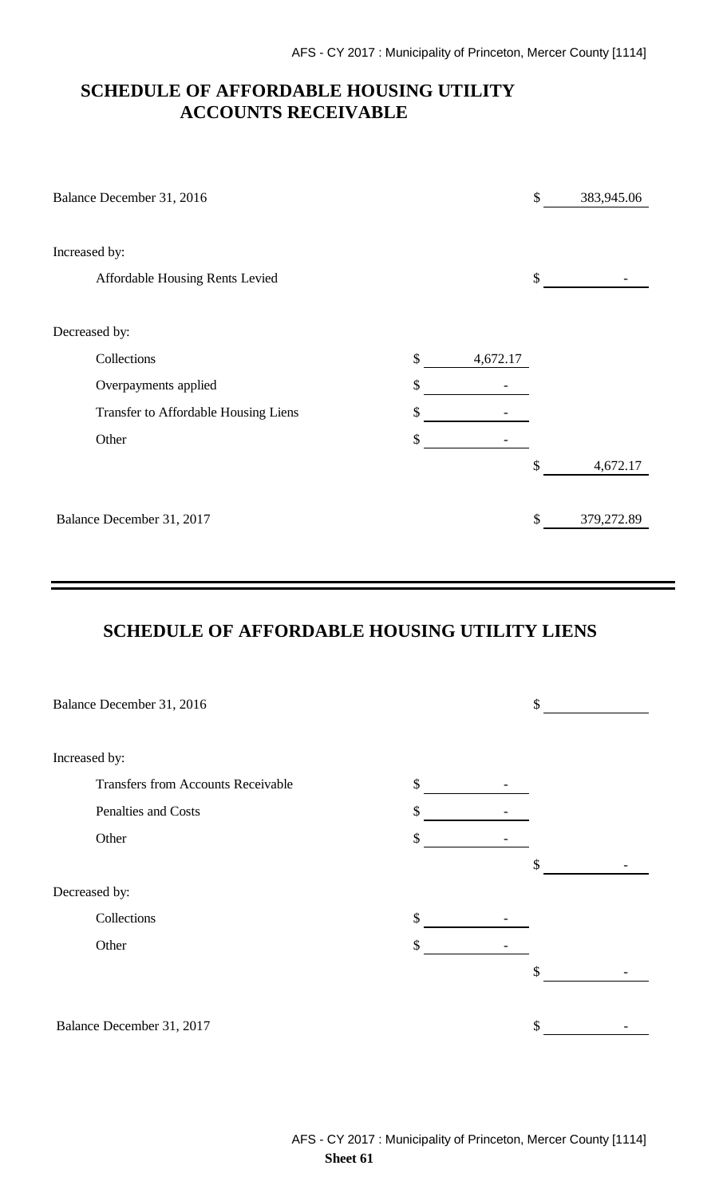### **SCHEDULE OF AFFORDABLE HOUSING UTILITY ACCOUNTS RECEIVABLE**

| Balance December 31, 2016            |     |          | \$<br>383,945.06 |
|--------------------------------------|-----|----------|------------------|
| Increased by:                        |     |          |                  |
| Affordable Housing Rents Levied      |     |          | \$               |
| Decreased by:                        |     |          |                  |
| Collections                          | \$  | 4,672.17 |                  |
| Overpayments applied                 | \$  |          |                  |
| Transfer to Affordable Housing Liens | \$  |          |                  |
| Other                                | \$. |          |                  |
|                                      |     |          | \$<br>4,672.17   |
| Balance December 31, 2017            |     |          | \$<br>379,272.89 |

## **SCHEDULE OF AFFORDABLE HOUSING UTILITY LIENS**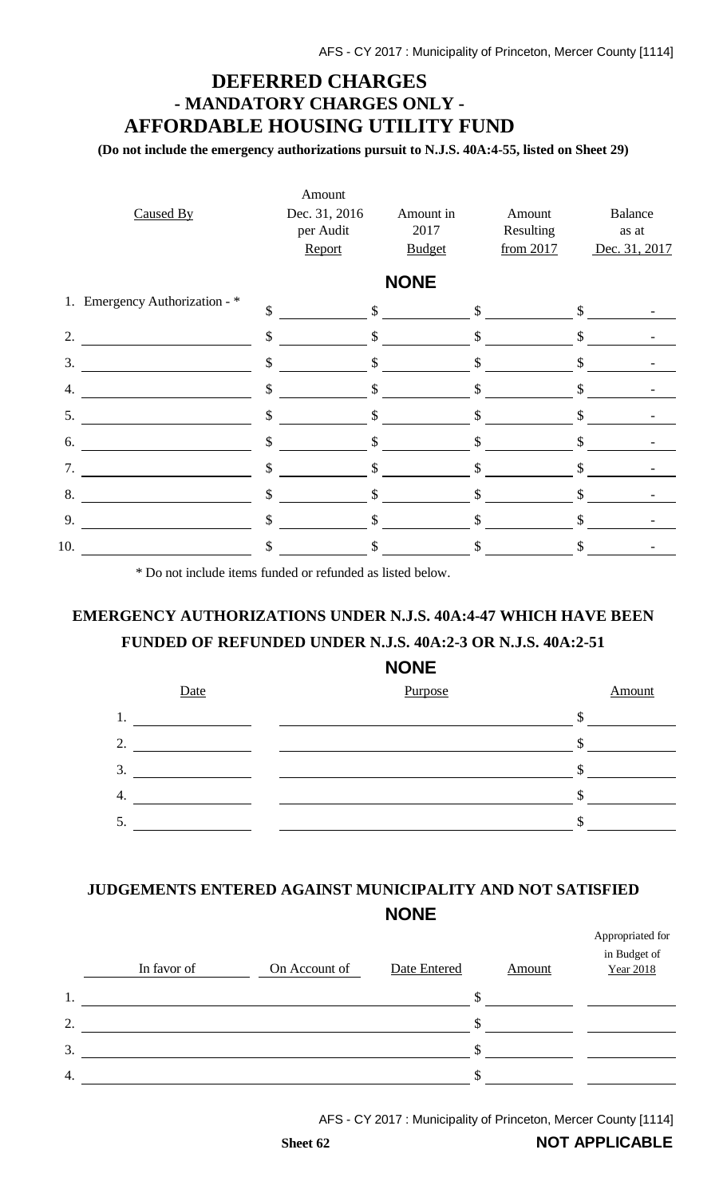## **DEFERRED CHARGES - MANDATORY CHARGES ONLY - AFFORDABLE HOUSING UTILITY FUND**

**(Do not include the emergency authorizations pursuit to N.J.S. 40A:4-55, listed on Sheet 29)**

| <b>NONE</b><br>1. Emergency Authorization - *<br>$\mathsf{\$}$<br>\$<br>\$<br>$\mathbb{S}$<br>\$<br>\$<br>\$<br>\$<br>2.<br>$\mathbb{S}$<br>$\mathcal{S}$<br>$\mathcal{S}$<br>3.<br>$\boldsymbol{\mathsf{S}}$<br>\$<br>\$<br>\$<br>\$<br>4.<br>\$<br>\$<br>\$<br>\$<br>5.<br>\$<br>\$<br>\$<br>\$<br>6.<br>\$<br>7.<br>\$<br>\$<br>\$ | <b>Balance</b><br>as at<br>Dec. 31, 2017 |
|---------------------------------------------------------------------------------------------------------------------------------------------------------------------------------------------------------------------------------------------------------------------------------------------------------------------------------------|------------------------------------------|
|                                                                                                                                                                                                                                                                                                                                       |                                          |
|                                                                                                                                                                                                                                                                                                                                       |                                          |
|                                                                                                                                                                                                                                                                                                                                       |                                          |
|                                                                                                                                                                                                                                                                                                                                       |                                          |
|                                                                                                                                                                                                                                                                                                                                       |                                          |
|                                                                                                                                                                                                                                                                                                                                       |                                          |
|                                                                                                                                                                                                                                                                                                                                       |                                          |
|                                                                                                                                                                                                                                                                                                                                       |                                          |
| 8.<br>$\boldsymbol{\mathsf{S}}$<br>$\mathsf{\$}$<br>$\mathbb{S}$<br>\$                                                                                                                                                                                                                                                                |                                          |
| \$<br>$\mathcal{S}$<br>9.<br>\$<br>\$                                                                                                                                                                                                                                                                                                 |                                          |
| 10.<br>\$<br>\$<br>\$<br>\$                                                                                                                                                                                                                                                                                                           |                                          |

\* Do not include items funded or refunded as listed below.

## **EMERGENCY AUTHORIZATIONS UNDER N.J.S. 40A:4-47 WHICH HAVE BEEN FUNDED OF REFUNDED UNDER N.J.S. 40A:2-3 OR N.J.S. 40A:2-51**

### **NONE**



## **JUDGEMENTS ENTERED AGAINST MUNICIPALITY AND NOT SATISFIED NONE**

|    | In favor of | On Account of | Date Entered | <b>Amount</b> | Appropriated for<br>in Budget of<br><b>Year 2018</b> |
|----|-------------|---------------|--------------|---------------|------------------------------------------------------|
| 1. |             |               | \$           |               |                                                      |
| 2. |             |               | \$           |               |                                                      |
| 3. |             |               | S            |               |                                                      |
| 4. |             |               | S            |               |                                                      |

AFS - CY 2017 : Municipality of Princeton, Mercer County [1114]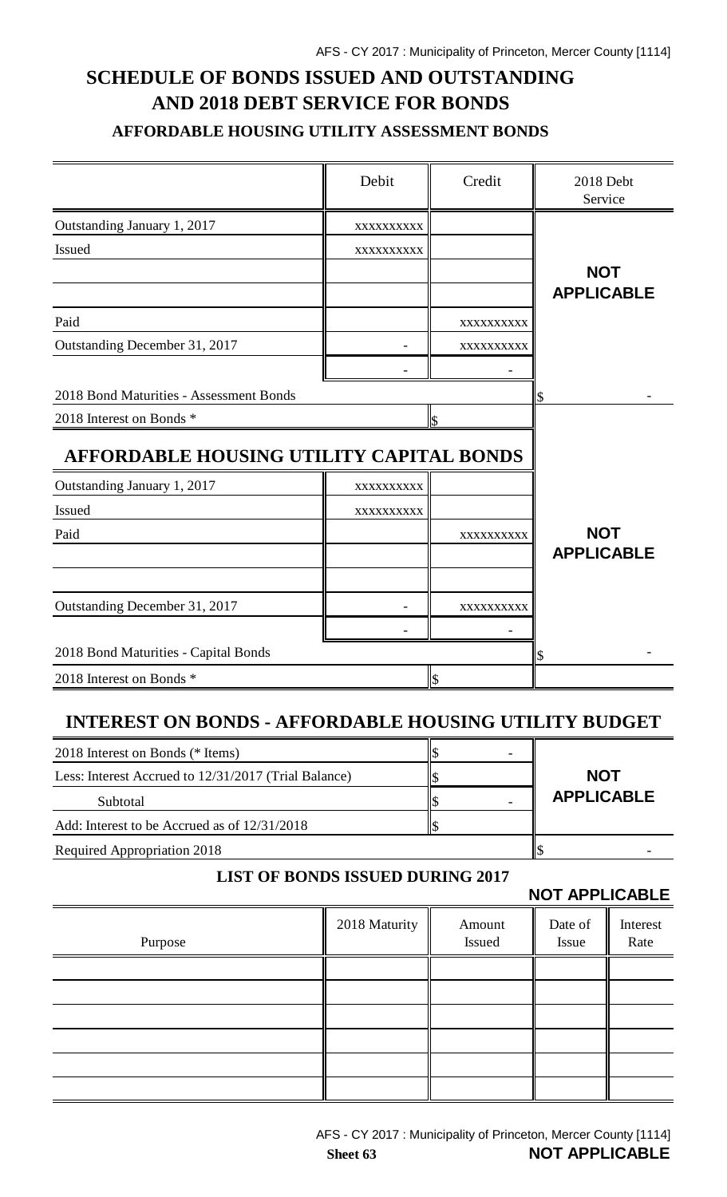# **SCHEDULE OF BONDS ISSUED AND OUTSTANDING AND 2018 DEBT SERVICE FOR BONDS AFFORDABLE HOUSING UTILITY ASSESSMENT BONDS**

|                                          | Debit      | Credit                   | 2018 Debt<br>Service |
|------------------------------------------|------------|--------------------------|----------------------|
| Outstanding January 1, 2017              | XXXXXXXXXX |                          |                      |
| <b>Issued</b>                            | XXXXXXXXXX |                          |                      |
|                                          |            |                          | <b>NOT</b>           |
|                                          |            |                          | <b>APPLICABLE</b>    |
| Paid                                     |            | XXXXXXXXXX               |                      |
| Outstanding December 31, 2017            |            | XXXXXXXXXX               |                      |
|                                          |            |                          |                      |
| 2018 Bond Maturities - Assessment Bonds  |            |                          | \$                   |
| 2018 Interest on Bonds *                 |            | l\$                      |                      |
| AFFORDABLE HOUSING UTILITY CAPITAL BONDS |            |                          |                      |
| Outstanding January 1, 2017              | XXXXXXXXXX |                          |                      |
| Issued                                   | XXXXXXXXXX |                          |                      |
| Paid                                     |            | XXXXXXXXXX               | <b>NOT</b>           |
|                                          |            |                          | <b>APPLICABLE</b>    |
|                                          |            |                          |                      |
| Outstanding December 31, 2017            |            | XXXXXXXXXX               |                      |
|                                          |            |                          |                      |
| 2018 Bond Maturities - Capital Bonds     |            |                          | \$                   |
| 2018 Interest on Bonds *                 |            | $\overline{\mathcal{S}}$ |                      |
|                                          |            |                          |                      |

## **INTEREST ON BONDS - AFFORDABLE HOUSING UTILITY BUDGET**

| 2018 Interest on Bonds (* Items)                     |  |                   |
|------------------------------------------------------|--|-------------------|
| Less: Interest Accrued to 12/31/2017 (Trial Balance) |  | <b>NOT</b>        |
| Subtotal                                             |  | <b>APPLICABLE</b> |
| Add: Interest to be Accrued as of 12/31/2018         |  |                   |
| <b>Required Appropriation 2018</b>                   |  |                   |

#### **LIST OF BONDS ISSUED DURING 2017**

### **NOT APPLICABLE**

|         |               |                  | $\begin{array}{c} \textbf{IV} \\ \textbf{IV} \end{array}$ |                  |
|---------|---------------|------------------|-----------------------------------------------------------|------------------|
| Purpose | 2018 Maturity | Amount<br>Issued | Date of<br>Issue                                          | Interest<br>Rate |
|         |               |                  |                                                           |                  |
|         |               |                  |                                                           |                  |
|         |               |                  |                                                           |                  |
|         |               |                  |                                                           |                  |
|         |               |                  |                                                           |                  |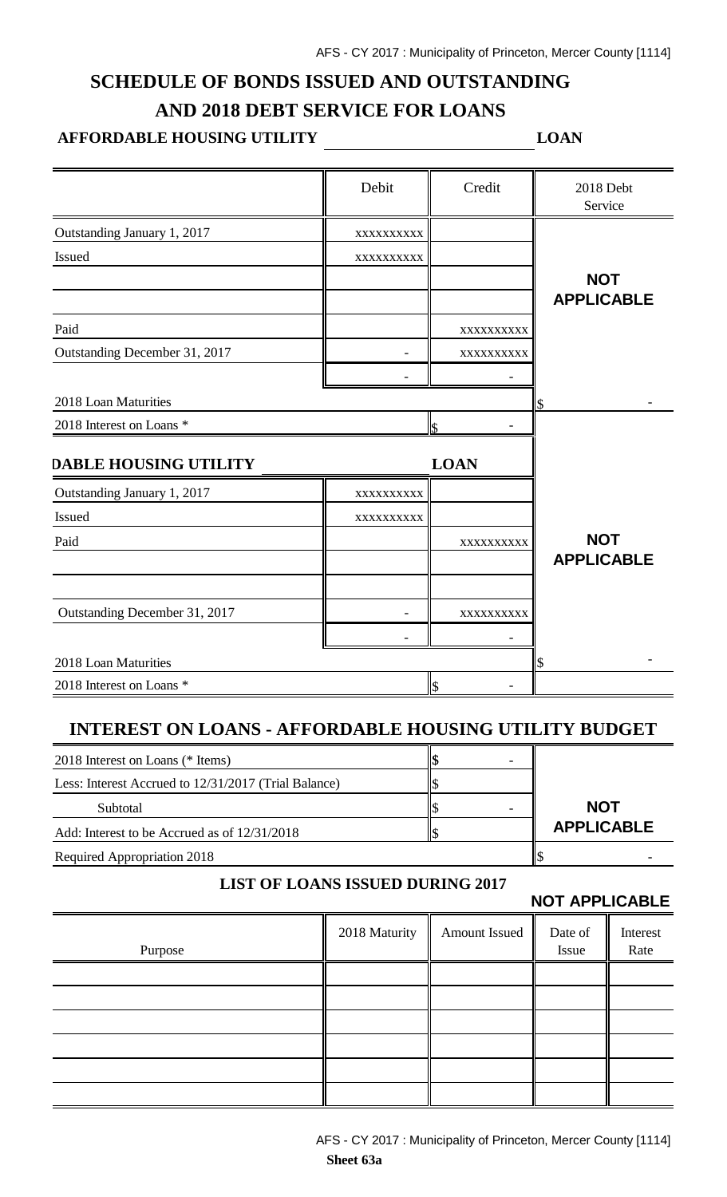## **SCHEDULE OF BONDS ISSUED AND OUTSTANDING AND 2018 DEBT SERVICE FOR LOANS**

### **AFFORDABLE HOUSING UTILITY LOAN**

|                               | Debit                    | Credit      | 2018 Debt<br>Service |
|-------------------------------|--------------------------|-------------|----------------------|
| Outstanding January 1, 2017   | XXXXXXXXX                |             |                      |
| Issued                        | XXXXXXXXX                |             |                      |
|                               |                          |             | <b>NOT</b>           |
|                               |                          |             | <b>APPLICABLE</b>    |
| Paid                          |                          | XXXXXXXXX   |                      |
| Outstanding December 31, 2017 |                          | XXXXXXXXXX  |                      |
|                               |                          |             |                      |
| 2018 Loan Maturities          |                          |             |                      |
| 2018 Interest on Loans *      | l\$                      |             |                      |
| <b>DABLE HOUSING UTILITY</b>  |                          | <b>LOAN</b> |                      |
| Outstanding January 1, 2017   | XXXXXXXXXX               |             |                      |
| Issued                        | XXXXXXXXX                |             |                      |
| Paid                          |                          | XXXXXXXXXX  | <b>NOT</b>           |
|                               |                          |             | <b>APPLICABLE</b>    |
|                               |                          |             |                      |
| Outstanding December 31, 2017 |                          | XXXXXXXXXX  |                      |
|                               |                          |             |                      |
| 2018 Loan Maturities          |                          |             | \$                   |
| 2018 Interest on Loans *      | $\overline{\mathcal{S}}$ |             |                      |

### **INTEREST ON LOANS - AFFORDABLE HOUSING UTILITY BUDGET**

| 2018 Interest on Loans (* Items)                     |                   |
|------------------------------------------------------|-------------------|
| Less: Interest Accrued to 12/31/2017 (Trial Balance) |                   |
| Subtotal                                             | <b>NOT</b>        |
| Add: Interest to be Accrued as of 12/31/2018         | <b>APPLICABLE</b> |
| <b>Required Appropriation 2018</b>                   |                   |

#### **LIST OF LOANS ISSUED DURING 2017**

**NOT APPLICABLE**

| Purpose | 2018 Maturity   Amount Issued | Date of<br>Issue | Interest<br>Rate |
|---------|-------------------------------|------------------|------------------|
|         |                               |                  |                  |
|         |                               |                  |                  |
|         |                               |                  |                  |
|         |                               |                  |                  |
|         |                               |                  |                  |
|         |                               |                  |                  |
|         |                               |                  |                  |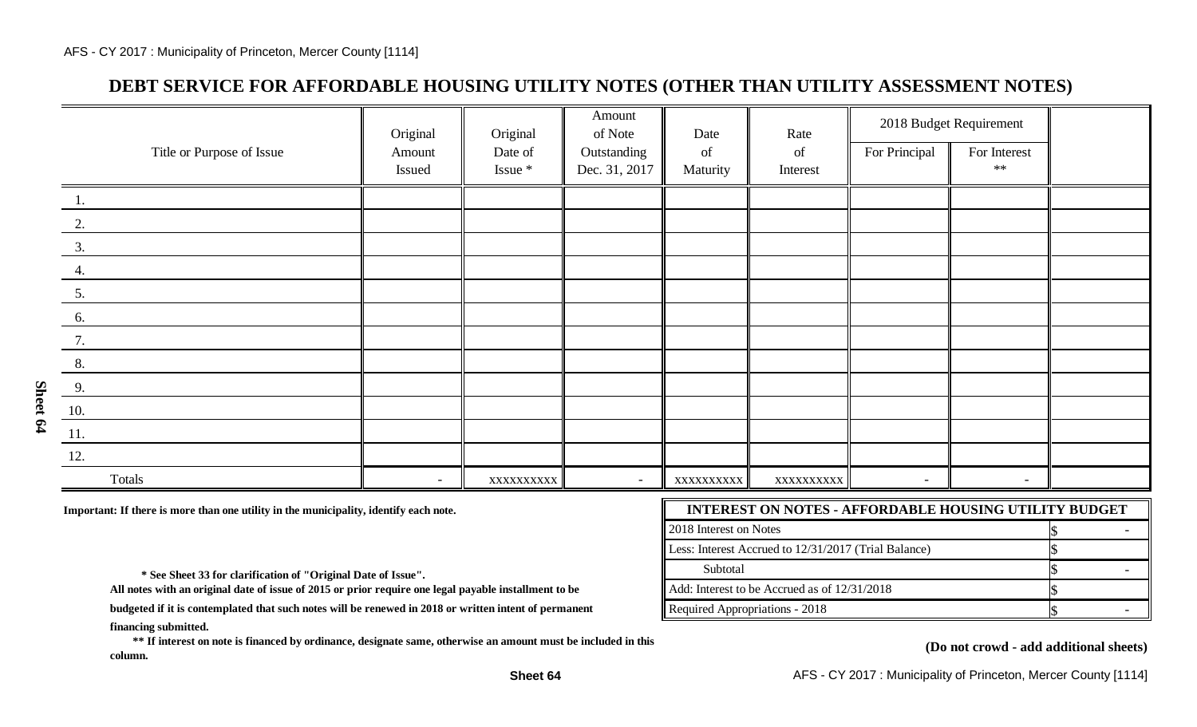### **DEBT SERVICE FOR AFFORDABLE HOUSING UTILITY NOTES (OTHER THAN UTILITY ASSESSMENT NOTES)**

|                           | Original | Original  | Amount<br>of Note | Date       | Rate       |                          | 2018 Budget Requirement |  |
|---------------------------|----------|-----------|-------------------|------------|------------|--------------------------|-------------------------|--|
| Title or Purpose of Issue | Amount   | Date of   | Outstanding       | of         | of         | For Principal            | For Interest            |  |
|                           | Issued   | Issue *   | Dec. 31, 2017     | Maturity   | Interest   |                          | $\ast\ast$              |  |
| 1.                        |          |           |                   |            |            |                          |                         |  |
| 2.                        |          |           |                   |            |            |                          |                         |  |
| 3.                        |          |           |                   |            |            |                          |                         |  |
| 4.                        |          |           |                   |            |            |                          |                         |  |
| 5.                        |          |           |                   |            |            |                          |                         |  |
| 6.                        |          |           |                   |            |            |                          |                         |  |
| 7.                        |          |           |                   |            |            |                          |                         |  |
| 8.                        |          |           |                   |            |            |                          |                         |  |
| 9.                        |          |           |                   |            |            |                          |                         |  |
| 10.                       |          |           |                   |            |            |                          |                         |  |
| 11.                       |          |           |                   |            |            |                          |                         |  |
| 12.                       |          |           |                   |            |            |                          |                         |  |
| Totals                    | $\sim$   | XXXXXXXXX |                   | XXXXXXXXXX | XXXXXXXXXX | $\overline{\phantom{a}}$ | $\sim$                  |  |

Important: If there is more than one utility in the municipality, identify each note.

| <b>INTEREST ON NOTES - AFFORDABLE HOUSING UTILITY BUDGET</b> |  |  |  |  |
|--------------------------------------------------------------|--|--|--|--|
| 2018 Interest on Notes                                       |  |  |  |  |
| Less: Interest Accrued to 12/31/2017 (Trial Balance)         |  |  |  |  |
| Subtotal                                                     |  |  |  |  |
| $\parallel$ Add: Interest to be Accrued as of 12/31/2018     |  |  |  |  |
| Required Appropriations - 2018                               |  |  |  |  |

 **\* See Sheet 33 for clarification of "Original Date of Issue".** 

**All notes with an original date of issue of 2015 or prior require one legal payable installment to be**

**financing submitted. budgeted if it is contemplated that such notes will be renewed in 2018 or written intent of permanent**

 **\*\* If interest on note is financed by ordinance, designate same, otherwise an amount must be included in this column.**

#### **(Do not crowd - add additional sheets)**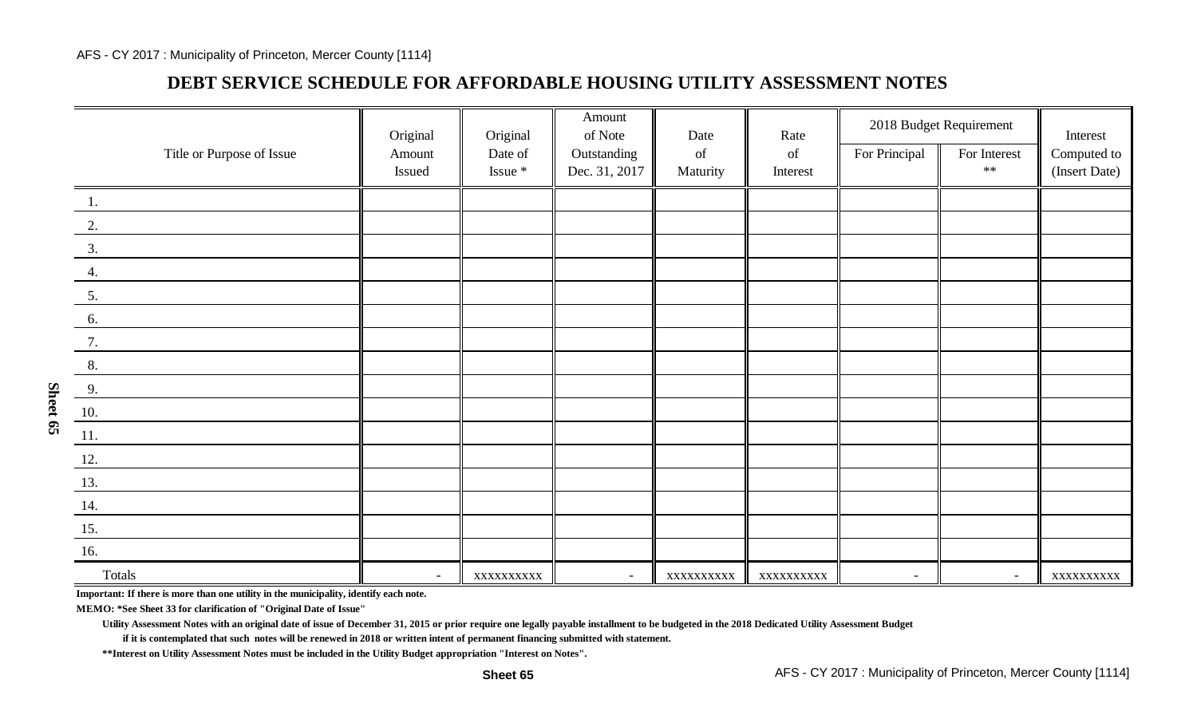### **DEBT SERVICE SCHEDULE FOR AFFORDABLE HOUSING UTILITY ASSESSMENT NOTES**

|                              | Original                 | Original   | Amount<br>of Note | Date                                                                                               | Rate      |                          | 2018 Budget Requirement | Interest      |
|------------------------------|--------------------------|------------|-------------------|----------------------------------------------------------------------------------------------------|-----------|--------------------------|-------------------------|---------------|
| Title or Purpose of Issue    | Amount                   | Date of    | Outstanding       | $% \left( \left( \mathcal{A},\mathcal{A}\right) \right) =\left( \mathcal{A},\mathcal{A}\right)$ of | of        | For Principal            | For Interest            | Computed to   |
|                              | Issued                   | Issue *    | Dec. 31, 2017     | Maturity                                                                                           | Interest  |                          | $**$                    | (Insert Date) |
| 1.                           |                          |            |                   |                                                                                                    |           |                          |                         |               |
| 2.                           |                          |            |                   |                                                                                                    |           |                          |                         |               |
| 3.                           |                          |            |                   |                                                                                                    |           |                          |                         |               |
| 4.                           |                          |            |                   |                                                                                                    |           |                          |                         |               |
| 5.                           |                          |            |                   |                                                                                                    |           |                          |                         |               |
| 6.                           |                          |            |                   |                                                                                                    |           |                          |                         |               |
| 7.                           |                          |            |                   |                                                                                                    |           |                          |                         |               |
| 8.                           |                          |            |                   |                                                                                                    |           |                          |                         |               |
| 9.                           |                          |            |                   |                                                                                                    |           |                          |                         |               |
| $\underline{10}$ .           |                          |            |                   |                                                                                                    |           |                          |                         |               |
| $\underline{\phantom{a}11.}$ |                          |            |                   |                                                                                                    |           |                          |                         |               |
| 12.                          |                          |            |                   |                                                                                                    |           |                          |                         |               |
| 13.                          |                          |            |                   |                                                                                                    |           |                          |                         |               |
| $\underline{14.}$            |                          |            |                   |                                                                                                    |           |                          |                         |               |
| <u>15.</u>                   |                          |            |                   |                                                                                                    |           |                          |                         |               |
| 16.                          |                          |            |                   |                                                                                                    |           |                          |                         |               |
| Totals<br>$\equiv$           | $\overline{\phantom{a}}$ | XXXXXXXXXX | $\sim$            | XXXXXXXXXX                                                                                         | XXXXXXXXX | $\overline{\phantom{a}}$ | $\sim$                  | XXXXXXXXXX    |

**Important: If there is more than one utility in the municipality, identify each note.**

**MEMO: \*See Sheet 33 for clarification of "Original Date of Issue"**

**Utility Assessment Notes with an original date of issue of December 31, 2015 or prior require one legally payable installment to be budgeted in the 2018 Dedicated Utility Assessment Budget**

**if it is contemplated that such notes will be renewed in 2018 or written intent of permanent financing submitted with statement.**

**\*\*Interest on Utility Assessment Notes must be included in the Utility Budget appropriation "Interest on Notes".**

**Sheet 65**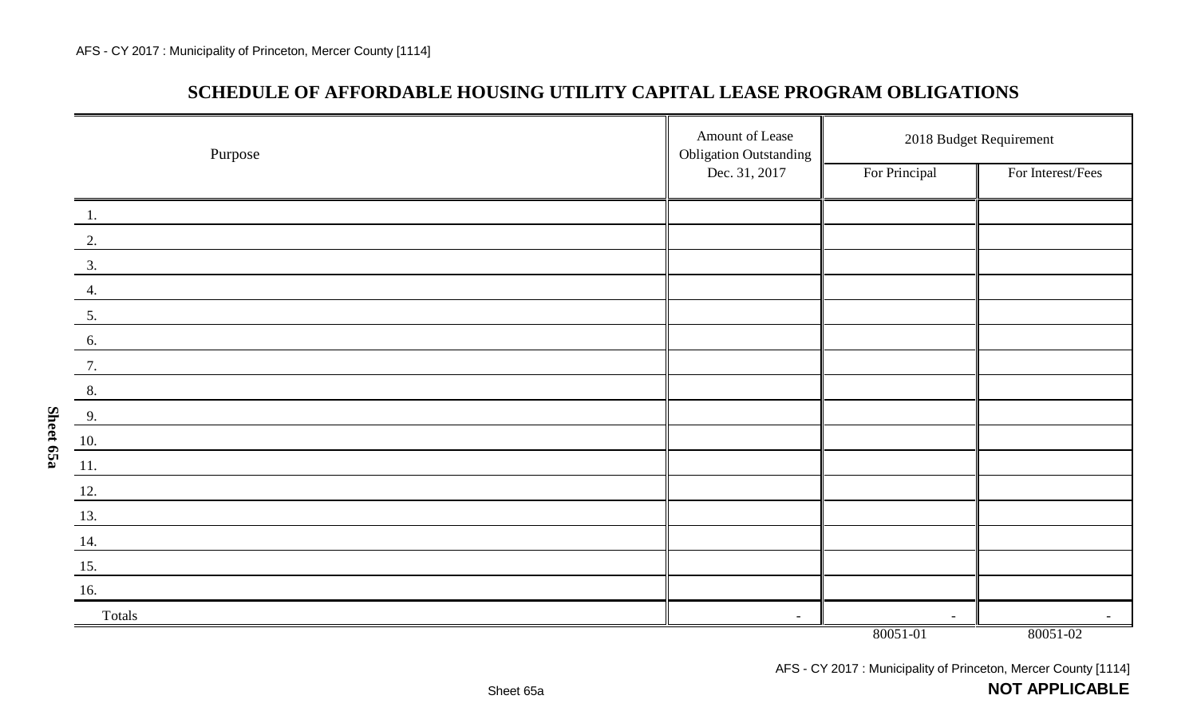**Sheet 65a**

### **SCHEDULE OF AFFORDABLE HOUSING UTILITY CAPITAL LEASE PROGRAM OBLIGATIONS**

| Purpose       | Amount of Lease<br><b>Obligation Outstanding</b> | 2018 Budget Requirement |                          |  |
|---------------|--------------------------------------------------|-------------------------|--------------------------|--|
|               | Dec. 31, 2017                                    | For Principal           | For Interest/Fees        |  |
| 1.            |                                                  |                         |                          |  |
| $\frac{2}{2}$ |                                                  |                         |                          |  |
| 3.            |                                                  |                         |                          |  |
| 4.            |                                                  |                         |                          |  |
| 5.            |                                                  |                         |                          |  |
| 6.            |                                                  |                         |                          |  |
| 7.            |                                                  |                         |                          |  |
| 8.            |                                                  |                         |                          |  |
| 9.            |                                                  |                         |                          |  |
| 10.           |                                                  |                         |                          |  |
| 11.           |                                                  |                         |                          |  |
| 12.           |                                                  |                         |                          |  |
| 13.           |                                                  |                         |                          |  |
| 14.           |                                                  |                         |                          |  |
| 15.           |                                                  |                         |                          |  |
| 16.           |                                                  |                         |                          |  |
| Totals        |                                                  | $\sim$                  | $\overline{\phantom{a}}$ |  |
|               |                                                  | 80051-01                | 80051-02                 |  |

AFS - CY 2017 : Municipality of Princeton, Mercer County [1114]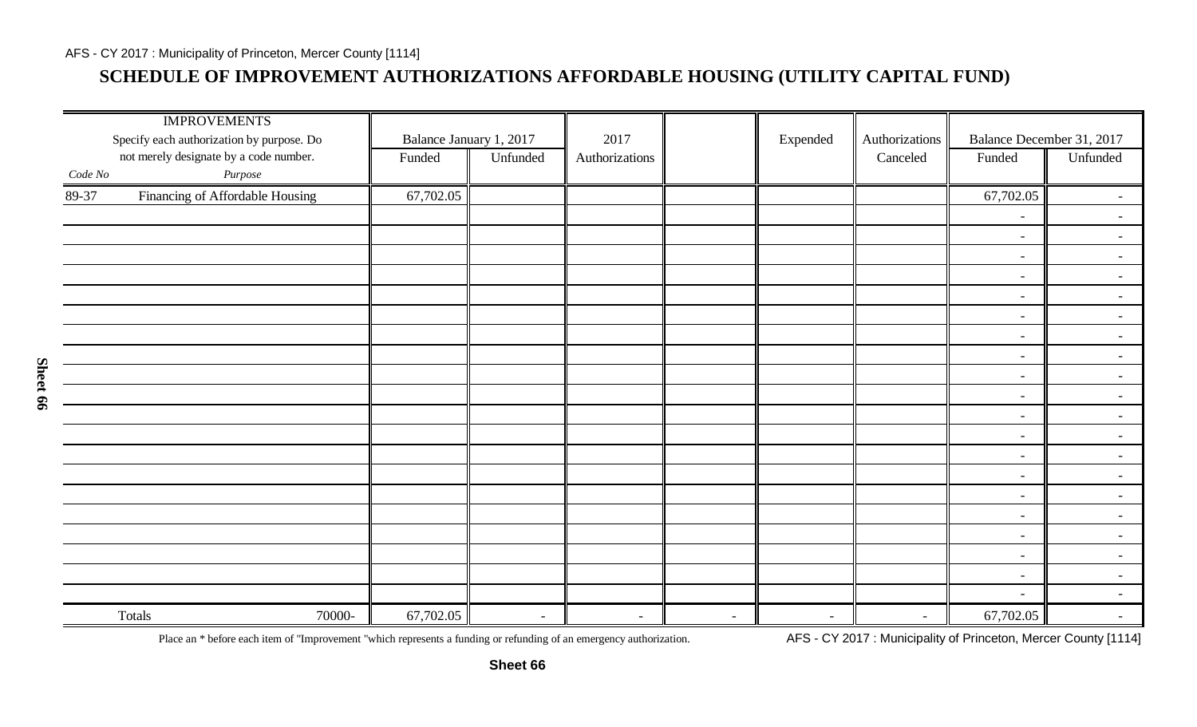## **SCHEDULE OF IMPROVEMENT AUTHORIZATIONS AFFORDABLE HOUSING (UTILITY CAPITAL FUND)**

|         | <b>IMPROVEMENTS</b><br>Specify each authorization by purpose. Do | Balance January 1, 2017 |          | 2017           |        | Expended       | Authorizations           | Balance December 31, 2017 |                |
|---------|------------------------------------------------------------------|-------------------------|----------|----------------|--------|----------------|--------------------------|---------------------------|----------------|
|         | not merely designate by a code number.                           | Funded                  | Unfunded | Authorizations |        |                | Canceled                 | Funded                    | Unfunded       |
| Code No | $\it Purpose$                                                    |                         |          |                |        |                |                          |                           |                |
| 89-37   | Financing of Affordable Housing                                  | 67,702.05               |          |                |        |                |                          | 67,702.05                 | $\sim$         |
|         |                                                                  |                         |          |                |        |                |                          | $\sim$                    | $\sim$         |
|         |                                                                  |                         |          |                |        |                |                          | $\sim$                    | $\sim$         |
|         |                                                                  |                         |          |                |        |                |                          | $\sim$                    | $\sim$         |
|         |                                                                  |                         |          |                |        |                |                          | $\sim$                    | $\sim$         |
|         |                                                                  |                         |          |                |        |                |                          | $\sim$                    | $\sim$         |
|         |                                                                  |                         |          |                |        |                |                          | $\sim$                    | $\sim$         |
|         |                                                                  |                         |          |                |        |                |                          | $\sim$                    | $\sim$         |
|         |                                                                  |                         |          |                |        |                |                          | $\sim$                    | $\sim$         |
|         |                                                                  |                         |          |                |        |                |                          | $\sim$                    | $\sim$         |
|         |                                                                  |                         |          |                |        |                |                          | $\sim$                    | $\sim$         |
|         |                                                                  |                         |          |                |        |                |                          | $\sim$                    | $\sim$ $^{-1}$ |
|         |                                                                  |                         |          |                |        |                |                          | $\sim$                    | $\sim$         |
|         |                                                                  |                         |          |                |        |                |                          | $\sim$                    | $\sim$         |
|         |                                                                  |                         |          |                |        |                |                          | $\sim$                    | $\sim$         |
|         |                                                                  |                         |          |                |        |                |                          | $\sim$                    | $\sim$         |
|         |                                                                  |                         |          |                |        |                |                          | $\sim$                    | $\sim$         |
|         |                                                                  |                         |          |                |        |                |                          | $\sim$                    | $\sim$         |
|         |                                                                  |                         |          |                |        |                |                          | $\sim$                    | $\sim$         |
|         |                                                                  |                         |          |                |        |                |                          | $\sim$                    | $\sim$         |
|         |                                                                  |                         |          |                |        |                |                          | $\sim$                    | $\sim$         |
|         | Totals<br>70000-                                                 | 67,702.05               | $\sim$   | $\sim$         | $\sim$ | $\blacksquare$ | $\overline{\phantom{a}}$ | 67,702.05                 | $\sim$         |

Place an \* before each item of "Improvement "which represents a funding or refunding of an emergency authorization. AFS - CY 2017: Municipality of Princeton, Mercer County [1114]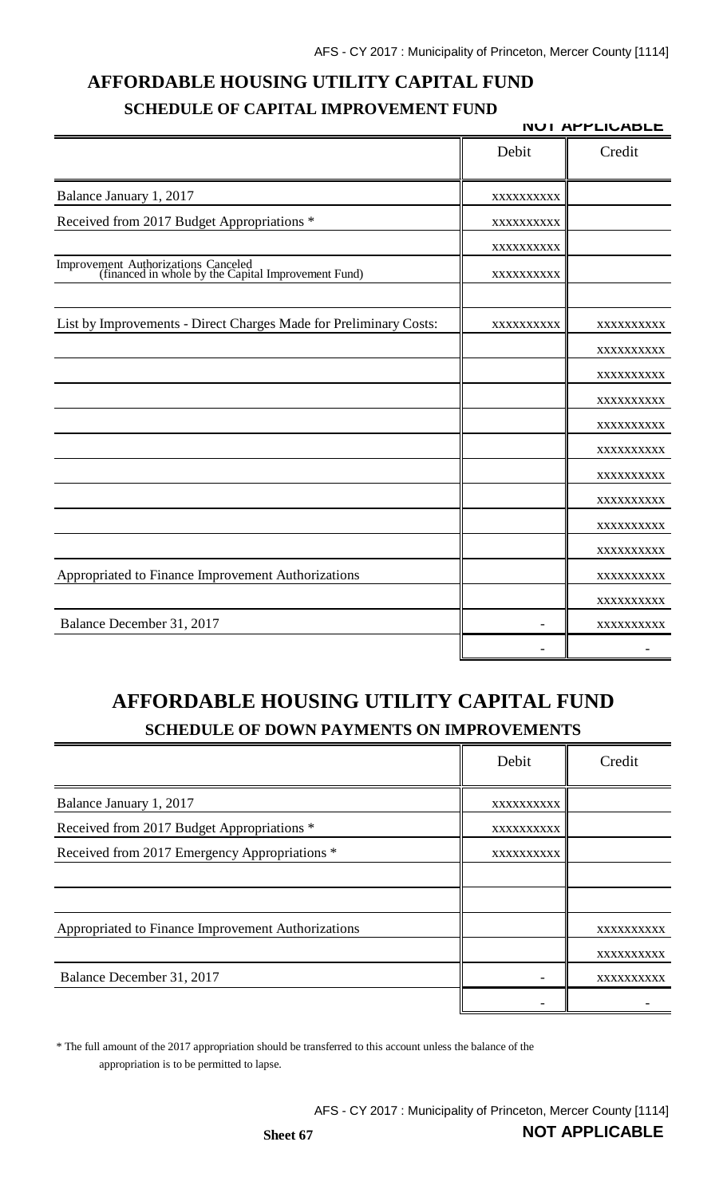## **AFFORDABLE HOUSING UTILITY CAPITAL FUND SCHEDULE OF CAPITAL IMPROVEMENT FUND**

|                                                                                            |            | <b>NUI APPLIUABLE</b> |
|--------------------------------------------------------------------------------------------|------------|-----------------------|
|                                                                                            | Debit      | Credit                |
| Balance January 1, 2017                                                                    | XXXXXXXXXX |                       |
| Received from 2017 Budget Appropriations *                                                 | XXXXXXXXXX |                       |
|                                                                                            | XXXXXXXXXX |                       |
| Improvement Authorizations Canceled<br>(financed in whole by the Capital Improvement Fund) | XXXXXXXXXX |                       |
| List by Improvements - Direct Charges Made for Preliminary Costs:                          | XXXXXXXXXX | XXXXXXXXXX            |
|                                                                                            |            | XXXXXXXXXX            |
|                                                                                            |            | XXXXXXXXXX            |
|                                                                                            |            | XXXXXXXXX             |
|                                                                                            |            | XXXXXXXXX             |
|                                                                                            |            | XXXXXXXXXX            |
|                                                                                            |            | XXXXXXXXXX            |
|                                                                                            |            | XXXXXXXXX             |
|                                                                                            |            | XXXXXXXXXX            |
|                                                                                            |            | XXXXXXXXX             |
| Appropriated to Finance Improvement Authorizations                                         |            | XXXXXXXXXX            |
|                                                                                            |            | XXXXXXXXXX            |
| Balance December 31, 2017                                                                  |            | XXXXXXXXXX            |
|                                                                                            |            |                       |

# **AFFORDABLE HOUSING UTILITY CAPITAL FUND SCHEDULE OF DOWN PAYMENTS ON IMPROVEMENTS**

|                                                    | Debit      | Credit     |
|----------------------------------------------------|------------|------------|
| Balance January 1, 2017                            | XXXXXXXXXX |            |
| Received from 2017 Budget Appropriations *         | XXXXXXXXXX |            |
| Received from 2017 Emergency Appropriations *      | XXXXXXXXXX |            |
|                                                    |            |            |
|                                                    |            |            |
| Appropriated to Finance Improvement Authorizations |            | XXXXXXXXXX |
|                                                    |            | XXXXXXXXXX |
| Balance December 31, 2017                          |            | XXXXXXXXXX |
|                                                    |            |            |

\* The full amount of the 2017 appropriation should be transferred to this account unless the balance of the appropriation is to be permitted to lapse.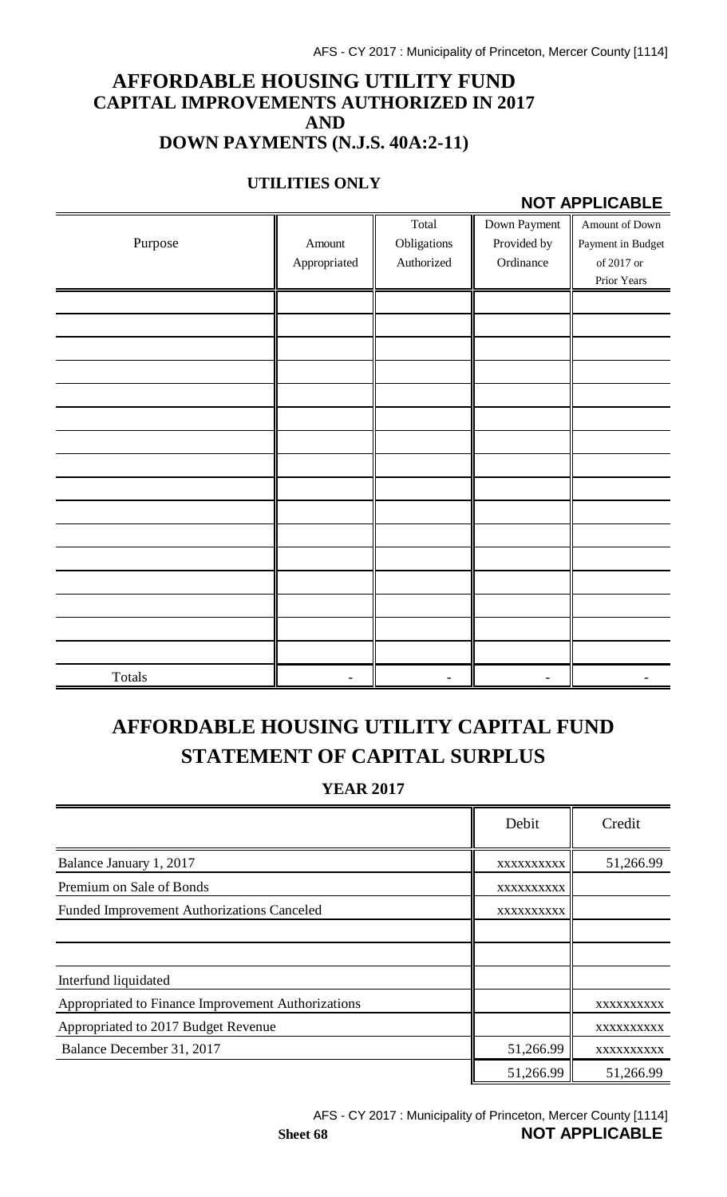### **AFFORDABLE HOUSING UTILITY FUND CAPITAL IMPROVEMENTS AUTHORIZED IN 2017 AND DOWN PAYMENTS (N.J.S. 40A:2-11)**

#### **UTILITIES ONLY**

#### **NOT APPLICABLE**

|         |              | Total       | Down Payment | Amount of Down    |
|---------|--------------|-------------|--------------|-------------------|
| Purpose | Amount       | Obligations | Provided by  | Payment in Budget |
|         | Appropriated | Authorized  | Ordinance    | of 2017 or        |
|         |              |             |              | Prior Years       |
|         |              |             |              |                   |
|         |              |             |              |                   |
|         |              |             |              |                   |
|         |              |             |              |                   |
|         |              |             |              |                   |
|         |              |             |              |                   |
|         |              |             |              |                   |
|         |              |             |              |                   |
|         |              |             |              |                   |
|         |              |             |              |                   |
|         |              |             |              |                   |
|         |              |             |              |                   |
|         |              |             |              |                   |
|         |              |             |              |                   |
|         |              |             |              |                   |
|         |              |             |              |                   |
| Totals  |              |             |              |                   |

# **AFFORDABLE HOUSING UTILITY CAPITAL FUND STATEMENT OF CAPITAL SURPLUS**

**YEAR 2017**

|                                                    | Debit      | Credit     |
|----------------------------------------------------|------------|------------|
| Balance January 1, 2017                            | XXXXXXXXXX | 51,266.99  |
| Premium on Sale of Bonds                           | XXXXXXXXXX |            |
| <b>Funded Improvement Authorizations Canceled</b>  | XXXXXXXXXX |            |
|                                                    |            |            |
|                                                    |            |            |
| Interfund liquidated                               |            |            |
| Appropriated to Finance Improvement Authorizations |            | XXXXXXXXXX |
| Appropriated to 2017 Budget Revenue                |            | XXXXXXXXXX |
| Balance December 31, 2017                          | 51,266.99  | XXXXXXXXXX |
|                                                    | 51,266.99  | 51,266.99  |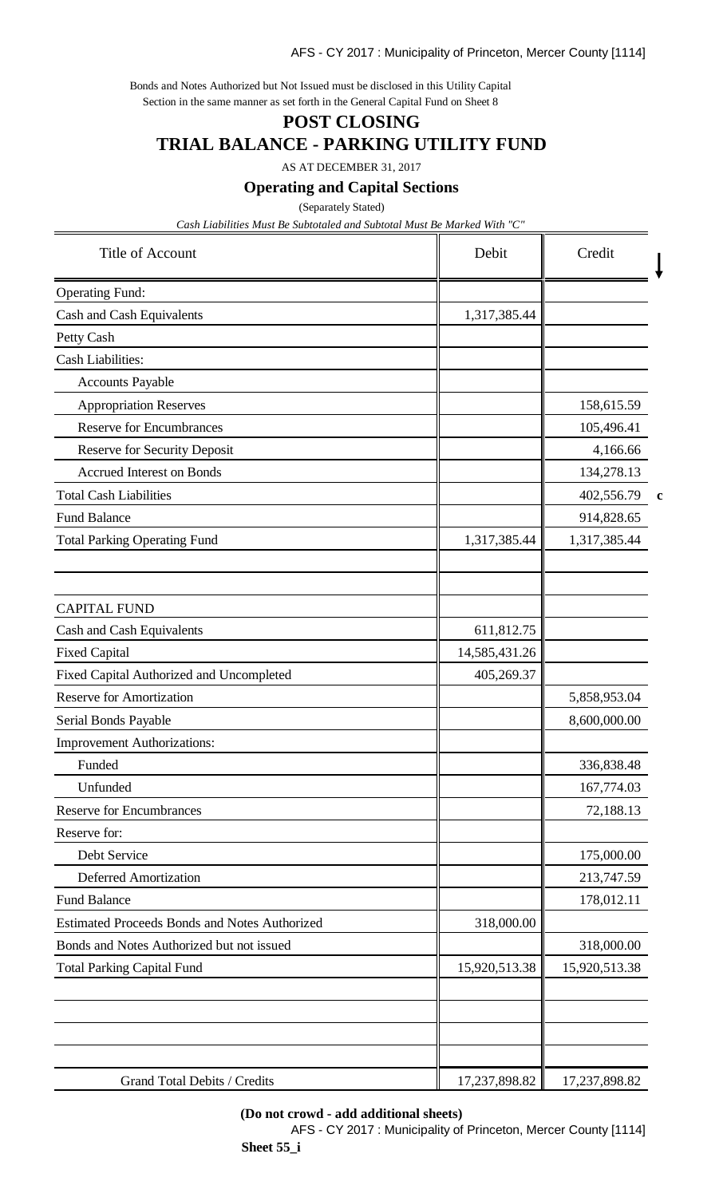Bonds and Notes Authorized but Not Issued must be disclosed in this Utility Capital Section in the same manner as set forth in the General Capital Fund on Sheet 8

## **POST CLOSING TRIAL BALANCE - PARKING UTILITY FUND**

AS AT DECEMBER 31, 2017

**Operating and Capital Sections**

(Separately Stated)

*Cash Liabilities Must Be Subtotaled and Subtotal Must Be Marked With "C"*

| <b>Title of Account</b>                                          | Debit<br>Credit             |                          |             |
|------------------------------------------------------------------|-----------------------------|--------------------------|-------------|
| <b>Operating Fund:</b>                                           |                             |                          |             |
| Cash and Cash Equivalents                                        | 1,317,385.44                |                          |             |
| Petty Cash                                                       |                             |                          |             |
| <b>Cash Liabilities:</b>                                         |                             |                          |             |
| <b>Accounts Payable</b>                                          |                             |                          |             |
| <b>Appropriation Reserves</b>                                    |                             | 158,615.59               |             |
| <b>Reserve for Encumbrances</b>                                  |                             | 105,496.41               |             |
| <b>Reserve for Security Deposit</b>                              |                             | 4,166.66                 |             |
| <b>Accrued Interest on Bonds</b>                                 |                             | 134,278.13               |             |
| <b>Total Cash Liabilities</b>                                    |                             | 402,556.79               | $\mathbf c$ |
| <b>Fund Balance</b>                                              |                             | 914,828.65               |             |
| <b>Total Parking Operating Fund</b>                              | 1,317,385.44                | 1,317,385.44             |             |
|                                                                  |                             |                          |             |
| <b>CAPITAL FUND</b>                                              |                             |                          |             |
| Cash and Cash Equivalents                                        | 611,812.75                  |                          |             |
| <b>Fixed Capital</b><br>Fixed Capital Authorized and Uncompleted | 14,585,431.26<br>405,269.37 |                          |             |
| <b>Reserve for Amortization</b>                                  |                             |                          |             |
|                                                                  |                             | 5,858,953.04             |             |
| Serial Bonds Payable                                             |                             | 8,600,000.00             |             |
| <b>Improvement Authorizations:</b>                               |                             |                          |             |
| Funded<br>Unfunded                                               |                             | 336,838.48<br>167,774.03 |             |
| <b>Reserve for Encumbrances</b>                                  |                             | 72,188.13                |             |
| Reserve for:                                                     |                             |                          |             |
| Debt Service                                                     |                             | 175,000.00               |             |
| <b>Deferred Amortization</b>                                     |                             | 213,747.59               |             |
| <b>Fund Balance</b>                                              |                             | 178,012.11               |             |
| <b>Estimated Proceeds Bonds and Notes Authorized</b>             | 318,000.00                  |                          |             |
| Bonds and Notes Authorized but not issued                        |                             | 318,000.00               |             |
| <b>Total Parking Capital Fund</b>                                | 15,920,513.38               | 15,920,513.38            |             |
|                                                                  |                             |                          |             |
|                                                                  |                             |                          |             |
| Grand Total Debits / Credits                                     | 17,237,898.82               | 17,237,898.82            |             |

#### **(Do not crowd - add additional sheets)**

AFS - CY 2017 : Municipality of Princeton, Mercer County [1114] **Sheet 55\_i**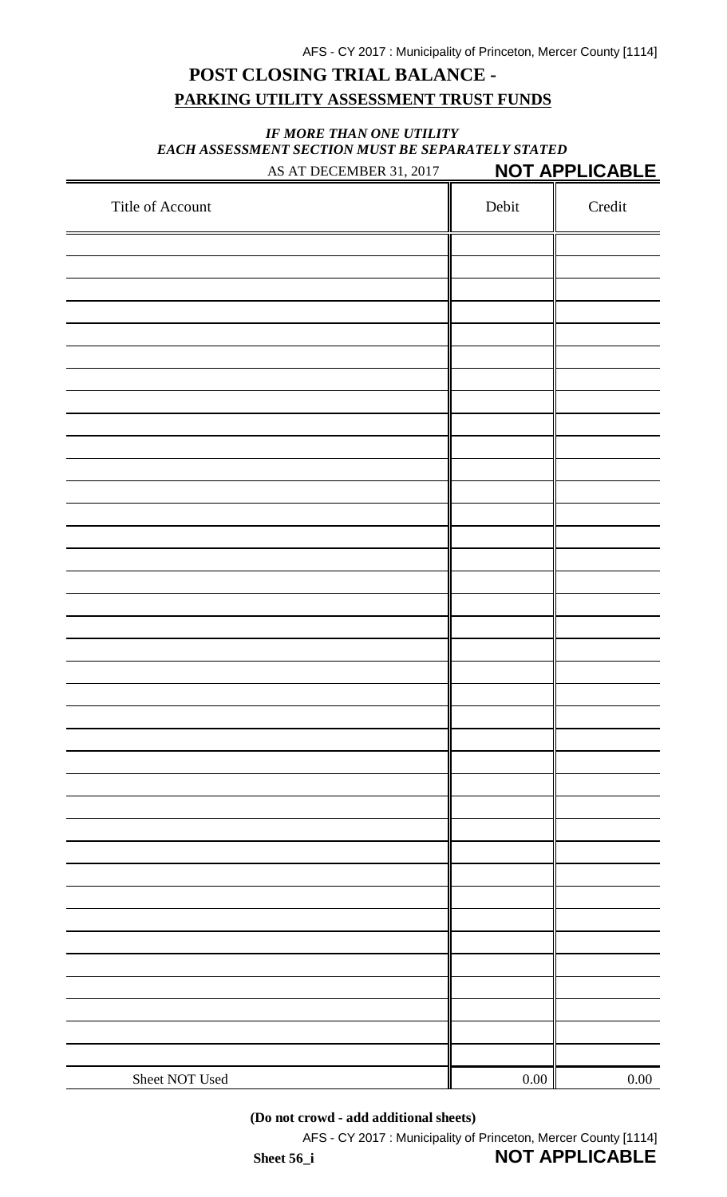## **POST CLOSING TRIAL BALANCE - PARKING UTILITY ASSESSMENT TRUST FUNDS**

#### *IF MORE THAN ONE UTILITY EACH ASSESSMENT SECTION MUST BE SEPARATELY STATED* AS AT DECEMBER 31, 2017 **NOT APPLICABLE**

| Title of Account | Debit    | Credit   |
|------------------|----------|----------|
|                  |          |          |
|                  |          |          |
|                  |          |          |
|                  |          |          |
|                  |          |          |
|                  |          |          |
|                  |          |          |
|                  |          |          |
|                  |          |          |
|                  |          |          |
|                  |          |          |
|                  |          |          |
|                  |          |          |
|                  |          |          |
|                  |          |          |
|                  |          |          |
|                  |          |          |
|                  |          |          |
|                  |          |          |
|                  |          |          |
|                  |          |          |
|                  |          |          |
|                  |          |          |
|                  |          |          |
|                  |          |          |
|                  |          |          |
|                  |          |          |
|                  |          |          |
|                  |          |          |
|                  |          |          |
|                  |          |          |
|                  |          |          |
|                  |          |          |
|                  |          |          |
|                  |          |          |
|                  |          |          |
|                  |          |          |
| Sheet NOT Used   | $0.00\,$ | $0.00\,$ |
|                  |          |          |

**(Do not crowd - add additional sheets)**

AFS - CY 2017 : Municipality of Princeton, Mercer County [1114]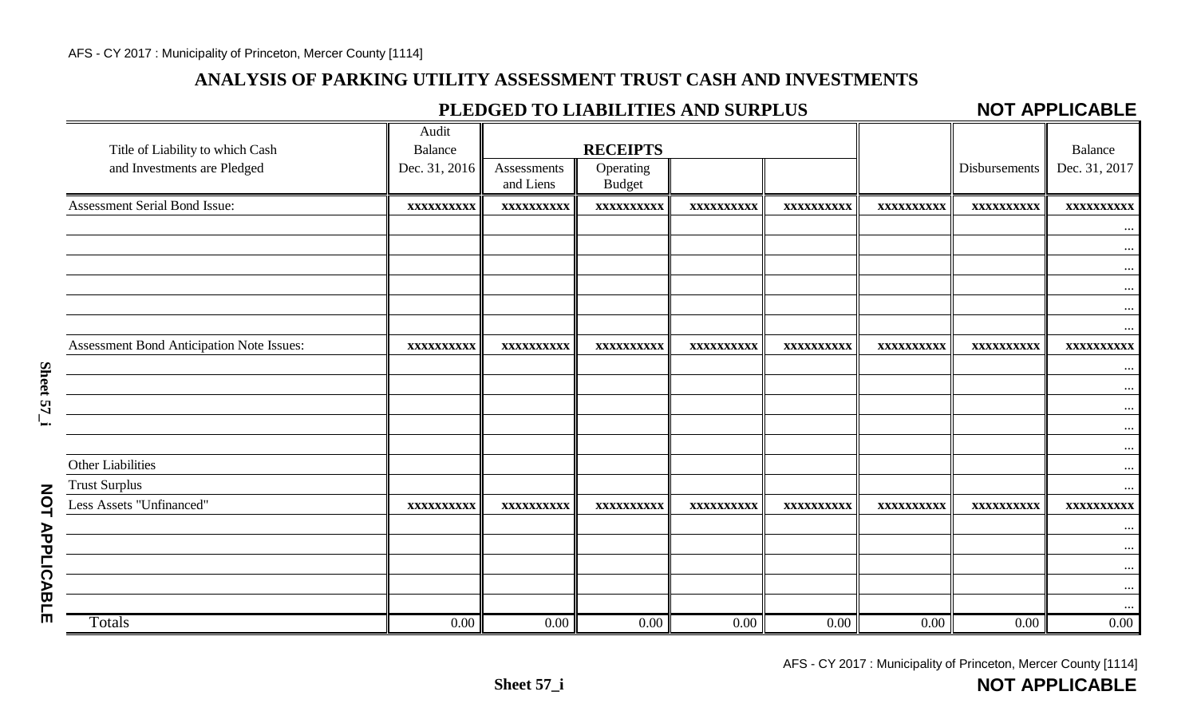### **ANALYSIS OF PARKING UTILITY ASSESSMENT TRUST CASH AND INVESTMENTS**

### **PLEDGED TO LIABILITIES AND SURPLUS**

### **NOT APPLICABLE**

|                                           | Audit          |                   |                 |                   |            |            |               |               |
|-------------------------------------------|----------------|-------------------|-----------------|-------------------|------------|------------|---------------|---------------|
| Title of Liability to which Cash          | <b>Balance</b> |                   | <b>RECEIPTS</b> |                   |            |            |               | Balance       |
| and Investments are Pledged               | Dec. 31, 2016  | Assessments       | Operating       |                   |            |            | Disbursements | Dec. 31, 2017 |
|                                           |                | and Liens         | <b>Budget</b>   |                   |            |            |               |               |
| Assessment Serial Bond Issue:             | XXXXXXXXXX     | <b>XXXXXXXXXX</b> | XXXXXXXXXX      | XXXXXXXXXX        | XXXXXXXXXX | XXXXXXXXXX | XXXXXXXXXX    | XXXXXXXXXX    |
|                                           |                |                   |                 |                   |            |            |               | $\cdots$      |
|                                           |                |                   |                 |                   |            |            |               | $\cdots$      |
|                                           |                |                   |                 |                   |            |            |               | $\ldots$      |
|                                           |                |                   |                 |                   |            |            |               | $\cdots$      |
|                                           |                |                   |                 |                   |            |            |               | $\cdots$      |
|                                           |                |                   |                 |                   |            |            |               | $\cdots$      |
| Assessment Bond Anticipation Note Issues: | XXXXXXXXXX     | <b>XXXXXXXXXX</b> | XXXXXXXXXX      | <b>XXXXXXXXXX</b> | XXXXXXXXXX | XXXXXXXXXX | XXXXXXXXXX    | XXXXXXXXXX    |
|                                           |                |                   |                 |                   |            |            |               | $\cdots$      |
|                                           |                |                   |                 |                   |            |            |               | $\cdots$      |
|                                           |                |                   |                 |                   |            |            |               | $\cdots$      |
|                                           |                |                   |                 |                   |            |            |               | $\cdots$      |
|                                           |                |                   |                 |                   |            |            |               | $\cdots$      |
| Other Liabilities                         |                |                   |                 |                   |            |            |               | $\cdots$      |
| <b>Trust Surplus</b>                      |                |                   |                 |                   |            |            |               | $\cdots$      |
| Less Assets "Unfinanced"                  | XXXXXXXXXX     | XXXXXXXXXX        | XXXXXXXXXX      | XXXXXXXXXX        | XXXXXXXXXX | XXXXXXXXXX | XXXXXXXXXX    | XXXXXXXXXX    |
|                                           |                |                   |                 |                   |            |            |               | $\cdots$      |
|                                           |                |                   |                 |                   |            |            |               | $\cdots$      |
|                                           |                |                   |                 |                   |            |            |               | $\cdots$      |
|                                           |                |                   |                 |                   |            |            |               | $\cdots$      |
|                                           |                |                   |                 |                   |            |            |               |               |
| Totals                                    | 0.00           | 0.00              | 0.00            | 0.00              | 0.00       | 0.00       | 0.00          | $0.00\,$      |

**NOT APPLICABLE**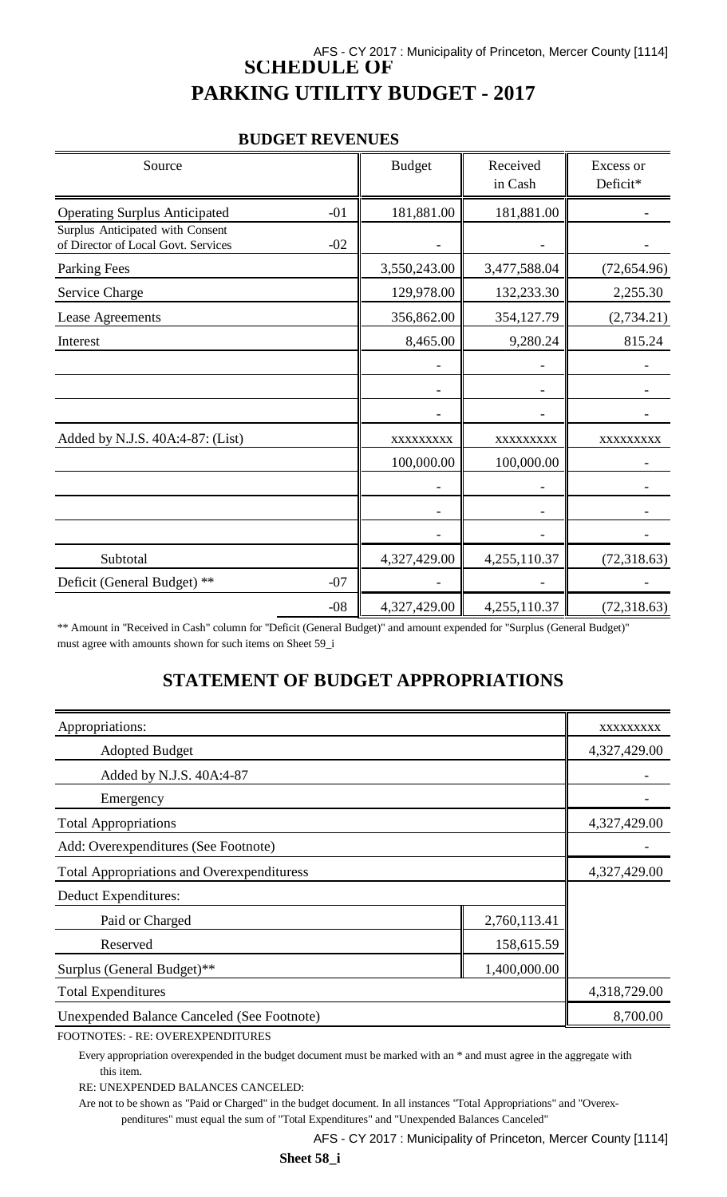## AFS - CY 2017 : Municipality of Princeton, Mercer County [1114] **SCHEDULE OF PARKING UTILITY BUDGET - 2017**

#### **BUDGET REVENUES**

| Source                                                                  |       | <b>Budget</b> | Received<br>in Cash | Excess or<br>Deficit* |
|-------------------------------------------------------------------------|-------|---------------|---------------------|-----------------------|
| <b>Operating Surplus Anticipated</b>                                    | $-01$ | 181,881.00    | 181,881.00          |                       |
| Surplus Anticipated with Consent<br>of Director of Local Govt. Services | $-02$ |               |                     |                       |
| Parking Fees                                                            |       | 3,550,243.00  | 3,477,588.04        | (72, 654.96)          |
| Service Charge                                                          |       | 129,978.00    | 132,233.30          | 2,255.30              |
| Lease Agreements                                                        |       | 356,862.00    | 354,127.79          | (2,734.21)            |
| Interest                                                                |       | 8,465.00      | 9,280.24            | 815.24                |
|                                                                         |       |               |                     |                       |
|                                                                         |       |               |                     |                       |
|                                                                         |       |               |                     |                       |
| Added by N.J.S. 40A:4-87: (List)                                        |       | XXXXXXXXX     | XXXXXXXXX           | XXXXXXXXX             |
|                                                                         |       | 100,000.00    | 100,000.00          |                       |
|                                                                         |       |               |                     |                       |
|                                                                         |       |               |                     |                       |
|                                                                         |       |               |                     |                       |
| Subtotal                                                                |       | 4,327,429.00  | 4,255,110.37        | (72,318.63)           |
| Deficit (General Budget) **                                             | $-07$ |               |                     |                       |
|                                                                         | $-08$ | 4,327,429.00  | 4,255,110.37        | (72,318.63)           |

\*\* Amount in "Received in Cash" column for "Deficit (General Budget)" and amount expended for "Surplus (General Budget)" must agree with amounts shown for such items on Sheet 59\_i

## **STATEMENT OF BUDGET APPROPRIATIONS**

| Appropriations:                                   | XXXXXXXXX    |              |
|---------------------------------------------------|--------------|--------------|
| <b>Adopted Budget</b>                             |              | 4,327,429.00 |
| Added by N.J.S. 40A:4-87                          |              |              |
| Emergency                                         |              |              |
| <b>Total Appropriations</b>                       |              | 4,327,429.00 |
| Add: Overexpenditures (See Footnote)              |              |              |
| <b>Total Appropriations and Overexpendituress</b> | 4,327,429.00 |              |
| Deduct Expenditures:                              |              |              |
| Paid or Charged                                   | 2,760,113.41 |              |
| 158,615.59<br>Reserved                            |              |              |
| Surplus (General Budget)**                        |              |              |
| <b>Total Expenditures</b>                         | 4,318,729.00 |              |
| <b>Unexpended Balance Canceled (See Footnote)</b> | 8,700.00     |              |

FOOTNOTES: - RE: OVEREXPENDITURES

Every appropriation overexpended in the budget document must be marked with an \* and must agree in the aggregate with this item.

RE: UNEXPENDED BALANCES CANCELED:

Are not to be shown as "Paid or Charged" in the budget document. In all instances "Total Appropriations" and "Overexpenditures" must equal the sum of "Total Expenditures" and "Unexpended Balances Canceled"

AFS - CY 2017 : Municipality of Princeton, Mercer County [1114]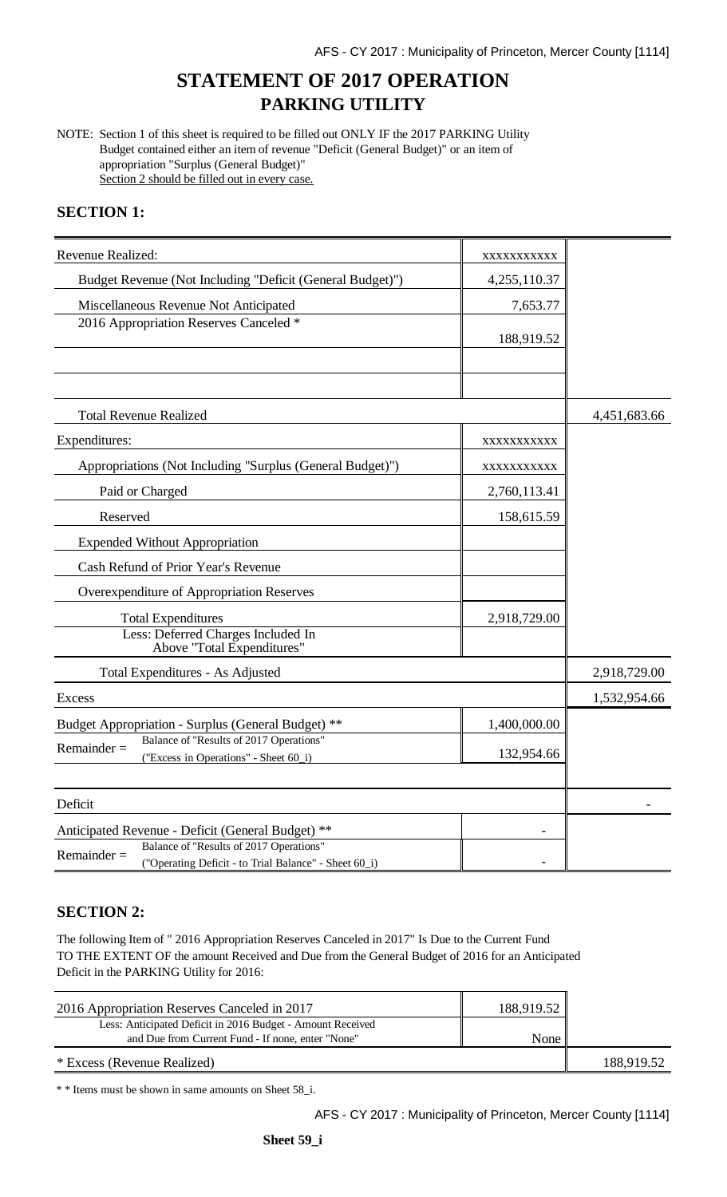## **STATEMENT OF 2017 OPERATION PARKING UTILITY**

NOTE: Section 1 of this sheet is required to be filled out ONLY IF the 2017 PARKING Utility Budget contained either an item of revenue "Deficit (General Budget)" or an item of appropriation "Surplus (General Budget)" Section 2 should be filled out in every case.

#### **SECTION 1:**

| Revenue Realized:                                                                                                                                                      | XXXXXXXXXX   |              |
|------------------------------------------------------------------------------------------------------------------------------------------------------------------------|--------------|--------------|
| Budget Revenue (Not Including "Deficit (General Budget)")                                                                                                              | 4,255,110.37 |              |
| Miscellaneous Revenue Not Anticipated                                                                                                                                  | 7,653.77     |              |
| 2016 Appropriation Reserves Canceled *                                                                                                                                 | 188,919.52   |              |
|                                                                                                                                                                        |              |              |
| <b>Total Revenue Realized</b>                                                                                                                                          |              | 4,451,683.66 |
| Expenditures:                                                                                                                                                          | XXXXXXXXXX   |              |
| Appropriations (Not Including "Surplus (General Budget)")                                                                                                              | XXXXXXXXXX   |              |
| Paid or Charged                                                                                                                                                        | 2,760,113.41 |              |
| Reserved                                                                                                                                                               | 158,615.59   |              |
| <b>Expended Without Appropriation</b>                                                                                                                                  |              |              |
| Cash Refund of Prior Year's Revenue                                                                                                                                    |              |              |
| Overexpenditure of Appropriation Reserves                                                                                                                              |              |              |
| <b>Total Expenditures</b>                                                                                                                                              | 2,918,729.00 |              |
| Less: Deferred Charges Included In<br>Above "Total Expenditures"                                                                                                       |              |              |
| Total Expenditures - As Adjusted                                                                                                                                       |              | 2,918,729.00 |
| <b>Excess</b>                                                                                                                                                          |              | 1,532,954.66 |
| Budget Appropriation - Surplus (General Budget) **                                                                                                                     | 1,400,000.00 |              |
| Balance of "Results of 2017 Operations"<br>$Remainder =$<br>("Excess in Operations" - Sheet 60_i)                                                                      | 132,954.66   |              |
| Deficit                                                                                                                                                                |              |              |
| Anticipated Revenue - Deficit (General Budget) **<br>Balance of "Results of 2017 Operations"<br>$Remainder =$<br>("Operating Deficit - to Trial Balance" - Sheet 60_i) |              |              |

#### **SECTION 2:**

The following Item of " 2016 Appropriation Reserves Canceled in 2017" Is Due to the Current Fund TO THE EXTENT OF the amount Received and Due from the General Budget of 2016 for an Anticipated Deficit in the PARKING Utility for 2016:

| 2016 Appropriation Reserves Canceled in 2017               | 188,919.52 |            |
|------------------------------------------------------------|------------|------------|
| Less: Anticipated Deficit in 2016 Budget - Amount Received |            |            |
| and Due from Current Fund - If none, enter "None"          | None       |            |
| * Excess (Revenue Realized)                                |            | 188,919.52 |

\* \* Items must be shown in same amounts on Sheet 58\_i.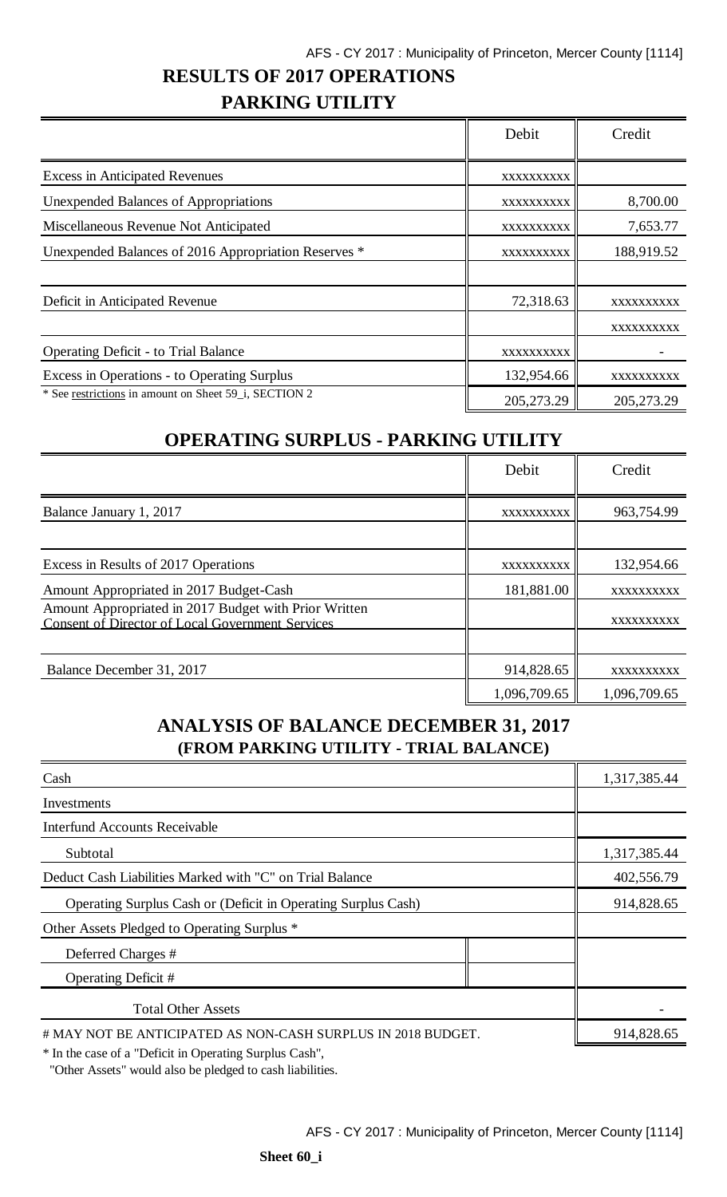## **RESULTS OF 2017 OPERATIONS**

## **PARKING UTILITY**

|                                                       | Debit      | Credit     |
|-------------------------------------------------------|------------|------------|
| <b>Excess in Anticipated Revenues</b>                 | XXXXXXXXXX |            |
| <b>Unexpended Balances of Appropriations</b>          | XXXXXXXXXX | 8,700.00   |
| Miscellaneous Revenue Not Anticipated                 | XXXXXXXXXX | 7,653.77   |
| Unexpended Balances of 2016 Appropriation Reserves *  | XXXXXXXXXX | 188,919.52 |
| Deficit in Anticipated Revenue                        | 72,318.63  | XXXXXXXXXX |
|                                                       |            | XXXXXXXXXX |
| <b>Operating Deficit - to Trial Balance</b>           | XXXXXXXXXX |            |
| Excess in Operations - to Operating Surplus           | 132,954.66 | XXXXXXXXXX |
| * See restrictions in amount on Sheet 59 i, SECTION 2 | 205,273.29 | 205,273.29 |

## **OPERATING SURPLUS - PARKING UTILITY**

|                                                                                                                  | Debit        | Credit       |
|------------------------------------------------------------------------------------------------------------------|--------------|--------------|
| Balance January 1, 2017                                                                                          | XXXXXXXXXX   | 963,754.99   |
|                                                                                                                  |              |              |
| Excess in Results of 2017 Operations                                                                             | XXXXXXXXXX   | 132,954.66   |
| Amount Appropriated in 2017 Budget-Cash                                                                          | 181,881.00   | XXXXXXXXXX   |
| Amount Appropriated in 2017 Budget with Prior Written<br><b>Consent of Director of Local Government Services</b> |              | XXXXXXXXXX   |
| Balance December 31, 2017                                                                                        | 914,828.65   | XXXXXXXXXX   |
|                                                                                                                  | 1,096,709.65 | 1,096,709.65 |

## **ANALYSIS OF BALANCE DECEMBER 31, 2017 (FROM PARKING UTILITY - TRIAL BALANCE)**

| Cash                                                                 | 1,317,385.44 |
|----------------------------------------------------------------------|--------------|
| Investments                                                          |              |
| <b>Interfund Accounts Receivable</b>                                 |              |
| Subtotal                                                             | 1,317,385.44 |
| Deduct Cash Liabilities Marked with "C" on Trial Balance             | 402,556.79   |
| <b>Operating Surplus Cash or (Deficit in Operating Surplus Cash)</b> | 914,828.65   |
| Other Assets Pledged to Operating Surplus *                          |              |
| Deferred Charges #                                                   |              |
| Operating Deficit #                                                  |              |
| <b>Total Other Assets</b>                                            |              |
| # MAY NOT BE ANTICIPATED AS NON-CASH SURPLUS IN 2018 BUDGET.         | 914,828.65   |

\* In the case of a "Deficit in Operating Surplus Cash",

"Other Assets" would also be pledged to cash liabilities.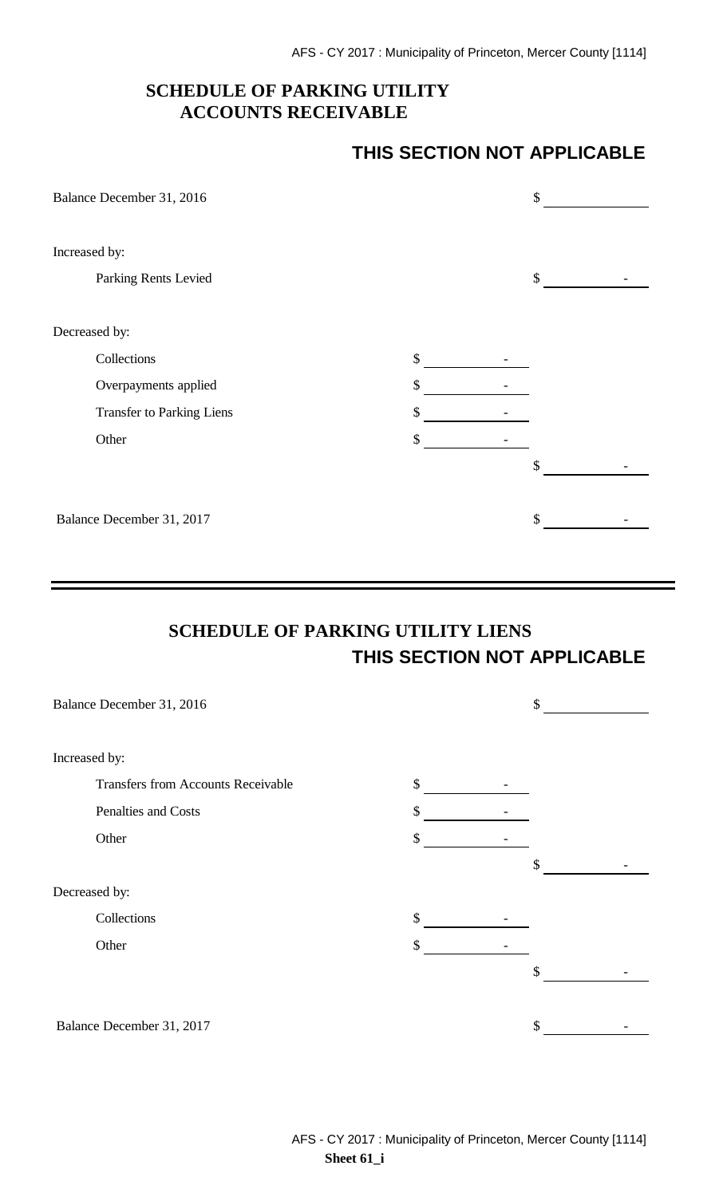### **SCHEDULE OF PARKING UTILITY ACCOUNTS RECEIVABLE**

### **THIS SECTION NOT APPLICABLE**

| Balance December 31, 2016 |    | \$ |
|---------------------------|----|----|
| Increased by:             |    |    |
| Parking Rents Levied      |    | \$ |
| Decreased by:             |    |    |
| Collections               | \$ |    |
| Overpayments applied      | \$ |    |
| Transfer to Parking Liens | \$ |    |
| Other                     |    |    |
|                           |    | \$ |
| Balance December 31, 2017 |    | \$ |

# **SCHEDULE OF PARKING UTILITY LIENS THIS SECTION NOT APPLICABLE**

| Balance December 31, 2016                 | \$ |  |
|-------------------------------------------|----|--|
|                                           |    |  |
| Increased by:                             |    |  |
| <b>Transfers from Accounts Receivable</b> | \$ |  |
| Penalties and Costs                       | \$ |  |
| Other                                     | \$ |  |
|                                           | \$ |  |
| Decreased by:                             |    |  |
| Collections                               | \$ |  |
| Other                                     | \$ |  |
|                                           | \$ |  |
|                                           |    |  |
| Balance December 31, 2017                 | \$ |  |
|                                           |    |  |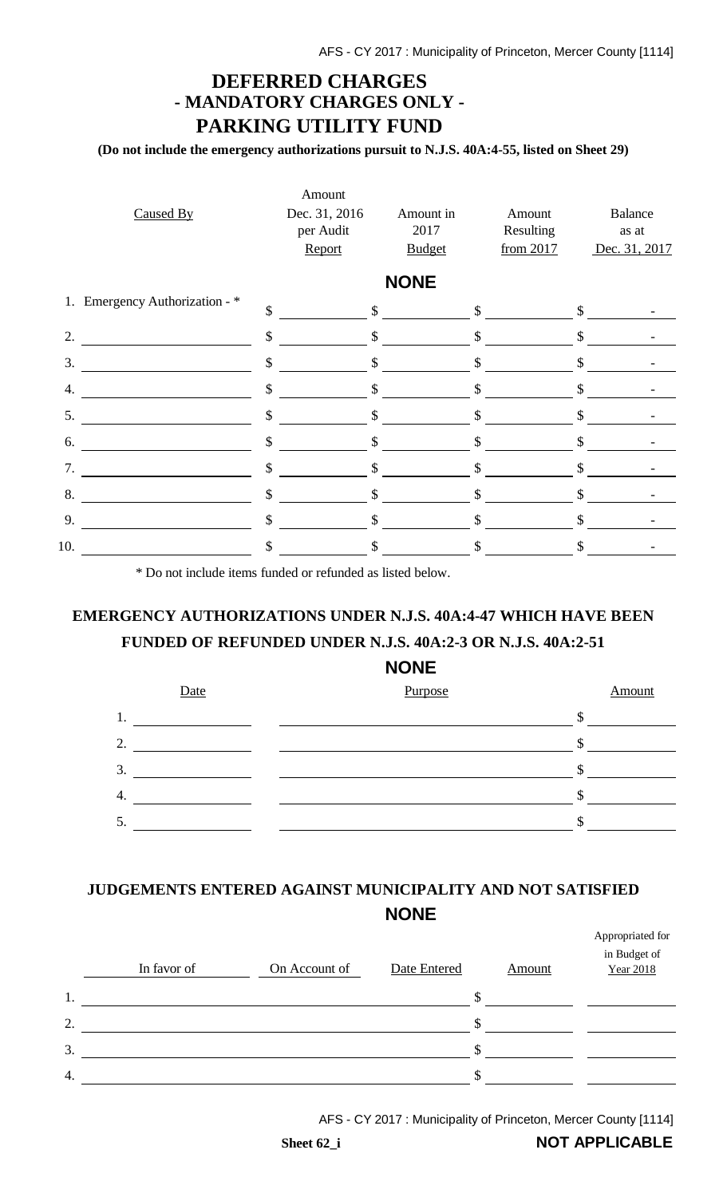## **DEFERRED CHARGES - MANDATORY CHARGES ONLY - PARKING UTILITY FUND**

**(Do not include the emergency authorizations pursuit to N.J.S. 40A:4-55, listed on Sheet 29)**

| Caused By                      | Amount<br>Dec. 31, 2016<br>per Audit | Amount in<br>2017 | Amount<br>Resulting | <b>Balance</b><br>as at |
|--------------------------------|--------------------------------------|-------------------|---------------------|-------------------------|
|                                | Report                               | <b>Budget</b>     | from 2017           | Dec. 31, 2017           |
|                                |                                      | <b>NONE</b>       |                     |                         |
| 1. Emergency Authorization - * | $\mathcal{S}$                        | $\frac{1}{2}$     | \$                  | \$                      |
| 2.                             | \$                                   | $\mathsf{\$}$     | \$                  | \$                      |
| 3.                             | $\mathcal{S}$                        | $\mathbb{S}$      | $\mathcal{S}$       | $\mathcal{S}$           |
| 4.                             | \$                                   | \$                | \$                  | \$                      |
| 5.                             | $\mathcal{S}$                        | \$                | \$                  | \$                      |
| 6.                             | \$                                   | $\mathcal{S}$     | \$                  | \$                      |
| 7.                             | \$                                   | \$                | \$                  | \$                      |
| 8.                             | $\boldsymbol{\mathsf{S}}$            | $\mathcal{S}$     | $\mathbb{S}$        | $\mathcal{S}$           |
| 9.                             | \$                                   | \$                | \$                  | \$                      |
| 10.                            | $\mathcal{S}$                        | \$                | \$                  | \$                      |
|                                |                                      |                   |                     |                         |

\* Do not include items funded or refunded as listed below.

## **EMERGENCY AUTHORIZATIONS UNDER N.J.S. 40A:4-47 WHICH HAVE BEEN FUNDED OF REFUNDED UNDER N.J.S. 40A:2-3 OR N.J.S. 40A:2-51**

### **NONE**



## **JUDGEMENTS ENTERED AGAINST MUNICIPALITY AND NOT SATISFIED NONE**

|    | In favor of | On Account of | Date Entered | Amount | Appropriated for<br>in Budget of<br>Year 2018 |
|----|-------------|---------------|--------------|--------|-----------------------------------------------|
| 1. |             |               | \$.          |        |                                               |
| 2. |             |               | S            |        |                                               |
| 3. |             |               | ۰ħ۰          |        |                                               |
| 4. |             |               | S            |        |                                               |

AFS - CY 2017 : Municipality of Princeton, Mercer County [1114]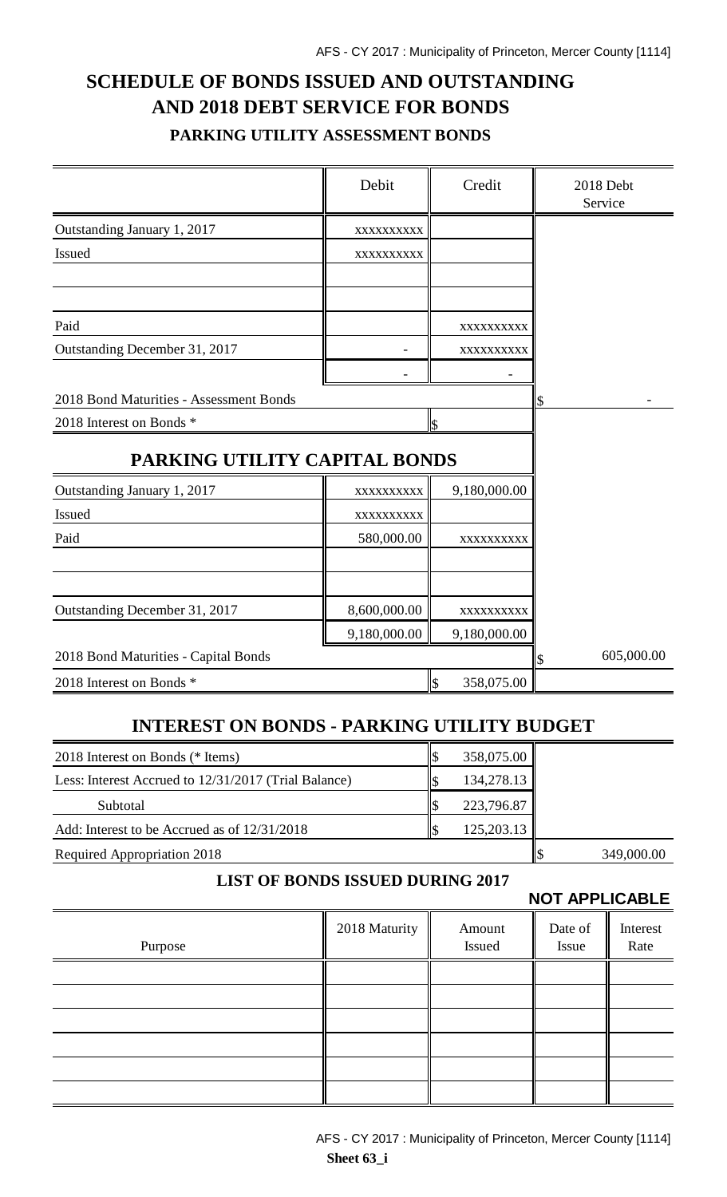## **SCHEDULE OF BONDS ISSUED AND OUTSTANDING AND 2018 DEBT SERVICE FOR BONDS PARKING UTILITY ASSESSMENT BONDS**

|                                         | Debit        | Credit                      | 2018 Debt<br>Service |
|-----------------------------------------|--------------|-----------------------------|----------------------|
| Outstanding January 1, 2017             | XXXXXXXXXX   |                             |                      |
| <b>Issued</b>                           | XXXXXXXXXX   |                             |                      |
|                                         |              |                             |                      |
| Paid                                    |              | XXXXXXXXXX                  |                      |
| Outstanding December 31, 2017           |              | XXXXXXXXX                   |                      |
|                                         |              |                             |                      |
| 2018 Bond Maturities - Assessment Bonds |              |                             | \$                   |
| 2018 Interest on Bonds *                |              | \$                          |                      |
| PARKING UTILITY CAPITAL BONDS           |              |                             |                      |
| Outstanding January 1, 2017             | XXXXXXXXXX   | 9,180,000.00                |                      |
| Issued                                  | XXXXXXXXXX   |                             |                      |
| Paid                                    | 580,000.00   | XXXXXXXXXX                  |                      |
|                                         |              |                             |                      |
| Outstanding December 31, 2017           | 8,600,000.00 | XXXXXXXXXX                  |                      |
|                                         | 9,180,000.00 | 9,180,000.00                |                      |
| 2018 Bond Maturities - Capital Bonds    |              |                             | 605,000.00<br>\$     |
| 2018 Interest on Bonds *                |              | $\mathcal{S}$<br>358,075.00 |                      |

## **INTEREST ON BONDS - PARKING UTILITY BUDGET**

| 2018 Interest on Bonds (* Items)                     | 358,075.00 |            |
|------------------------------------------------------|------------|------------|
| Less: Interest Accrued to 12/31/2017 (Trial Balance) | 134,278.13 |            |
| Subtotal                                             | 223,796.87 |            |
| Add: Interest to be Accrued as of 12/31/2018         | 125,203.13 |            |
| Required Appropriation 2018                          |            | 349,000.00 |

### **LIST OF BONDS ISSUED DURING 2017**

**NOT APPLICABLE**

| Purpose | 2018 Maturity | Amount<br>Issued | Date of<br>Issue | Interest<br>Rate |
|---------|---------------|------------------|------------------|------------------|
|         |               |                  |                  |                  |
|         |               |                  |                  |                  |
|         |               |                  |                  |                  |
|         |               |                  |                  |                  |
|         |               |                  |                  |                  |
|         |               |                  |                  |                  |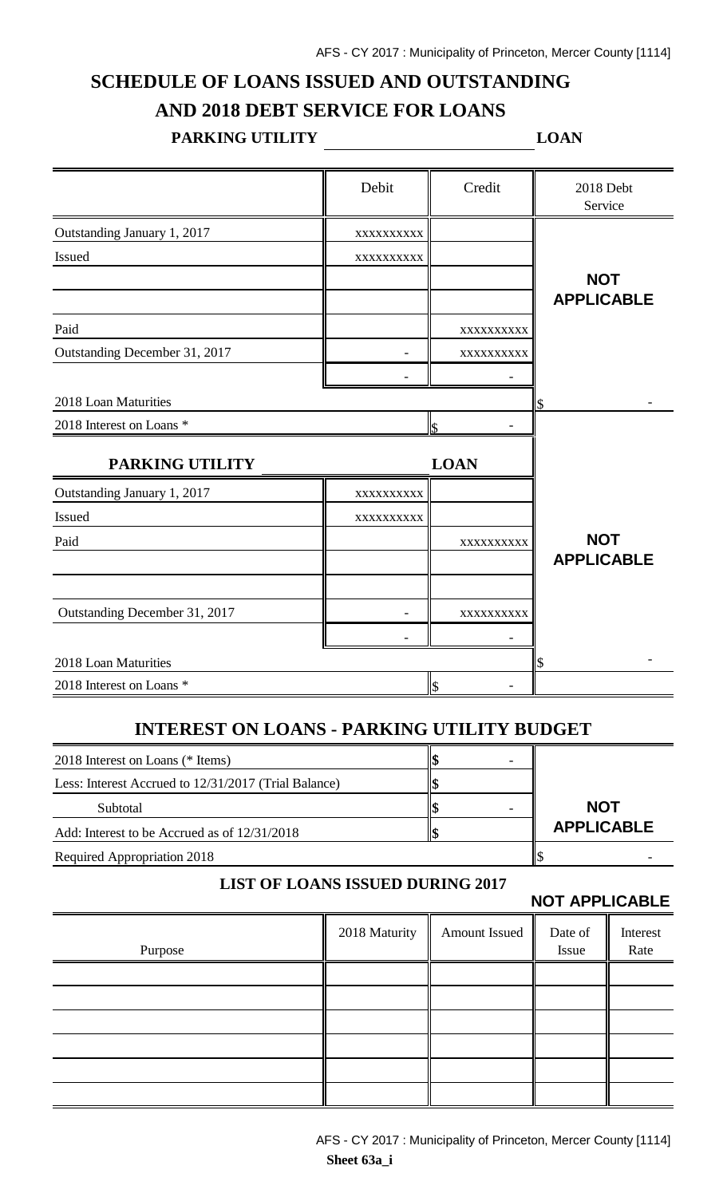## **SCHEDULE OF LOANS ISSUED AND OUTSTANDING AND 2018 DEBT SERVICE FOR LOANS**

#### **PARKING UTILITY LOAN**

|                               | Debit      | Credit      | 2018 Debt<br>Service |
|-------------------------------|------------|-------------|----------------------|
| Outstanding January 1, 2017   | XXXXXXXXXX |             |                      |
| Issued                        | XXXXXXXXX  |             |                      |
|                               |            |             | <b>NOT</b>           |
|                               |            |             | <b>APPLICABLE</b>    |
| Paid                          |            | XXXXXXXXXX  |                      |
| Outstanding December 31, 2017 |            | XXXXXXXXXX  |                      |
|                               |            |             |                      |
| 2018 Loan Maturities          |            |             |                      |
| 2018 Interest on Loans *      |            | ls.         |                      |
| PARKING UTILITY               |            | <b>LOAN</b> |                      |
| Outstanding January 1, 2017   | XXXXXXXXXX |             |                      |
| Issued                        | XXXXXXXXX  |             |                      |
| Paid                          |            | XXXXXXXXX   | <b>NOT</b>           |
|                               |            |             | <b>APPLICABLE</b>    |
|                               |            |             |                      |
| Outstanding December 31, 2017 |            | XXXXXXXXX   |                      |
|                               |            |             |                      |
| 2018 Loan Maturities          |            |             | S                    |
| 2018 Interest on Loans *      |            | ls          |                      |

### **INTEREST ON LOANS - PARKING UTILITY BUDGET**

| 2018 Interest on Loans (* Items)                     |                   |
|------------------------------------------------------|-------------------|
| Less: Interest Accrued to 12/31/2017 (Trial Balance) |                   |
| Subtotal                                             | <b>NOT</b>        |
| Add: Interest to be Accrued as of 12/31/2018         | <b>APPLICABLE</b> |
| <b>Required Appropriation 2018</b>                   |                   |

#### **LIST OF LOANS ISSUED DURING 2017**

**NOT APPLICABLE**

|         |               |               | .                |                  |
|---------|---------------|---------------|------------------|------------------|
| Purpose | 2018 Maturity | Amount Issued | Date of<br>Issue | Interest<br>Rate |
|         |               |               |                  |                  |
|         |               |               |                  |                  |
|         |               |               |                  |                  |
|         |               |               |                  |                  |
|         |               |               |                  |                  |
|         |               |               |                  |                  |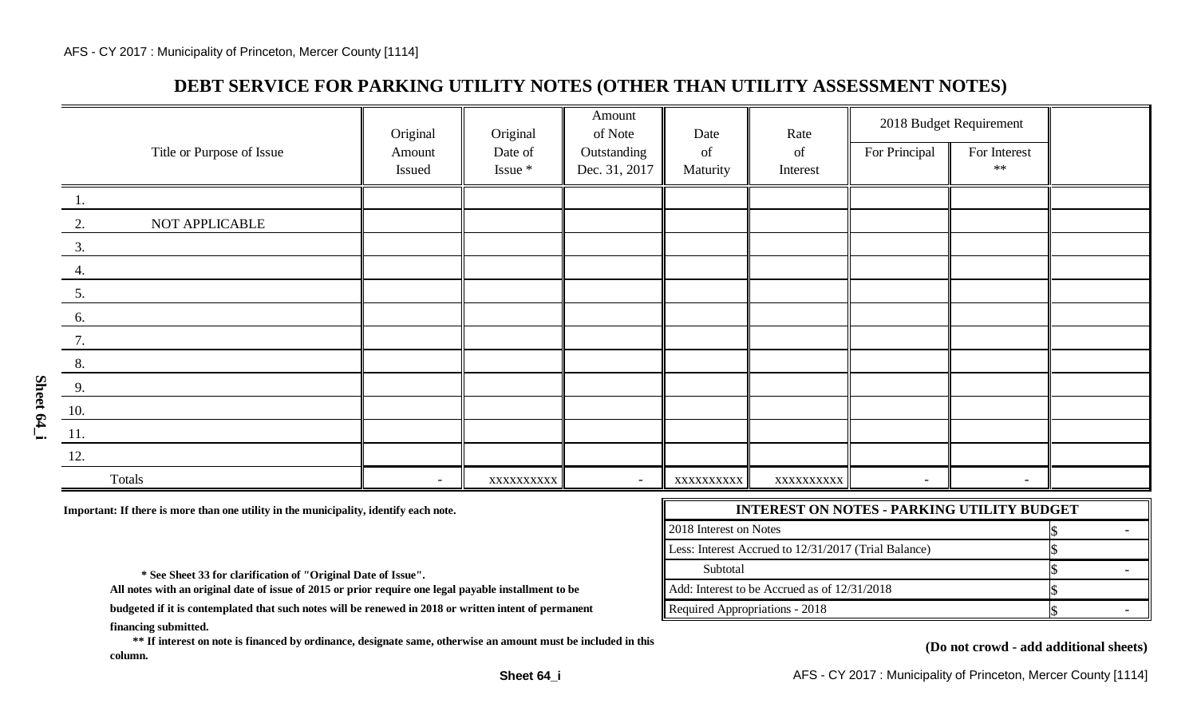## **DEBT SERVICE FOR PARKING UTILITY NOTES (OTHER THAN UTILITY ASSESSMENT NOTES)**

|                           | Original | Original     | Amount<br>of Note        | Date       | Rate       |                | 2018 Budget Requirement |  |
|---------------------------|----------|--------------|--------------------------|------------|------------|----------------|-------------------------|--|
| Title or Purpose of Issue | Amount   | Date of      | Outstanding              | of         | of         | For Principal  | For Interest            |  |
|                           | Issued   | $I$ ssue $*$ | Dec. 31, 2017            | Maturity   | Interest   |                | $\ast\ast$              |  |
| 1.                        |          |              |                          |            |            |                |                         |  |
| NOT APPLICABLE<br>2.      |          |              |                          |            |            |                |                         |  |
| 3.                        |          |              |                          |            |            |                |                         |  |
| 4.                        |          |              |                          |            |            |                |                         |  |
| 5.                        |          |              |                          |            |            |                |                         |  |
| 6.                        |          |              |                          |            |            |                |                         |  |
| 7.                        |          |              |                          |            |            |                |                         |  |
| 8.                        |          |              |                          |            |            |                |                         |  |
| 9.                        |          |              |                          |            |            |                |                         |  |
| 10.                       |          |              |                          |            |            |                |                         |  |
| 11.                       |          |              |                          |            |            |                |                         |  |
| 12.                       |          |              |                          |            |            |                |                         |  |
| Totals                    | $\sim$   | XXXXXXXXXX   | $\overline{\phantom{a}}$ | XXXXXXXXXX | XXXXXXXXXX | $\blacksquare$ | $\sim$                  |  |

Important: If there is more than one utility in the municipality, identify each note.

| <b>INTEREST ON NOTES - PARKING UTILITY BUDGET</b>        |  |  |  |  |
|----------------------------------------------------------|--|--|--|--|
| $\parallel$ 2018 Interest on Notes                       |  |  |  |  |
| Less: Interest Accrued to 12/31/2017 (Trial Balance)     |  |  |  |  |
| Subtotal                                                 |  |  |  |  |
| $\parallel$ Add: Interest to be Accrued as of 12/31/2018 |  |  |  |  |
| Required Appropriations - 2018                           |  |  |  |  |

 **\* See Sheet 33 for clarification of "Original Date of Issue".** 

**All notes with an original date of issue of 2015 or prior require one legal payable installment to be**

**financing submitted. budgeted if it is contemplated that such notes will be renewed in 2018 or written intent of permanent**

 **\*\* If interest on note is financed by ordinance, designate same, otherwise an amount must be included in this column.**

#### **(Do not crowd - add additional sheets)**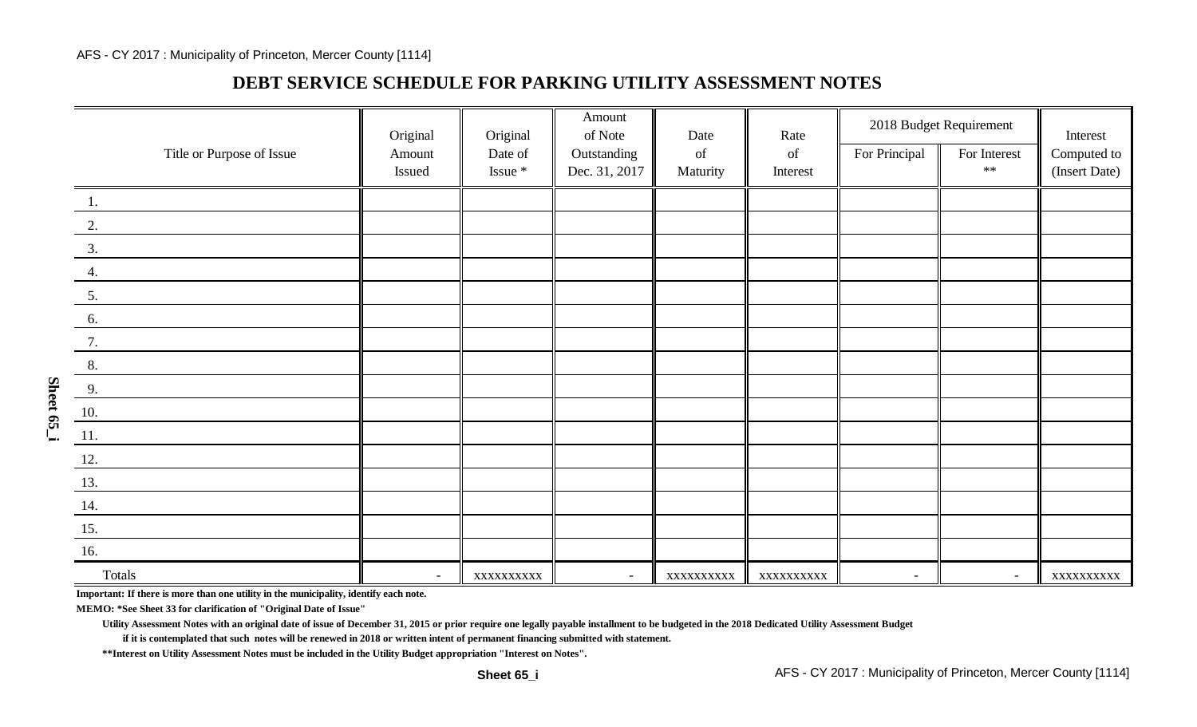### **DEBT SERVICE SCHEDULE FOR PARKING UTILITY ASSESSMENT NOTES**

|                           | Original | Original   | Amount<br>of Note | Date                                                                                               | Rate                                                                                               |               | 2018 Budget Requirement | Interest      |
|---------------------------|----------|------------|-------------------|----------------------------------------------------------------------------------------------------|----------------------------------------------------------------------------------------------------|---------------|-------------------------|---------------|
| Title or Purpose of Issue | Amount   | Date of    | Outstanding       | $% \left( \left( \mathcal{A},\mathcal{A}\right) \right) =\left( \mathcal{A},\mathcal{A}\right)$ of | $% \left( \left( \mathcal{A},\mathcal{A}\right) \right) =\left( \mathcal{A},\mathcal{A}\right)$ of | For Principal | For Interest<br>$**$    | Computed to   |
|                           | Issued   | Issue $*$  | Dec. 31, 2017     | Maturity                                                                                           | Interest                                                                                           |               |                         | (Insert Date) |
| 1.                        |          |            |                   |                                                                                                    |                                                                                                    |               |                         |               |
| 2.                        |          |            |                   |                                                                                                    |                                                                                                    |               |                         |               |
| 3.                        |          |            |                   |                                                                                                    |                                                                                                    |               |                         |               |
| 4.                        |          |            |                   |                                                                                                    |                                                                                                    |               |                         |               |
| 5.                        |          |            |                   |                                                                                                    |                                                                                                    |               |                         |               |
| 6.                        |          |            |                   |                                                                                                    |                                                                                                    |               |                         |               |
| 7.                        |          |            |                   |                                                                                                    |                                                                                                    |               |                         |               |
| 8.                        |          |            |                   |                                                                                                    |                                                                                                    |               |                         |               |
| 9.                        |          |            |                   |                                                                                                    |                                                                                                    |               |                         |               |
| <b>10.</b>                |          |            |                   |                                                                                                    |                                                                                                    |               |                         |               |
| 11.                       |          |            |                   |                                                                                                    |                                                                                                    |               |                         |               |
| <u>12.</u>                |          |            |                   |                                                                                                    |                                                                                                    |               |                         |               |
| 13.                       |          |            |                   |                                                                                                    |                                                                                                    |               |                         |               |
| 14.                       |          |            |                   |                                                                                                    |                                                                                                    |               |                         |               |
| 15.                       |          |            |                   |                                                                                                    |                                                                                                    |               |                         |               |
| 16.                       |          |            |                   |                                                                                                    |                                                                                                    |               |                         |               |
| Totals                    | $\sim$   | XXXXXXXXXX | $\sim$            | XXXXXXXXXX                                                                                         | XXXXXXXXXX                                                                                         | $\sim$        | $\sim$                  | XXXXXXXXXX    |

**Important: If there is more than one utility in the municipality, identify each note.**

**MEMO: \*See Sheet 33 for clarification of "Original Date of Issue"**

**Utility Assessment Notes with an original date of issue of December 31, 2015 or prior require one legally payable installment to be budgeted in the 2018 Dedicated Utility Assessment Budget**

**if it is contemplated that such notes will be renewed in 2018 or written intent of permanent financing submitted with statement.**

**\*\*Interest on Utility Assessment Notes must be included in the Utility Budget appropriation "Interest on Notes".**

**Sheet 65\_i**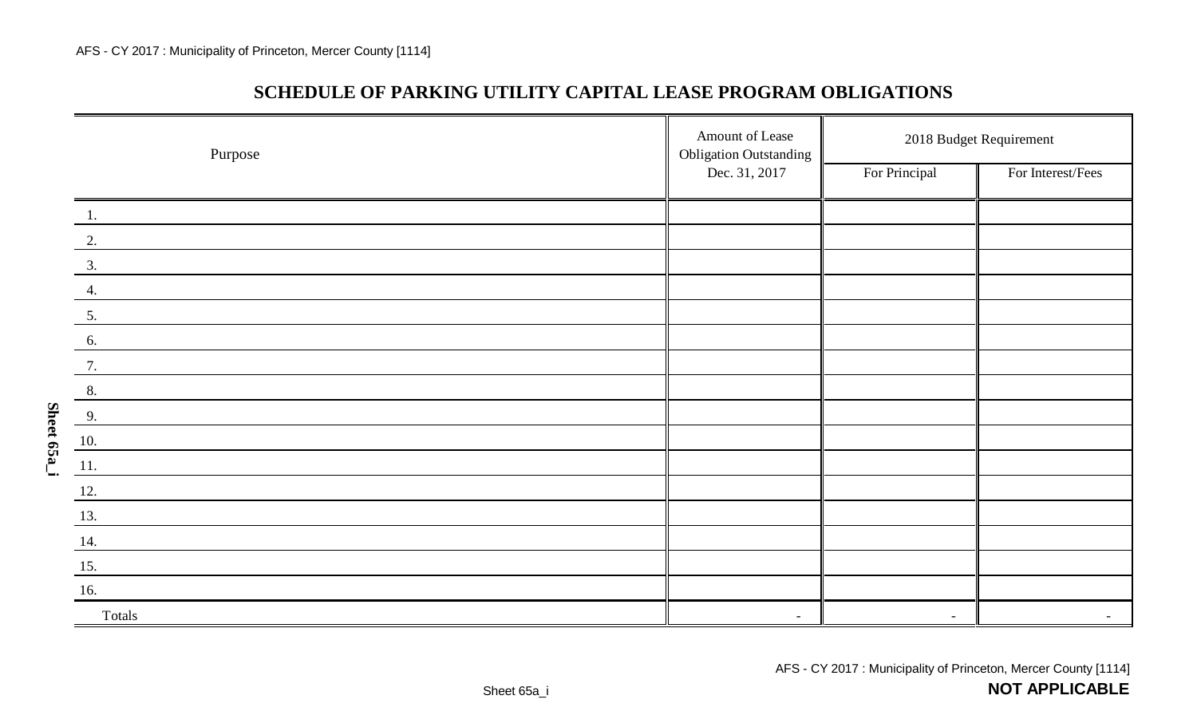**Sheet 65a\_i**

| Purpose            | Amount of Lease<br><b>Obligation Outstanding</b> | 2018 Budget Requirement |                   |  |
|--------------------|--------------------------------------------------|-------------------------|-------------------|--|
|                    | Dec. 31, 2017                                    | For Principal           | For Interest/Fees |  |
| 1.                 |                                                  |                         |                   |  |
| 2.                 |                                                  |                         |                   |  |
| 3.                 |                                                  |                         |                   |  |
| 4.                 |                                                  |                         |                   |  |
| 5.                 |                                                  |                         |                   |  |
| 6.                 |                                                  |                         |                   |  |
| 7.                 |                                                  |                         |                   |  |
| 8.                 |                                                  |                         |                   |  |
| 9.                 |                                                  |                         |                   |  |
| $\underline{10}$ . |                                                  |                         |                   |  |
| 11.                |                                                  |                         |                   |  |
| 12.                |                                                  |                         |                   |  |
| 13.                |                                                  |                         |                   |  |
| 14.                |                                                  |                         |                   |  |
| $\underline{15}$ . |                                                  |                         |                   |  |
| 16.                |                                                  |                         |                   |  |
| Totals             |                                                  | $\sim$                  |                   |  |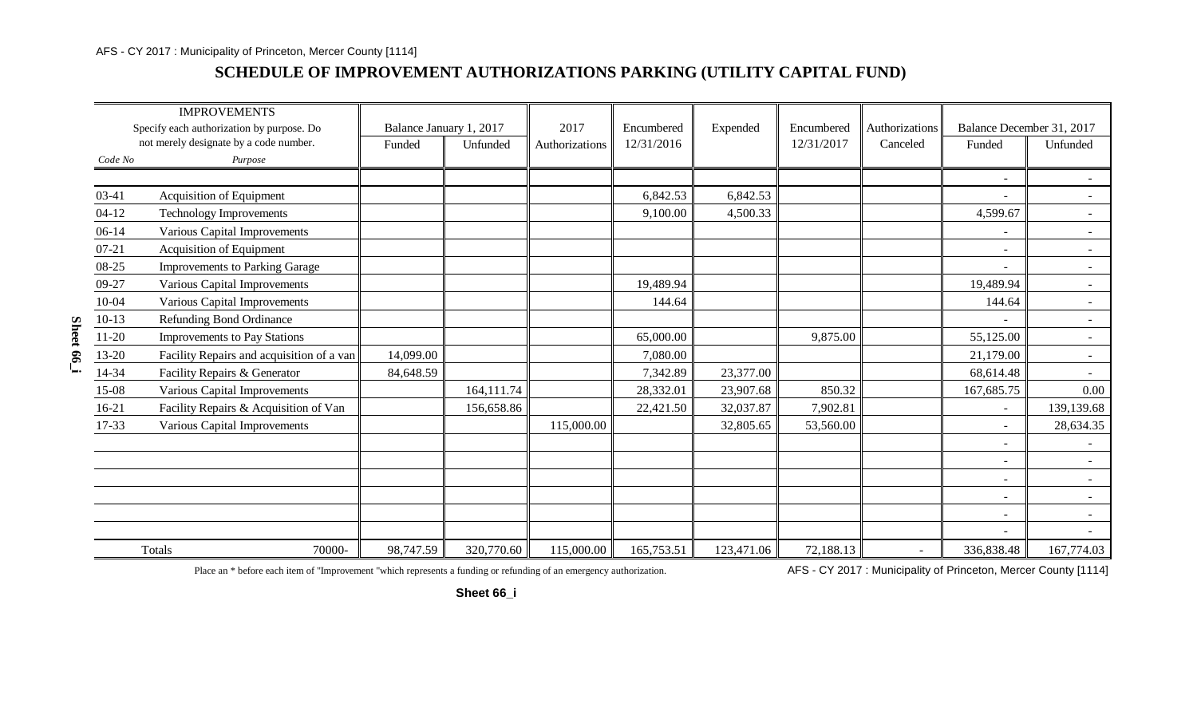#### AFS - CY 2017 : Municipality of Princeton, Mercer County [1114]

### **SCHEDULE OF IMPROVEMENT AUTHORIZATIONS PARKING (UTILITY CAPITAL FUND)**

|          |           | <b>IMPROVEMENTS</b><br>Specify each authorization by purpose. Do | Balance January 1, 2017 |            | 2017           | Encumbered | Expended   | Encumbered | Authorizations | Balance December 31, 2017 |                          |
|----------|-----------|------------------------------------------------------------------|-------------------------|------------|----------------|------------|------------|------------|----------------|---------------------------|--------------------------|
|          |           | not merely designate by a code number.                           | Funded                  | Unfunded   | Authorizations | 12/31/2016 |            | 12/31/2017 | Canceled       | Funded                    | Unfunded                 |
|          | Code No   | Purpose                                                          |                         |            |                |            |            |            |                |                           |                          |
|          |           |                                                                  |                         |            |                |            |            |            |                | $\overline{\phantom{a}}$  |                          |
|          | 03-41     | Acquisition of Equipment                                         |                         |            |                | 6,842.53   | 6,842.53   |            |                |                           |                          |
|          | $04 - 12$ | Technology Improvements                                          |                         |            |                | 9,100.00   | 4,500.33   |            |                | 4,599.67                  | $\sim$                   |
|          | $06-14$   | Various Capital Improvements                                     |                         |            |                |            |            |            |                |                           | $\sim$                   |
|          | $07 - 21$ | Acquisition of Equipment                                         |                         |            |                |            |            |            |                | $\sim$                    | $\sim$                   |
|          | 08-25     | <b>Improvements to Parking Garage</b>                            |                         |            |                |            |            |            |                |                           | $\overline{\phantom{a}}$ |
|          | 09-27     | Various Capital Improvements                                     |                         |            |                | 19,489.94  |            |            |                | 19,489.94                 | $\sim$                   |
|          | $10 - 04$ | Various Capital Improvements                                     |                         |            |                | 144.64     |            |            |                | 144.64                    | $\sim$                   |
|          | $10-13$   | Refunding Bond Ordinance                                         |                         |            |                |            |            |            |                |                           | $\sim$                   |
| Sheet 66 | $11-20$   | Improvements to Pay Stations                                     |                         |            |                | 65,000.00  |            | 9,875.00   |                | 55,125.00                 | $\sim$                   |
|          | 13-20     | Facility Repairs and acquisition of a van                        | 14,099.00               |            |                | 7,080.00   |            |            |                | 21,179.00                 | $\sim$                   |
|          | 14-34     | Facility Repairs & Generator                                     | 84,648.59               |            |                | 7,342.89   | 23,377.00  |            |                | 68,614.48                 | $\sim$                   |
|          | 15-08     | Various Capital Improvements                                     |                         | 164,111.74 |                | 28,332.01  | 23,907.68  | 850.32     |                | 167,685.75                | 0.00                     |
|          | $16-21$   | Facility Repairs & Acquisition of Van                            |                         | 156,658.86 |                | 22,421.50  | 32,037.87  | 7,902.81   |                | $\overline{\phantom{a}}$  | 139,139.68               |
|          | 17-33     | Various Capital Improvements                                     |                         |            | 115,000.00     |            | 32,805.65  | 53,560.00  |                | $\overline{\phantom{a}}$  | 28,634.35                |
|          |           |                                                                  |                         |            |                |            |            |            |                | $\blacksquare$            | $\sim$                   |
|          |           |                                                                  |                         |            |                |            |            |            |                | $\overline{\phantom{a}}$  |                          |
|          |           |                                                                  |                         |            |                |            |            |            |                | $\equiv$                  | $\sim$                   |
|          |           |                                                                  |                         |            |                |            |            |            |                | $\sim$                    | $\sim$                   |
|          |           |                                                                  |                         |            |                |            |            |            |                | $\sim$                    | $\sim$                   |
|          |           |                                                                  |                         |            |                |            |            |            |                | $\equiv$                  |                          |
|          |           | Totals<br>70000-                                                 | 98,747.59               | 320,770.60 | 115,000.00     | 165,753.51 | 123,471.06 | 72,188.13  |                | 336,838.48                | 167,774.03               |

Place an \* before each item of "Improvement "which represents a funding or refunding of an emergency authorization. AFS - CY 2017: Municipality of Princeton, Mercer County [1114]

**Sheet 66\_i**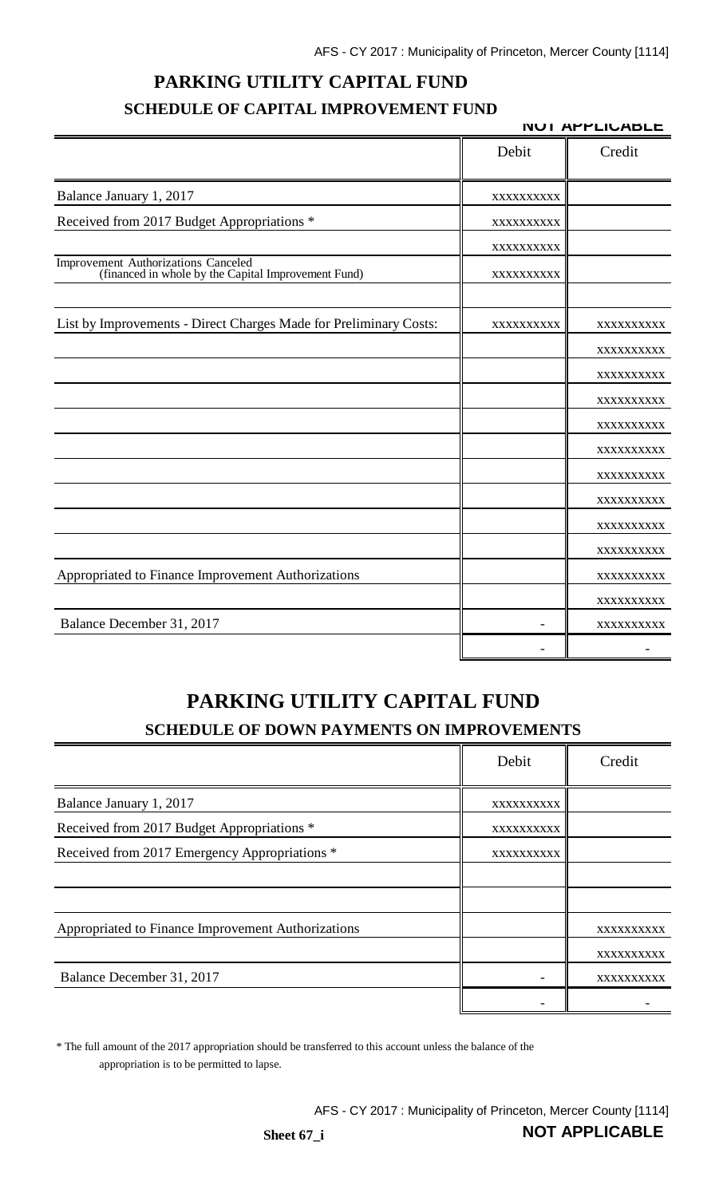# **PARKING UTILITY CAPITAL FUND SCHEDULE OF CAPITAL IMPROVEMENT FUND**

|                                                                                            | <b>NUI APPLIUABLE</b>    |            |  |
|--------------------------------------------------------------------------------------------|--------------------------|------------|--|
|                                                                                            | Debit                    | Credit     |  |
| Balance January 1, 2017                                                                    | XXXXXXXXXX               |            |  |
| Received from 2017 Budget Appropriations *                                                 | XXXXXXXXXX               |            |  |
|                                                                                            | XXXXXXXXXX               |            |  |
| Improvement Authorizations Canceled<br>(financed in whole by the Capital Improvement Fund) | XXXXXXXXXX               |            |  |
| List by Improvements - Direct Charges Made for Preliminary Costs:                          | XXXXXXXXXX               | XXXXXXXXX  |  |
|                                                                                            |                          | XXXXXXXXXX |  |
|                                                                                            |                          | XXXXXXXXXX |  |
|                                                                                            |                          | XXXXXXXXXX |  |
|                                                                                            |                          | XXXXXXXXXX |  |
|                                                                                            |                          | XXXXXXXXX  |  |
|                                                                                            |                          | XXXXXXXXXX |  |
|                                                                                            |                          | XXXXXXXXXX |  |
|                                                                                            |                          | XXXXXXXXXX |  |
|                                                                                            |                          | XXXXXXXXXX |  |
| Appropriated to Finance Improvement Authorizations                                         |                          | XXXXXXXXXX |  |
|                                                                                            |                          | XXXXXXXXXX |  |
| Balance December 31, 2017                                                                  | $\overline{\phantom{0}}$ | XXXXXXXXXX |  |
|                                                                                            |                          |            |  |

# **PARKING UTILITY CAPITAL FUND SCHEDULE OF DOWN PAYMENTS ON IMPROVEMENTS**

|                                                    | Debit      | Credit     |
|----------------------------------------------------|------------|------------|
| Balance January 1, 2017                            | XXXXXXXXXX |            |
| Received from 2017 Budget Appropriations *         | XXXXXXXXXX |            |
| Received from 2017 Emergency Appropriations *      | XXXXXXXXXX |            |
|                                                    |            |            |
|                                                    |            |            |
| Appropriated to Finance Improvement Authorizations |            | XXXXXXXXXX |
|                                                    |            | XXXXXXXXXX |
| Balance December 31, 2017                          |            | XXXXXXXXXX |
|                                                    |            |            |

\* The full amount of the 2017 appropriation should be transferred to this account unless the balance of the appropriation is to be permitted to lapse.